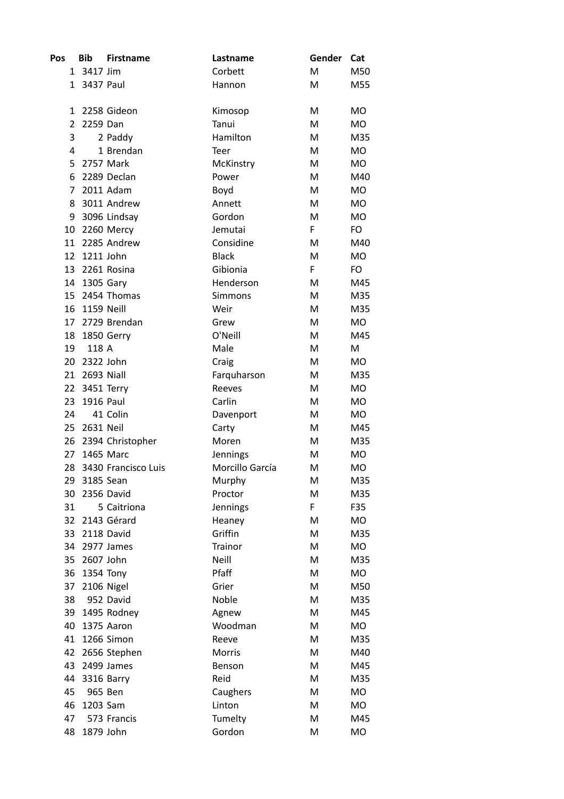| Pos            | <b>Bib</b>        | <b>Firstname</b>      | Lastname           | Gender | Cat       |
|----------------|-------------------|-----------------------|--------------------|--------|-----------|
| 1              | 3417 Jim          |                       | Corbett            | M      | M50       |
| 1              | 3437 Paul         |                       | Hannon             | M      | M55       |
|                |                   |                       |                    |        |           |
| 1              |                   | 2258 Gideon           | Kimosop            | М      | <b>MO</b> |
| $\overline{2}$ | 2259 Dan          |                       | Tanui              | м      | <b>MO</b> |
| 3              |                   | 2 Paddy               | Hamilton           | M      | M35       |
| 4              |                   | 1 Brendan             | Teer               | M      | <b>MO</b> |
| 5              |                   | 2757 Mark             | McKinstry          | M      | <b>MO</b> |
| 6              |                   | 2289 Declan           | Power              | M      | M40       |
| 7              |                   | 2011 Adam             | Boyd               | M      | <b>MO</b> |
| 8              |                   | 3011 Andrew           | Annett             | M      | <b>MO</b> |
| 9              |                   | 3096 Lindsay          | Gordon             | M      | <b>MO</b> |
| 10             |                   | 2260 Mercy            | Jemutai            | F      | FO        |
| 11             |                   | 2285 Andrew           | Considine          | M      | M40       |
| 12             | 1211 John         |                       | <b>Black</b>       | M      | <b>MO</b> |
| 13             |                   | 2261 Rosina           | Gibionia           | F      | FO        |
|                | 14 1305 Gary      |                       | Henderson          | M      | M45       |
| 15             |                   | 2454 Thomas           | <b>Simmons</b>     | M      | M35       |
| 16             | <b>1159 Neill</b> |                       | Weir               | м      | M35       |
| 17             |                   | 2729 Brendan          | Grew               | M      | MO        |
| 18             |                   | 1850 Gerry            | O'Neill            | M      | M45       |
| 19             | 118 A             |                       | Male               | M      | M         |
| 20             | 2322 John         |                       | Craig              | M      | <b>MO</b> |
| 21             | 2693 Niall        |                       | Farquharson        | M      | M35       |
| 22             | 3451 Terry        |                       | Reeves             | м      | <b>MO</b> |
| 23             | <b>1916 Paul</b>  |                       | Carlin             | м      | MO        |
| 24             |                   | 41 Colin              | Davenport          | M      | <b>MO</b> |
| 25             | 2631 Neil         |                       | Carty              | м      | M45       |
| 26             |                   | 2394 Christopher      | Moren              | M      | M35       |
| 27             |                   | 1465 Marc             | Jennings           | м      | <b>MO</b> |
| 28             |                   | 3430 Francisco Luis   | Morcillo García    | M      | <b>MO</b> |
| 29             | 3185 Sean         |                       | Murphy             | M      | M35       |
| 30             |                   | 2356 David            | Proctor            | M      | M35       |
| 31             |                   | 5 Caitriona           | Jennings           | F      | F35       |
| 32             |                   | 2143 Gérard           | Heaney             | M      | MO        |
| 33             |                   | 2118 David            | Griffin            | M      | M35       |
| 34             |                   | 2977 James            | Trainor            | M      | MO        |
| 35             | 2607 John         |                       | Neill              | M      | M35       |
| 36             |                   | 1354 Tony             | Pfaff              | M      | <b>MO</b> |
| 37             |                   | 2106 Nigel            | Grier              | M      | M50       |
| 38             |                   | 952 David             | Noble              | M      | M35       |
| 39             |                   | 1495 Rodney           | Agnew              | M      | M45       |
| 40             |                   | 1375 Aaron            | Woodman            | M      | MO        |
| 41             |                   | 1266 Simon            | Reeve              | M      | M35       |
| 42             |                   | 2656 Stephen          | Morris             | M      | M40       |
| 43             |                   | 2499 James            | Benson             | M      | M45       |
| 44             |                   |                       | Reid               | M      | M35       |
| 45             |                   | 3316 Barry<br>965 Ben |                    | M      | MO        |
| 46             | 1203 Sam          |                       | Caughers<br>Linton | M      | <b>MO</b> |
| 47             |                   | 573 Francis           |                    | M      | M45       |
| 48             |                   |                       | Tumelty<br>Gordon  |        |           |
|                |                   | 1879 John             |                    | M      | <b>MO</b> |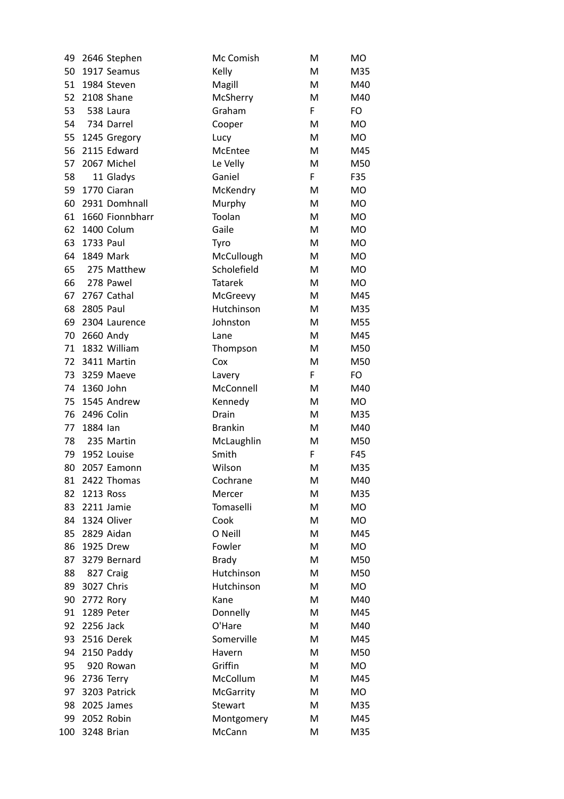| 49  |            | 2646 Stephen    | Mc Comish      | M | <b>MO</b> |
|-----|------------|-----------------|----------------|---|-----------|
| 50  |            | 1917 Seamus     | Kelly          | M | M35       |
| 51  |            | 1984 Steven     | Magill         | M | M40       |
| 52  |            | 2108 Shane      | McSherry       | M | M40       |
| 53  |            | 538 Laura       | Graham         | F | FO        |
| 54  |            | 734 Darrel      | Cooper         | M | <b>MO</b> |
| 55  |            | 1245 Gregory    | Lucy           | M | <b>MO</b> |
| 56  |            | 2115 Edward     | McEntee        | M | M45       |
| 57  |            | 2067 Michel     | Le Velly       | M | M50       |
| 58  |            | 11 Gladys       | Ganiel         | F | F35       |
| 59  |            | 1770 Ciaran     | McKendry       | M | <b>MO</b> |
| 60  |            | 2931 Domhnall   | Murphy         | M | <b>MO</b> |
| 61  |            | 1660 Fionnbharr | Toolan         | M | <b>MO</b> |
| 62  |            | 1400 Colum      | Gaile          | M | <b>MO</b> |
| 63  | 1733 Paul  |                 | Tyro           | M | <b>MO</b> |
| 64  |            | 1849 Mark       | McCullough     | M | MO        |
| 65  |            | 275 Matthew     | Scholefield    | M | <b>MO</b> |
| 66  |            | 278 Pawel       | <b>Tatarek</b> | M | <b>MO</b> |
| 67  |            | 2767 Cathal     | McGreevy       | M | M45       |
| 68  | 2805 Paul  |                 | Hutchinson     | M | M35       |
| 69  |            | 2304 Laurence   | Johnston       | M | M55       |
| 70  | 2660 Andy  |                 | Lane           | M | M45       |
| 71  |            | 1832 William    | Thompson       | M | M50       |
| 72  |            | 3411 Martin     | Cox            | M | M50       |
| 73  |            | 3259 Maeve      | Lavery         | F | FO        |
| 74  | 1360 John  |                 | McConnell      | M | M40       |
| 75  |            | 1545 Andrew     | Kennedy        | M | MO        |
| 76  | 2496 Colin |                 | Drain          | M | M35       |
| 77  | 1884 lan   |                 | <b>Brankin</b> | M | M40       |
| 78  |            | 235 Martin      | McLaughlin     | M | M50       |
| 79  |            | 1952 Louise     | Smith          | F | F45       |
| 80  |            | 2057 Eamonn     | Wilson         | M | M35       |
| 81  |            | 2422 Thomas     | Cochrane       | M | M40       |
| 82  | 1213 Ross  |                 | Mercer         | Μ | M35       |
| 83  |            | 2211 Jamie      | Tomaselli      | M | MO        |
| 84  |            | 1324 Oliver     | Cook           | м | MO.       |
| 85  |            | 2829 Aidan      | O Neill        | M | M45       |
| 86  |            | 1925 Drew       | Fowler         | M | MO        |
| 87  |            | 3279 Bernard    | <b>Brady</b>   | M | M50       |
| 88  |            | 827 Craig       | Hutchinson     | M | M50       |
| 89  |            | 3027 Chris      | Hutchinson     | M | MO        |
| 90  | 2772 Rory  |                 | Kane           | M | M40       |
| 91  |            | 1289 Peter      | Donnelly       | M | M45       |
| 92  | 2256 Jack  |                 | O'Hare         | M | M40       |
| 93  |            | 2516 Derek      | Somerville     | M | M45       |
| 94  |            | 2150 Paddy      | Havern         | M | M50       |
| 95  |            | 920 Rowan       | Griffin        | M | MO        |
| 96  | 2736 Terry |                 | McCollum       | M | M45       |
| 97  |            | 3203 Patrick    | McGarrity      | Μ | MO        |
| 98  |            | 2025 James      | Stewart        | M | M35       |
| 99  |            | 2052 Robin      | Montgomery     | M | M45       |
| 100 |            | 3248 Brian      | McCann         | Μ | M35       |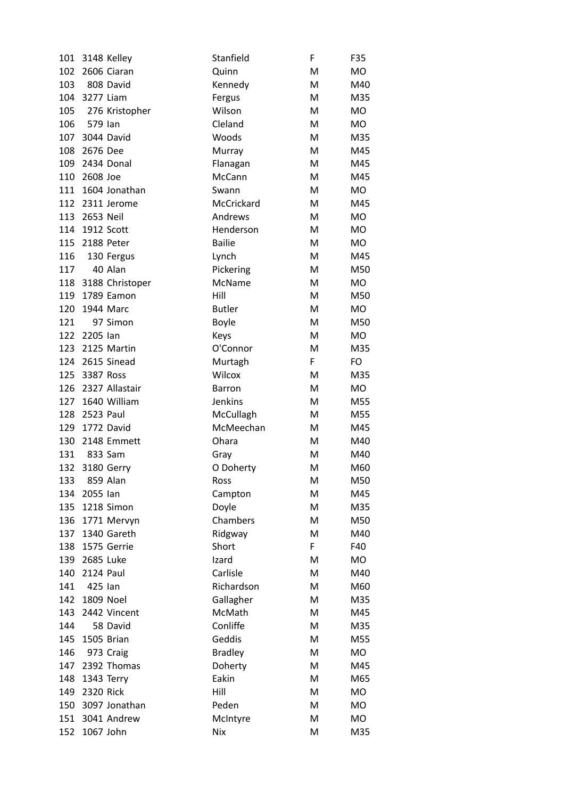| 101 | 3148 Kelley         | Stanfield      | F | F35       |
|-----|---------------------|----------------|---|-----------|
| 102 | 2606 Ciaran         | Quinn          | M | MO        |
| 103 | 808 David           | Kennedy        | M | M40       |
|     | 104 3277 Liam       | Fergus         | M | M35       |
| 105 | 276 Kristopher      | Wilson         | M | MO        |
| 106 | 579 lan             | Cleland        | M | MO        |
| 107 | 3044 David          | Woods          | M | M35       |
| 108 | 2676 Dee            | Murray         | M | M45       |
| 109 | 2434 Donal          | Flanagan       | M | M45       |
| 110 | 2608 Joe            | McCann         | M | M45       |
| 111 | 1604 Jonathan       | Swann          | M | MO        |
| 112 | 2311 Jerome         | McCrickard     | M | M45       |
| 113 | 2653 Neil           | Andrews        | M | <b>MO</b> |
| 114 | 1912 Scott          | Henderson      | M | <b>MO</b> |
| 115 | 2188 Peter          | <b>Bailie</b>  | M | <b>MO</b> |
| 116 | 130 Fergus          | Lynch          | M | M45       |
| 117 | 40 Alan             | Pickering      | M | M50       |
|     | 118 3188 Christoper | McName         | M | <b>MO</b> |
| 119 | 1789 Eamon          | Hill           | M | M50       |
| 120 | 1944 Marc           | <b>Butler</b>  | M | <b>MO</b> |
| 121 | 97 Simon            | Boyle          | M | M50       |
| 122 | 2205 lan            | Keys           | M | MO        |
| 123 | 2125 Martin         | O'Connor       | M | M35       |
| 124 | 2615 Sinead         | Murtagh        | F | FO        |
| 125 | 3387 Ross           | Wilcox         | M | M35       |
| 126 | 2327 Allastair      | <b>Barron</b>  | M | MO        |
| 127 | 1640 William        | Jenkins        | M | M55       |
| 128 | 2523 Paul           | McCullagh      | M | M55       |
| 129 | 1772 David          | McMeechan      | M | M45       |
| 130 | 2148 Emmett         | Ohara          | M | M40       |
| 131 | 833 Sam             | Gray           | M | M40       |
|     | 132 3180 Gerry      | O Doherty      | M | M60       |
|     | 133 859 Alan        | Ross           | M | M50       |
| 134 | 2055 lan            | Campton        | M | M45       |
| 135 | 1218 Simon          | Doyle          | M | M35       |
| 136 | 1771 Mervyn         | Chambers       | M | M50       |
| 137 | 1340 Gareth         | Ridgway        | M | M40       |
| 138 | 1575 Gerrie         | Short          | F | F40       |
| 139 | 2685 Luke           | Izard          | M | MO        |
| 140 | <b>2124 Paul</b>    | Carlisle       | M | M40       |
| 141 | 425 lan             | Richardson     | M | M60       |
| 142 | 1809 Noel           | Gallagher      | M | M35       |
| 143 | 2442 Vincent        | McMath         | M | M45       |
| 144 | 58 David            | Conliffe       | M | M35       |
| 145 | 1505 Brian          | Geddis         | M | M55       |
| 146 | 973 Craig           | <b>Bradley</b> | M | <b>MO</b> |
| 147 | 2392 Thomas         | Doherty        | M | M45       |
| 148 | 1343 Terry          | Eakin          | M | M65       |
| 149 | 2320 Rick           | Hill           | M | MO        |
| 150 | 3097 Jonathan       | Peden          | M | MO        |
| 151 | 3041 Andrew         | McIntyre       | M | MO        |
| 152 | 1067 John           | <b>Nix</b>     | M | M35       |
|     |                     |                |   |           |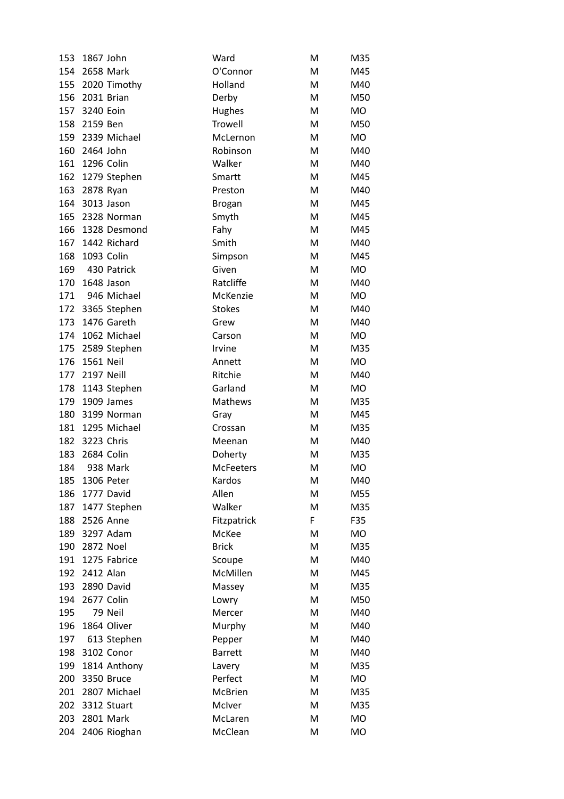| 153 | 1867 John      |              | Ward             | M | M35       |
|-----|----------------|--------------|------------------|---|-----------|
|     | 154 2658 Mark  |              | O'Connor         | M | M45       |
| 155 |                | 2020 Timothy | Holland          | M | M40       |
|     | 156 2031 Brian |              | Derby            | M | M50       |
| 157 | 3240 Eoin      |              | Hughes           | M | MO        |
| 158 | 2159 Ben       |              | <b>Trowell</b>   | M | M50       |
| 159 |                | 2339 Michael | McLernon         | M | MO        |
| 160 | 2464 John      |              | Robinson         | M | M40       |
| 161 |                | 1296 Colin   | Walker           | M | M40       |
| 162 |                | 1279 Stephen | Smartt           | M | M45       |
|     | 163 2878 Ryan  |              | Preston          | M | M40       |
| 164 |                | 3013 Jason   | <b>Brogan</b>    | M | M45       |
| 165 |                | 2328 Norman  | Smyth            | M | M45       |
| 166 |                | 1328 Desmond | Fahy             | M | M45       |
| 167 |                | 1442 Richard | Smith            | M | M40       |
| 168 | 1093 Colin     |              | Simpson          | M | M45       |
| 169 |                | 430 Patrick  | Given            | M | MO        |
| 170 |                | 1648 Jason   | Ratcliffe        | M | M40       |
| 171 |                | 946 Michael  | McKenzie         | M | <b>MO</b> |
| 172 |                | 3365 Stephen | <b>Stokes</b>    | M | M40       |
| 173 |                | 1476 Gareth  | Grew             | M | M40       |
| 174 |                | 1062 Michael | Carson           | M | <b>MO</b> |
| 175 |                | 2589 Stephen | Irvine           | M | M35       |
| 176 | 1561 Neil      |              | Annett           | M | <b>MO</b> |
| 177 | 2197 Neill     |              | Ritchie          | M | M40       |
| 178 |                | 1143 Stephen | Garland          | M | MO        |
| 179 |                | 1909 James   | Mathews          | M | M35       |
| 180 |                | 3199 Norman  | Gray             | M | M45       |
| 181 |                | 1295 Michael | Crossan          | M | M35       |
| 182 | 3223 Chris     |              | Meenan           | M | M40       |
| 183 |                | 2684 Colin   | Doherty          | M | M35       |
| 184 |                | 938 Mark     | <b>McFeeters</b> | M | <b>MO</b> |
| 185 | 1306 Peter     |              | Kardos           | M | M40       |
| 186 |                | 1777 David   | Allen            | M | M55       |
| 187 |                | 1477 Stephen | Walker           | M | M35       |
| 188 |                | 2526 Anne    | Fitzpatrick      | F | F35       |
| 189 |                | 3297 Adam    | McKee            | M | MO        |
| 190 | 2872 Noel      |              | <b>Brick</b>     | M | M35       |
| 191 |                | 1275 Fabrice | Scoupe           | M | M40       |
| 192 | 2412 Alan      |              | McMillen         | M | M45       |
| 193 |                | 2890 David   | Massey           | M | M35       |
| 194 |                | 2677 Colin   | Lowry            | M | M50       |
| 195 |                | 79 Neil      | Mercer           | M | M40       |
| 196 |                | 1864 Oliver  | Murphy           | M | M40       |
| 197 |                | 613 Stephen  | Pepper           | M | M40       |
| 198 |                | 3102 Conor   | <b>Barrett</b>   | M | M40       |
| 199 |                | 1814 Anthony | Lavery           | M | M35       |
| 200 |                | 3350 Bruce   | Perfect          | M | MO        |
| 201 |                | 2807 Michael | McBrien          | M | M35       |
| 202 |                | 3312 Stuart  | McIver           | M | M35       |
| 203 |                | 2801 Mark    | McLaren          | M | MO        |
| 204 |                | 2406 Rioghan | McClean          | M | <b>MO</b> |
|     |                |              |                  |   |           |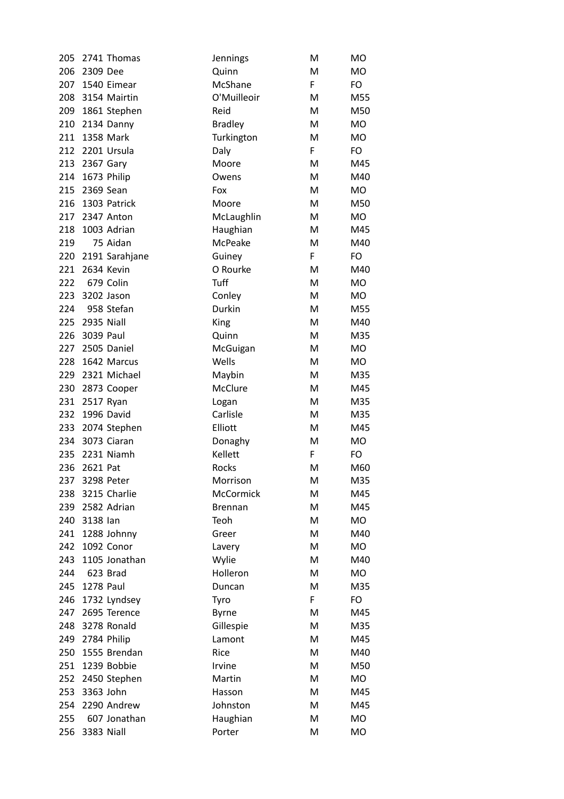| 205 |                | 2741 Thomas      | Jennings       | M  | <b>MO</b> |
|-----|----------------|------------------|----------------|----|-----------|
| 206 | 2309 Dee       |                  | Quinn          | M  | <b>MO</b> |
| 207 |                | 1540 Eimear      | McShane        | F  | FO        |
|     |                | 208 3154 Mairtin | O'Muilleoir    | M  | M55       |
| 209 |                | 1861 Stephen     | Reid           | M  | M50       |
| 210 |                | 2134 Danny       | <b>Bradley</b> | M  | <b>MO</b> |
| 211 |                | 1358 Mark        | Turkington     | M  | <b>MO</b> |
|     |                | 212 2201 Ursula  | Daly           | F  | FO        |
| 213 | 2367 Gary      |                  | Moore          | M  | M45       |
| 214 |                | 1673 Philip      | Owens          | M  | M40       |
| 215 | 2369 Sean      |                  | Fox            | M  | MO        |
| 216 |                | 1303 Patrick     | Moore          | M  | M50       |
| 217 |                | 2347 Anton       | McLaughlin     | M  | <b>MO</b> |
| 218 |                | 1003 Adrian      | Haughian       | M  | M45       |
| 219 |                | 75 Aidan         | McPeake        | M  | M40       |
| 220 |                | 2191 Sarahjane   | Guiney         | F  | FO        |
| 221 |                | 2634 Kevin       | O Rourke       | M  | M40       |
| 222 |                | 679 Colin        | Tuff           | M  | <b>MO</b> |
| 223 |                | 3202 Jason       | Conley         | M  | <b>MO</b> |
| 224 |                | 958 Stefan       | Durkin         | M  | M55       |
|     | 225 2935 Niall |                  | King           | M  | M40       |
| 226 | 3039 Paul      |                  | Quinn          | M  | M35       |
| 227 |                | 2505 Daniel      | McGuigan       | M  | <b>MO</b> |
| 228 |                | 1642 Marcus      | Wells          | M  | MO        |
| 229 |                | 2321 Michael     | Maybin         | M  | M35       |
| 230 |                | 2873 Cooper      | McClure        | M  | M45       |
| 231 | 2517 Ryan      |                  | Logan          | M  | M35       |
| 232 |                | 1996 David       | Carlisle       | M  | M35       |
|     |                | 233 2074 Stephen | Elliott        | M  | M45       |
| 234 |                | 3073 Ciaran      | Donaghy        | M  | <b>MO</b> |
| 235 |                | 2231 Niamh       | Kellett        | F  | FO        |
| 236 | 2621 Pat       |                  | Rocks          | M  | M60       |
| 237 |                | 3298 Peter       | Morrison       | M  | M35       |
| 238 |                | 3215 Charlie     | McCormick      | Μ  | M45       |
| 239 |                | 2582 Adrian      | <b>Brennan</b> | M  | M45       |
| 240 | 3138 lan       |                  | Teoh           | м  | MO        |
| 241 |                | 1288 Johnny      | Greer          | M  | M40       |
| 242 |                | 1092 Conor       | Lavery         | M  | <b>MO</b> |
| 243 |                | 1105 Jonathan    | Wylie          | M  | M40       |
| 244 |                | 623 Brad         | Holleron       | M  | MO        |
| 245 | 1278 Paul      |                  | Duncan         | M  | M35       |
| 246 |                | 1732 Lyndsey     | Tyro           | F. | FO        |
| 247 |                | 2695 Terence     | <b>Byrne</b>   | M  | M45       |
| 248 |                | 3278 Ronald      | Gillespie      | M  | M35       |
| 249 |                | 2784 Philip      | Lamont         | M  | M45       |
| 250 |                | 1555 Brendan     | Rice           | M  | M40       |
| 251 |                | 1239 Bobbie      | Irvine         | M  | M50       |
| 252 |                | 2450 Stephen     | Martin         | M  | MO        |
| 253 | 3363 John      |                  | Hasson         | M  | M45       |
| 254 |                | 2290 Andrew      | Johnston       | M  | M45       |
| 255 |                | 607 Jonathan     | Haughian       | M  | <b>MO</b> |
| 256 | 3383 Niall     |                  | Porter         | M  | <b>MO</b> |
|     |                |                  |                |    |           |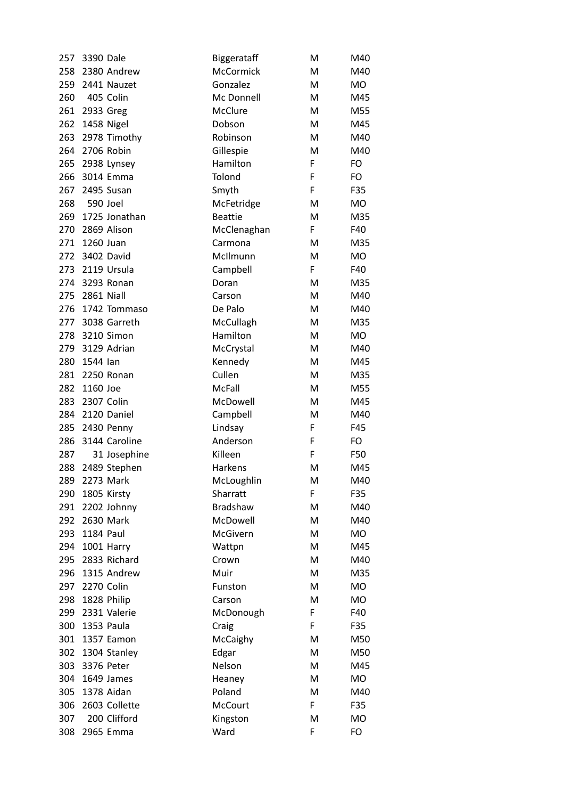| 257 | 3390 Dale         |                 | Biggerataff     | м  | M40       |
|-----|-------------------|-----------------|-----------------|----|-----------|
|     |                   | 258 2380 Andrew | McCormick       | M  | M40       |
| 259 |                   | 2441 Nauzet     | Gonzalez        | M  | MO        |
|     | 260 405 Colin     |                 | Mc Donnell      | M  | M45       |
|     | 261 2933 Greg     |                 | McClure         | м  | M55       |
| 262 |                   | 1458 Nigel      | Dobson          | M  | M45       |
| 263 |                   | 2978 Timothy    | Robinson        | M  | M40       |
| 264 |                   | 2706 Robin      | Gillespie       | м  | M40       |
| 265 |                   | 2938 Lynsey     | Hamilton        | F  | FO        |
| 266 |                   | 3014 Emma       | Tolond          | F  | FO        |
| 267 |                   | 2495 Susan      | Smyth           | F  | F35       |
| 268 |                   | 590 Joel        | McFetridge      | M  | MO        |
| 269 |                   | 1725 Jonathan   | <b>Beattie</b>  | M  | M35       |
| 270 |                   | 2869 Alison     | McClenaghan     | F. | F40       |
| 271 | 1260 Juan         |                 | Carmona         | м  | M35       |
| 272 |                   | 3402 David      | McIlmunn        | м  | <b>MO</b> |
|     |                   | 273 2119 Ursula | Campbell        | F  | F40       |
| 274 |                   | 3293 Ronan      | Doran           | M  | M35       |
| 275 | <b>2861 Niall</b> |                 | Carson          | M  | M40       |
| 276 |                   | 1742 Tommaso    | De Palo         | м  | M40       |
| 277 |                   | 3038 Garreth    | McCullagh       | м  | M35       |
| 278 |                   | 3210 Simon      | Hamilton        | M  | <b>MO</b> |
|     |                   | 279 3129 Adrian | McCrystal       | M  | M40       |
| 280 | 1544 lan          |                 | Kennedy         | M  | M45       |
| 281 |                   | 2250 Ronan      | Cullen          | M  | M35       |
| 282 | 1160 Joe          |                 | McFall          | м  | M55       |
| 283 | 2307 Colin        |                 | McDowell        | м  | M45       |
| 284 |                   | 2120 Daniel     | Campbell        | м  | M40       |
|     |                   | 285 2430 Penny  | Lindsay         | F  | F45       |
| 286 |                   | 3144 Caroline   | Anderson        | F  | FO        |
| 287 |                   | 31 Josephine    | Killeen         | F  | F50       |
| 288 |                   | 2489 Stephen    | Harkens         | M  | M45       |
| 289 |                   | 2273 Mark       | McLoughlin      | M  | M40       |
| 290 |                   | 1805 Kirsty     | Sharratt        | F  | F35       |
| 291 |                   | 2202 Johnny     | <b>Bradshaw</b> | M  | M40       |
| 292 |                   | 2630 Mark       | McDowell        | M  | M40       |
| 293 | 1184 Paul         |                 | McGivern        | M  | MO        |
| 294 |                   | 1001 Harry      | Wattpn          | M  | M45       |
| 295 |                   | 2833 Richard    | Crown           | M  | M40       |
| 296 |                   | 1315 Andrew     | Muir            | M  | M35       |
| 297 |                   | 2270 Colin      | Funston         | M  | MO        |
| 298 |                   | 1828 Philip     | Carson          | м  | MO        |
| 299 |                   | 2331 Valerie    | McDonough       | F  | F40       |
| 300 |                   | 1353 Paula      | Craig           | F  | F35       |
| 301 |                   | 1357 Eamon      | McCaighy        | M  | M50       |
| 302 |                   | 1304 Stanley    | Edgar           | M  | M50       |
| 303 |                   | 3376 Peter      | Nelson          | M  | M45       |
| 304 |                   | 1649 James      | Heaney          | M  | MO        |
| 305 |                   | 1378 Aidan      | Poland          | M  | M40       |
| 306 |                   | 2603 Collette   | McCourt         | F  | F35       |
| 307 |                   | 200 Clifford    | Kingston        | M  | MO        |
| 308 |                   | 2965 Emma       | Ward            | F  | FO        |
|     |                   |                 |                 |    |           |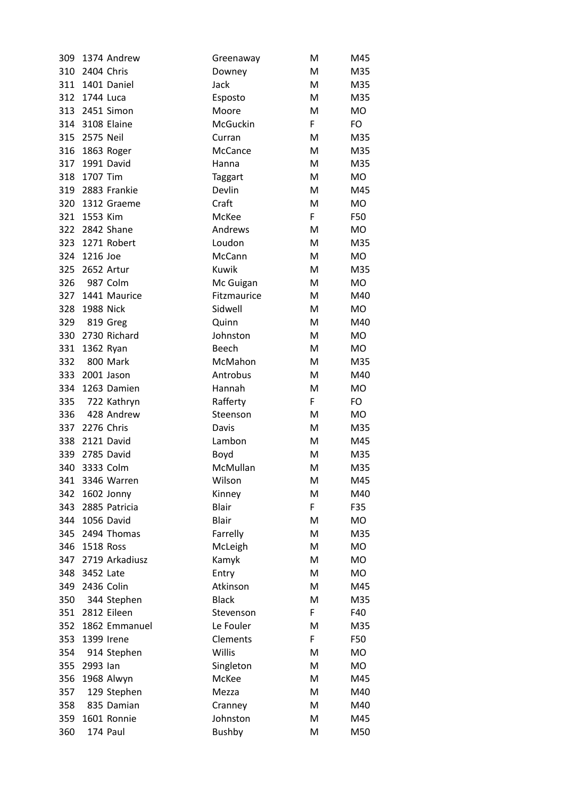| 309 |               | 1374 Andrew    | Greenaway      | M  | M45       |
|-----|---------------|----------------|----------------|----|-----------|
| 310 | 2404 Chris    |                | Downey         | M  | M35       |
| 311 |               | 1401 Daniel    | Jack           | M  | M35       |
|     | 312 1744 Luca |                | Esposto        | M  | M35       |
|     |               | 313 2451 Simon | Moore          | M  | <b>MO</b> |
| 314 |               | 3108 Elaine    | McGuckin       | F  | FO        |
| 315 | 2575 Neil     |                | Curran         | M  | M35       |
| 316 |               | 1863 Roger     | McCance        | M  | M35       |
| 317 |               | 1991 David     | Hanna          | M  | M35       |
| 318 | 1707 Tim      |                | <b>Taggart</b> | M  | MO        |
| 319 |               | 2883 Frankie   | Devlin         | M  | M45       |
| 320 |               | 1312 Graeme    | Craft          | M  | <b>MO</b> |
| 321 | 1553 Kim      |                | McKee          | F  | F50       |
|     |               | 322 2842 Shane | Andrews        | M  | MO        |
| 323 |               | 1271 Robert    | Loudon         | M  | M35       |
| 324 | 1216 Joe      |                | McCann         | M  | MO        |
| 325 | 2652 Artur    |                | Kuwik          | M  | M35       |
| 326 |               | 987 Colm       | Mc Guigan      | M  | <b>MO</b> |
| 327 |               | 1441 Maurice   | Fitzmaurice    | M  | M40       |
| 328 | 1988 Nick     |                | Sidwell        | M  | MO        |
| 329 |               | 819 Greg       | Quinn          | M  | M40       |
| 330 |               | 2730 Richard   | Johnston       | M  | <b>MO</b> |
| 331 | 1362 Ryan     |                | Beech          | M  | MO        |
| 332 |               | 800 Mark       | McMahon        | M  | M35       |
| 333 |               | 2001 Jason     | Antrobus       | M  | M40       |
| 334 |               | 1263 Damien    | Hannah         | M  | <b>MO</b> |
| 335 |               | 722 Kathryn    | Rafferty       | F. | FO        |
| 336 |               | 428 Andrew     | Steenson       | M  | MO        |
| 337 | 2276 Chris    |                | Davis          | M  | M35       |
| 338 |               | 2121 David     | Lambon         | M  | M45       |
| 339 |               | 2785 David     | Boyd           | M  | M35       |
|     | 340 3333 Colm |                | McMullan       | M  | M35       |
| 341 |               | 3346 Warren    | Wilson         | M  | M45       |
| 342 |               | 1602 Jonny     | Kinney         | M  | M40       |
| 343 |               | 2885 Patricia  | <b>Blair</b>   | F  | F35       |
| 344 |               | 1056 David     | Blair          | M  | MO        |
| 345 |               | 2494 Thomas    | Farrelly       | M  | M35       |
| 346 | 1518 Ross     |                | McLeigh        | M  | <b>MO</b> |
| 347 |               | 2719 Arkadiusz | Kamyk          | M  | MO        |
| 348 | 3452 Late     |                | Entry          | M  | <b>MO</b> |
| 349 | 2436 Colin    |                | Atkinson       | M  | M45       |
| 350 |               | 344 Stephen    | <b>Black</b>   | M  | M35       |
| 351 |               | 2812 Eileen    | Stevenson      | F  | F40       |
| 352 |               | 1862 Emmanuel  | Le Fouler      | M  | M35       |
| 353 |               | 1399 Irene     | Clements       | F  | F50       |
| 354 |               | 914 Stephen    | Willis         | M  | MO        |
| 355 | 2993 Ian      |                | Singleton      | M  | <b>MO</b> |
| 356 |               | 1968 Alwyn     | McKee          | M  | M45       |
| 357 |               | 129 Stephen    | Mezza          | M  | M40       |
| 358 |               | 835 Damian     | Cranney        | M  | M40       |
| 359 |               | 1601 Ronnie    | Johnston       | M  | M45       |
| 360 |               | 174 Paul       | <b>Bushby</b>  | M  | M50       |
|     |               |                |                |    |           |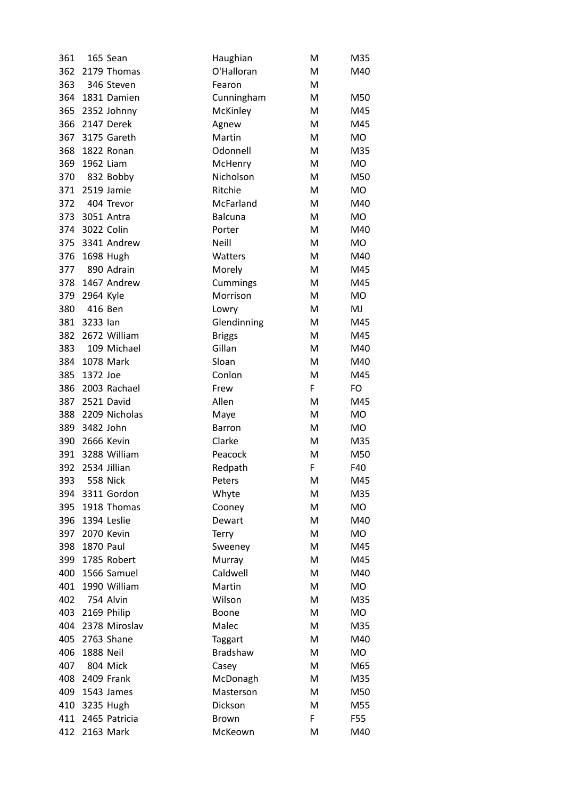| 361 |                  | 165 Sean        | Haughian        | M | M35       |
|-----|------------------|-----------------|-----------------|---|-----------|
| 362 |                  | 2179 Thomas     | O'Halloran      | M | M40       |
| 363 |                  | 346 Steven      | Fearon          | M |           |
|     |                  | 364 1831 Damien | Cunningham      | M | M50       |
|     |                  | 365 2352 Johnny | McKinley        | M | M45       |
| 366 |                  | 2147 Derek      | Agnew           | M | M45       |
| 367 |                  | 3175 Gareth     | Martin          | M | <b>MO</b> |
| 368 |                  | 1822 Ronan      | Odonnell        | M | M35       |
| 369 | 1962 Liam        |                 | McHenry         | M | <b>MO</b> |
| 370 |                  | 832 Bobby       | Nicholson       | M | M50       |
| 371 |                  | 2519 Jamie      | Ritchie         | M | <b>MO</b> |
| 372 |                  | 404 Trevor      | McFarland       | M | M40       |
| 373 |                  | 3051 Antra      | <b>Balcuna</b>  | M | <b>MO</b> |
| 374 | 3022 Colin       |                 | Porter          | M | M40       |
| 375 |                  | 3341 Andrew     | <b>Neill</b>    | M | <b>MO</b> |
| 376 |                  | 1698 Hugh       | Watters         | M | M40       |
|     |                  | 377 890 Adrain  | Morely          | M | M45       |
| 378 |                  | 1467 Andrew     | Cummings        | M | M45       |
| 379 | 2964 Kyle        |                 | Morrison        | M | <b>MO</b> |
| 380 | 416 Ben          |                 | Lowry           | M | MJ        |
| 381 | 3233 lan         |                 | Glendinning     | M | M45       |
| 382 |                  | 2672 William    | <b>Briggs</b>   | M | M45       |
| 383 |                  | 109 Michael     | Gillan          | M | M40       |
| 384 |                  | 1078 Mark       | Sloan           | M | M40       |
| 385 | 1372 Joe         |                 | Conlon          | M | M45       |
| 386 |                  | 2003 Rachael    | Frew            | F | FO        |
| 387 |                  | 2521 David      | Allen           | M | M45       |
| 388 |                  | 2209 Nicholas   | Maye            | M | <b>MO</b> |
| 389 | 3482 John        |                 | Barron          | M | <b>MO</b> |
| 390 |                  | 2666 Kevin      | Clarke          | M | M35       |
| 391 |                  | 3288 William    | Peacock         | M | M50       |
| 392 |                  | 2534 Jillian    | Redpath         | F | F40       |
| 393 | 558 Nick         |                 | Peters          | M | M45       |
| 394 |                  | 3311 Gordon     | Whyte           | M | M35       |
| 395 |                  | 1918 Thomas     | Cooney          | M | <b>MO</b> |
| 396 |                  | 1394 Leslie     | Dewart          | M | M40       |
| 397 |                  | 2070 Kevin      | <b>Terry</b>    | M | <b>MO</b> |
| 398 | <b>1870 Paul</b> |                 | Sweeney         | M | M45       |
| 399 |                  | 1785 Robert     | Murray          | M | M45       |
| 400 |                  | 1566 Samuel     | Caldwell        | M | M40       |
| 401 |                  | 1990 William    | Martin          | M | <b>MO</b> |
| 402 |                  | 754 Alvin       | Wilson          | M | M35       |
| 403 |                  | 2169 Philip     | Boone           | M | MO        |
| 404 |                  | 2378 Miroslav   | Malec           | M | M35       |
| 405 |                  | 2763 Shane      | <b>Taggart</b>  | M | M40       |
| 406 | 1888 Neil        |                 | <b>Bradshaw</b> | M | <b>MO</b> |
| 407 |                  | 804 Mick        | Casey           | M | M65       |
| 408 |                  | 2409 Frank      | McDonagh        | M | M35       |
| 409 |                  | 1543 James      | Masterson       | M | M50       |
| 410 |                  | 3235 Hugh       | Dickson         | M | M55       |
| 411 |                  | 2465 Patricia   | Brown           | F | F55       |
| 412 |                  | 2163 Mark       | McKeown         | M | M40       |
|     |                  |                 |                 |   |           |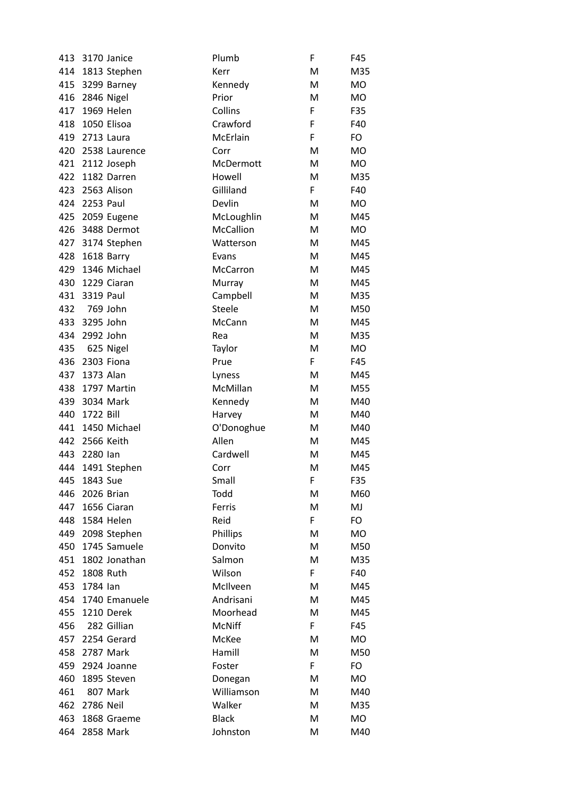| 413 | 3170 Janice     | Plumb         | F  | F45       |
|-----|-----------------|---------------|----|-----------|
| 414 | 1813 Stephen    | Kerr          | M  | M35       |
|     | 415 3299 Barney | Kennedy       | M  | <b>MO</b> |
|     | 416 2846 Nigel  | Prior         | M  | <b>MO</b> |
| 417 | 1969 Helen      | Collins       | F  | F35       |
| 418 | 1050 Elisoa     | Crawford      | F  | F40       |
| 419 | 2713 Laura      | McErlain      | F  | FO        |
| 420 | 2538 Laurence   | Corr          | M  | <b>MO</b> |
| 421 | 2112 Joseph     | McDermott     | M  | <b>MO</b> |
| 422 | 1182 Darren     | Howell        | M  | M35       |
| 423 | 2563 Alison     | Gilliland     | F  | F40       |
| 424 | 2253 Paul       | Devlin        | M  | <b>MO</b> |
| 425 | 2059 Eugene     | McLoughlin    | M  | M45       |
| 426 | 3488 Dermot     | McCallion     | M  | MO        |
| 427 | 3174 Stephen    | Watterson     | M  | M45       |
| 428 | 1618 Barry      | Evans         | M  | M45       |
| 429 | 1346 Michael    | McCarron      | M  | M45       |
| 430 | 1229 Ciaran     | Murray        | M  | M45       |
| 431 | 3319 Paul       | Campbell      | M  | M35       |
| 432 | 769 John        | <b>Steele</b> | M  | M50       |
| 433 | 3295 John       | McCann        | M  | M45       |
| 434 | 2992 John       | Rea           | M  | M35       |
| 435 | 625 Nigel       | Taylor        | M  | <b>MO</b> |
| 436 | 2303 Fiona      | Prue          | F  | F45       |
| 437 | 1373 Alan       | Lyness        | M  | M45       |
| 438 | 1797 Martin     | McMillan      | M  | M55       |
| 439 | 3034 Mark       | Kennedy       | M  | M40       |
| 440 | 1722 Bill       | Harvey        | M  | M40       |
| 441 | 1450 Michael    | O'Donoghue    | M  | M40       |
| 442 | 2566 Keith      | Allen         | M  | M45       |
| 443 | 2280 lan        | Cardwell      | M  | M45       |
| 444 | 1491 Stephen    | Corr          | M  | M45       |
|     | 445 1843 Sue    | Small         | F. | F35       |
| 446 | 2026 Brian      | Todd          | M  | M60       |
| 447 | 1656 Ciaran     | Ferris        | M  | MJ        |
| 448 | 1584 Helen      | Reid          | F  | FO        |
| 449 | 2098 Stephen    | Phillips      | M  | <b>MO</b> |
| 450 | 1745 Samuele    | Donvito       | M  | M50       |
| 451 | 1802 Jonathan   | Salmon        | M  | M35       |
| 452 | 1808 Ruth       | Wilson        | F  | F40       |
| 453 | 1784 lan        | McIlveen      | M  | M45       |
| 454 | 1740 Emanuele   | Andrisani     | M  | M45       |
| 455 | 1210 Derek      | Moorhead      | M  | M45       |
| 456 | 282 Gillian     | <b>McNiff</b> | F  | F45       |
| 457 | 2254 Gerard     | McKee         | M  | <b>MO</b> |
| 458 | 2787 Mark       | Hamill        | M  | M50       |
| 459 | 2924 Joanne     | Foster        | F  | FO        |
| 460 | 1895 Steven     | Donegan       | M  | <b>MO</b> |
| 461 | 807 Mark        | Williamson    | M  | M40       |
| 462 | 2786 Neil       | Walker        | M  | M35       |
| 463 | 1868 Graeme     | <b>Black</b>  | M  | MO        |
| 464 | 2858 Mark       | Johnston      | M  | M40       |
|     |                 |               |    |           |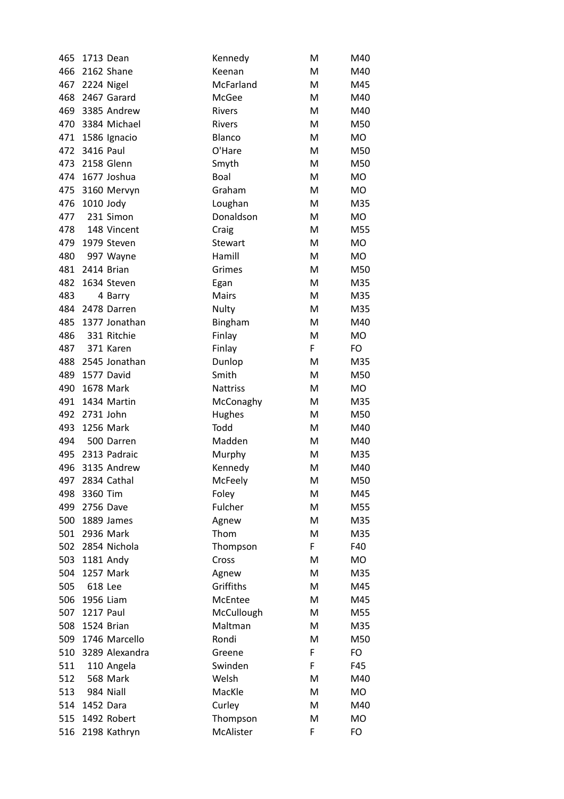| 465 |                  | 1713 Dean              | Kennedy          | M | M40       |
|-----|------------------|------------------------|------------------|---|-----------|
| 466 |                  | 2162 Shane             | Keenan           | M | M40       |
| 467 | 2224 Nigel       |                        | McFarland        | M | M45       |
| 468 |                  | 2467 Garard            | McGee            | M | M40       |
| 469 |                  | 3385 Andrew            | Rivers           | M | M40       |
| 470 |                  | 3384 Michael           | Rivers           | M | M50       |
| 471 |                  | 1586 Ignacio           | Blanco           | M | MO        |
| 472 | 3416 Paul        |                        | O'Hare           | M | M50       |
| 473 |                  | 2158 Glenn             | Smyth            | M | M50       |
| 474 |                  | 1677 Joshua            | Boal             | M | <b>MO</b> |
| 475 |                  | 3160 Mervyn            | Graham           | M | MO        |
| 476 | 1010 Jody        |                        | Loughan          | M | M35       |
| 477 |                  | 231 Simon              | Donaldson        | M | <b>MO</b> |
| 478 |                  | 148 Vincent            | Craig            | M | M55       |
| 479 |                  | 1979 Steven            | Stewart          | M | <b>MO</b> |
| 480 |                  | 997 Wayne              | Hamill           | M | <b>MO</b> |
| 481 |                  | 2414 Brian             | Grimes           | M | M50       |
| 482 |                  | 1634 Steven            | Egan             | M | M35       |
| 483 |                  | 4 Barry                | Mairs            | M | M35       |
| 484 |                  | 2478 Darren            | Nulty            | M | M35       |
| 485 |                  | 1377 Jonathan          | Bingham          | M | M40       |
| 486 |                  | 331 Ritchie            | Finlay           | M | <b>MO</b> |
| 487 |                  | 371 Karen              | Finlay           | F | FO        |
| 488 |                  | 2545 Jonathan          | Dunlop           | M | M35       |
| 489 |                  | 1577 David             | Smith            | M | M50       |
| 490 |                  | 1678 Mark              | <b>Nattriss</b>  | M | MO        |
| 491 |                  | 1434 Martin            | McConaghy        | M | M35       |
| 492 | 2731 John        |                        | Hughes           | M | M50       |
| 493 |                  | 1256 Mark              | Todd             | M | M40       |
| 494 |                  | 500 Darren             | Madden           | M | M40       |
| 495 |                  | 2313 Padraic           | Murphy           | M | M35       |
|     |                  | 496 3135 Andrew        | Kennedy          | M | M40       |
| 497 |                  | 2834 Cathal            | McFeely          | M | M50       |
| 498 | 3360 Tim         |                        | Foley            | M | M45       |
| 499 | 2756 Dave        |                        | Fulcher          | M | M55       |
| 500 |                  | 1889 James             | Agnew            | M | M35       |
| 501 |                  | 2936 Mark              | Thom             | M | M35       |
| 502 |                  | 2854 Nichola           | Thompson         | F | F40       |
| 503 |                  | 1181 Andy              | Cross            | M | MO        |
| 504 |                  | 1257 Mark              | Agnew            | M | M35       |
| 505 | 618 Lee          |                        | Griffiths        | M | M45       |
| 506 | 1956 Liam        |                        | McEntee          | M | M45       |
| 507 | <b>1217 Paul</b> |                        | McCullough       | M | M55       |
| 508 |                  | 1524 Brian             | Maltman          | M | M35       |
| 509 |                  | 1746 Marcello          | Rondi            | M | M50       |
| 510 |                  | 3289 Alexandra         |                  | F | FO        |
|     |                  |                        | Greene           |   |           |
| 511 |                  | 110 Angela<br>568 Mark | Swinden<br>Welsh | F | F45       |
| 512 |                  |                        |                  | M | M40       |
| 513 |                  | 984 Niall              | MacKle           | M | MO        |
| 514 | 1452 Dara        |                        | Curley           | M | M40       |
| 515 |                  | 1492 Robert            | Thompson         | M | <b>MO</b> |
| 516 |                  | 2198 Kathryn           | McAlister        | F | FO        |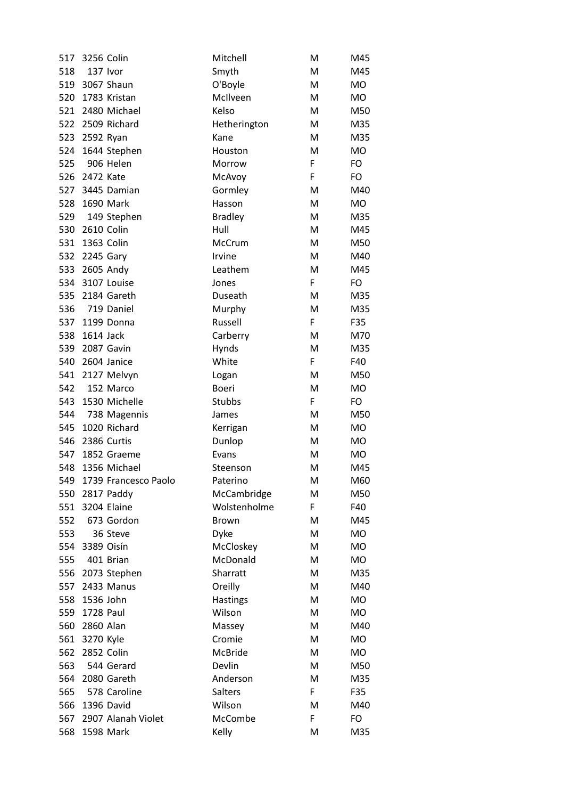| 517 | 3256 Colin    |                      | Mitchell        | M  | M45       |
|-----|---------------|----------------------|-----------------|----|-----------|
| 518 |               | 137 Ivor             | Smyth           | M  | M45       |
| 519 |               | 3067 Shaun           | O'Boyle         | M  | <b>MO</b> |
| 520 |               | 1783 Kristan         | McIlveen        | M  | MO        |
| 521 |               | 2480 Michael         | Kelso           | M  | M50       |
| 522 |               | 2509 Richard         | Hetherington    | M  | M35       |
| 523 | 2592 Ryan     |                      | Kane            | M  | M35       |
| 524 |               | 1644 Stephen         | Houston         | M  | <b>MO</b> |
| 525 |               | 906 Helen            | Morrow          | F  | FO        |
|     | 526 2472 Kate |                      | McAvoy          | F  | FO        |
| 527 |               | 3445 Damian          | Gormley         | M  | M40       |
| 528 |               | 1690 Mark            | Hasson          | M  | <b>MO</b> |
| 529 |               | 149 Stephen          | <b>Bradley</b>  | M  | M35       |
| 530 | 2610 Colin    |                      | Hull            | M  | M45       |
| 531 | 1363 Colin    |                      | McCrum          | M  | M50       |
|     | 532 2245 Gary |                      | Irvine          | M  | M40       |
| 533 | 2605 Andy     |                      | Leathem         | M  | M45       |
| 534 |               | 3107 Louise          | Jones           | F  | FO        |
| 535 |               | 2184 Gareth          | Duseath         | M  | M35       |
| 536 |               | 719 Daniel           | Murphy          | M  | M35       |
| 537 |               | 1199 Donna           | Russell         | F. | F35       |
| 538 | 1614 Jack     |                      | Carberry        | M  | M70       |
| 539 |               | 2087 Gavin           | Hynds           | M  | M35       |
| 540 |               | 2604 Janice          | White           | F  | F40       |
| 541 |               | 2127 Melvyn          | Logan           | M  | M50       |
| 542 |               | 152 Marco            | Boeri           | M  | MO        |
| 543 |               | 1530 Michelle        | Stubbs          | F  | FO        |
| 544 |               | 738 Magennis         | James           | M  | M50       |
| 545 |               | 1020 Richard         | Kerrigan        | M  | <b>MO</b> |
| 546 |               | 2386 Curtis          | Dunlop          | M  | <b>MO</b> |
| 547 |               | 1852 Graeme          | Evans           | M  | MO        |
| 548 |               | 1356 Michael         | Steenson        | M  | M45       |
| 549 |               | 1739 Francesco Paolo | Paterino        | м  | M60       |
| 550 |               | 2817 Paddy           | McCambridge     | M  | M50       |
| 551 |               | 3204 Elaine          | Wolstenholme    | F  | F40       |
| 552 |               | 673 Gordon           | <b>Brown</b>    | M  | M45       |
| 553 |               | 36 Steve             | Dyke            | M  | MO        |
| 554 | 3389 Oisín    |                      | McCloskey       | M  | MO        |
| 555 |               | 401 Brian            | McDonald        | Μ  | MO        |
| 556 |               | 2073 Stephen         | Sharratt        | M  | M35       |
| 557 |               | 2433 Manus           | Oreilly         | M  | M40       |
| 558 | 1536 John     |                      | <b>Hastings</b> | м  | MO        |
| 559 | 1728 Paul     |                      | Wilson          | M  | MO        |
| 560 | 2860 Alan     |                      | Massey          | M  | M40       |
| 561 | 3270 Kyle     |                      | Cromie          | M  | MO        |
| 562 |               | 2852 Colin           | McBride         | M  | MO        |
| 563 |               | 544 Gerard           | Devlin          | M  | M50       |
| 564 |               | 2080 Gareth          | Anderson        | M  | M35       |
| 565 |               | 578 Caroline         | Salters         | F  | F35       |
| 566 |               | 1396 David           | Wilson          | M  | M40       |
| 567 |               | 2907 Alanah Violet   | McCombe         | F  | FO        |
| 568 |               | 1598 Mark            | Kelly           | M  | M35       |
|     |               |                      |                 |    |           |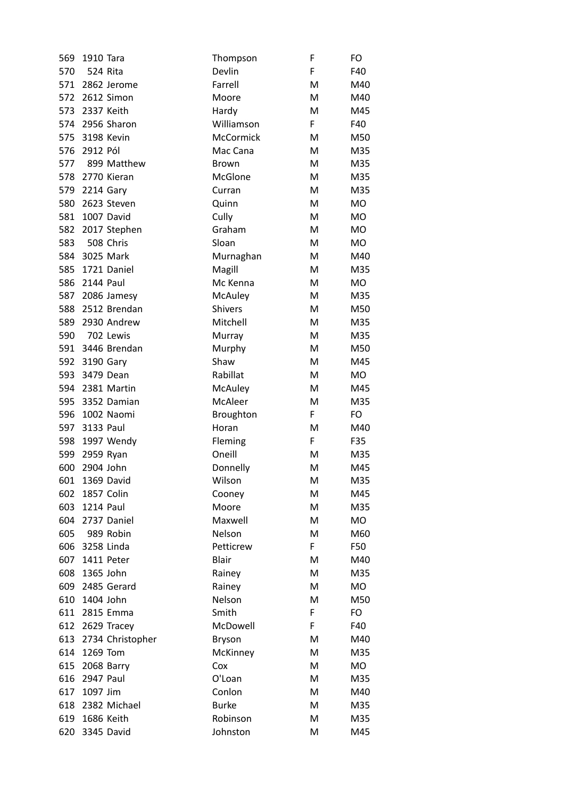| 569 | 1910 Tara        |                  | Thompson       | F | FO        |
|-----|------------------|------------------|----------------|---|-----------|
| 570 | 524 Rita         |                  | Devlin         | F | F40       |
|     |                  | 571 2862 Jerome  | Farrell        | M | M40       |
|     |                  | 572 2612 Simon   | Moore          | M | M40       |
|     | 573 2337 Keith   |                  | Hardy          | M | M45       |
| 574 |                  | 2956 Sharon      | Williamson     | F | F40       |
| 575 |                  | 3198 Kevin       | McCormick      | M | M50       |
| 576 | 2912 Pól         |                  | Mac Cana       | M | M35       |
| 577 |                  | 899 Matthew      | <b>Brown</b>   | M | M35       |
|     |                  | 578 2770 Kieran  | McGlone        | M | M35       |
|     | 579 2214 Gary    |                  | Curran         | M | M35       |
| 580 |                  | 2623 Steven      | Quinn          | M | <b>MO</b> |
| 581 |                  | 1007 David       | Cully          | M | <b>MO</b> |
| 582 |                  | 2017 Stephen     | Graham         | M | MO        |
| 583 |                  | 508 Chris        | Sloan          | M | <b>MO</b> |
| 584 | 3025 Mark        |                  | Murnaghan      | M | M40       |
| 585 |                  | 1721 Daniel      | Magill         | M | M35       |
| 586 | 2144 Paul        |                  | Mc Kenna       | M | MO        |
| 587 |                  | 2086 Jamesy      | McAuley        | M | M35       |
| 588 |                  | 2512 Brendan     | <b>Shivers</b> | M | M50       |
| 589 |                  | 2930 Andrew      | Mitchell       | M | M35       |
| 590 | 702 Lewis        |                  | Murray         | M | M35       |
| 591 |                  | 3446 Brendan     | Murphy         | M | M50       |
| 592 | 3190 Gary        |                  | Shaw           | M | M45       |
| 593 |                  | 3479 Dean        | Rabillat       | M | MO        |
| 594 |                  | 2381 Martin      | McAuley        | M | M45       |
| 595 |                  | 3352 Damian      | McAleer        | M | M35       |
| 596 |                  | 1002 Naomi       | Broughton      | F | FO        |
|     | 597 3133 Paul    |                  | Horan          | M | M40       |
|     |                  | 598 1997 Wendy   | Fleming        | F | F35       |
| 599 | 2959 Ryan        |                  | Oneill         | M | M35       |
| 600 | 2904 John        |                  | Donnelly       | M | M45       |
| 601 |                  | 1369 David       | Wilson         | M | M35       |
| 602 |                  | 1857 Colin       | Cooney         | M | M45       |
| 603 | <b>1214 Paul</b> |                  | Moore          | M | M35       |
| 604 |                  | 2737 Daniel      | Maxwell        | M | MO        |
| 605 |                  | 989 Robin        | Nelson         | M | M60       |
| 606 | 3258 Linda       |                  | Petticrew      | F | F50       |
| 607 |                  | 1411 Peter       | <b>Blair</b>   | M | M40       |
| 608 | 1365 John        |                  | Rainey         | M | M35       |
| 609 |                  | 2485 Gerard      | Rainey         | M | <b>MO</b> |
| 610 | 1404 John        |                  | Nelson         | M | M50       |
| 611 |                  | 2815 Emma        | Smith          | F | FO        |
| 612 |                  | 2629 Tracey      | McDowell       | F | F40       |
| 613 |                  | 2734 Christopher | <b>Bryson</b>  | M | M40       |
| 614 | 1269 Tom         |                  | McKinney       | M | M35       |
| 615 |                  | 2068 Barry       | Cox            | M | MO        |
| 616 | <b>2947 Paul</b> |                  | O'Loan         | M | M35       |
| 617 | 1097 Jim         |                  | Conlon         | M | M40       |
| 618 |                  | 2382 Michael     | <b>Burke</b>   | M | M35       |
| 619 |                  | 1686 Keith       | Robinson       | M | M35       |
| 620 |                  | 3345 David       | Johnston       | M | M45       |
|     |                  |                  |                |   |           |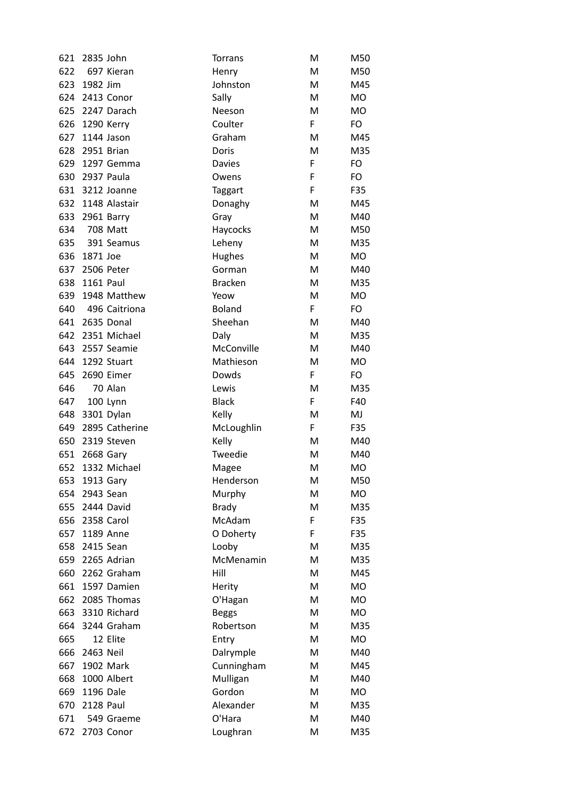| 621 | 2835 John        |                            | <b>Torrans</b> | M  | M50        |
|-----|------------------|----------------------------|----------------|----|------------|
| 622 |                  | 697 Kieran                 | Henry          | M  | M50        |
| 623 | 1982 Jim         |                            | Johnston       | M  | M45        |
| 624 |                  | 2413 Conor                 | Sally          | м  | <b>MO</b>  |
| 625 |                  | 2247 Darach                | Neeson         | M  | MO.        |
| 626 |                  | 1290 Kerry                 | Coulter        | F  | FO         |
| 627 |                  | 1144 Jason                 | Graham         | м  | M45        |
| 628 |                  | 2951 Brian                 | Doris          | M  | M35        |
| 629 |                  | 1297 Gemma                 | <b>Davies</b>  | F  | FO         |
| 630 |                  | 2937 Paula                 | Owens          | F  | FO         |
| 631 |                  | 3212 Joanne                | <b>Taggart</b> | F  | F35        |
| 632 |                  | 1148 Alastair              | Donaghy        | M  | M45        |
| 633 |                  | 2961 Barry                 | Gray           | M  | M40        |
| 634 |                  | 708 Matt                   | Haycocks       | M  | M50        |
| 635 |                  | 391 Seamus                 | Leheny         | M  | M35        |
| 636 | 1871 Joe         |                            | Hughes         | M  | MO         |
| 637 |                  | 2506 Peter                 | Gorman         | M  | M40        |
| 638 | <b>1161 Paul</b> |                            | <b>Bracken</b> | M  | M35        |
| 639 |                  | 1948 Matthew               | Yeow           | M  | MO         |
| 640 |                  | 496 Caitriona              | <b>Boland</b>  | F. | FO         |
| 641 |                  | 2635 Donal                 | Sheehan        | M  | M40        |
| 642 |                  | 2351 Michael               | Daly           | M  | M35        |
| 643 |                  | 2557 Seamie                | McConville     | M  | M40        |
| 644 |                  | 1292 Stuart                | Mathieson      | M  | MO         |
| 645 |                  | 2690 Eimer                 | Dowds          | F  | FO         |
| 646 |                  | 70 Alan                    | Lewis          | M  | M35        |
| 647 |                  | 100 Lynn                   | <b>Black</b>   | F  | F40        |
| 648 |                  | 3301 Dylan                 | Kelly          | M  | MJ         |
| 649 |                  | 2895 Catherine             | McLoughlin     | F  | F35        |
| 650 |                  | 2319 Steven                | Kelly          | M  | M40        |
| 651 | 2668 Gary        |                            | Tweedie        | M  | M40        |
| 652 |                  | 1332 Michael               | Magee          | M  | <b>MO</b>  |
| 653 | 1913 Gary        |                            | Henderson      | M  | M50        |
| 654 | 2943 Sean        |                            | Murphy         | M  | MO         |
| 655 |                  | 2444 David                 | <b>Brady</b>   | M  | M35        |
| 656 | 2358 Carol       |                            | McAdam         | F  | F35        |
| 657 |                  | 1189 Anne                  | O Doherty      | F  | F35        |
| 658 | 2415 Sean        |                            |                |    | M35        |
|     |                  |                            | Looby          | M  |            |
| 659 |                  | 2265 Adrian<br>2262 Graham | McMenamin      | M  | M35<br>M45 |
| 660 |                  |                            | Hill           | M  |            |
| 661 |                  | 1597 Damien                | Herity         | M  | MO         |
| 662 |                  | 2085 Thomas                | O'Hagan        | м  | MO.        |
| 663 |                  | 3310 Richard               | <b>Beggs</b>   | M  | MO         |
| 664 |                  | 3244 Graham                | Robertson      | M  | M35        |
| 665 |                  | 12 Elite                   | Entry          | M  | MO         |
| 666 | 2463 Neil        |                            | Dalrymple      | M  | M40        |
| 667 |                  | 1902 Mark                  | Cunningham     | M  | M45        |
| 668 |                  | 1000 Albert                | Mulligan       | M  | M40        |
| 669 | 1196 Dale        |                            | Gordon         | M  | MO         |
| 670 | <b>2128 Paul</b> |                            | Alexander      | M  | M35        |
| 671 |                  | 549 Graeme                 | O'Hara         | M  | M40        |
| 672 |                  | 2703 Conor                 | Loughran       | M  | M35        |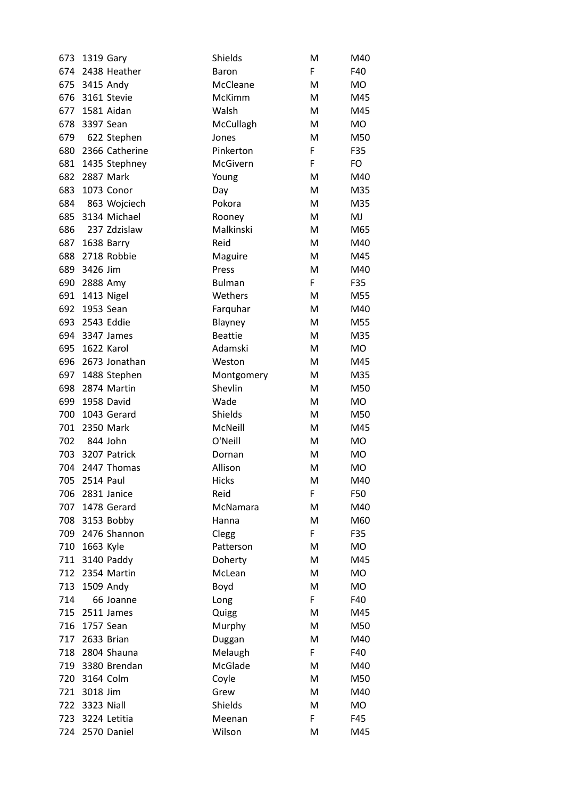| 673 | 1319 Gary         |                 | Shields        | M  | M40       |
|-----|-------------------|-----------------|----------------|----|-----------|
| 674 |                   | 2438 Heather    | <b>Baron</b>   | F  | F40       |
| 675 |                   | 3415 Andy       | McCleane       | M  | MO        |
|     |                   | 676 3161 Stevie | McKimm         | M  | M45       |
| 677 |                   | 1581 Aidan      | Walsh          | M  | M45       |
| 678 | 3397 Sean         |                 | McCullagh      | M  | <b>MO</b> |
| 679 |                   | 622 Stephen     | Jones          | M  | M50       |
| 680 |                   | 2366 Catherine  | Pinkerton      | F  | F35       |
| 681 |                   | 1435 Stephney   | McGivern       | F  | FO        |
| 682 |                   | 2887 Mark       | Young          | M  | M40       |
| 683 |                   | 1073 Conor      | Day            | M  | M35       |
| 684 |                   | 863 Wojciech    | Pokora         | M  | M35       |
| 685 |                   | 3134 Michael    | Rooney         | M  | MJ        |
| 686 |                   | 237 Zdzislaw    | Malkinski      | M  | M65       |
| 687 |                   | 1638 Barry      | Reid           | M  | M40       |
| 688 |                   | 2718 Robbie     | Maguire        | M  | M45       |
| 689 | 3426 Jim          |                 | Press          | M  | M40       |
| 690 | 2888 Amy          |                 | <b>Bulman</b>  | F  | F35       |
| 691 |                   | 1413 Nigel      | Wethers        | M  | M55       |
| 692 | 1953 Sean         |                 | Farquhar       | M  | M40       |
| 693 |                   | 2543 Eddie      | Blayney        | M  | M55       |
| 694 |                   | 3347 James      | <b>Beattie</b> | M  | M35       |
| 695 |                   | 1622 Karol      | Adamski        | M  | <b>MO</b> |
| 696 |                   | 2673 Jonathan   | Weston         | M  | M45       |
| 697 |                   | 1488 Stephen    | Montgomery     | M  | M35       |
| 698 |                   | 2874 Martin     | Shevlin        | M  | M50       |
| 699 |                   | 1958 David      | Wade           | M  | MO        |
| 700 |                   | 1043 Gerard     | Shields        | M  | M50       |
| 701 |                   | 2350 Mark       | McNeill        | M  | M45       |
| 702 |                   | 844 John        | O'Neill        | M  | <b>MO</b> |
| 703 |                   | 3207 Patrick    | Dornan         | M  | <b>MO</b> |
| 704 |                   | 2447 Thomas     | Allison        | M  | <b>MO</b> |
| 705 | 2514 Paul         |                 | Hicks          | M  | M40       |
| 706 |                   | 2831 Janice     | Reid           | F  | F50       |
| 707 |                   | 1478 Gerard     | McNamara       | M  | M40       |
| 708 |                   | 3153 Bobby      | Hanna          | M  | M60       |
| 709 |                   | 2476 Shannon    | Clegg          | F  | F35       |
| 710 | 1663 Kyle         |                 | Patterson      | M  | MO        |
| 711 |                   | 3140 Paddy      | Doherty        | М  | M45       |
| 712 |                   | 2354 Martin     | McLean         | M  | <b>MO</b> |
| 713 |                   | 1509 Andy       | Boyd           | M  | <b>MO</b> |
| 714 |                   | 66 Joanne       | Long           | F. | F40       |
| 715 |                   | 2511 James      | Quigg          | M  | M45       |
| 716 |                   | 1757 Sean       | Murphy         | M  | M50       |
| 717 |                   | 2633 Brian      | Duggan         | M  | M40       |
| 718 |                   | 2804 Shauna     | Melaugh        | F  | F40       |
| 719 |                   | 3380 Brendan    | McGlade        | M  | M40       |
| 720 |                   | 3164 Colm       | Coyle          | M  | M50       |
| 721 | 3018 Jim          |                 | Grew           | M  | M40       |
| 722 | <b>3323 Niall</b> |                 | Shields        | M  | MO        |
| 723 |                   | 3224 Letitia    | Meenan         | F  | F45       |
| 724 |                   | 2570 Daniel     | Wilson         | M  | M45       |
|     |                   |                 |                |    |           |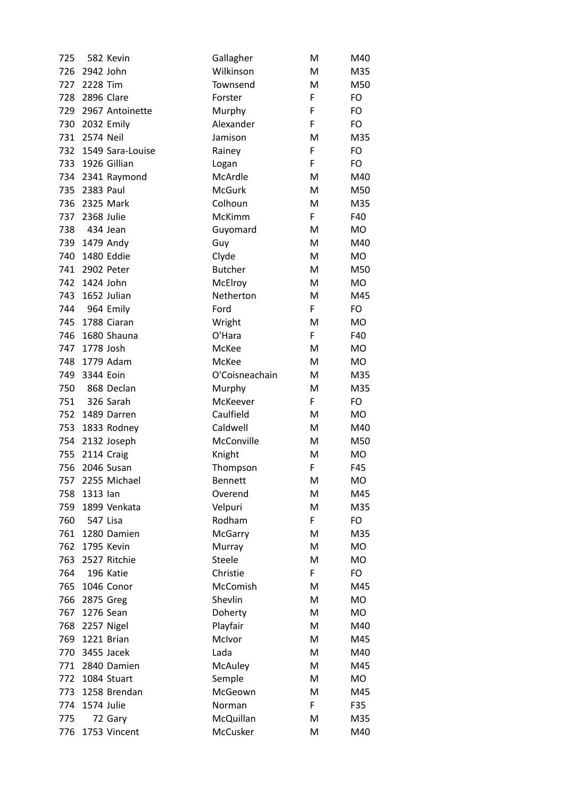| 725 |               | 582 Kevin        | Gallagher      | M | M40       |
|-----|---------------|------------------|----------------|---|-----------|
|     | 726 2942 John |                  | Wilkinson      | M | M35       |
| 727 | 2228 Tim      |                  | Townsend       | M | M50       |
| 728 | 2896 Clare    |                  | Forster        | F | FO        |
| 729 |               | 2967 Antoinette  | Murphy         | F | FO        |
| 730 |               | 2032 Emily       | Alexander      | F | FO        |
| 731 | 2574 Neil     |                  | Jamison        | M | M35       |
| 732 |               | 1549 Sara-Louise | Rainey         | F | FO        |
| 733 |               | 1926 Gillian     | Logan          | F | FO        |
|     |               | 734 2341 Raymond | McArdle        | M | M40       |
| 735 | 2383 Paul     |                  | <b>McGurk</b>  | M | M50       |
| 736 |               | 2325 Mark        | Colhoun        | M | M35       |
| 737 | 2368 Julie    |                  | McKimm         | F | F40       |
| 738 | 434 Jean      |                  | Guyomard       | M | MO        |
| 739 |               | 1479 Andy        | Guy            | M | M40       |
| 740 |               | 1480 Eddie       | Clyde          | M | <b>MO</b> |
| 741 |               | 2902 Peter       | <b>Butcher</b> | M | M50       |
| 742 | 1424 John     |                  | McElroy        | M | <b>MO</b> |
| 743 |               | 1652 Julian      | Netherton      | M | M45       |
|     | 744 964 Emily |                  | Ford           | F | FO        |
| 745 |               | 1788 Ciaran      | Wright         | M | MO        |
| 746 |               | 1680 Shauna      | O'Hara         | F | F40       |
| 747 | 1778 Josh     |                  | McKee          | M | MO        |
| 748 |               | 1779 Adam        | McKee          | M | MO        |
| 749 | 3344 Eoin     |                  | O'Coisneachain | M | M35       |
| 750 |               | 868 Declan       | Murphy         | M | M35       |
| 751 |               | 326 Sarah        | McKeever       | F | FO        |
| 752 |               | 1489 Darren      | Caulfield      | M | <b>MO</b> |
| 753 |               | 1833 Rodney      | Caldwell       | M | M40       |
| 754 |               | 2132 Joseph      | McConville     | M | M50       |
| 755 |               | 2114 Craig       | Knight         | M | MO        |
| 756 |               | 2046 Susan       | Thompson       | F | F45       |
| 757 |               | 2255 Michael     | Bennett        | M | <b>MO</b> |
| 758 | 1313 lan      |                  | Overend        | M | M45       |
| 759 |               | 1899 Venkata     | Velpuri        | M | M35       |
| 760 | 547 Lisa      |                  | Rodham         | F | FO        |
| 761 |               | 1280 Damien      | McGarry        | M | M35       |
| 762 |               | 1795 Kevin       | Murray         | M | <b>MO</b> |
| 763 |               | 2527 Ritchie     | <b>Steele</b>  | M | MO        |
| 764 |               | 196 Katie        | Christie       | F | FO        |
| 765 |               | 1046 Conor       | McComish       | M | M45       |
| 766 | 2875 Greg     |                  | Shevlin        | M | MO        |
| 767 |               | 1276 Sean        | Doherty        | M | MO        |
| 768 |               | 2257 Nigel       | Playfair       | M | M40       |
| 769 |               | 1221 Brian       | McIvor         | M | M45       |
| 770 |               | 3455 Jacek       | Lada           | M | M40       |
| 771 |               | 2840 Damien      | McAuley        | M | M45       |
| 772 |               | 1084 Stuart      | Semple         | M | MO        |
| 773 |               | 1258 Brendan     | McGeown        | M | M45       |
| 774 | 1574 Julie    |                  | Norman         | F | F35       |
| 775 |               | 72 Gary          | McQuillan      | M | M35       |
| 776 |               | 1753 Vincent     | McCusker       | M | M40       |
|     |               |                  |                |   |           |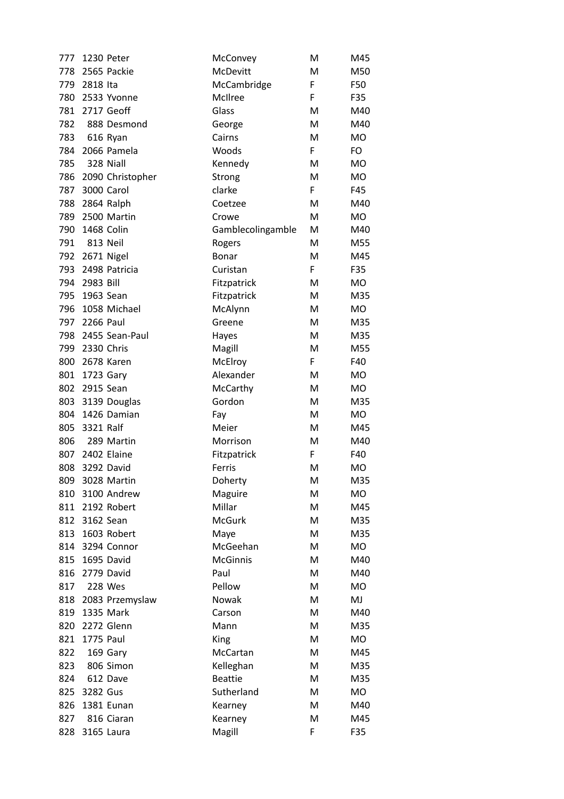| 777 |                  | 1230 Peter                | McConvey          | M | M45        |
|-----|------------------|---------------------------|-------------------|---|------------|
| 778 |                  | 2565 Packie               | McDevitt          | M | M50        |
| 779 | 2818 Ita         |                           | McCambridge       | F | F50        |
| 780 |                  | 2533 Yvonne               | McIlree           | F | F35        |
| 781 |                  | 2717 Geoff                | Glass             | M | M40        |
| 782 |                  | 888 Desmond               | George            | м | M40        |
| 783 |                  | 616 Ryan                  | Cairns            | M | <b>MO</b>  |
| 784 |                  | 2066 Pamela               | Woods             | F | FO         |
| 785 |                  | 328 Niall                 | Kennedy           | М | <b>MO</b>  |
|     |                  | 786 2090 Christopher      | <b>Strong</b>     | M | MO         |
| 787 |                  | 3000 Carol                | clarke            | F | F45        |
| 788 |                  | 2864 Ralph                | Coetzee           | M | M40        |
| 789 |                  | 2500 Martin               | Crowe             | M | MO         |
| 790 | 1468 Colin       |                           | Gamblecolingamble | Μ | M40        |
| 791 |                  | 813 Neil                  | Rogers            | M | M55        |
| 792 | 2671 Nigel       |                           | Bonar             | M | M45        |
| 793 |                  | 2498 Patricia             | Curistan          | F | F35        |
| 794 | 2983 Bill        |                           | Fitzpatrick       | М | <b>MO</b>  |
| 795 | 1963 Sean        |                           | Fitzpatrick       | M | M35        |
| 796 |                  | 1058 Michael              | McAlynn           | м | MO         |
| 797 | <b>2266 Paul</b> |                           | Greene            | м | M35        |
| 798 |                  | 2455 Sean-Paul            | Hayes             | м | M35        |
|     | 799 2330 Chris   |                           | Magill            | M | M55        |
| 800 |                  | 2678 Karen                | McElroy           | F | F40        |
| 801 | 1723 Gary        |                           | Alexander         | М | MO         |
| 802 | 2915 Sean        |                           | McCarthy          | м | MO         |
| 803 |                  | 3139 Douglas              | Gordon            | м | M35        |
| 804 |                  | 1426 Damian               | Fay               | М | MO         |
| 805 | 3321 Ralf        |                           | Meier             | M | M45        |
| 806 |                  | 289 Martin                | Morrison          | M | M40        |
| 807 |                  | 2402 Elaine               | Fitzpatrick       | F | F40        |
| 808 | 3292 David       |                           | Ferris            | M | <b>MO</b>  |
| 809 |                  | 3028 Martin               | Doherty           | M | M35        |
| 810 |                  | 3100 Andrew               | Maguire           | M | MO         |
| 811 |                  | 2192 Robert               | Millar            | M | M45        |
| 812 | 3162 Sean        |                           | <b>McGurk</b>     | м | M35        |
| 813 |                  | 1603 Robert               |                   | M | M35        |
|     |                  |                           | Maye<br>McGeehan  |   | MO         |
| 814 |                  | 3294 Connor<br>1695 David |                   | M |            |
| 815 |                  |                           | <b>McGinnis</b>   | М | M40<br>M40 |
| 816 |                  | 2779 David                | Paul<br>Pellow    | M |            |
| 817 |                  | 228 Wes                   |                   | M | <b>MO</b>  |
| 818 |                  | 2083 Przemyslaw           | Nowak             | м | MJ         |
| 819 |                  | 1335 Mark                 | Carson            | м | M40        |
| 820 |                  | 2272 Glenn                | Mann              | M | M35        |
| 821 | 1775 Paul        |                           | King              | M | MO         |
| 822 |                  | 169 Gary                  | McCartan          | м | M45        |
| 823 |                  | 806 Simon                 | Kelleghan         | M | M35        |
| 824 |                  | 612 Dave                  | <b>Beattie</b>    | м | M35        |
| 825 | 3282 Gus         |                           | Sutherland        | м | MO         |
| 826 |                  | 1381 Eunan                | Kearney           | М | M40        |
| 827 |                  | 816 Ciaran                | Kearney           | M | M45        |
| 828 |                  | 3165 Laura                | Magill            | F | F35        |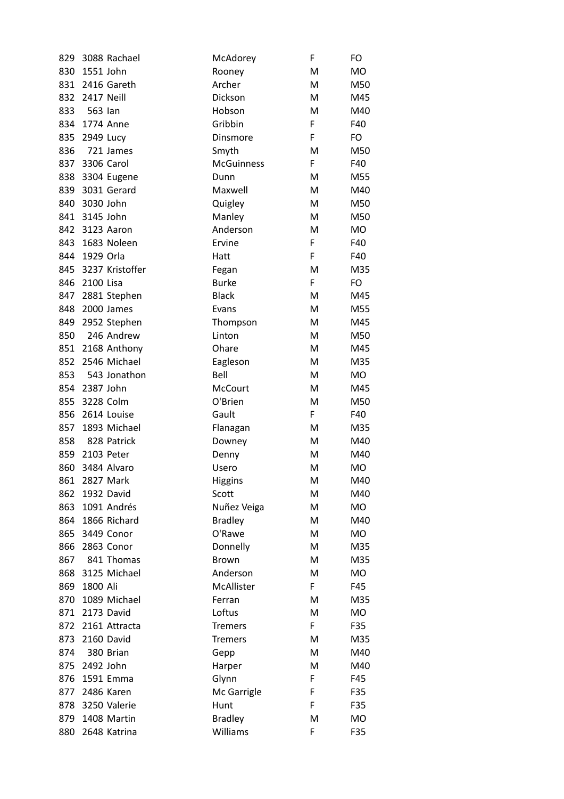| 829 |               | 3088 Rachael    | McAdorey          | F | FO        |
|-----|---------------|-----------------|-------------------|---|-----------|
| 830 | 1551 John     |                 | Rooney            | M | MO        |
| 831 |               | 2416 Gareth     | Archer            | M | M50       |
| 832 | 2417 Neill    |                 | Dickson           | M | M45       |
| 833 | 563 lan       |                 | Hobson            | M | M40       |
| 834 |               | 1774 Anne       | Gribbin           | F | F40       |
| 835 | 2949 Lucy     |                 | Dinsmore          | F | FO        |
| 836 |               | 721 James       | Smyth             | M | M50       |
| 837 |               | 3306 Carol      | <b>McGuinness</b> | F | F40       |
| 838 |               | 3304 Eugene     | Dunn              | M | M55       |
| 839 |               | 3031 Gerard     | Maxwell           | M | M40       |
| 840 | 3030 John     |                 | Quigley           | M | M50       |
| 841 | 3145 John     |                 | Manley            | M | M50       |
| 842 |               | 3123 Aaron      | Anderson          | M | MO        |
| 843 |               | 1683 Noleen     | Ervine            | F | F40       |
| 844 | 1929 Orla     |                 | Hatt              | F | F40       |
| 845 |               | 3237 Kristoffer | Fegan             | M | M35       |
| 846 | 2100 Lisa     |                 | <b>Burke</b>      | F | FO        |
| 847 |               | 2881 Stephen    | <b>Black</b>      | M | M45       |
| 848 |               | 2000 James      | Evans             | M | M55       |
| 849 |               | 2952 Stephen    | Thompson          | M | M45       |
| 850 |               | 246 Andrew      | Linton            | M | M50       |
| 851 |               | 2168 Anthony    | Ohare             | M | M45       |
| 852 |               | 2546 Michael    | Eagleson          | M | M35       |
| 853 |               | 543 Jonathon    | Bell              | M | <b>MO</b> |
|     | 854 2387 John |                 | McCourt           | M | M45       |
|     | 855 3228 Colm |                 | O'Brien           | M | M50       |
| 856 |               | 2614 Louise     | Gault             | F | F40       |
| 857 |               | 1893 Michael    | Flanagan          | M | M35       |
| 858 |               | 828 Patrick     | Downey            | M | M40       |
| 859 |               | 2103 Peter      | Denny             | M | M40       |
| 860 |               | 3484 Alvaro     | Usero             | M | <b>MO</b> |
| 861 |               | 2827 Mark       | Higgins           | M | M40       |
| 862 |               | 1932 David      | Scott             | M | M40       |
| 863 |               | 1091 Andrés     | Nuñez Veiga       | M | <b>MO</b> |
| 864 |               | 1866 Richard    | <b>Bradley</b>    | M | M40       |
| 865 |               | 3449 Conor      | O'Rawe            | M | MO        |
| 866 |               | 2863 Conor      | Donnelly          | M | M35       |
| 867 |               | 841 Thomas      | Brown             | M | M35       |
| 868 |               | 3125 Michael    | Anderson          | M | <b>MO</b> |
| 869 | 1800 Ali      |                 | McAllister        | F | F45       |
| 870 |               | 1089 Michael    | Ferran            | M | M35       |
| 871 |               | 2173 David      | Loftus            | M | MO        |
| 872 |               | 2161 Attracta   | <b>Tremers</b>    | F | F35       |
| 873 |               | 2160 David      | <b>Tremers</b>    | M | M35       |
| 874 |               | 380 Brian       | Gepp              | M | M40       |
| 875 | 2492 John     |                 | Harper            | M | M40       |
| 876 |               | 1591 Emma       | Glynn             | F | F45       |
| 877 |               | 2486 Karen      | Mc Garrigle       | F | F35       |
| 878 |               | 3250 Valerie    | Hunt              | F | F35       |
| 879 |               | 1408 Martin     | <b>Bradley</b>    | M | MO        |
| 880 |               | 2648 Katrina    | Williams          | F | F35       |
|     |               |                 |                   |   |           |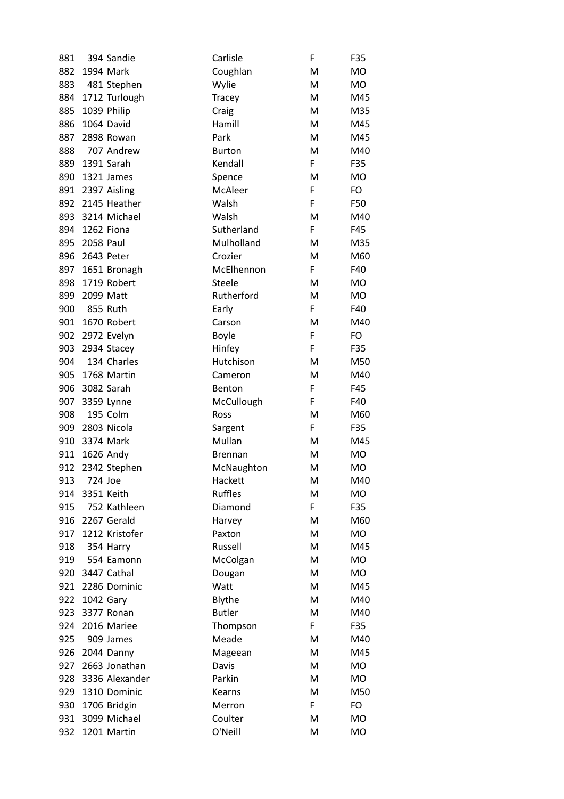| 881 |           | 394 Sandie      | Carlisle       | F  | F35       |
|-----|-----------|-----------------|----------------|----|-----------|
| 882 |           | 1994 Mark       | Coughlan       | M  | MO        |
| 883 |           | 481 Stephen     | Wylie          | M  | MO        |
| 884 |           | 1712 Turlough   | Tracey         | M  | M45       |
| 885 |           | 1039 Philip     | Craig          | M  | M35       |
| 886 |           | 1064 David      | Hamill         | M  | M45       |
| 887 |           | 2898 Rowan      | Park           | M  | M45       |
| 888 |           | 707 Andrew      | <b>Burton</b>  | M  | M40       |
| 889 |           | 1391 Sarah      | Kendall        | F  | F35       |
| 890 |           | 1321 James      | Spence         | M  | <b>MO</b> |
| 891 |           | 2397 Aisling    | McAleer        | F  | FO        |
| 892 |           | 2145 Heather    | Walsh          | F  | F50       |
| 893 |           | 3214 Michael    | Walsh          | M  | M40       |
| 894 |           | 1262 Fiona      | Sutherland     | F  | F45       |
| 895 | 2058 Paul |                 | Mulholland     | M  | M35       |
| 896 |           | 2643 Peter      | Crozier        | M  | M60       |
| 897 |           | 1651 Bronagh    | McElhennon     | F  | F40       |
| 898 |           | 1719 Robert     | <b>Steele</b>  | M  | <b>MO</b> |
| 899 | 2099 Matt |                 | Rutherford     | M  | <b>MO</b> |
| 900 |           | 855 Ruth        | Early          | F  | F40       |
| 901 |           | 1670 Robert     | Carson         | M  | M40       |
| 902 |           | 2972 Evelyn     | Boyle          | F  | FO        |
| 903 |           | 2934 Stacey     | Hinfey         | F  | F35       |
| 904 |           | 134 Charles     | Hutchison      | M  | M50       |
| 905 |           | 1768 Martin     | Cameron        | M  | M40       |
| 906 |           | 3082 Sarah      | Benton         | F  | F45       |
| 907 |           | 3359 Lynne      | McCullough     | F  | F40       |
| 908 |           | 195 Colm        | Ross           | M  | M60       |
| 909 |           | 2803 Nicola     | Sargent        | F  | F35       |
| 910 | 3374 Mark |                 | Mullan         | M  | M45       |
| 911 |           | 1626 Andy       | <b>Brennan</b> | M  | MO        |
| 912 |           | 2342 Stephen    | McNaughton     | M  | <b>MO</b> |
| 913 | 724 Joe   |                 | Hackett        | M  | M40       |
| 914 |           | 3351 Keith      | <b>Ruffles</b> | M  | MO        |
| 915 |           | 752 Kathleen    | Diamond        | F  | F35       |
| 916 |           | 2267 Gerald     | Harvey         | M  | M60       |
| 917 |           | 1212 Kristofer  | Paxton         | M  | MO        |
| 918 |           | 354 Harry       | Russell        | M  | M45       |
| 919 |           | 554 Eamonn      | McColgan       | М  | MO        |
|     |           | 920 3447 Cathal | Dougan         | M  | <b>MO</b> |
| 921 |           | 2286 Dominic    | Watt           | M  | M45       |
| 922 | 1042 Gary |                 | Blythe         | M  | M40       |
| 923 |           | 3377 Ronan      | <b>Butler</b>  | M  | M40       |
| 924 |           | 2016 Mariee     | Thompson       | F  | F35       |
| 925 |           | 909 James       | Meade          | M  | M40       |
| 926 |           | 2044 Danny      | Mageean        | M  | M45       |
| 927 |           | 2663 Jonathan   | Davis          | M  | <b>MO</b> |
| 928 |           | 3336 Alexander  | Parkin         | M  | <b>MO</b> |
| 929 |           | 1310 Dominic    | Kearns         | M  | M50       |
| 930 |           | 1706 Bridgin    | Merron         | F. | FO        |
| 931 |           | 3099 Michael    | Coulter        | M  | <b>MO</b> |
|     |           | 1201 Martin     | O'Neill        | M  | MO        |
| 932 |           |                 |                |    |           |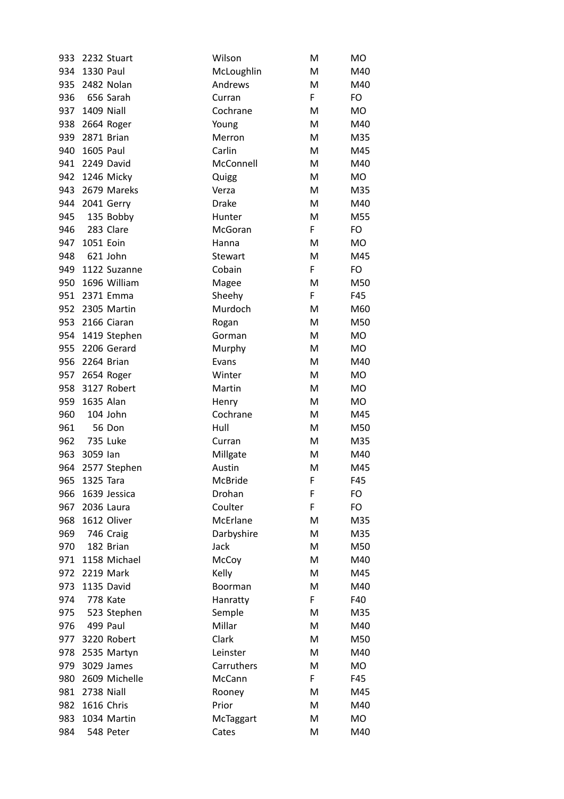| 933 |            | 2232 Stuart     | Wilson            | Μ  | <b>MO</b> |
|-----|------------|-----------------|-------------------|----|-----------|
| 934 | 1330 Paul  |                 | McLoughlin        | M  | M40       |
| 935 |            | 2482 Nolan      | Andrews           | M  | M40       |
| 936 |            | 656 Sarah       | Curran            | F. | FO        |
| 937 | 1409 Niall |                 | Cochrane          | M  | <b>MO</b> |
| 938 |            | 2664 Roger      | Young             | M  | M40       |
| 939 |            | 2871 Brian      | Merron            | M  | M35       |
| 940 | 1605 Paul  |                 | Carlin            | M  | M45       |
| 941 |            | 2249 David      | McConnell         | M  | M40       |
| 942 |            | 1246 Micky      | Quigg             | M  | MO        |
| 943 |            | 2679 Mareks     | Verza             | M  | M35       |
| 944 |            | 2041 Gerry      | <b>Drake</b>      | M  | M40       |
| 945 |            | 135 Bobby       | Hunter            | M  | M55       |
| 946 |            | 283 Clare       | McGoran           | F. | FO        |
| 947 | 1051 Eoin  |                 | Hanna             | M  | <b>MO</b> |
| 948 | 621 John   |                 | Stewart           | M  | M45       |
| 949 |            | 1122 Suzanne    | Cobain            | F  | FO        |
| 950 |            | 1696 William    | Magee             | M  | M50       |
| 951 |            | 2371 Emma       | Sheehy            | F  | F45       |
|     |            | 952 2305 Martin | Murdoch           | M  | M60       |
| 953 |            | 2166 Ciaran     | Rogan             | M  | M50       |
| 954 |            | 1419 Stephen    | Gorman            | M  | MO        |
| 955 |            | 2206 Gerard     | Murphy            | M  | MO        |
| 956 | 2264 Brian |                 | Evans             | M  | M40       |
| 957 |            | 2654 Roger      | Winter            | M  | <b>MO</b> |
| 958 |            | 3127 Robert     | Martin            | M  | <b>MO</b> |
| 959 | 1635 Alan  |                 |                   | M  | MO        |
| 960 |            |                 | Henry<br>Cochrane |    |           |
|     |            | 104 John        |                   | M  | M45       |
| 961 |            | <b>56 Don</b>   | Hull              | M  | M50       |
| 962 | 735 Luke   |                 | Curran            | M  | M35       |
| 963 | 3059 lan   |                 | Millgate          | M  | M40       |
| 964 |            | 2577 Stephen    | Austin            | M  | M45       |
| 965 | 1325 Tara  |                 | McBride           | F  | F45       |
| 966 |            | 1639 Jessica    | Drohan            | F  | FO        |
| 967 |            | 2036 Laura      | Coulter           | F  | FO        |
| 968 |            | 1612 Oliver     | McErlane          | м  | M35       |
| 969 |            | 746 Craig       | Darbyshire        | M  | M35       |
| 970 |            | 182 Brian       | Jack              | M  | M50       |
| 971 |            | 1158 Michael    | McCoy             | M  | M40       |
| 972 |            | 2219 Mark       | Kelly             | M  | M45       |
| 973 |            | 1135 David      | Boorman           | M  | M40       |
| 974 | 778 Kate   |                 | Hanratty          | F. | F40       |
| 975 |            | 523 Stephen     | Semple            | M  | M35       |
| 976 |            | 499 Paul        | Millar            | M  | M40       |
| 977 |            | 3220 Robert     | Clark             | M  | M50       |
| 978 |            | 2535 Martyn     | Leinster          | M  | M40       |
| 979 |            | 3029 James      | Carruthers        | M  | MO        |
| 980 |            | 2609 Michelle   | McCann            | F. | F45       |
| 981 | 2738 Niall |                 | Rooney            | M  | M45       |
| 982 |            | 1616 Chris      | Prior             | M  | M40       |
| 983 |            | 1034 Martin     | McTaggart         | M  | MO        |
| 984 |            | 548 Peter       | Cates             | M  | M40       |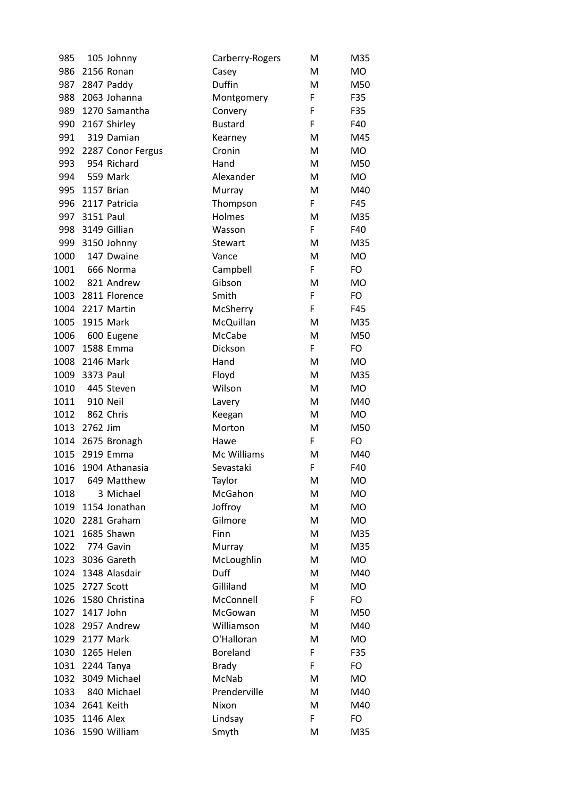| 985  |                  | 105 Johnny        | Carberry-Rogers | M  | M35       |
|------|------------------|-------------------|-----------------|----|-----------|
| 986  |                  | 2156 Ronan        | Casey           | M  | <b>MO</b> |
| 987  |                  | 2847 Paddy        | Duffin          | M  | M50       |
| 988  |                  | 2063 Johanna      | Montgomery      | F  | F35       |
| 989  |                  | 1270 Samantha     | Convery         | F  | F35       |
| 990  |                  | 2167 Shirley      | <b>Bustard</b>  | F  | F40       |
| 991  |                  | 319 Damian        | Kearney         | M  | M45       |
| 992  |                  | 2287 Conor Fergus | Cronin          | M  | <b>MO</b> |
| 993  |                  | 954 Richard       | Hand            | M  | M50       |
| 994  | 559 Mark         |                   | Alexander       | M  | <b>MO</b> |
| 995  |                  | 1157 Brian        | Murray          | M  | M40       |
| 996  |                  | 2117 Patricia     | Thompson        | F  | F45       |
| 997  | 3151 Paul        |                   | Holmes          | M  | M35       |
| 998  |                  | 3149 Gillian      | Wasson          | F. | F40       |
| 999  |                  | 3150 Johnny       | Stewart         | M  | M35       |
| 1000 |                  | 147 Dwaine        | Vance           | M  | <b>MO</b> |
| 1001 |                  | 666 Norma         | Campbell        | F  | FO        |
| 1002 |                  | 821 Andrew        | Gibson          | M  | <b>MO</b> |
| 1003 |                  | 2811 Florence     | Smith           | F  | FO        |
| 1004 |                  | 2217 Martin       | McSherry        | F  | F45       |
| 1005 |                  | 1915 Mark         | McQuillan       | M  | M35       |
| 1006 |                  | 600 Eugene        | McCabe          | M  | M50       |
| 1007 |                  | 1588 Emma         | Dickson         | F  | FO        |
| 1008 |                  | 2146 Mark         | Hand            | M  | MO        |
| 1009 | 3373 Paul        |                   | Floyd           | M  | M35       |
| 1010 |                  | 445 Steven        | Wilson          | M  | <b>MO</b> |
| 1011 |                  | 910 Neil          | Lavery          | м  | M40       |
| 1012 |                  | 862 Chris         | Keegan          | M  | MO        |
| 1013 | 2762 Jim         |                   | Morton          | M  | M50       |
|      |                  | 1014 2675 Bronagh | Hawe            | F  | FO        |
| 1015 |                  | 2919 Emma         | Mc Williams     | M  | M40       |
| 1016 |                  | 1904 Athanasia    | Sevastaki       | F  | F40       |
|      |                  | 1017 649 Matthew  | Taylor          | M  | <b>MO</b> |
| 1018 |                  | 3 Michael         | McGahon         | Μ  | MO        |
| 1019 |                  | 1154 Jonathan     | Joffroy         | M  | <b>MO</b> |
| 1020 |                  | 2281 Graham       | Gilmore         | м  | MO        |
| 1021 |                  | 1685 Shawn        | Finn            | M  | M35       |
| 1022 |                  | 774 Gavin         | Murray          | M  | M35       |
| 1023 |                  | 3036 Gareth       | McLoughlin      | м  | MO        |
| 1024 |                  | 1348 Alasdair     | <b>Duff</b>     | M  | M40       |
| 1025 |                  | 2727 Scott        | Gilliland       | M  | <b>MO</b> |
| 1026 |                  | 1580 Christina    | McConnell       | F. | FO.       |
| 1027 | 1417 John        |                   | McGowan         | м  | M50       |
| 1028 |                  | 2957 Andrew       | Williamson      | M  | M40       |
| 1029 |                  | 2177 Mark         | O'Halloran      | M  | MO        |
| 1030 |                  | 1265 Helen        | <b>Boreland</b> | F  | F35       |
| 1031 |                  | 2244 Tanya        | <b>Brady</b>    | F  | FO        |
| 1032 |                  | 3049 Michael      | McNab           | M  | <b>MO</b> |
| 1033 |                  | 840 Michael       | Prenderville    | M  | M40       |
| 1034 |                  | 2641 Keith        | Nixon           | M  | M40       |
| 1035 | <b>1146 Alex</b> |                   | Lindsay         | F  | FO        |
| 1036 |                  | 1590 William      | Smyth           | M  | M35       |
|      |                  |                   |                 |    |           |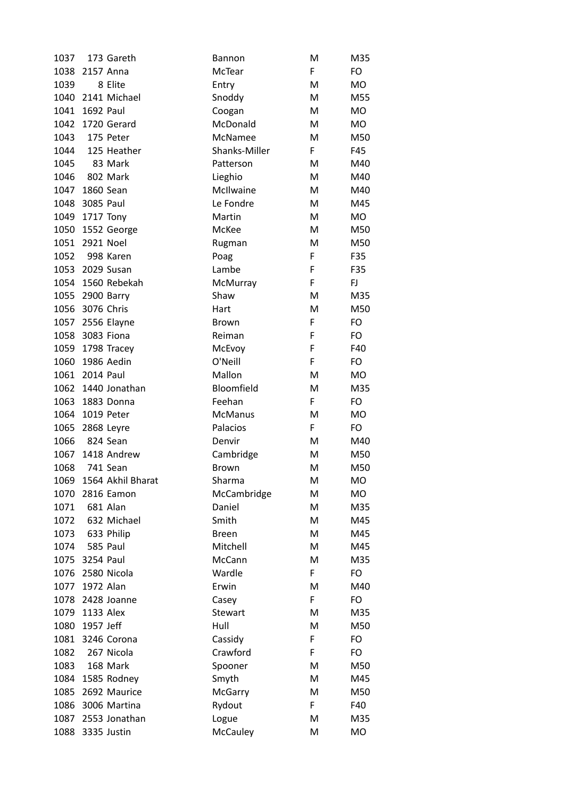| 1037 |                | 173 Gareth        | <b>Bannon</b>  | M  | M35       |
|------|----------------|-------------------|----------------|----|-----------|
| 1038 | 2157 Anna      |                   | McTear         | F. | FO        |
| 1039 |                | 8 Elite           | Entry          | M  | MO        |
|      |                | 1040 2141 Michael | Snoddy         | M  | M55       |
|      | 1041 1692 Paul |                   | Coogan         | M  | MO        |
| 1042 |                | 1720 Gerard       | McDonald       | M  | <b>MO</b> |
| 1043 |                | 175 Peter         | McNamee        | M  | M50       |
| 1044 |                | 125 Heather       | Shanks-Miller  | F  | F45       |
| 1045 |                | 83 Mark           | Patterson      | М  | M40       |
| 1046 |                | 802 Mark          | Lieghio        | M  | M40       |
| 1047 | 1860 Sean      |                   | McIlwaine      | M  | M40       |
| 1048 | 3085 Paul      |                   | Le Fondre      | M  | M45       |
| 1049 | 1717 Tony      |                   | Martin         | M  | <b>MO</b> |
| 1050 |                | 1552 George       | McKee          | M  | M50       |
| 1051 | 2921 Noel      |                   | Rugman         | M  | M50       |
| 1052 |                | 998 Karen         | Poag           | F  | F35       |
| 1053 |                | 2029 Susan        | Lambe          | F  | F35       |
| 1054 |                | 1560 Rebekah      | McMurray       | F  | FJ        |
| 1055 |                | 2900 Barry        | Shaw           | M  | M35       |
| 1056 | 3076 Chris     |                   | Hart           | M  | M50       |
|      |                | 1057 2556 Elayne  | <b>Brown</b>   | F  | FO        |
| 1058 | 3083 Fiona     |                   | Reiman         | F  | FO        |
| 1059 |                | 1798 Tracey       | McEvoy         | F  | F40       |
| 1060 |                | 1986 Aedin        | O'Neill        | F  | FO        |
| 1061 | 2014 Paul      |                   | Mallon         | M  | <b>MO</b> |
| 1062 |                | 1440 Jonathan     | Bloomfield     | M  | M35       |
| 1063 |                | 1883 Donna        | Feehan         | F  | FO        |
| 1064 | 1019 Peter     |                   | <b>McManus</b> | M  | MO        |
| 1065 |                | 2868 Leyre        | Palacios       | F  | FO        |
| 1066 |                | 824 Sean          | Denvir         | M  | M40       |
| 1067 |                | 1418 Andrew       | Cambridge      | M  | M50       |
| 1068 | 741 Sean       |                   | <b>Brown</b>   | M  | M50       |
| 1069 |                | 1564 Akhil Bharat | Sharma         | M  | <b>MO</b> |
| 1070 |                | 2816 Eamon        | McCambridge    | M  | MO        |
| 1071 |                | 681 Alan          | Daniel         | M  | M35       |
| 1072 |                | 632 Michael       | Smith          | M  | M45       |
| 1073 |                | 633 Philip        | <b>Breen</b>   | M  | M45       |
| 1074 |                | 585 Paul          | Mitchell       | M  | M45       |
| 1075 | 3254 Paul      |                   | McCann         | M  | M35       |
| 1076 |                | 2580 Nicola       | Wardle         | F  | FO        |
| 1077 | 1972 Alan      |                   | Erwin          | M  | M40       |
| 1078 |                | 2428 Joanne       | Casey          | F  | FO        |
| 1079 | 1133 Alex      |                   | Stewart        | M  | M35       |
| 1080 | 1957 Jeff      |                   | Hull           | M  | M50       |
| 1081 |                | 3246 Corona       | Cassidy        | F  | FO        |
| 1082 |                | 267 Nicola        | Crawford       | F  | FO        |
| 1083 |                | 168 Mark          | Spooner        | M  | M50       |
| 1084 |                | 1585 Rodney       | Smyth          | M  | M45       |
| 1085 |                | 2692 Maurice      | McGarry        | M  | M50       |
| 1086 |                | 3006 Martina      | Rydout         | F  | F40       |
| 1087 |                | 2553 Jonathan     | Logue          | M  | M35       |
| 1088 |                | 3335 Justin       | McCauley       | M  | MO        |
|      |                |                   |                |    |           |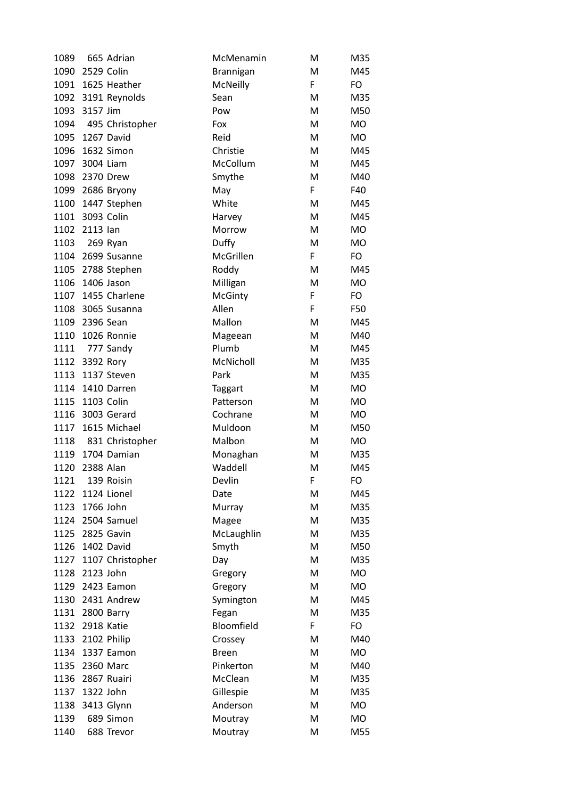| 1089 |                | 665 Adrian            | McMenamin      | M  | M35       |
|------|----------------|-----------------------|----------------|----|-----------|
| 1090 | 2529 Colin     |                       | Brannigan      | M  | M45       |
| 1091 |                | 1625 Heather          | McNeilly       | F  | FO        |
|      |                | 1092 3191 Reynolds    | Sean           | M  | M35       |
| 1093 | 3157 Jim       |                       | Pow            | M  | M50       |
| 1094 |                | 495 Christopher       | Fox            | M  | <b>MO</b> |
| 1095 |                | 1267 David            | Reid           | M  | <b>MO</b> |
| 1096 |                | 1632 Simon            | Christie       | м  | M45       |
| 1097 | 3004 Liam      |                       | McCollum       | М  | M45       |
|      | 1098 2370 Drew |                       | Smythe         | M  | M40       |
|      |                | 1099 2686 Bryony      | May            | F  | F40       |
| 1100 |                | 1447 Stephen          | White          | M  | M45       |
| 1101 | 3093 Colin     |                       | Harvey         | M  | M45       |
| 1102 | 2113 lan       |                       | Morrow         | м  | <b>MO</b> |
| 1103 |                | 269 Ryan              | Duffy          | M  | MO        |
|      |                | 1104 2699 Susanne     | McGrillen      | F  | FO        |
|      |                | 1105 2788 Stephen     | Roddy          | M  | M45       |
| 1106 |                | 1406 Jason            | Milligan       | M  | <b>MO</b> |
| 1107 |                | 1455 Charlene         | McGinty        | F  | FO        |
| 1108 |                | 3065 Susanna          | Allen          | F  | F50       |
| 1109 | 2396 Sean      |                       | Mallon         | M  | M45       |
| 1110 |                | 1026 Ronnie           | Mageean        | M  | M40       |
|      |                | 1111 777 Sandy        | Plumb          | M  | M45       |
| 1112 | 3392 Rory      |                       | McNicholl      | м  | M35       |
| 1113 |                | 1137 Steven           | Park           | M  | M35       |
| 1114 |                | 1410 Darren           | <b>Taggart</b> | м  | <b>MO</b> |
| 1115 | 1103 Colin     |                       | Patterson      | м  | MO        |
|      |                | 1116 3003 Gerard      | Cochrane       | М  | MO        |
| 1117 |                | 1615 Michael          | Muldoon        | M  | M50       |
| 1118 |                | 831 Christopher       | Malbon         | м  | MO        |
| 1119 |                | 1704 Damian           | Monaghan       | Μ  | M35       |
| 1120 | 2388 Alan      |                       | Waddell        | M  | M45       |
| 1121 |                | 139 Roisin            | Devlin         | F. | FO        |
| 1122 |                | 1124 Lionel           | Date           | M  | M45       |
| 1123 | 1766 John      |                       | Murray         | M  | M35       |
| 1124 |                | 2504 Samuel           | Magee          | м  | M35       |
| 1125 |                | 2825 Gavin            | McLaughlin     | M  | M35       |
| 1126 |                | 1402 David            | Smyth          | M  | M50       |
|      |                | 1127 1107 Christopher | Day            | М  | M35       |
| 1128 | 2123 John      |                       | Gregory        | M  | <b>MO</b> |
| 1129 |                | 2423 Eamon            | Gregory        | M  | MO        |
| 1130 |                | 2431 Andrew           | Symington      | м  | M45       |
| 1131 |                | 2800 Barry            | Fegan          | M  | M35       |
| 1132 | 2918 Katie     |                       | Bloomfield     | F  | FO        |
| 1133 |                | 2102 Philip           | Crossey        | м  | M40       |
| 1134 |                | 1337 Eamon            | <b>Breen</b>   | M  | <b>MO</b> |
| 1135 |                | 2360 Marc             | Pinkerton      | M  | M40       |
| 1136 |                | 2867 Ruairi           | McClean        | М  | M35       |
| 1137 | 1322 John      |                       | Gillespie      | м  | M35       |
| 1138 |                | 3413 Glynn            | Anderson       | M  | MO        |
| 1139 |                | 689 Simon             | Moutray        | M  | MO        |
| 1140 |                | 688 Trevor            | Moutray        | M  | M55       |
|      |                |                       |                |    |           |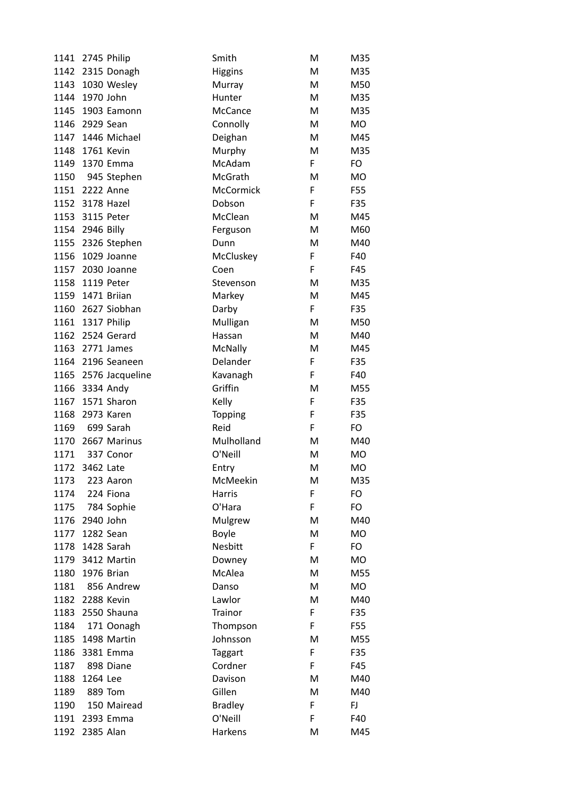| 1141 |                  | 2745 Philip          | Smith          | M  | M35       |
|------|------------------|----------------------|----------------|----|-----------|
|      |                  | 1142 2315 Donagh     | <b>Higgins</b> | M  | M35       |
| 1143 |                  | 1030 Wesley          | Murray         | M  | M50       |
| 1144 | 1970 John        |                      | Hunter         | M  | M35       |
| 1145 |                  | 1903 Eamonn          | McCance        | M  | M35       |
| 1146 | 2929 Sean        |                      | Connolly       | M  | MO        |
| 1147 |                  | 1446 Michael         | Deighan        | M  | M45       |
| 1148 | 1761 Kevin       |                      | Murphy         | M  | M35       |
| 1149 |                  | 1370 Emma            | McAdam         | F. | FO        |
| 1150 |                  | 945 Stephen          | McGrath        | M  | <b>MO</b> |
|      | 1151 2222 Anne   |                      | McCormick      | F  | F55       |
| 1152 | 3178 Hazel       |                      | Dobson         | F  | F35       |
| 1153 | 3115 Peter       |                      | McClean        | M  | M45       |
|      | 1154 2946 Billy  |                      | Ferguson       | M  | M60       |
|      |                  | 1155 2326 Stephen    | Dunn           | M  | M40       |
| 1156 |                  | 1029 Joanne          | McCluskey      | F  | F40       |
| 1157 |                  | 2030 Joanne          | Coen           | F  | F45       |
| 1158 | 1119 Peter       |                      | Stevenson      | M  | M35       |
| 1159 |                  | 1471 Briian          | Markey         | M  | M45       |
|      |                  | 1160 2627 Siobhan    | Darby          | F. | F35       |
|      | 1161 1317 Philip |                      | Mulligan       | M  | M50       |
|      |                  | 1162 2524 Gerard     | Hassan         | M  | M40       |
| 1163 |                  | 2771 James           | McNally        | M  | M45       |
|      |                  | 1164 2196 Seaneen    | Delander       | F  | F35       |
|      |                  | 1165 2576 Jacqueline | Kavanagh       | F  | F40       |
| 1166 | 3334 Andy        |                      | Griffin        | M  | M55       |
| 1167 |                  | 1571 Sharon          | Kelly          | F  | F35       |
| 1168 |                  | 2973 Karen           | Topping        | F  | F35       |
| 1169 |                  | 699 Sarah            | Reid           | F  | FO        |
| 1170 |                  | 2667 Marinus         | Mulholland     | M  | M40       |
| 1171 |                  | 337 Conor            | O'Neill        | M  | <b>MO</b> |
| 1172 | 3462 Late        |                      | Entry          | M  | <b>MO</b> |
| 1173 |                  | 223 Aaron            | McMeekin       | M  | M35       |
| 1174 |                  | 224 Fiona            | Harris         | F  | FO        |
| 1175 |                  | 784 Sophie           | O'Hara         | F  | FO        |
| 1176 | 2940 John        |                      | Mulgrew        | M  | M40       |
| 1177 | 1282 Sean        |                      | <b>Boyle</b>   | M  | MO        |
| 1178 |                  | 1428 Sarah           | <b>Nesbitt</b> | F  | FO        |
| 1179 |                  | 3412 Martin          | Downey         | M  | MO        |
| 1180 |                  | 1976 Brian           | McAlea         | M  | M55       |
| 1181 |                  | 856 Andrew           | Danso          | M  | MO        |
|      | 1182 2288 Kevin  |                      | Lawlor         | M  | M40       |
| 1183 |                  | 2550 Shauna          | Trainor        | F  | F35       |
| 1184 |                  | 171 Oonagh           | Thompson       | F  | F55       |
| 1185 |                  | 1498 Martin          | Johnsson       | M  | M55       |
| 1186 |                  | 3381 Emma            | <b>Taggart</b> | F  | F35       |
| 1187 |                  | 898 Diane            | Cordner        | F  | F45       |
| 1188 | 1264 Lee         |                      | Davison        | M  | M40       |
| 1189 |                  | 889 Tom              | Gillen         | M  | M40       |
| 1190 |                  | 150 Mairead          | <b>Bradley</b> | F  | <b>FJ</b> |
|      |                  | 1191 2393 Emma       | O'Neill        | F  | F40       |
| 1192 | 2385 Alan        |                      | Harkens        | M  | M45       |
|      |                  |                      |                |    |           |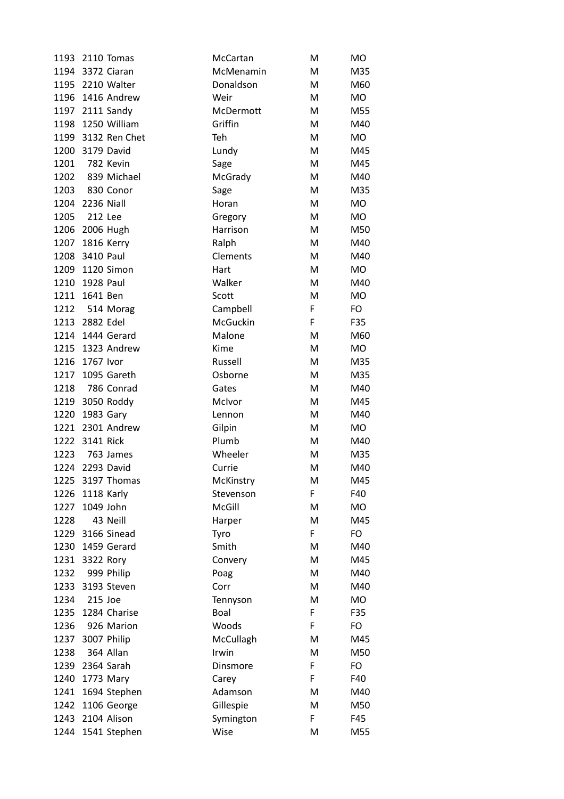| 1193 |                   | 2110 Tomas       | McCartan  | M  | <b>MO</b> |
|------|-------------------|------------------|-----------|----|-----------|
| 1194 |                   | 3372 Ciaran      | McMenamin | M  | M35       |
| 1195 |                   | 2210 Walter      | Donaldson | M  | M60       |
|      |                   | 1196 1416 Andrew | Weir      | M  | <b>MO</b> |
|      |                   | 1197 2111 Sandy  | McDermott | M  | M55       |
| 1198 |                   | 1250 William     | Griffin   | M  | M40       |
| 1199 |                   | 3132 Ren Chet    | Teh       | M  | MO        |
| 1200 |                   | 3179 David       | Lundy     | M  | M45       |
| 1201 |                   | 782 Kevin        | Sage      | M  | M45       |
| 1202 |                   | 839 Michael      | McGrady   | M  | M40       |
| 1203 |                   | 830 Conor        | Sage      | M  | M35       |
| 1204 | <b>2236 Niall</b> |                  | Horan     | M  | MO        |
| 1205 | 212 Lee           |                  | Gregory   | M  | <b>MO</b> |
|      | 1206 2006 Hugh    |                  | Harrison  | M  | M50       |
| 1207 |                   | 1816 Kerry       | Ralph     | M  | M40       |
| 1208 | 3410 Paul         |                  | Clements  | M  | M40       |
| 1209 |                   | 1120 Simon       | Hart      | M  | MO        |
| 1210 | 1928 Paul         |                  | Walker    | M  | M40       |
| 1211 | 1641 Ben          |                  | Scott     | M  | <b>MO</b> |
| 1212 |                   | 514 Morag        | Campbell  | F  | FO        |
| 1213 | 2882 Edel         |                  | McGuckin  | F  | F35       |
|      |                   | 1214 1444 Gerard | Malone    | M  | M60       |
| 1215 |                   | 1323 Andrew      | Kime      | M  | MO        |
| 1216 | 1767 Ivor         |                  | Russell   | M  | M35       |
| 1217 |                   | 1095 Gareth      | Osborne   | M  | M35       |
| 1218 |                   | 786 Conrad       | Gates     | M  | M40       |
| 1219 |                   | 3050 Roddy       | McIvor    | M  | M45       |
| 1220 | 1983 Gary         |                  | Lennon    | M  | M40       |
| 1221 |                   | 2301 Andrew      | Gilpin    | M  | MO        |
|      | 1222 3141 Rick    |                  | Plumb     | M  | M40       |
| 1223 |                   | 763 James        | Wheeler   | M  | M35       |
|      |                   | 1224 2293 David  | Currie    | M  | M40       |
| 1225 |                   | 3197 Thomas      | McKinstry | M  | M45       |
| 1226 |                   | 1118 Karly       | Stevenson | F  | F40       |
| 1227 | 1049 John         |                  | McGill    | M  | MO        |
| 1228 |                   | 43 Neill         | Harper    | M  | M45       |
| 1229 |                   | 3166 Sinead      | Tyro      | F. | FO        |
| 1230 |                   | 1459 Gerard      | Smith     | M  | M40       |
| 1231 | 3322 Rory         |                  | Convery   | M  | M45       |
| 1232 |                   | 999 Philip       | Poag      | M  | M40       |
| 1233 |                   | 3193 Steven      | Corr      | M  | M40       |
| 1234 | 215 Joe           |                  | Tennyson  | M  | MO        |
| 1235 |                   | 1284 Charise     | Boal      | F  | F35       |
| 1236 |                   | 926 Marion       | Woods     | F  | FO        |
| 1237 |                   | 3007 Philip      | McCullagh | M  | M45       |
| 1238 |                   | 364 Allan        | Irwin     | M  | M50       |
| 1239 |                   | 2364 Sarah       | Dinsmore  | F  | FO        |
| 1240 |                   | 1773 Mary        | Carey     | F  | F40       |
| 1241 |                   | 1694 Stephen     | Adamson   | M  | M40       |
| 1242 |                   | 1106 George      | Gillespie | M  | M50       |
| 1243 |                   | 2104 Alison      | Symington | F  | F45       |
| 1244 |                   | 1541 Stephen     | Wise      | M  | M55       |
|      |                   |                  |           |    |           |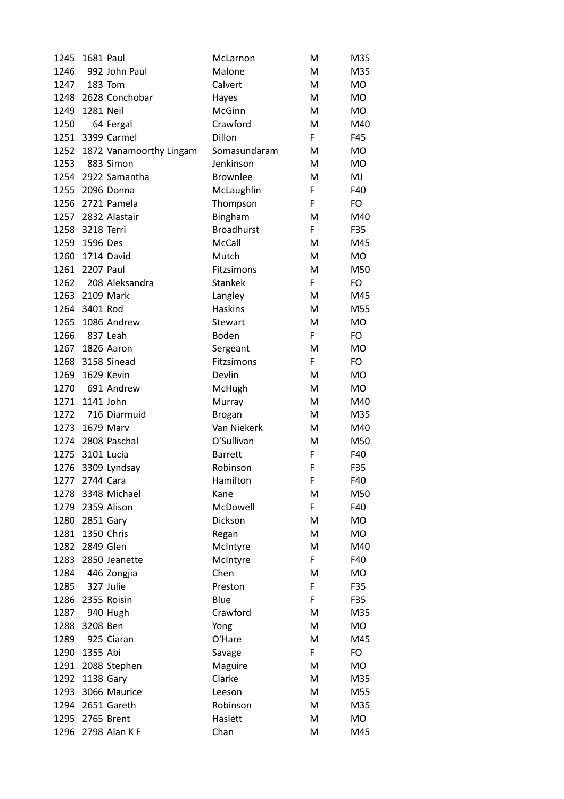| 1245 | 1681 Paul     |                         | McLarnon          | M | M35       |
|------|---------------|-------------------------|-------------------|---|-----------|
| 1246 |               | 992 John Paul           | Malone            | M | M35       |
| 1247 |               | 183 Tom                 | Calvert           | M | MO        |
| 1248 |               | 2628 Conchobar          | Hayes             | M | <b>MO</b> |
| 1249 | 1281 Neil     |                         | McGinn            | M | MO        |
| 1250 |               | 64 Fergal               | Crawford          | M | M40       |
|      |               | 1251 3399 Carmel        | Dillon            | F | F45       |
| 1252 |               | 1872 Vanamoorthy Lingam | Somasundaram      | М | MO        |
| 1253 |               | 883 Simon               | Jenkinson         | М | MO        |
|      |               | 1254 2922 Samantha      | <b>Brownlee</b>   | M | MJ        |
|      |               | 1255 2096 Donna         | McLaughlin        | F | F40       |
| 1256 |               | 2721 Pamela             | Thompson          | F | FO        |
|      |               | 1257 2832 Alastair      | Bingham           | M | M40       |
| 1258 | 3218 Terri    |                         | <b>Broadhurst</b> | F | F35       |
| 1259 | 1596 Des      |                         | McCall            | М | M45       |
| 1260 |               | 1714 David              | Mutch             | M | <b>MO</b> |
| 1261 | 2207 Paul     |                         | Fitzsimons        | M | M50       |
| 1262 |               | 208 Aleksandra          | <b>Stankek</b>    | F | FO        |
| 1263 | 2109 Mark     |                         | Langley           | M | M45       |
|      | 1264 3401 Rod |                         | <b>Haskins</b>    | M | M55       |
| 1265 |               | 1086 Andrew             | <b>Stewart</b>    | M | MO        |
| 1266 |               | 837 Leah                | Boden             | F | FO        |
|      |               | 1267 1826 Aaron         | Sergeant          | M | <b>MO</b> |
| 1268 |               | 3158 Sinead             | Fitzsimons        | F | FO        |
| 1269 |               | 1629 Kevin              | Devlin            | M | <b>MO</b> |
| 1270 |               | 691 Andrew              | McHugh            | M | <b>MO</b> |
| 1271 | 1141 John     |                         | Murray            | М | M40       |
| 1272 |               | 716 Diarmuid            | <b>Brogan</b>     | M | M35       |
| 1273 | 1679 Marv     |                         | Van Niekerk       | M | M40       |
|      |               | 1274 2808 Paschal       | O'Sullivan        | M | M50       |
| 1275 | 3101 Lucia    |                         | <b>Barrett</b>    | F | F40       |
|      |               | 1276 3309 Lyndsay       | Robinson          | F | F35       |
| 1277 | 2744 Cara     |                         | Hamilton          | F | F40       |
| 1278 |               | 3348 Michael            | Kane              | M | M50       |
| 1279 |               | 2359 Alison             | McDowell          | F | F40       |
| 1280 | 2851 Gary     |                         | Dickson           | M | MO        |
| 1281 |               | 1350 Chris              | Regan             | M | MO        |
| 1282 | 2849 Glen     |                         | McIntyre          | M | M40       |
| 1283 |               | 2850 Jeanette           | McIntyre          | F | F40       |
| 1284 |               | 446 Zongjia             | Chen              | M | MO        |
| 1285 |               | 327 Julie               | Preston           | F | F35       |
| 1286 |               | 2355 Roisin             | Blue              | F | F35       |
| 1287 |               | 940 Hugh                | Crawford          | M | M35       |
| 1288 | 3208 Ben      |                         | Yong              | M | <b>MO</b> |
| 1289 |               | 925 Ciaran              | O'Hare            | M | M45       |
| 1290 | 1355 Abi      |                         | Savage            | F | FO        |
| 1291 |               | 2088 Stephen            | Maguire           | M | <b>MO</b> |
| 1292 | 1138 Gary     |                         | Clarke            | M | M35       |
| 1293 |               | 3066 Maurice            | Leeson            | M | M55       |
| 1294 |               | 2651 Gareth             | Robinson          | M | M35       |
| 1295 |               | 2765 Brent              | Haslett           | M | MO        |
| 1296 |               | 2798 Alan K F           | Chan              | M | M45       |
|      |               |                         |                   |   |           |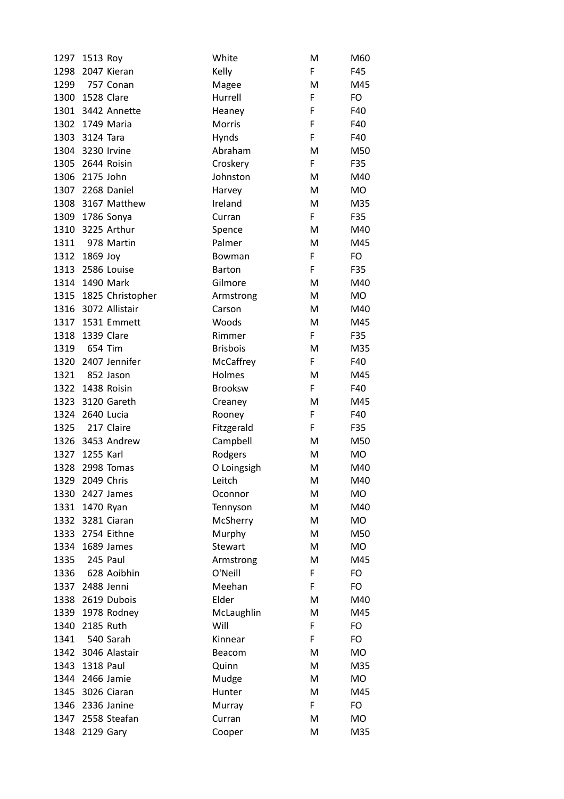| 1297 | 1513 Roy         |                   | White           | M | M60       |
|------|------------------|-------------------|-----------------|---|-----------|
| 1298 |                  | 2047 Kieran       | Kelly           | F | F45       |
| 1299 |                  | 757 Conan         | Magee           | M | M45       |
| 1300 | 1528 Clare       |                   | Hurrell         | F | FO        |
| 1301 |                  | 3442 Annette      | Heaney          | F | F40       |
| 1302 |                  | 1749 Maria        | Morris          | F | F40       |
| 1303 | 3124 Tara        |                   | Hynds           | F | F40       |
| 1304 |                  | 3230 Irvine       | Abraham         | M | M50       |
| 1305 |                  | 2644 Roisin       | Croskery        | F | F35       |
| 1306 | 2175 John        |                   | Johnston        | M | M40       |
|      |                  | 1307 2268 Daniel  | Harvey          | M | <b>MO</b> |
| 1308 |                  | 3167 Matthew      | Ireland         | M | M35       |
| 1309 |                  | 1786 Sonya        | Curran          | F | F35       |
| 1310 |                  | 3225 Arthur       | Spence          | M | M40       |
| 1311 |                  | 978 Martin        | Palmer          | M | M45       |
|      | 1312 1869 Joy    |                   | Bowman          | F | FO        |
| 1313 |                  | 2586 Louise       | <b>Barton</b>   | F | F35       |
| 1314 | 1490 Mark        |                   | Gilmore         | M | M40       |
| 1315 |                  | 1825 Christopher  | Armstrong       | M | <b>MO</b> |
| 1316 |                  | 3072 Allistair    | Carson          | M | M40       |
| 1317 |                  | 1531 Emmett       | Woods           | M | M45       |
| 1318 |                  | 1339 Clare        | Rimmer          | F | F35       |
| 1319 | 654 Tim          |                   | <b>Brisbois</b> | M | M35       |
| 1320 |                  | 2407 Jennifer     | McCaffrey       | F | F40       |
| 1321 |                  | 852 Jason         | Holmes          | M | M45       |
| 1322 |                  | 1438 Roisin       | Brooksw         | F | F40       |
| 1323 |                  | 3120 Gareth       | Creaney         | M | M45       |
| 1324 |                  | 2640 Lucia        | Rooney          | F | F40       |
| 1325 |                  | 217 Claire        | Fitzgerald      | F | F35       |
| 1326 |                  | 3453 Andrew       | Campbell        | M | M50       |
| 1327 | 1255 Karl        |                   | Rodgers         | Μ | MO        |
| 1328 |                  | 2998 Tomas        | O Loingsigh     | M | M40       |
| 1329 | 2049 Chris       |                   | Leitch          | M | M40       |
| 1330 |                  | 2427 James        | Oconnor         | Μ | <b>MO</b> |
| 1331 |                  | 1470 Ryan         | Tennyson        | M | M40       |
| 1332 |                  | 3281 Ciaran       | McSherry        | М | MO        |
| 1333 |                  | 2754 Eithne       | Murphy          | м | M50       |
| 1334 |                  | 1689 James        | Stewart         | M | MO        |
| 1335 | 245 Paul         |                   | Armstrong       | М | M45       |
| 1336 |                  | 628 Aoibhin       | O'Neill         | F | FO        |
| 1337 |                  | 2488 Jenni        | Meehan          | F | FO        |
| 1338 |                  | 2619 Dubois       | Elder           | M | M40       |
| 1339 |                  | 1978 Rodney       | McLaughlin      | M | M45       |
| 1340 | 2185 Ruth        |                   | Will            | F | FO        |
| 1341 |                  | 540 Sarah         | Kinnear         | F | FO        |
| 1342 |                  | 3046 Alastair     | Beacom          | M | <b>MO</b> |
| 1343 | <b>1318 Paul</b> |                   | Quinn           | M | M35       |
| 1344 |                  | 2466 Jamie        | Mudge           | M | MO        |
|      |                  | 1345 3026 Ciaran  | Hunter          | M | M45       |
| 1346 |                  | 2336 Janine       | Murray          | F | FO        |
|      |                  | 1347 2558 Steafan | Curran          | M | MO        |
| 1348 | 2129 Gary        |                   | Cooper          | M | M35       |
|      |                  |                   |                 |   |           |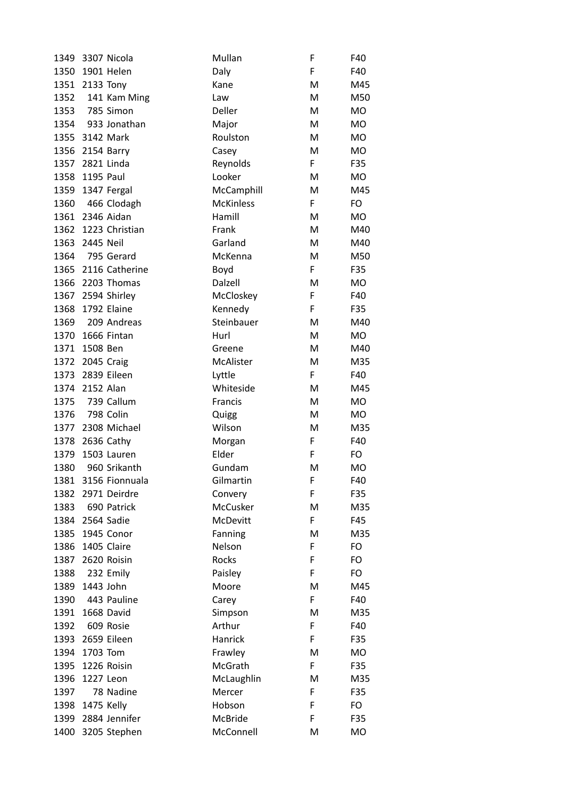| 1349 |                | 3307 Nicola         | Mullan           | F  | F40       |
|------|----------------|---------------------|------------------|----|-----------|
|      |                | 1350 1901 Helen     | Daly             | F  | F40       |
|      | 1351 2133 Tony |                     | Kane             | M  | M45       |
| 1352 |                | 141 Kam Ming        | Law              | M  | M50       |
| 1353 |                | 785 Simon           | Deller           | M  | MO        |
| 1354 |                | 933 Jonathan        | Major            | M  | <b>MO</b> |
|      |                | 1355 3142 Mark      | Roulston         | M  | <b>MO</b> |
|      |                | 1356 2154 Barry     | Casey            | M  | MO        |
| 1357 |                | 2821 Linda          | Reynolds         | F. | F35       |
| 1358 | 1195 Paul      |                     | Looker           | M  | <b>MO</b> |
|      |                | 1359 1347 Fergal    | McCamphill       | M  | M45       |
| 1360 |                | 466 Clodagh         | <b>McKinless</b> | F  | FO        |
|      |                | 1361 2346 Aidan     | Hamill           | M  | <b>MO</b> |
|      |                | 1362 1223 Christian | Frank            | M  | M40       |
| 1363 | 2445 Neil      |                     | Garland          | M  | M40       |
| 1364 |                | 795 Gerard          | McKenna          | M  | M50       |
|      |                | 1365 2116 Catherine | Boyd             | F  | F35       |
| 1366 |                | 2203 Thomas         | Dalzell          | M  | MO        |
|      |                | 1367 2594 Shirley   | McCloskey        | F  | F40       |
| 1368 |                | 1792 Elaine         | Kennedy          | F  | F35       |
| 1369 |                | 209 Andreas         | Steinbauer       | M  | M40       |
| 1370 |                | 1666 Fintan         | Hurl             | M  | <b>MO</b> |
|      | 1371 1508 Ben  |                     | Greene           | M  | M40       |
| 1372 | 2045 Craig     |                     | McAlister        | M  | M35       |
| 1373 |                | 2839 Eileen         | Lyttle           | F  | F40       |
| 1374 | 2152 Alan      |                     | Whiteside        | M  | M45       |
| 1375 |                | 739 Callum          | Francis          | M  | MO        |
| 1376 |                | 798 Colin           | Quigg            | M  | MO        |
|      |                | 1377 2308 Michael   | Wilson           | M  | M35       |
|      |                | 1378 2636 Cathy     | Morgan           | F  | F40       |
| 1379 |                | 1503 Lauren         | Elder            | F  | FO        |
| 1380 |                | 960 Srikanth        | Gundam           | M  | <b>MO</b> |
| 1381 |                | 3156 Fionnuala      | Gilmartin        | F  | F40       |
| 1382 |                | 2971 Deirdre        | Convery          | F  | F35       |
| 1383 |                | 690 Patrick         | McCusker         | M  | M35       |
| 1384 |                | 2564 Sadie          | McDevitt         | F  | F45       |
| 1385 |                | 1945 Conor          | Fanning          | M  | M35       |
| 1386 |                | 1405 Claire         | Nelson           | F  | FO        |
| 1387 |                | 2620 Roisin         | Rocks            | F  | FO        |
| 1388 |                | 232 Emily           | Paisley          | F  | FO        |
| 1389 | 1443 John      |                     | Moore            | M  | M45       |
| 1390 |                | 443 Pauline         | Carey            | F  | F40       |
| 1391 |                | 1668 David          | Simpson          | M  | M35       |
| 1392 |                | 609 Rosie           | Arthur           | F  | F40       |
| 1393 |                | 2659 Eileen         | Hanrick          | F  | F35       |
| 1394 | 1703 Tom       |                     | Frawley          | M  | MO        |
| 1395 |                | 1226 Roisin         | McGrath          | F  | F35       |
| 1396 |                | 1227 Leon           | McLaughlin       | M  | M35       |
| 1397 |                | 78 Nadine           | Mercer           | F  | F35       |
| 1398 |                | 1475 Kelly          | Hobson           | F  | FO        |
| 1399 |                | 2884 Jennifer       | McBride          | F  | F35       |
|      |                |                     |                  |    |           |
| 1400 |                | 3205 Stephen        | McConnell        | M  | MO        |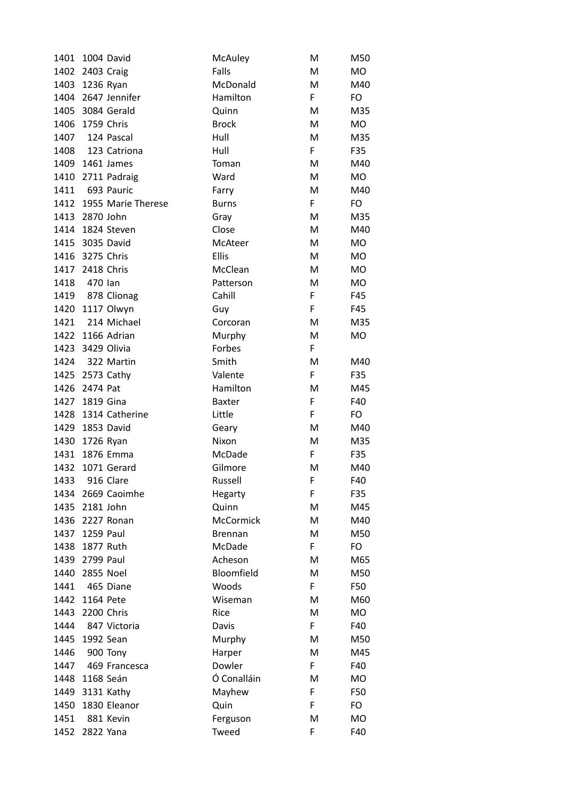| 1401 |                  | 1004 David              | McAuley          | M | M50       |
|------|------------------|-------------------------|------------------|---|-----------|
|      | 1402 2403 Craig  |                         | Falls            | M | <b>MO</b> |
| 1403 | 1236 Ryan        |                         | McDonald         | M | M40       |
|      |                  | 1404 2647 Jennifer      | Hamilton         | F | FO        |
|      |                  | 1405 3084 Gerald        | Quinn            | M | M35       |
| 1406 |                  | 1759 Chris              | <b>Brock</b>     | M | <b>MO</b> |
| 1407 |                  | 124 Pascal              | Hull             | M | M35       |
| 1408 |                  | 123 Catriona            | Hull             | F | F35       |
|      |                  | 1409 1461 James         | Toman            | M | M40       |
|      |                  | 1410 2711 Padraig       | Ward             | M | <b>MO</b> |
| 1411 |                  | 693 Pauric              | Farry            | M | M40       |
|      |                  | 1412 1955 Marie Therese | <b>Burns</b>     | F | FO        |
|      | 1413 2870 John   |                         | Gray             | M | M35       |
|      |                  | 1414 1824 Steven        | Close            | M | M40       |
|      |                  | 1415 3035 David         | McAteer          | M | <b>MO</b> |
|      | 1416 3275 Chris  |                         | <b>Ellis</b>     | M | <b>MO</b> |
|      | 1417 2418 Chris  |                         | McClean          | M | <b>MO</b> |
| 1418 | 470 lan          |                         | Patterson        | M | <b>MO</b> |
| 1419 |                  | 878 Clionag             | Cahill           | F | F45       |
| 1420 |                  | 1117 Olwyn              | Guy              | F | F45       |
| 1421 |                  | 214 Michael             | Corcoran         | M | M35       |
|      |                  | 1422 1166 Adrian        | Murphy           | M | <b>MO</b> |
|      |                  | 1423 3429 Olivia        | Forbes           | F |           |
| 1424 |                  | 322 Martin              | Smith            | M | M40       |
|      |                  | 1425 2573 Cathy         | Valente          | F | F35       |
| 1426 | 2474 Pat         |                         | Hamilton         | M | M45       |
| 1427 | 1819 Gina        |                         | <b>Baxter</b>    | F | F40       |
| 1428 |                  | 1314 Catherine          | Little           | F | FO        |
| 1429 |                  | 1853 David              | Geary            | M | M40       |
|      | 1430 1726 Ryan   |                         | Nixon            | M | M35       |
| 1431 |                  | 1876 Emma               | McDade           | F | F35       |
| 1432 |                  | 1071 Gerard             | Gilmore          | M | M40       |
| 1433 |                  | 916 Clare               | Russell          | F | F40       |
| 1434 |                  | 2669 Caoimhe            | Hegarty          | F | F35       |
| 1435 | 2181 John        |                         | Quinn            | M | M45       |
| 1436 |                  | 2227 Ronan              | McCormick        | M | M40       |
| 1437 | <b>1259 Paul</b> |                         | <b>Brennan</b>   | M | M50       |
| 1438 | 1877 Ruth        |                         | McDade           | F | FO        |
| 1439 | 2799 Paul        |                         | Acheson          | M | M65       |
| 1440 | 2855 Noel        |                         | Bloomfield       | M | M50       |
| 1441 |                  | 465 Diane               | Woods            | F | F50       |
| 1442 | 1164 Pete        |                         | Wiseman          | M | M60       |
| 1443 |                  | 2200 Chris              | Rice             | M | MO        |
| 1444 |                  | 847 Victoria            | Davis            | F | F40       |
| 1445 |                  | 1992 Sean               | Murphy           | M | M50       |
| 1446 |                  | 900 Tony                |                  | M | M45       |
| 1447 |                  | 469 Francesca           | Harper<br>Dowler | F | F40       |
| 1448 |                  | 1168 Seán               | Ó Conalláin      | M | MO        |
| 1449 |                  | 3131 Kathy              | Mayhew           | F | F50       |
| 1450 |                  | 1830 Eleanor            | Quin             | F | FO        |
| 1451 |                  | 881 Kevin               | Ferguson         | M | MO        |
| 1452 | 2822 Yana        |                         | Tweed            | F | F40       |
|      |                  |                         |                  |   |           |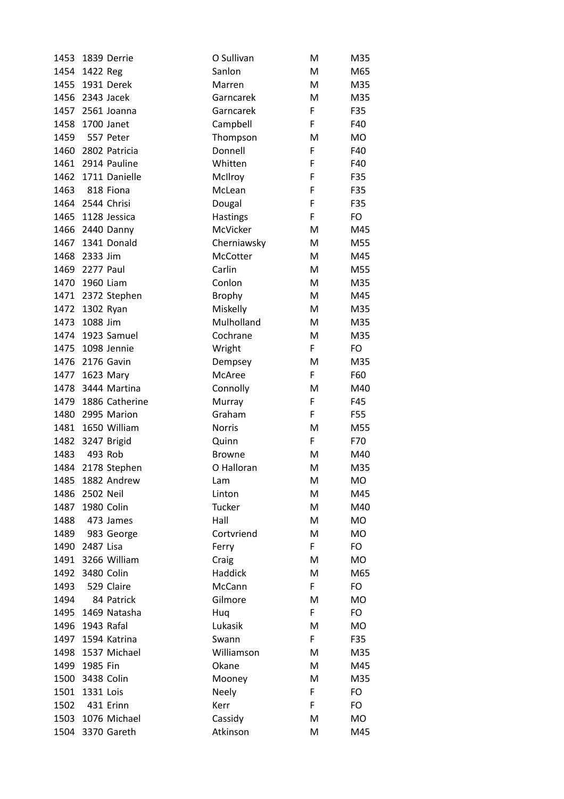| 1453 |                 | 1839 Derrie        | O Sullivan      | M | M35       |
|------|-----------------|--------------------|-----------------|---|-----------|
|      | 1454 1422 Reg   |                    | Sanlon          | M | M65       |
| 1455 |                 | 1931 Derek         | Marren          | M | M35       |
|      |                 | 1456 2343 Jacek    | Garncarek       | M | M35       |
|      |                 | 1457 2561 Joanna   | Garncarek       | F | F35       |
| 1458 |                 | 1700 Janet         | Campbell        | F | F40       |
| 1459 |                 | 557 Peter          | Thompson        | M | <b>MO</b> |
| 1460 |                 | 2802 Patricia      | Donnell         | F | F40       |
|      |                 | 1461 2914 Pauline  | Whitten         | F | F40       |
|      |                 | 1462 1711 Danielle | McIlroy         | F | F35       |
| 1463 |                 | 818 Fiona          | McLean          | F | F35       |
|      |                 | 1464 2544 Chrisi   | Dougal          | F | F35       |
| 1465 |                 | 1128 Jessica       | <b>Hastings</b> | F | FO        |
|      |                 | 1466 2440 Danny    | McVicker        | M | M45       |
| 1467 |                 | 1341 Donald        | Cherniawsky     | M | M55       |
| 1468 | 2333 Jim        |                    | McCotter        | M | M45       |
| 1469 | 2277 Paul       |                    | Carlin          | M | M55       |
| 1470 | 1960 Liam       |                    | Conlon          | M | M35       |
| 1471 |                 | 2372 Stephen       | <b>Brophy</b>   | M | M45       |
| 1472 | 1302 Ryan       |                    | Miskelly        | M | M35       |
| 1473 | 1088 Jim        |                    | Mulholland      | M | M35       |
| 1474 |                 | 1923 Samuel        | Cochrane        | M | M35       |
| 1475 |                 | 1098 Jennie        | Wright          | F | FO        |
| 1476 |                 | 2176 Gavin         | Dempsey         | M | M35       |
| 1477 |                 | 1623 Mary          | McAree          | F | F60       |
| 1478 |                 | 3444 Martina       | Connolly        | M | M40       |
| 1479 |                 | 1886 Catherine     | Murray          | F | F45       |
| 1480 |                 | 2995 Marion        | Graham          | F | F55       |
|      |                 | 1481 1650 William  | <b>Norris</b>   | M | M55       |
|      |                 | 1482 3247 Brigid   | Quinn           | F | F70       |
| 1483 |                 | 493 Rob            | <b>Browne</b>   | M | M40       |
|      |                 | 1484 2178 Stephen  | O Halloran      | M | M35       |
|      |                 | 1485 1882 Andrew   | Lam             | M | MO        |
| 1486 | 2502 Neil       |                    | Linton          | M | M45       |
| 1487 |                 | 1980 Colin         | Tucker          | M | M40       |
| 1488 |                 | 473 James          | Hall            | М | MO        |
| 1489 |                 | 983 George         | Cortvriend      | M | MO        |
|      | 1490 2487 Lisa  |                    | Ferry           | F | FO        |
|      |                 | 1491 3266 William  | Craig           | M | MO        |
| 1492 |                 | 3480 Colin         | Haddick         | M | M65       |
| 1493 |                 | 529 Claire         | McCann          | F | FO        |
| 1494 |                 | 84 Patrick         | Gilmore         | M | MO        |
| 1495 |                 | 1469 Natasha       | Huq             | F | FO        |
|      | 1496 1943 Rafal |                    | Lukasik         | M | MO        |
|      |                 | 1497 1594 Katrina  | Swann           | F | F35       |
| 1498 |                 | 1537 Michael       | Williamson      | M | M35       |
| 1499 | 1985 Fin        |                    | Okane           | M | M45       |
| 1500 |                 | 3438 Colin         | Mooney          | м | M35       |
|      |                 |                    | <b>Neely</b>    | F | FO        |
| 1501 | 1331 Lois       |                    |                 |   |           |
| 1502 |                 | 431 Erinn          | Kerr            | F | FO        |
|      |                 | 1503 1076 Michael  | Cassidy         | M | MO        |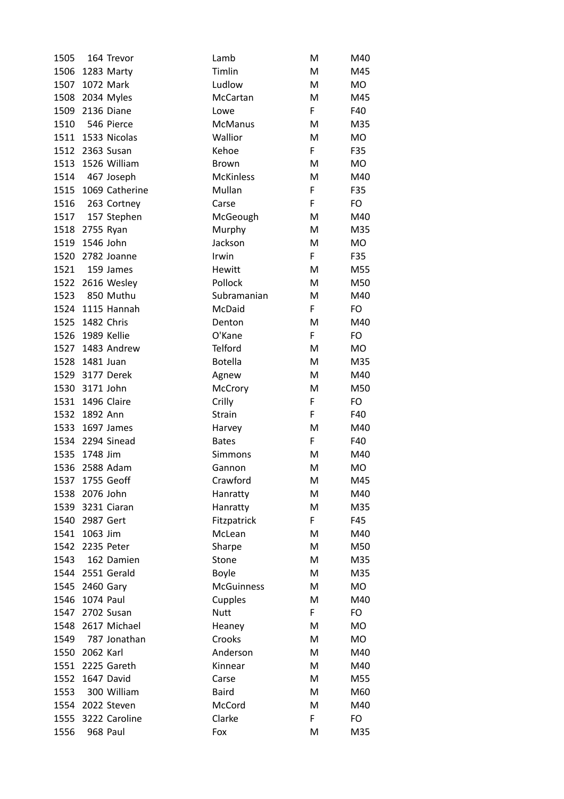| 1505 |             | 164 Trevor      | Lamb             | M | M40       |
|------|-------------|-----------------|------------------|---|-----------|
| 1506 |             | 1283 Marty      | Timlin           | M | M45       |
| 1507 |             | 1072 Mark       | Ludlow           | M | <b>MO</b> |
|      |             | 1508 2034 Myles | McCartan         | M | M45       |
| 1509 |             | 2136 Diane      | Lowe             | F | F40       |
| 1510 |             | 546 Pierce      | <b>McManus</b>   | M | M35       |
| 1511 |             | 1533 Nicolas    | Wallior          | M | <b>MO</b> |
|      |             | 1512 2363 Susan | Kehoe            | F | F35       |
| 1513 |             | 1526 William    | <b>Brown</b>     | M | MO        |
| 1514 |             | 467 Joseph      | <b>McKinless</b> | M | M40       |
| 1515 |             | 1069 Catherine  | Mullan           | F | F35       |
| 1516 |             | 263 Cortney     | Carse            | F | FO        |
| 1517 |             | 157 Stephen     | McGeough         | M | M40       |
| 1518 | 2755 Ryan   |                 | Murphy           | M | M35       |
| 1519 | 1546 John   |                 | Jackson          | M | <b>MO</b> |
| 1520 |             | 2782 Joanne     | Irwin            | F | F35       |
| 1521 |             | 159 James       | Hewitt           | M | M55       |
| 1522 |             | 2616 Wesley     | Pollock          | M | M50       |
| 1523 |             | 850 Muthu       | Subramanian      | M | M40       |
| 1524 |             | 1115 Hannah     | McDaid           | F | FO        |
| 1525 | 1482 Chris  |                 | Denton           | M | M40       |
| 1526 | 1989 Kellie |                 | O'Kane           | F | FO        |
| 1527 |             | 1483 Andrew     | Telford          | M | <b>MO</b> |
| 1528 | 1481 Juan   |                 | <b>Botella</b>   | M | M35       |
| 1529 |             | 3177 Derek      | Agnew            | M | M40       |
| 1530 | 3171 John   |                 | McCrory          | M | M50       |
| 1531 |             | 1496 Claire     | Crilly           | F | FO        |
| 1532 | 1892 Ann    |                 | Strain           | F | F40       |
| 1533 |             | 1697 James      | Harvey           | M | M40       |
| 1534 |             | 2294 Sinead     | <b>Bates</b>     | F | F40       |
| 1535 | 1748 Jim    |                 | Simmons          | M | M40       |
| 1536 |             | 2588 Adam       | Gannon           | M | <b>MO</b> |
|      |             | 1537 1755 Geoff | Crawford         | M | M45       |
| 1538 | 2076 John   |                 | Hanratty         | M | M40       |
| 1539 |             | 3231 Ciaran     | Hanratty         | M | M35       |
| 1540 | 2987 Gert   |                 | Fitzpatrick      | F | F45       |
| 1541 | 1063 Jim    |                 | McLean           | M | M40       |
| 1542 |             | 2235 Peter      | Sharpe           | M | M50       |
| 1543 |             | 162 Damien      | Stone            | M | M35       |
| 1544 |             | 2551 Gerald     | Boyle            | M | M35       |
| 1545 |             | 2460 Gary       | McGuinness       | M | <b>MO</b> |
| 1546 | 1074 Paul   |                 | Cupples          | M | M40       |
| 1547 |             | 2702 Susan      | <b>Nutt</b>      | F | FO        |
| 1548 |             | 2617 Michael    | Heaney           | M | <b>MO</b> |
| 1549 |             | 787 Jonathan    | Crooks           | M | <b>MO</b> |
| 1550 | 2062 Karl   |                 | Anderson         | M | M40       |
| 1551 |             | 2225 Gareth     | Kinnear          | M | M40       |
| 1552 |             | 1647 David      | Carse            | M | M55       |
| 1553 |             | 300 William     | <b>Baird</b>     | M | M60       |
| 1554 |             | 2022 Steven     | McCord           | M | M40       |
| 1555 |             | 3222 Caroline   | Clarke           | F | FO        |
| 1556 |             | 968 Paul        | Fox              | M | M35       |
|      |             |                 |                  |   |           |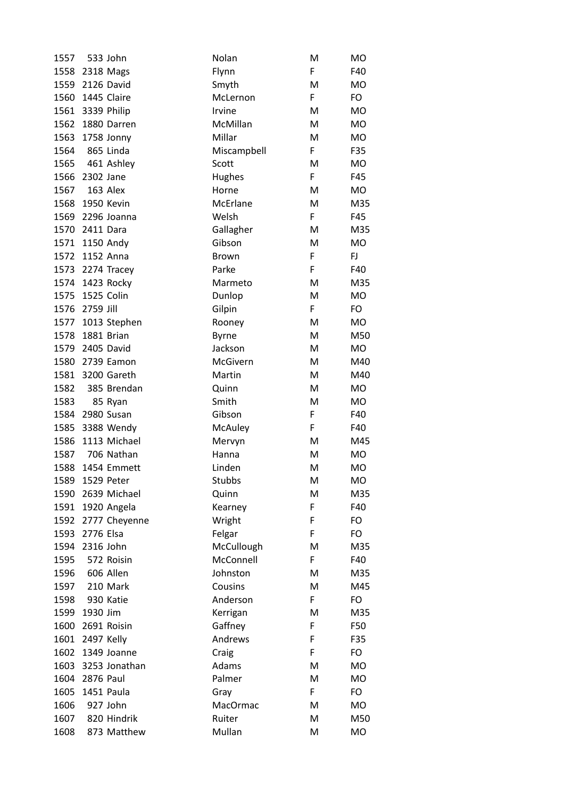| 1557 |            | 533 John         | Nolan        | M  | <b>MO</b> |
|------|------------|------------------|--------------|----|-----------|
| 1558 | 2318 Mags  |                  | Flynn        | F  | F40       |
| 1559 |            | 2126 David       | Smyth        | M  | <b>MO</b> |
| 1560 |            | 1445 Claire      | McLernon     | F  | FO        |
|      |            | 1561 3339 Philip | Irvine       | M  | MO        |
| 1562 |            | 1880 Darren      | McMillan     | M  | <b>MO</b> |
| 1563 |            | 1758 Jonny       | Millar       | M  | MO        |
| 1564 |            | 865 Linda        | Miscampbell  | F. | F35       |
| 1565 |            | 461 Ashley       | Scott        | M  | MO        |
| 1566 | 2302 Jane  |                  | Hughes       | F  | F45       |
| 1567 |            | 163 Alex         | Horne        | M  | MO        |
| 1568 |            | 1950 Kevin       | McErlane     | M  | M35       |
| 1569 |            | 2296 Joanna      | Welsh        | F  | F45       |
| 1570 | 2411 Dara  |                  | Gallagher    | M  | M35       |
| 1571 |            | 1150 Andy        | Gibson       | M  | <b>MO</b> |
| 1572 | 1152 Anna  |                  | <b>Brown</b> | F  | FJ        |
|      |            | 1573 2274 Tracey | Parke        | F  | F40       |
| 1574 |            | 1423 Rocky       | Marmeto      | M  | M35       |
| 1575 |            | 1525 Colin       | Dunlop       | M  | <b>MO</b> |
| 1576 | 2759 Jill  |                  | Gilpin       | F  | FO        |
| 1577 |            | 1013 Stephen     | Rooney       | M  | MO        |
| 1578 |            | 1881 Brian       | <b>Byrne</b> | M  | M50       |
| 1579 |            | 2405 David       | Jackson      | M  | <b>MO</b> |
| 1580 |            | 2739 Eamon       | McGivern     | M  | M40       |
| 1581 |            | 3200 Gareth      | Martin       | M  | M40       |
| 1582 |            | 385 Brendan      | Quinn        | M  | MO        |
| 1583 |            | 85 Ryan          | Smith        | M  | MO        |
|      |            | 1584 2980 Susan  | Gibson       | F  | F40       |
|      |            | 1585 3388 Wendy  | McAuley      | F  | F40       |
| 1586 |            | 1113 Michael     | Mervyn       | M  | M45       |
| 1587 |            | 706 Nathan       | Hanna        | M  | MO        |
| 1588 |            | 1454 Emmett      | Linden       | M  | MO        |
| 1589 |            | 1529 Peter       | Stubbs       | M  | <b>MO</b> |
| 1590 |            | 2639 Michael     | Quinn        | Μ  | M35       |
| 1591 |            | 1920 Angela      | Kearney      | F  | F40       |
| 1592 |            | 2777 Cheyenne    | Wright       | F  | FO        |
| 1593 | 2776 Elsa  |                  | Felgar       | F  | FO        |
| 1594 | 2316 John  |                  | McCullough   | M  | M35       |
| 1595 |            | 572 Roisin       | McConnell    | F  | F40       |
| 1596 |            | 606 Allen        | Johnston     | M  | M35       |
| 1597 |            | 210 Mark         | Cousins      | M  | M45       |
| 1598 |            | 930 Katie        | Anderson     | F. | FO        |
| 1599 | 1930 Jim   |                  | Kerrigan     | M  | M35       |
| 1600 |            | 2691 Roisin      | Gaffney      | F  | F50       |
| 1601 | 2497 Kelly |                  | Andrews      | F  | F35       |
| 1602 |            | 1349 Joanne      | Craig        | F  | FO        |
| 1603 |            | 3253 Jonathan    | Adams        | M  | <b>MO</b> |
| 1604 | 2876 Paul  |                  | Palmer       | M  | <b>MO</b> |
| 1605 |            | 1451 Paula       | Gray         | F  | FO        |
| 1606 |            | 927 John         | MacOrmac     | M  | MO        |
| 1607 |            | 820 Hindrik      | Ruiter       | M  | M50       |
| 1608 |            | 873 Matthew      | Mullan       | M  | MO        |
|      |            |                  |              |    |           |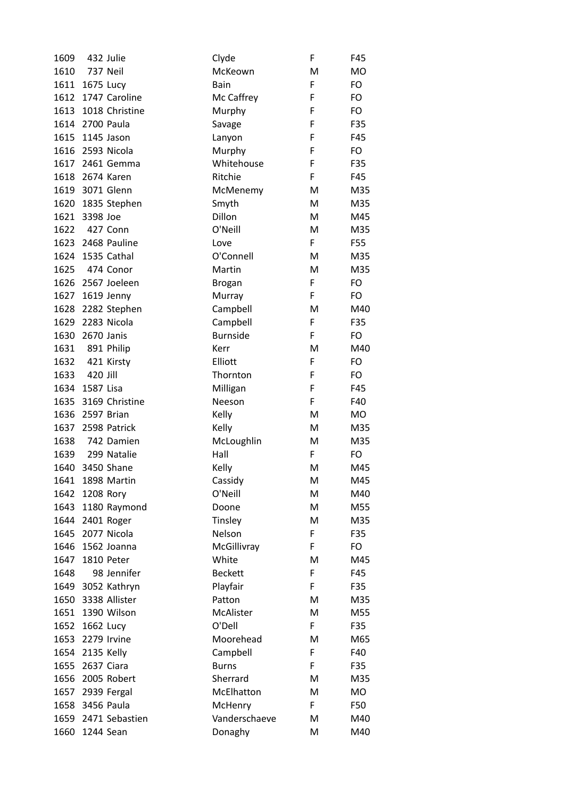| 1609 |            | 432 Julie           | Clyde           | F | F45       |
|------|------------|---------------------|-----------------|---|-----------|
| 1610 | 737 Neil   |                     | McKeown         | M | MO        |
| 1611 | 1675 Lucy  |                     | Bain            | F | FO        |
| 1612 |            | 1747 Caroline       | Mc Caffrey      | F | FO        |
|      |            | 1613 1018 Christine | Murphy          | F | FO        |
| 1614 | 2700 Paula |                     | Savage          | F | F35       |
| 1615 |            | 1145 Jason          | Lanyon          | F | F45       |
|      |            | 1616 2593 Nicola    | Murphy          | F | FO        |
| 1617 |            | 2461 Gemma          | Whitehouse      | F | F35       |
|      |            | 1618 2674 Karen     | Ritchie         | F | F45       |
|      |            | 1619 3071 Glenn     | McMenemy        | м | M35       |
|      |            | 1620 1835 Stephen   | Smyth           | M | M35       |
| 1621 | 3398 Joe   |                     | Dillon          | M | M45       |
| 1622 |            | 427 Conn            | O'Neill         | M | M35       |
| 1623 |            | 2468 Pauline        | Love            | F | F55       |
| 1624 |            | 1535 Cathal         | O'Connell       | M | M35       |
| 1625 |            | 474 Conor           | Martin          | M | M35       |
| 1626 |            | 2567 Joeleen        | <b>Brogan</b>   | F | FO        |
|      |            | 1627 1619 Jenny     | Murray          | F | FO        |
|      |            | 1628 2282 Stephen   | Campbell        | M | M40       |
| 1629 |            | 2283 Nicola         | Campbell        | F | F35       |
| 1630 | 2670 Janis |                     | <b>Burnside</b> | F | FO        |
| 1631 |            | 891 Philip          | Kerr            | м | M40       |
| 1632 |            | 421 Kirsty          | Elliott         | F | FO        |
| 1633 | 420 Jill   |                     | Thornton        | F | FO        |
| 1634 | 1587 Lisa  |                     | Milligan        | F | F45       |
| 1635 |            | 3169 Christine      | Neeson          | F | F40       |
| 1636 |            | 2597 Brian          | Kelly           | M | MO        |
| 1637 |            | 2598 Patrick        | Kelly           | M | M35       |
| 1638 |            | 742 Damien          | McLoughlin      | М | M35       |
| 1639 |            | 299 Natalie         | Hall            | F | FO        |
| 1640 |            | 3450 Shane          | Kelly           | M | M45       |
| 1641 |            | 1898 Martin         | Cassidy         | M | M45       |
| 1642 | 1208 Rory  |                     | O'Neill         | м | M40       |
| 1643 |            | 1180 Raymond        | Doone           | M | M55       |
| 1644 |            | 2401 Roger          | Tinsley         | м | M35       |
| 1645 |            | 2077 Nicola         | Nelson          | F | F35       |
| 1646 |            | 1562 Joanna         | McGillivray     | F | FO        |
| 1647 |            | 1810 Peter          | White           | M | M45       |
| 1648 |            | 98 Jennifer         | <b>Beckett</b>  | F | F45       |
| 1649 |            | 3052 Kathryn        | Playfair        | F | F35       |
| 1650 |            | 3338 Allister       | Patton          | M | M35       |
| 1651 |            | 1390 Wilson         | McAlister       | M | M55       |
| 1652 | 1662 Lucy  |                     | O'Dell          | F | F35       |
| 1653 |            | 2279 Irvine         | Moorehead       | M | M65       |
| 1654 | 2135 Kelly |                     | Campbell        | F | F40       |
| 1655 |            | 2637 Ciara          | <b>Burns</b>    | F | F35       |
| 1656 |            | 2005 Robert         | Sherrard        | M | M35       |
| 1657 |            | 2939 Fergal         | McElhatton      | M | <b>MO</b> |
| 1658 |            | 3456 Paula          | McHenry         | F | F50       |
| 1659 |            | 2471 Sebastien      | Vanderschaeve   | M | M40       |
| 1660 |            | 1244 Sean           | Donaghy         | M | M40       |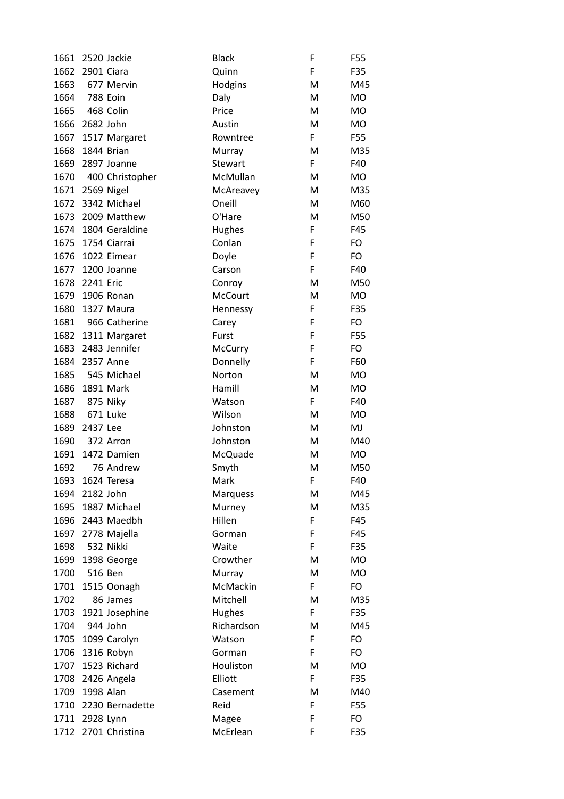| 1661 |                 | 2520 Jackie        | <b>Black</b>   | F  | F55       |
|------|-----------------|--------------------|----------------|----|-----------|
| 1662 | 2901 Ciara      |                    | Quinn          | F  | F35       |
| 1663 |                 | 677 Mervin         | Hodgins        | M  | M45       |
| 1664 |                 | 788 Eoin           | Daly           | M  | <b>MO</b> |
| 1665 |                 | 468 Colin          | Price          | м  | <b>MO</b> |
| 1666 | 2682 John       |                    | Austin         | M  | <b>MO</b> |
| 1667 |                 | 1517 Margaret      | Rowntree       | F  | F55       |
| 1668 |                 | 1844 Brian         | Murray         | M  | M35       |
| 1669 |                 | 2897 Joanne        | <b>Stewart</b> | F  | F40       |
| 1670 |                 | 400 Christopher    | McMullan       | M  | MO        |
|      | 1671 2569 Nigel |                    | McAreavey      | М  | M35       |
| 1672 |                 | 3342 Michael       | Oneill         | M  | M60       |
| 1673 |                 | 2009 Matthew       | O'Hare         | M  | M50       |
| 1674 |                 | 1804 Geraldine     | Hughes         | F  | F45       |
| 1675 |                 | 1754 Ciarrai       | Conlan         | F  | FO        |
| 1676 |                 | 1022 Eimear        | Doyle          | F  | FO        |
| 1677 |                 | 1200 Joanne        | Carson         | F  | F40       |
| 1678 | 2241 Eric       |                    | Conroy         | M  | M50       |
| 1679 |                 | 1906 Ronan         | McCourt        | M  | <b>MO</b> |
| 1680 |                 | 1327 Maura         | Hennessy       | F  | F35       |
| 1681 |                 | 966 Catherine      | Carey          | F  | FO        |
|      |                 | 1682 1311 Margaret | Furst          | F  | F55       |
| 1683 |                 | 2483 Jennifer      | McCurry        | F  | FO        |
| 1684 | 2357 Anne       |                    | Donnelly       | F  | F60       |
| 1685 |                 | 545 Michael        | Norton         | M  | <b>MO</b> |
| 1686 |                 | 1891 Mark          | Hamill         | M  | <b>MO</b> |
| 1687 |                 | 875 Niky           | Watson         | F  | F40       |
| 1688 |                 | 671 Luke           | Wilson         | M  | <b>MO</b> |
| 1689 | 2437 Lee        |                    | Johnston       | M  | MJ        |
| 1690 |                 | 372 Arron          | Johnston       | М  | M40       |
| 1691 |                 | 1472 Damien        | McQuade        | м  | <b>MO</b> |
| 1692 |                 | 76 Andrew          | Smyth          | M  | M50       |
| 1693 |                 | 1624 Teresa        | Mark           | F. | F40       |
| 1694 | 2182 John       |                    | Marquess       | M  | M45       |
| 1695 |                 | 1887 Michael       | Murney         | M  | M35       |
| 1696 |                 | 2443 Maedbh        | Hillen         | F  | F45       |
| 1697 |                 | 2778 Majella       | Gorman         | F  | F45       |
| 1698 |                 | 532 Nikki          | Waite          | F  | F35       |
| 1699 |                 | 1398 George        | Crowther       | M  | <b>MO</b> |
| 1700 |                 | 516 Ben            | Murray         | M  | <b>MO</b> |
| 1701 |                 | 1515 Oonagh        | McMackin       | F  | FO        |
| 1702 |                 | 86 James           | Mitchell       | M  | M35       |
| 1703 |                 | 1921 Josephine     | Hughes         | F  | F35       |
| 1704 |                 | 944 John           | Richardson     | M  | M45       |
| 1705 |                 | 1099 Carolyn       | Watson         | F  | FO        |
| 1706 |                 | 1316 Robyn         | Gorman         | F  | FO        |
| 1707 |                 | 1523 Richard       | Houliston      | M  | <b>MO</b> |
| 1708 |                 | 2426 Angela        | Elliott        | F  | F35       |
| 1709 | 1998 Alan       |                    | Casement       | M  | M40       |
| 1710 |                 | 2230 Bernadette    | Reid           | F  | F55       |
|      | 1711 2928 Lynn  |                    | Magee          | F  | FO        |
| 1712 |                 | 2701 Christina     | McErlean       | F  | F35       |
|      |                 |                    |                |    |           |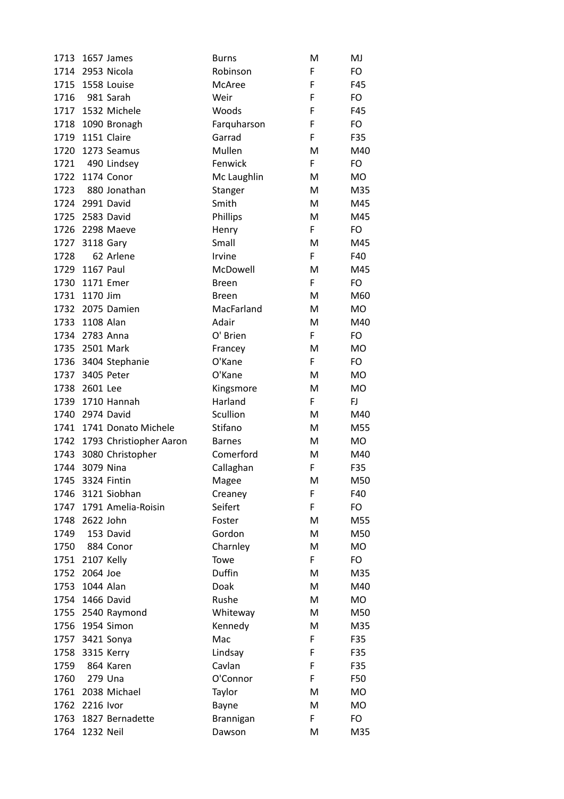| 1713 |                | 1657 James                   | <b>Burns</b>  | M  | MJ        |
|------|----------------|------------------------------|---------------|----|-----------|
| 1714 |                | 2953 Nicola                  | Robinson      | F  | FO        |
| 1715 |                | 1558 Louise                  | McAree        | F  | F45       |
| 1716 |                | 981 Sarah                    | Weir          | F  | FO        |
| 1717 |                | 1532 Michele                 | Woods         | F  | F45       |
| 1718 |                | 1090 Bronagh                 | Farquharson   | F  | FO        |
| 1719 |                | 1151 Claire                  | Garrad        | F  | F35       |
| 1720 |                | 1273 Seamus                  | Mullen        | M  | M40       |
| 1721 |                | 490 Lindsey                  | Fenwick       | F  | FO        |
| 1722 |                | 1174 Conor                   | Mc Laughlin   | M  | <b>MO</b> |
| 1723 |                | 880 Jonathan                 | Stanger       | м  | M35       |
| 1724 |                | 2991 David                   | Smith         | M  | M45       |
| 1725 |                | 2583 David                   | Phillips      | M  | M45       |
|      |                | 1726 2298 Maeve              | Henry         | F. | FO        |
| 1727 | 3118 Gary      |                              | Small         | M  | M45       |
| 1728 |                | 62 Arlene                    | Irvine        | F  | F40       |
| 1729 | 1167 Paul      |                              | McDowell      | M  | M45       |
| 1730 |                | 1171 Emer                    | <b>Breen</b>  | F  | FO        |
| 1731 | 1170 Jim       |                              | <b>Breen</b>  | M  | M60       |
| 1732 |                | 2075 Damien                  | MacFarland    | M  | <b>MO</b> |
| 1733 | 1108 Alan      |                              | Adair         | M  | M40       |
|      | 1734 2783 Anna |                              | O' Brien      | F  | FO        |
|      |                | 1735 2501 Mark               | Francey       | M  | <b>MO</b> |
| 1736 |                | 3404 Stephanie               | O'Kane        | F  | FO        |
| 1737 |                | 3405 Peter                   | O'Kane        | M  | <b>MO</b> |
| 1738 | 2601 Lee       |                              | Kingsmore     | M  | <b>MO</b> |
| 1739 |                | 1710 Hannah                  | Harland       | F  | FJ        |
|      |                | 1740 2974 David              | Scullion      | M  | M40       |
|      |                | 1741 1741 Donato Michele     | Stifano       | M  | M55       |
|      |                | 1742 1793 Christiopher Aaron | <b>Barnes</b> | M  | <b>MO</b> |
| 1743 |                | 3080 Christopher             | Comerford     | M  | M40       |
| 1744 | 3079 Nina      |                              | Callaghan     | F  | F35       |
| 1745 |                | 3324 Fintin                  | Magee         | M  | M50       |
| 1746 |                | 3121 Siobhan                 | Creaney       | F  | F40       |
| 1747 |                | 1791 Amelia-Roisin           | Seifert       | F  | FO        |
| 1748 | 2622 John      |                              | Foster        | M  | M55       |
| 1749 |                | 153 David                    | Gordon        | M  | M50       |
| 1750 |                | 884 Conor                    | Charnley      | M  | <b>MO</b> |
| 1751 | 2107 Kelly     |                              | <b>Towe</b>   | F. | FO        |
| 1752 | 2064 Joe       |                              | Duffin        | M  | M35       |
| 1753 | 1044 Alan      |                              | Doak          | M  | M40       |
| 1754 |                | 1466 David                   | Rushe         | M  | <b>MO</b> |
| 1755 |                | 2540 Raymond                 | Whiteway      | M  | M50       |
| 1756 |                | 1954 Simon                   | Kennedy       | M  | M35       |
| 1757 |                | 3421 Sonya                   | Mac           | F  | F35       |
| 1758 |                | 3315 Kerry                   | Lindsay       | F  | F35       |
| 1759 |                | 864 Karen                    | Cavlan        | F  | F35       |
| 1760 |                | 279 Una                      | O'Connor      | F  | F50       |
| 1761 |                | 2038 Michael                 | Taylor        | M  | <b>MO</b> |
| 1762 | 2216 Ivor      |                              | Bayne         | M  | <b>MO</b> |
| 1763 |                | 1827 Bernadette              | Brannigan     | F  | FO.       |
| 1764 | 1232 Neil      |                              | Dawson        | M  | M35       |
|      |                |                              |               |    |           |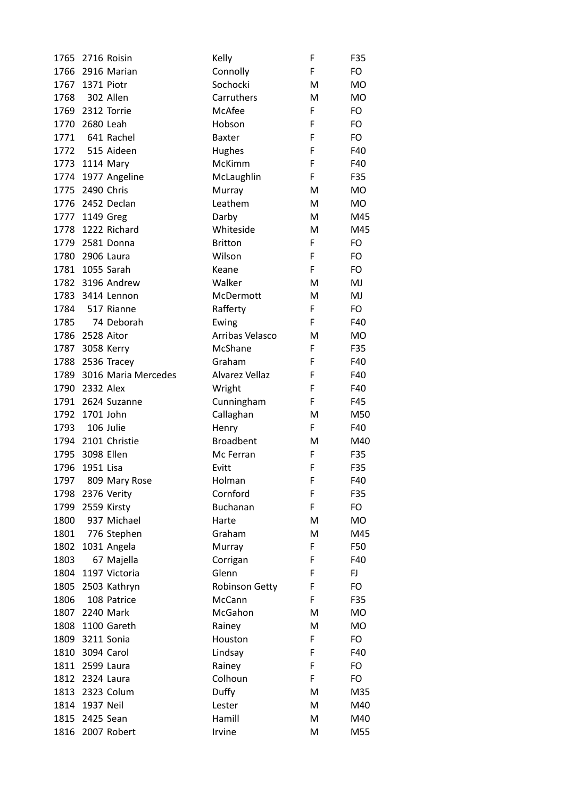| 1765 |                 | 2716 Roisin              | Kelly             | F | F35       |
|------|-----------------|--------------------------|-------------------|---|-----------|
| 1766 |                 | 2916 Marian              | Connolly          | F | FO.       |
| 1767 |                 | 1371 Piotr               | Sochocki          | M | <b>MO</b> |
| 1768 | 302 Allen       |                          | Carruthers        | м | <b>MO</b> |
|      |                 | 1769 2312 Torrie         | McAfee            | F | FO        |
| 1770 |                 | 2680 Leah                | Hobson            | F | FO        |
| 1771 |                 | 641 Rachel               | <b>Baxter</b>     | F | FO.       |
| 1772 |                 | 515 Aideen               | Hughes            | F | F40       |
|      | 1773 1114 Mary  |                          | McKimm            | F | F40       |
|      |                 | 1774 1977 Angeline       | McLaughlin        | F | F35       |
|      | 1775 2490 Chris |                          | Murray            | м | MO        |
|      |                 | 1776 2452 Declan         | Leathem           | M | <b>MO</b> |
|      | 1777 1149 Greg  |                          | Darby             | M | M45       |
| 1778 |                 | 1222 Richard             | Whiteside         | м | M45       |
|      |                 | 1779 2581 Donna          | <b>Britton</b>    | F | FO        |
| 1780 |                 | 2906 Laura               | Wilson            | F | FO        |
|      |                 | 1781 1055 Sarah          | Keane             | F | FO        |
|      |                 | 1782 3196 Andrew         | Walker            | M | MJ        |
| 1783 |                 | 3414 Lennon              | McDermott         | M | MJ        |
| 1784 |                 | 517 Rianne               | Rafferty          | F | FO        |
| 1785 |                 | 74 Deborah               | Ewing             | F | F40       |
|      | 1786 2528 Aitor |                          | Arribas Velasco   | M | <b>MO</b> |
|      |                 | 1787 3058 Kerry          | McShane           | F | F35       |
|      |                 | 1788 2536 Tracey         | Graham            | F | F40       |
| 1789 |                 | 3016 Maria Mercedes      | Alvarez Vellaz    | F | F40       |
|      | 1790 2332 Alex  |                          | Wright            | F | F40       |
|      |                 | 1791 2624 Suzanne        | Cunningham        | F | F45       |
| 1792 |                 | 1701 John                | Callaghan         | M | M50       |
| 1793 | 106 Julie       |                          | Henry             | F | F40       |
|      |                 | 1794 2101 Christie       | <b>Broadbent</b>  | M | M40       |
| 1795 | 3098 Ellen      |                          | Mc Ferran         | F | F35       |
| 1796 | 1951 Lisa       |                          | Evitt             | F | F35       |
| 1797 |                 | 809 Mary Rose            | Holman            | F | F40       |
| 1798 |                 | 2376 Verity              | Cornford          | F | F35       |
| 1799 |                 | 2559 Kirsty              | Buchanan          | F | FO        |
| 1800 |                 | 937 Michael              | Harte             | M | MO        |
| 1801 |                 | 776 Stephen              | Graham            | M | M45       |
| 1802 |                 | 1031 Angela              | Murray            | F | F50       |
| 1803 |                 | 67 Majella               | Corrigan          | F | F40       |
| 1804 |                 | 1197 Victoria            | Glenn             | F | FJ.       |
| 1805 |                 | 2503 Kathryn             | Robinson Getty    | F | FO        |
| 1806 |                 | 108 Patrice              | McCann            | F | F35       |
| 1807 |                 | 2240 Mark                | McGahon           | M | MO        |
| 1808 |                 | 1100 Gareth              | Rainey            | M | <b>MO</b> |
| 1809 |                 | 3211 Sonia               | Houston           | F | FO        |
| 1810 |                 |                          |                   | F | F40       |
| 1811 |                 | 3094 Carol<br>2599 Laura | Lindsay           | F | FO        |
| 1812 |                 | 2324 Laura               | Rainey<br>Colhoun | F | FO        |
| 1813 |                 | 2323 Colum               |                   | M | M35       |
| 1814 | 1937 Neil       |                          | Duffy<br>Lester   | M | M40       |
| 1815 | 2425 Sean       |                          | Hamill            | M | M40       |
|      |                 |                          |                   |   |           |
| 1816 |                 | 2007 Robert              | Irvine            | M | M55       |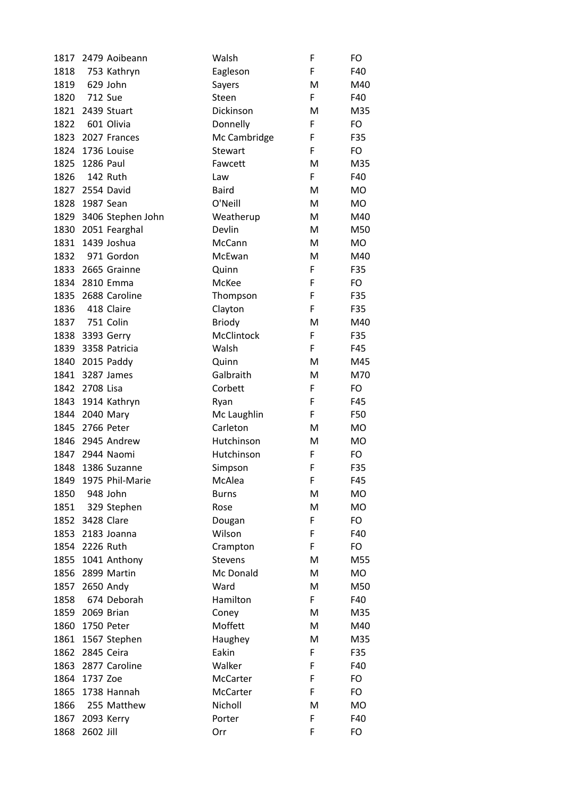| 1817 |                  | 2479 Aoibeann        | Walsh          | F | FO        |
|------|------------------|----------------------|----------------|---|-----------|
| 1818 |                  | 753 Kathryn          | Eagleson       | F | F40       |
| 1819 |                  | 629 John             | Sayers         | M | M40       |
| 1820 | 712 Sue          |                      | Steen          | F | F40       |
| 1821 |                  | 2439 Stuart          | Dickinson      | M | M35       |
| 1822 |                  | 601 Olivia           | Donnelly       | F | FO        |
| 1823 |                  | 2027 Frances         | Mc Cambridge   | F | F35       |
| 1824 |                  | 1736 Louise          | Stewart        | F | FO        |
| 1825 | <b>1286 Paul</b> |                      | Fawcett        | M | M35       |
| 1826 |                  | 142 Ruth             | Law            | F | F40       |
|      |                  | 1827 2554 David      | <b>Baird</b>   | M | <b>MO</b> |
| 1828 |                  | 1987 Sean            | O'Neill        | M | <b>MO</b> |
| 1829 |                  | 3406 Stephen John    | Weatherup      | M | M40       |
|      |                  | 1830 2051 Fearghal   | Devlin         | м | M50       |
| 1831 |                  | 1439 Joshua          | McCann         | м | <b>MO</b> |
| 1832 |                  | 971 Gordon           | McEwan         | M | M40       |
| 1833 |                  | 2665 Grainne         | Quinn          | F | F35       |
| 1834 |                  | 2810 Emma            | McKee          | F | FO        |
| 1835 |                  | 2688 Caroline        | Thompson       | F | F35       |
| 1836 |                  | 418 Claire           | Clayton        | F | F35       |
| 1837 | 751 Colin        |                      | <b>Briody</b>  | M | M40       |
|      |                  | 1838 3393 Gerry      | McClintock     | F | F35       |
| 1839 |                  | 3358 Patricia        | Walsh          | F | F45       |
|      |                  | 1840 2015 Paddy      | Quinn          | M | M45       |
| 1841 |                  | 3287 James           | Galbraith      | M | M70       |
| 1842 | 2708 Lisa        |                      | Corbett        | F | FO        |
|      |                  | 1843 1914 Kathryn    | Ryan           | F | F45       |
|      |                  | 1844 2040 Mary       | Mc Laughlin    | F | F50       |
| 1845 |                  | 2766 Peter           | Carleton       | М | <b>MO</b> |
|      |                  | 1846 2945 Andrew     | Hutchinson     | Μ | <b>MO</b> |
| 1847 |                  | 2944 Naomi           | Hutchinson     | F | FO        |
| 1848 |                  | 1386 Suzanne         | Simpson        | F | F35       |
|      |                  | 1849 1975 Phil-Marie | McAlea         | F | F45       |
| 1850 |                  | 948 John             | Burns          | M | <b>MO</b> |
| 1851 |                  | 329 Stephen          | Rose           | M | <b>MO</b> |
|      | 1852 3428 Clare  |                      | Dougan         | F | FO        |
| 1853 |                  | 2183 Joanna          | Wilson         | F | F40       |
|      | 1854 2226 Ruth   |                      | Crampton       | F | FO        |
|      |                  | 1855 1041 Anthony    | <b>Stevens</b> | м | M55       |
| 1856 |                  | 2899 Martin          | Mc Donald      | м | MO        |
| 1857 |                  | 2650 Andy            | Ward           | M | M50       |
| 1858 |                  | 674 Deborah          | Hamilton       | F | F40       |
| 1859 |                  | 2069 Brian           | Coney          | м | M35       |
| 1860 |                  | 1750 Peter           | Moffett        | M | M40       |
| 1861 |                  | 1567 Stephen         | Haughey        | Μ | M35       |
| 1862 |                  | 2845 Ceira           | Eakin          | F | F35       |
| 1863 |                  | 2877 Caroline        | Walker         | F | F40       |
| 1864 | 1737 Zoe         |                      | McCarter       | F | FO        |
| 1865 |                  | 1738 Hannah          | McCarter       | F | FO        |
| 1866 |                  | 255 Matthew          | Nicholl        | M | <b>MO</b> |
| 1867 |                  | 2093 Kerry           | Porter         | F | F40       |
| 1868 | 2602 Jill        |                      | Orr            | F | FO        |
|      |                  |                      |                |   |           |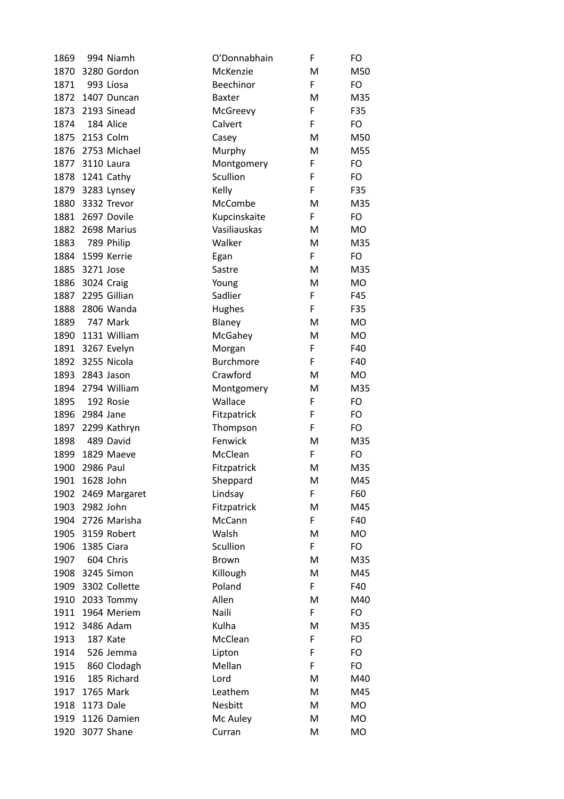| 1869 |            | 994 Niamh         | O'Donnabhain     | F  | FO        |
|------|------------|-------------------|------------------|----|-----------|
| 1870 |            | 3280 Gordon       | McKenzie         | M  | M50       |
| 1871 |            | 993 Líosa         | Beechinor        | F  | FO        |
| 1872 |            | 1407 Duncan       | <b>Baxter</b>    | M  | M35       |
| 1873 |            | 2193 Sinead       | McGreevy         | F  | F35       |
| 1874 |            | 184 Alice         | Calvert          | F  | FO        |
| 1875 | 2153 Colm  |                   | Casey            | M  | M50       |
| 1876 |            | 2753 Michael      | Murphy           | M  | M55       |
| 1877 |            | 3110 Laura        | Montgomery       | F  | FO        |
|      |            | 1878 1241 Cathy   | Scullion         | F  | FO        |
|      |            | 1879 3283 Lynsey  | Kelly            | F  | F35       |
| 1880 |            | 3332 Trevor       | McCombe          | M  | M35       |
| 1881 |            | 2697 Dovile       | Kupcinskaite     | F  | FO        |
| 1882 |            | 2698 Marius       | Vasiliauskas     | M  | <b>MO</b> |
| 1883 |            | 789 Philip        | Walker           | M  | M35       |
| 1884 |            | 1599 Kerrie       | Egan             | F  | FO        |
| 1885 | 3271 Jose  |                   | Sastre           | M  | M35       |
| 1886 | 3024 Craig |                   | Young            | M  | <b>MO</b> |
| 1887 |            | 2295 Gillian      | Sadlier          | F  | F45       |
| 1888 |            | 2806 Wanda        | <b>Hughes</b>    | F  | F35       |
| 1889 | 747 Mark   |                   | Blaney           | M  | MO        |
|      |            | 1890 1131 William | McGahey          | M  | <b>MO</b> |
|      |            | 1891 3267 Evelyn  | Morgan           | F  | F40       |
| 1892 |            | 3255 Nicola       | <b>Burchmore</b> | F  | F40       |
| 1893 |            | 2843 Jason        | Crawford         | M  | <b>MO</b> |
| 1894 |            | 2794 William      | Montgomery       | M  | M35       |
| 1895 |            | 192 Rosie         | Wallace          | F  | FO        |
| 1896 | 2984 Jane  |                   | Fitzpatrick      | F  | FO        |
| 1897 |            | 2299 Kathryn      | Thompson         | F  | FO        |
| 1898 |            | 489 David         | Fenwick          | M  | M35       |
| 1899 |            | 1829 Maeve        | McClean          | F  | FO        |
| 1900 | 2986 Paul  |                   | Fitzpatrick      | M  | M35       |
| 1901 | 1628 John  |                   | Sheppard         | M  | M45       |
| 1902 |            | 2469 Margaret     | Lindsay          | F  | F60       |
| 1903 | 2982 John  |                   | Fitzpatrick      | M  | M45       |
| 1904 |            | 2726 Marisha      | McCann           | F  | F40       |
| 1905 |            | 3159 Robert       | Walsh            | M  | <b>MO</b> |
| 1906 | 1385 Ciara |                   | Scullion         | F. | FO        |
| 1907 |            | 604 Chris         | <b>Brown</b>     | M  | M35       |
| 1908 |            | 3245 Simon        | Killough         | M  | M45       |
| 1909 |            | 3302 Collette     | Poland           | F  | F40       |
| 1910 |            | 2033 Tommy        | Allen            | M  | M40       |
| 1911 |            | 1964 Meriem       | Naili            | F  | FO        |
| 1912 |            |                   | Kulha            |    |           |
|      |            | 3486 Adam         |                  | M  | M35       |
| 1913 |            | 187 Kate          | McClean          | F  | FO        |
| 1914 |            | 526 Jemma         | Lipton           | F  | FO        |
| 1915 |            | 860 Clodagh       | Mellan           | F  | FO        |
| 1916 |            | 185 Richard       | Lord             | M  | M40       |
| 1917 |            | 1765 Mark         | Leathem          | M  | M45       |
| 1918 | 1173 Dale  |                   | <b>Nesbitt</b>   | M  | <b>MO</b> |
| 1919 |            | 1126 Damien       | Mc Auley         | M  | <b>MO</b> |
| 1920 |            | 3077 Shane        | Curran           | M  | MO        |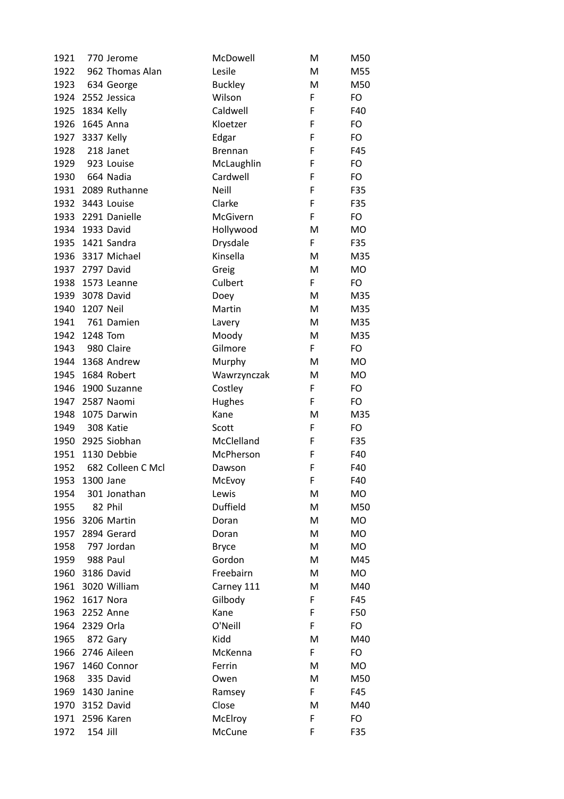| 1921 |            | 770 Jerome        | McDowell       | M | M50       |
|------|------------|-------------------|----------------|---|-----------|
| 1922 |            | 962 Thomas Alan   | Lesile         | M | M55       |
| 1923 |            | 634 George        | <b>Buckley</b> | M | M50       |
|      |            | 1924 2552 Jessica | Wilson         | F | FO        |
| 1925 | 1834 Kelly |                   | Caldwell       | F | F40       |
| 1926 |            | 1645 Anna         | Kloetzer       | F | FO        |
| 1927 | 3337 Kelly |                   | Edgar          | F | FO        |
| 1928 |            | 218 Janet         | <b>Brennan</b> | F | F45       |
| 1929 |            | 923 Louise        | McLaughlin     | F | FO        |
| 1930 |            | 664 Nadia         | Cardwell       | F | FO        |
| 1931 |            | 2089 Ruthanne     | Neill          | F | F35       |
| 1932 |            | 3443 Louise       | Clarke         | F | F35       |
| 1933 |            | 2291 Danielle     | McGivern       | F | FO        |
| 1934 |            | 1933 David        | Hollywood      | M | <b>MO</b> |
| 1935 |            | 1421 Sandra       | Drysdale       | F | F35       |
|      |            | 1936 3317 Michael | Kinsella       | M | M35       |
|      |            | 1937 2797 David   | Greig          | M | <b>MO</b> |
| 1938 |            | 1573 Leanne       | Culbert        | F | FO        |
| 1939 |            | 3078 David        | Doey           | M | M35       |
| 1940 | 1207 Neil  |                   | Martin         | M | M35       |
| 1941 |            | 761 Damien        | Lavery         | M | M35       |
| 1942 | 1248 Tom   |                   | Moody          | M | M35       |
| 1943 |            | 980 Claire        | Gilmore        | F | FO        |
| 1944 |            | 1368 Andrew       | Murphy         | M | <b>MO</b> |
| 1945 |            | 1684 Robert       | Wawrzynczak    | M | <b>MO</b> |
| 1946 |            | 1900 Suzanne      | Costley        | F | FO        |
| 1947 |            | 2587 Naomi        | Hughes         | F | FO        |
| 1948 |            | 1075 Darwin       | Kane           | M | M35       |
| 1949 |            | 308 Katie         | Scott          | F | <b>FO</b> |
| 1950 |            | 2925 Siobhan      | McClelland     | F | F35       |
| 1951 |            | 1130 Debbie       | McPherson      | F | F40       |
| 1952 |            | 682 Colleen C Mcl | Dawson         | F | F40       |
| 1953 | 1300 Jane  |                   | McEvoy         | F | F40       |
| 1954 |            | 301 Jonathan      | Lewis          | M | MO        |
| 1955 |            | 82 Phil           | Duffield       | M | M50       |
| 1956 |            | 3206 Martin       | Doran          | M | MO        |
| 1957 |            | 2894 Gerard       | Doran          | M | MO        |
| 1958 |            | 797 Jordan        | <b>Bryce</b>   | M | <b>MO</b> |
| 1959 |            | 988 Paul          | Gordon         | M | M45       |
| 1960 |            | 3186 David        | Freebairn      | M | <b>MO</b> |
| 1961 |            | 3020 William      | Carney 111     | M | M40       |
| 1962 |            | 1617 Nora         | Gilbody        | F | F45       |
| 1963 |            | 2252 Anne         | Kane           | F | F50       |
| 1964 | 2329 Orla  |                   | O'Neill        | F | FO        |
| 1965 |            | 872 Gary          | Kidd           | M | M40       |
| 1966 |            | 2746 Aileen       | McKenna        | F | FO        |
| 1967 |            | 1460 Connor       | Ferrin         | M | <b>MO</b> |
| 1968 |            | 335 David         | Owen           | M | M50       |
| 1969 |            | 1430 Janine       | Ramsey         | F | F45       |
| 1970 |            | 3152 David        | Close          | M | M40       |
| 1971 |            | 2596 Karen        | McElroy        | F | FO        |
| 1972 | 154 Jill   |                   | McCune         | F | F35       |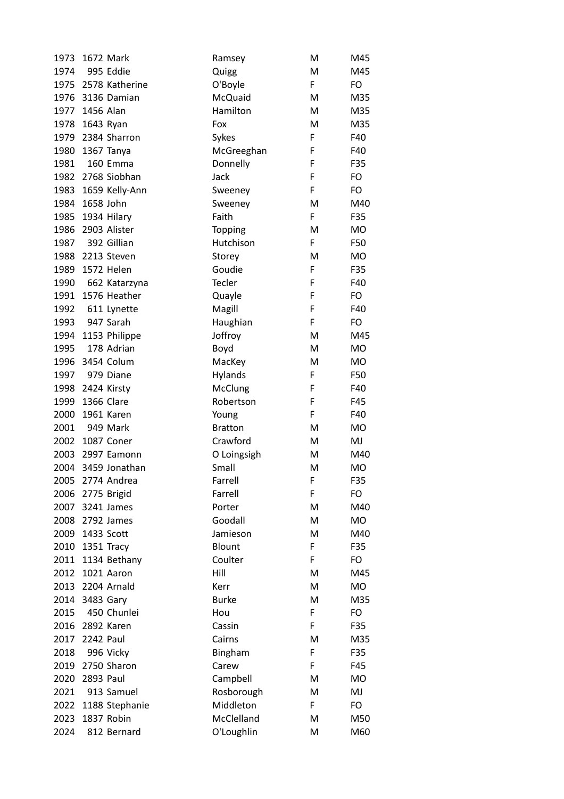| 1973 |                | 1672 Mark           | Ramsey         | M  | M45       |
|------|----------------|---------------------|----------------|----|-----------|
| 1974 |                | 995 Eddie           | Quigg          | M  | M45       |
| 1975 |                | 2578 Katherine      | O'Boyle        | F. | FO        |
|      |                | 1976 3136 Damian    | McQuaid        | M  | M35       |
|      | 1977 1456 Alan |                     | Hamilton       | M  | M35       |
| 1978 |                | 1643 Ryan           | Fox            | M  | M35       |
| 1979 |                | 2384 Sharron        | Sykes          | F  | F40       |
| 1980 |                | 1367 Tanya          | McGreeghan     | F  | F40       |
| 1981 |                | 160 Emma            | Donnelly       | F  | F35       |
|      |                | 1982 2768 Siobhan   | Jack           | F  | FO        |
| 1983 |                | 1659 Kelly-Ann      | Sweeney        | F  | FO        |
| 1984 | 1658 John      |                     | Sweeney        | M  | M40       |
| 1985 |                | 1934 Hilary         | Faith          | F  | F35       |
| 1986 |                | 2903 Alister        | <b>Topping</b> | M  | <b>MO</b> |
| 1987 |                | 392 Gillian         | Hutchison      | F  | F50       |
| 1988 |                | 2213 Steven         | Storey         | M  | MO        |
| 1989 |                | 1572 Helen          | Goudie         | F  | F35       |
| 1990 |                | 662 Katarzyna       | Tecler         | F  | F40       |
| 1991 |                | 1576 Heather        | Quayle         | F  | FO        |
| 1992 |                | 611 Lynette         | Magill         | F  | F40       |
| 1993 |                | 947 Sarah           | Haughian       | F  | FO        |
| 1994 |                | 1153 Philippe       | Joffroy        | M  | M45       |
| 1995 |                | 178 Adrian          | Boyd           | M  | <b>MO</b> |
| 1996 |                | 3454 Colum          | MacKey         | M  | MO        |
| 1997 |                | 979 Diane           | Hylands        | F  | F50       |
| 1998 |                | 2424 Kirsty         | McClung        | F  | F40       |
| 1999 | 1366 Clare     |                     | Robertson      | F  | F45       |
| 2000 |                | 1961 Karen          | Young          | F  | F40       |
| 2001 |                | 949 Mark            | <b>Bratton</b> | M  | <b>MO</b> |
| 2002 |                | 1087 Coner          | Crawford       | M  | MJ        |
| 2003 |                | 2997 Eamonn         | O Loingsigh    | M  | M40       |
| 2004 |                | 3459 Jonathan       | Small          | M  | <b>MO</b> |
| 2005 |                | 2774 Andrea         | Farrell        | F  | F35       |
| 2006 |                | 2775 Brigid         | Farrell        | F  | FO        |
| 2007 |                | 3241 James          | Porter         | M  | M40       |
| 2008 |                | 2792 James          | Goodall        | M  | MO        |
| 2009 |                | 1433 Scott          | Jamieson       | M  | M40       |
| 2010 | 1351 Tracy     |                     | <b>Blount</b>  | F  | F35       |
|      |                | 2011 1134 Bethany   | Coulter        | F  | FO        |
| 2012 |                | 1021 Aaron          | Hill           | M  | M45       |
| 2013 |                | 2204 Arnald         | Kerr           | M  | <b>MO</b> |
| 2014 | 3483 Gary      |                     | <b>Burke</b>   | M  | M35       |
| 2015 |                | 450 Chunlei         | Hou            | F  | FO        |
|      |                | 2016 2892 Karen     | Cassin         | F  | F35       |
| 2017 | 2242 Paul      |                     | Cairns         | M  | M35       |
| 2018 |                | 996 Vicky           | Bingham        | F  | F35       |
| 2019 |                | 2750 Sharon         | Carew          | F  | F45       |
| 2020 | 2893 Paul      |                     | Campbell       | M  | <b>MO</b> |
| 2021 |                | 913 Samuel          | Rosborough     | M  | MJ        |
|      |                | 2022 1188 Stephanie | Middleton      | F  | FO        |
| 2023 |                | 1837 Robin          | McClelland     | M  | M50       |
| 2024 |                | 812 Bernard         | O'Loughlin     | M  | M60       |
|      |                |                     |                |    |           |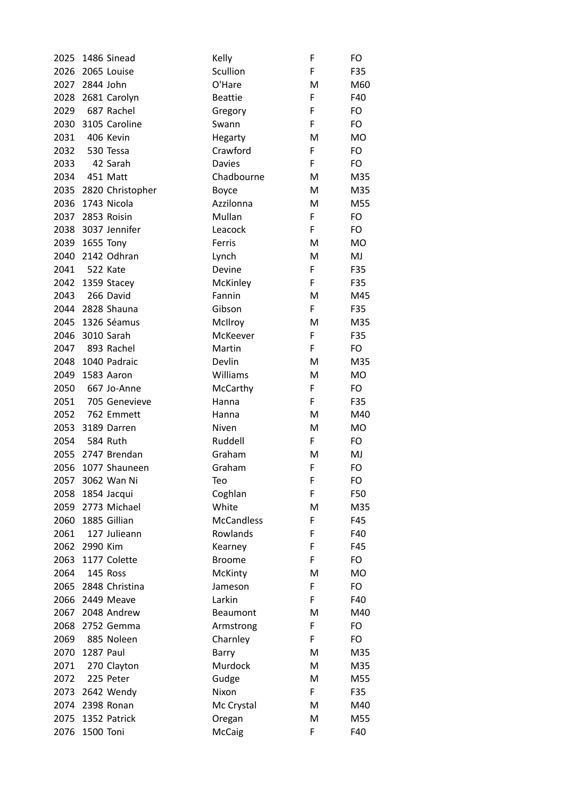| 2025 |               | 1486 Sinead           | Kelly             | F | FO        |
|------|---------------|-----------------------|-------------------|---|-----------|
| 2026 |               | 2065 Louise           | Scullion          | F | F35       |
| 2027 | 2844 John     |                       | O'Hare            | M | M60       |
| 2028 |               | 2681 Carolyn          | <b>Beattie</b>    | F | F40       |
| 2029 |               | 687 Rachel            | Gregory           | F | FO        |
| 2030 |               | 3105 Caroline         | Swann             | F | FO        |
| 2031 |               | 406 Kevin             | Hegarty           | M | <b>MO</b> |
| 2032 |               | 530 Tessa             | Crawford          | F | FO        |
| 2033 |               | 42 Sarah              | <b>Davies</b>     | F | FO        |
| 2034 | 451 Matt      |                       | Chadbourne        | M | M35       |
|      |               | 2035 2820 Christopher | Boyce             | M | M35       |
| 2036 |               | 1743 Nicola           | Azzilonna         | M | M55       |
| 2037 |               | 2853 Roisin           | Mullan            | F | FO        |
| 2038 |               | 3037 Jennifer         | Leacock           | F | FO        |
| 2039 | 1655 Tony     |                       | Ferris            | M | <b>MO</b> |
| 2040 |               | 2142 Odhran           | Lynch             | M | MJ        |
| 2041 | 522 Kate      |                       | Devine            | F | F35       |
| 2042 |               | 1359 Stacey           | McKinley          | F | F35       |
| 2043 |               | 266 David             | Fannin            | M | M45       |
| 2044 |               | 2828 Shauna           | Gibson            | F | F35       |
| 2045 |               | 1326 Séamus           | McIlroy           | M | M35       |
| 2046 |               | 3010 Sarah            | McKeever          | F | F35       |
| 2047 |               | 893 Rachel            | Martin            | F | FO        |
| 2048 |               | 1040 Padraic          | Devlin            | M | M35       |
| 2049 |               | 1583 Aaron            | Williams          | M | <b>MO</b> |
| 2050 |               | 667 Jo-Anne           | McCarthy          | F | FO        |
| 2051 |               | 705 Genevieve         | Hanna             | F | F35       |
| 2052 |               | 762 Emmett            | Hanna             | M | M40       |
| 2053 |               | 3189 Darren           | Niven             | M | <b>MO</b> |
| 2054 |               | 584 Ruth              | Ruddell           | F | FO        |
| 2055 |               | 2747 Brendan          | Graham            | M | MJ        |
| 2056 |               | 1077 Shauneen         | Graham            | F | FO        |
|      |               | 2057 3062 Wan Ni      | Teo               | F | FO        |
| 2058 |               | 1854 Jacqui           | Coghlan           | F | F50       |
| 2059 |               | 2773 Michael          | White             | M | M35       |
| 2060 |               | 1885 Gillian          | <b>McCandless</b> | F | F45       |
| 2061 |               | 127 Julieann          | Rowlands          | F | F40       |
|      | 2062 2990 Kim |                       | Kearney           | F | F45       |
| 2063 |               | 1177 Colette          | <b>Broome</b>     | F | FO        |
| 2064 |               | 145 Ross              | McKinty           | M | <b>MO</b> |
| 2065 |               | 2848 Christina        | Jameson           | F | FO        |
| 2066 |               | 2449 Meave            | Larkin            | F | F40       |
| 2067 |               | 2048 Andrew           | <b>Beaumont</b>   | M | M40       |
| 2068 |               | 2752 Gemma            | Armstrong         | F | FO        |
| 2069 |               | 885 Noleen            | Charnley          | F | FO        |
| 2070 | 1287 Paul     |                       | Barry             | М | M35       |
| 2071 |               | 270 Clayton           | Murdock           | M | M35       |
| 2072 |               | 225 Peter             | Gudge             | M | M55       |
| 2073 |               | 2642 Wendy            | Nixon             | F | F35       |
| 2074 |               | 2398 Ronan            | Mc Crystal        | M | M40       |
| 2075 |               | 1352 Patrick          | Oregan            | M | M55       |
| 2076 | 1500 Toni     |                       | <b>McCaig</b>     | F | F40       |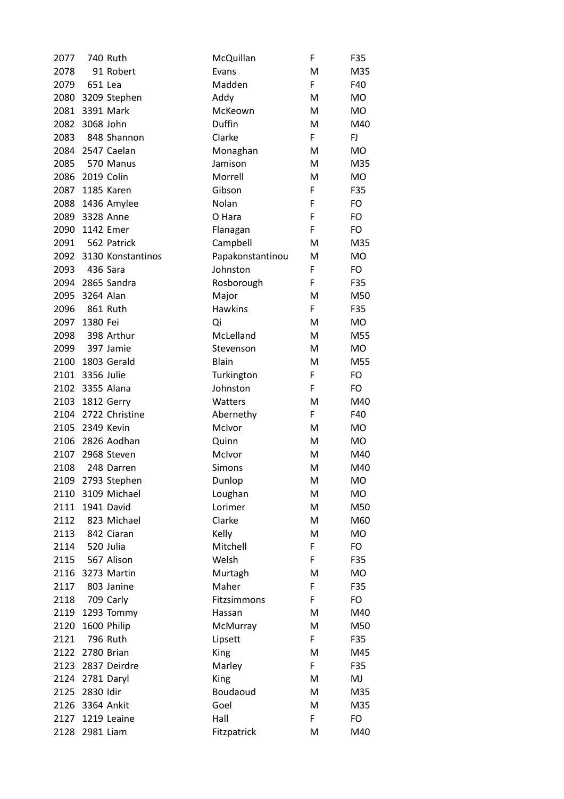| 2077 |                 | 740 Ruth               | McQuillan        | F | F35       |
|------|-----------------|------------------------|------------------|---|-----------|
| 2078 |                 | 91 Robert              | Evans            | M | M35       |
| 2079 | 651 Lea         |                        | Madden           | F | F40       |
|      |                 | 2080 3209 Stephen      | Addy             | M | MO        |
| 2081 |                 | 3391 Mark              | McKeown          | M | MO        |
| 2082 | 3068 John       |                        | Duffin           | M | M40       |
| 2083 |                 | 848 Shannon            | Clarke           | F | FJ        |
| 2084 |                 | 2547 Caelan            | Monaghan         | M | MO        |
| 2085 |                 | 570 Manus              | Jamison          | M | M35       |
|      | 2086 2019 Colin |                        | Morrell          | M | MO        |
|      |                 | 2087 1185 Karen        | Gibson           | F | F35       |
|      |                 | 2088 1436 Amylee       | Nolan            | F | FO        |
| 2089 |                 | 3328 Anne              | O Hara           | F | FO        |
| 2090 |                 | 1142 Emer              | Flanagan         | F | FO        |
| 2091 |                 | 562 Patrick            | Campbell         | м | M35       |
|      |                 | 2092 3130 Konstantinos | Papakonstantinou | M | <b>MO</b> |
| 2093 | 436 Sara        |                        | Johnston         | F | FO        |
| 2094 |                 | 2865 Sandra            | Rosborough       | F | F35       |
| 2095 | 3264 Alan       |                        | Major            | M | M50       |
| 2096 |                 | 861 Ruth               | <b>Hawkins</b>   | F | F35       |
| 2097 | 1380 Fei        |                        | Qi               | M | MO        |
| 2098 |                 | 398 Arthur             | McLelland        | M | M55       |
| 2099 |                 | 397 Jamie              | Stevenson        | M | MO        |
| 2100 |                 | 1803 Gerald            | <b>Blain</b>     | M | M55       |
| 2101 | 3356 Julie      |                        | Turkington       | F | FO        |
|      |                 | 2102 3355 Alana        | Johnston         | F | FO        |
| 2103 |                 | 1812 Gerry             | Watters          | M | M40       |
|      |                 | 2104 2722 Christine    | Abernethy        | F | F40       |
| 2105 |                 | 2349 Kevin             | McIvor           | M | <b>MO</b> |
| 2106 |                 | 2826 Aodhan            | Quinn            | м | MO        |
| 2107 |                 | 2968 Steven            | McIvor           | M | M40       |
| 2108 |                 | 248 Darren             | Simons           | M | M40       |
|      |                 | 2109 2793 Stephen      | Dunlop           | M | <b>MO</b> |
| 2110 |                 | 3109 Michael           | Loughan          | M | MO        |
| 2111 |                 | 1941 David             | Lorimer          | M | M50       |
| 2112 |                 | 823 Michael            | Clarke           | м | M60       |
| 2113 |                 | 842 Ciaran             | Kelly            | M | MO        |
| 2114 |                 | 520 Julia              | Mitchell         | F | FO        |
| 2115 |                 | 567 Alison             | Welsh            | F | F35       |
| 2116 |                 | 3273 Martin            | Murtagh          | M | MO        |
| 2117 |                 | 803 Janine             | Maher            | F | F35       |
| 2118 | 709 Carly       |                        | Fitzsimmons      | F | FO        |
| 2119 |                 | 1293 Tommy             | Hassan           | M | M40       |
| 2120 |                 | 1600 Philip            | McMurray         | M | M50       |
| 2121 |                 | 796 Ruth               | Lipsett          | F | F35       |
| 2122 |                 | 2780 Brian             | King             | M | M45       |
| 2123 |                 | 2837 Deirdre           | Marley           | F | F35       |
|      | 2124 2781 Daryl |                        | King             | M | MJ        |
| 2125 | 2830 Idir       |                        | Boudaoud         | M | M35       |
|      |                 | 2126 3364 Ankit        | Goel             | M | M35       |
|      |                 | 2127 1219 Leaine       | Hall             | F | FO        |
| 2128 | 2981 Liam       |                        | Fitzpatrick      | M | M40       |
|      |                 |                        |                  |   |           |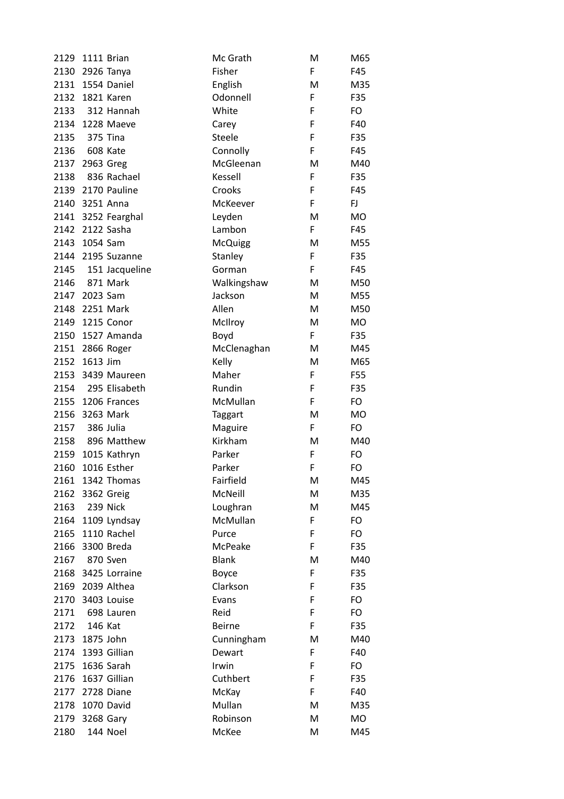| 2129 |               | 1111 Brian          | Mc Grath       | M | M65       |
|------|---------------|---------------------|----------------|---|-----------|
|      |               | 2130 2926 Tanya     | Fisher         | F | F45       |
|      |               | 2131 1554 Daniel    | English        | M | M35       |
| 2132 |               | 1821 Karen          | Odonnell       | F | F35       |
| 2133 |               | 312 Hannah          | White          | F | FO        |
| 2134 |               | 1228 Maeve          | Carey          | F | F40       |
| 2135 |               | <b>375 Tina</b>     | <b>Steele</b>  | F | F35       |
| 2136 |               | 608 Kate            | Connolly       | F | F45       |
| 2137 | 2963 Greg     |                     | McGleenan      | M | M40       |
| 2138 |               | 836 Rachael         | Kessell        | F | F35       |
|      |               | 2139 2170 Pauline   | Crooks         | F | F45       |
| 2140 | 3251 Anna     |                     | McKeever       | F | FJ        |
|      |               | 2141 3252 Fearghal  | Leyden         | M | <b>MO</b> |
|      |               | 2142 2122 Sasha     | Lambon         | F | F45       |
| 2143 | 1054 Sam      |                     | <b>McQuigg</b> | M | M55       |
|      |               | 2144 2195 Suzanne   | Stanley        | F | F35       |
|      |               | 2145 151 Jacqueline | Gorman         | F | F45       |
| 2146 |               | 871 Mark            | Walkingshaw    | М | M50       |
|      | 2147 2023 Sam |                     | Jackson        | M | M55       |
| 2148 | 2251 Mark     |                     | Allen          | м | M50       |
|      |               | 2149 1215 Conor     | McIlroy        | м | <b>MO</b> |
|      |               | 2150 1527 Amanda    | Boyd           | F | F35       |
|      |               | 2151 2866 Roger     | McClenaghan    | м | M45       |
| 2152 | 1613 Jim      |                     | Kelly          | M | M65       |
| 2153 |               | 3439 Maureen        | Maher          | F | F55       |
| 2154 |               | 295 Elisabeth       | Rundin         | F | F35       |
|      |               | 2155 1206 Frances   | McMullan       | F | FO        |
| 2156 | 3263 Mark     |                     | <b>Taggart</b> | M | <b>MO</b> |
| 2157 | 386 Julia     |                     | Maguire        | F | FO        |
| 2158 |               | 896 Matthew         | Kirkham        | M | M40       |
| 2159 |               | 1015 Kathryn        | Parker         | F | FO        |
| 2160 |               | 1016 Esther         | Parker         | F | FO        |
| 2161 |               | 1342 Thomas         | Fairfield      | M | M45       |
| 2162 |               | 3362 Greig          | McNeill        | M | M35       |
| 2163 |               | 239 Nick            | Loughran       | M | M45       |
| 2164 |               | 1109 Lyndsay        | McMullan       | F | FO        |
| 2165 |               | 1110 Rachel         | Purce          | F | FO        |
| 2166 |               | 3300 Breda          | McPeake        | F | F35       |
| 2167 |               | 870 Sven            | <b>Blank</b>   | M | M40       |
| 2168 |               | 3425 Lorraine       | Boyce          | F | F35       |
| 2169 |               | 2039 Althea         | Clarkson       | F | F35       |
| 2170 |               | 3403 Louise         | Evans          | F | FO        |
| 2171 |               | 698 Lauren          | Reid           | F | FO        |
| 2172 | 146 Kat       |                     | <b>Beirne</b>  | F | F35       |
| 2173 | 1875 John     |                     | Cunningham     | M | M40       |
| 2174 |               | 1393 Gillian        | Dewart         | F | F40       |
| 2175 |               | 1636 Sarah          | Irwin          | F | FO        |
| 2176 |               | 1637 Gillian        | Cuthbert       | F | F35       |
| 2177 |               | 2728 Diane          | McKay          | F | F40       |
| 2178 |               | 1070 David          | Mullan         | M | M35       |
| 2179 |               | 3268 Gary           | Robinson       | M | MO        |
| 2180 |               | 144 Noel            | McKee          | M | M45       |
|      |               |                     |                |   |           |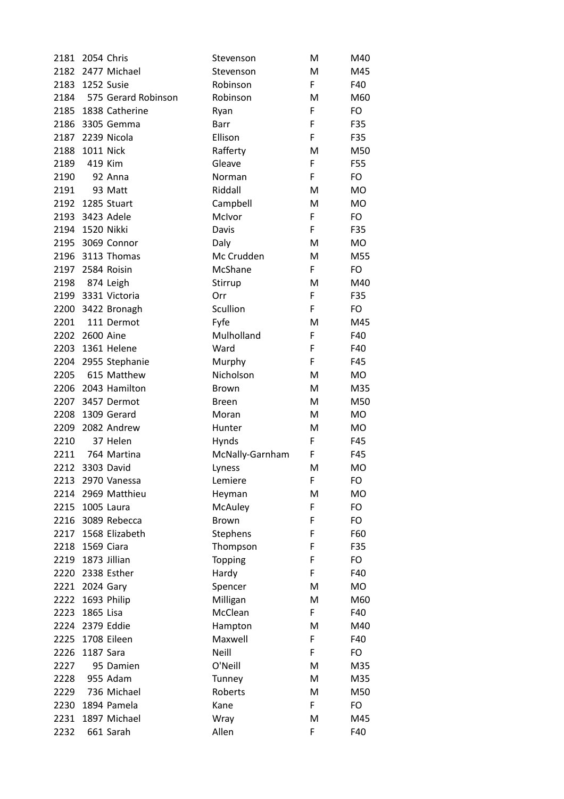| 2181 |                  | 2054 Chris               | Stevenson       | M      | M40       |
|------|------------------|--------------------------|-----------------|--------|-----------|
| 2182 |                  | 2477 Michael             | Stevenson       | M      | M45       |
| 2183 | 1252 Susie       |                          | Robinson        | F      | F40       |
|      |                  | 2184 575 Gerard Robinson | Robinson        | M      | M60       |
| 2185 |                  | 1838 Catherine           | Ryan            | F      | FO        |
| 2186 |                  | 3305 Gemma               | Barr            | F      | F35       |
|      |                  | 2187 2239 Nicola         | Ellison         | F      | F35       |
| 2188 | <b>1011 Nick</b> |                          | Rafferty        | M      | M50       |
| 2189 |                  | 419 Kim                  | Gleave          | F      | F55       |
| 2190 |                  | 92 Anna                  | Norman          | F      | FO        |
| 2191 |                  | 93 Matt                  | Riddall         | М      | <b>MO</b> |
| 2192 |                  | 1285 Stuart              | Campbell        | M      | <b>MO</b> |
|      |                  | 2193 3423 Adele          | McIvor          | F      | FO        |
|      | 2194 1520 Nikki  |                          | Davis           | F      | F35       |
| 2195 |                  | 3069 Connor              | Daly            | M      | <b>MO</b> |
|      |                  | 2196 3113 Thomas         | Mc Crudden      | M      | M55       |
|      |                  | 2197 2584 Roisin         | McShane         | F      | FO        |
| 2198 |                  | 874 Leigh                | Stirrup         | M      | M40       |
| 2199 |                  | 3331 Victoria            | Orr             | F      | F35       |
| 2200 |                  | 3422 Bronagh             | Scullion        | F      | FO        |
| 2201 |                  | 111 Dermot               | Fyfe            | M      | M45       |
|      | 2202 2600 Aine   |                          | Mulholland      | F      | F40       |
| 2203 |                  | 1361 Helene              | Ward            | F      | F40       |
|      |                  | 2204 2955 Stephanie      | Murphy          | F      | F45       |
| 2205 |                  | 615 Matthew              | Nicholson       | M      | <b>MO</b> |
| 2206 |                  | 2043 Hamilton            | <b>Brown</b>    | M      | M35       |
| 2207 |                  | 3457 Dermot              | <b>Breen</b>    | м      | M50       |
| 2208 |                  | 1309 Gerard              |                 | M      | <b>MO</b> |
| 2209 |                  | 2082 Andrew              | Moran<br>Hunter |        |           |
|      |                  |                          |                 | M<br>F | <b>MO</b> |
| 2210 |                  | 37 Helen                 | Hynds           |        | F45       |
| 2211 |                  | 764 Martina              | McNally-Garnham | F      | F45       |
|      |                  | 2212 3303 David          | Lyness          | M      | <b>MO</b> |
| 2213 |                  | 2970 Vanessa             | Lemiere         | F      | FO        |
| 2214 |                  | 2969 Matthieu            | Heyman          | M      | <b>MO</b> |
| 2215 |                  | 1005 Laura               | McAuley         | F      | FO        |
| 2216 |                  | 3089 Rebecca             | <b>Brown</b>    | F      | FO        |
| 2217 |                  | 1568 Elizabeth           | Stephens        | F      | F60       |
| 2218 | 1569 Ciara       |                          | Thompson        | F      | F35       |
| 2219 |                  | 1873 Jillian             | Topping         | F      | FO.       |
| 2220 |                  | 2338 Esther              | Hardy           | F      | F40       |
| 2221 |                  | 2024 Gary                | Spencer         | M      | <b>MO</b> |
| 2222 |                  | 1693 Philip              | Milligan        | M      | M60       |
| 2223 | 1865 Lisa        |                          | McClean         | F.     | F40       |
| 2224 |                  | 2379 Eddie               | Hampton         | M      | M40       |
| 2225 |                  | 1708 Eileen              | Maxwell         | F      | F40       |
| 2226 | 1187 Sara        |                          | Neill           | F      | FO        |
| 2227 |                  | 95 Damien                | O'Neill         | M      | M35       |
| 2228 |                  | 955 Adam                 | Tunney          | M      | M35       |
| 2229 |                  | 736 Michael              | Roberts         | M      | M50       |
| 2230 |                  | 1894 Pamela              | Kane            | F      | FO        |
| 2231 |                  | 1897 Michael             | Wray            | M      | M45       |
| 2232 |                  | 661 Sarah                | Allen           | F      | F40       |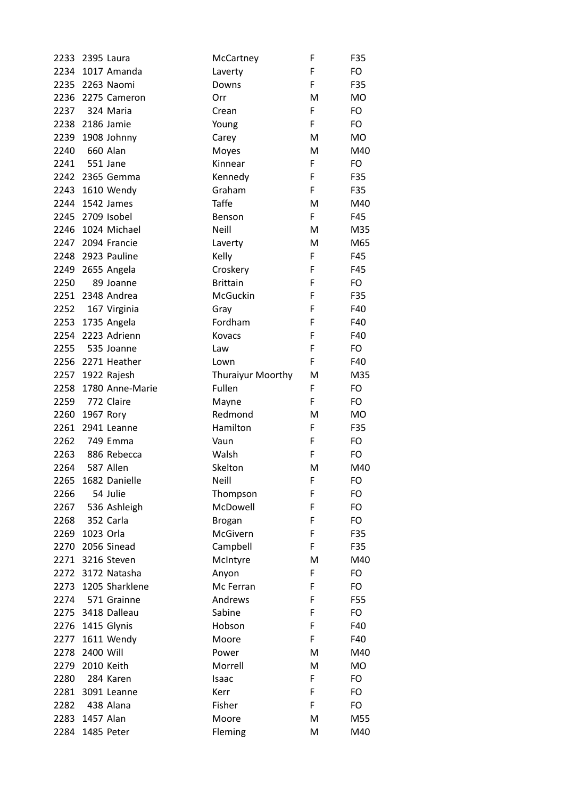| 2233         |                | 2395 Laura        | McCartney                | F      | F35       |
|--------------|----------------|-------------------|--------------------------|--------|-----------|
| 2234         |                | 1017 Amanda       | Laverty                  | F      | FO        |
|              |                | 2235 2263 Naomi   | Downs                    | F      | F35       |
|              |                | 2236 2275 Cameron | Orr                      | M      | <b>MO</b> |
| 2237         |                | 324 Maria         | Crean                    | F      | FO        |
| 2238         |                | 2186 Jamie        | Young                    | F      | FO        |
| 2239         |                | 1908 Johnny       | Carey                    | M      | <b>MO</b> |
| 2240         |                | 660 Alan          | Moyes                    | M      | M40       |
| 2241         |                | 551 Jane          | Kinnear                  | F.     | FO        |
|              |                | 2242 2365 Gemma   | Kennedy                  | F      | F35       |
|              |                | 2243 1610 Wendy   | Graham                   | F.     | F35       |
| 2244         |                | 1542 James        | <b>Taffe</b>             | M      | M40       |
| 2245         |                | 2709 Isobel       | Benson                   | F.     | F45       |
| 2246         |                | 1024 Michael      | <b>Neill</b>             | M      | M35       |
| 2247         |                | 2094 Francie      | Laverty                  | M      | M65       |
|              |                | 2248 2923 Pauline | Kelly                    | F.     | F45       |
| 2249         |                | 2655 Angela       | Croskery                 | F      | F45       |
| 2250         |                | 89 Joanne         | <b>Brittain</b>          | F      | FO        |
| 2251         |                | 2348 Andrea       | McGuckin                 | F      | F35       |
| 2252         |                | 167 Virginia      | Gray                     | F      | F40       |
| 2253         |                | 1735 Angela       | Fordham                  | F      | F40       |
| 2254         |                | 2223 Adrienn      | Kovacs                   | F      | F40       |
| 2255         |                | 535 Joanne        | Law                      | F      | FO        |
| 2256         |                | 2271 Heather      | Lown                     | F      | F40       |
| 2257         |                | 1922 Rajesh       | <b>Thuraiyur Moorthy</b> | M      | M35       |
| 2258         |                | 1780 Anne-Marie   | Fullen                   | F      | FO        |
| 2259         |                | 772 Claire        | Mayne                    | F.     | FO        |
|              | 2260 1967 Rory |                   | Redmond                  | M      | <b>MO</b> |
| 2261         |                | 2941 Leanne       | Hamilton                 | F      | F35       |
| 2262         |                | 749 Emma          | Vaun                     | F      | FO        |
| 2263         |                | 886 Rebecca       | Walsh                    | F      | FO        |
| 2264         |                | 587 Allen         | Skelton                  | M      | M40       |
| 2265         |                | 1682 Danielle     | Neill                    | F.     | FO        |
| 2266         |                | 54 Julie          | Thompson                 | F      | FO        |
| 2267         |                | 536 Ashleigh      | McDowell                 | F      | FO        |
| 2268         |                | 352 Carla         | <b>Brogan</b>            | F      | FO        |
| 2269         | 1023 Orla      |                   | McGivern                 | F      | F35       |
| 2270         |                | 2056 Sinead       | Campbell                 | F      | F35       |
| 2271         |                | 3216 Steven       | McIntyre                 | м      | M40       |
| 2272         |                | 3172 Natasha      | Anyon                    | F      | FO        |
| 2273         |                | 1205 Sharklene    | Mc Ferran                | F      | FO        |
| 2274         |                | 571 Grainne       | Andrews                  | F      | F55       |
|              |                | 3418 Dalleau      | Sabine                   | F      | FO        |
| 2275<br>2276 |                |                   | Hobson                   | F      | F40       |
|              |                | 1415 Glynis       |                          |        |           |
| 2277         |                | 1611 Wendy        | Moore                    | F      | F40       |
| 2278         | 2400 Will      |                   | Power                    | M      | M40       |
| 2279         |                | 2010 Keith        | Morrell                  | M<br>F | <b>MO</b> |
| 2280         |                | 284 Karen         | Isaac                    |        | FO        |
| 2281         |                | 3091 Leanne       | Kerr                     | F      | FO        |
| 2282         |                | 438 Alana         | Fisher                   | F      | FO        |
| 2283         | 1457 Alan      |                   | Moore                    | M      | M55       |
| 2284         |                | 1485 Peter        | Fleming                  | M      | M40       |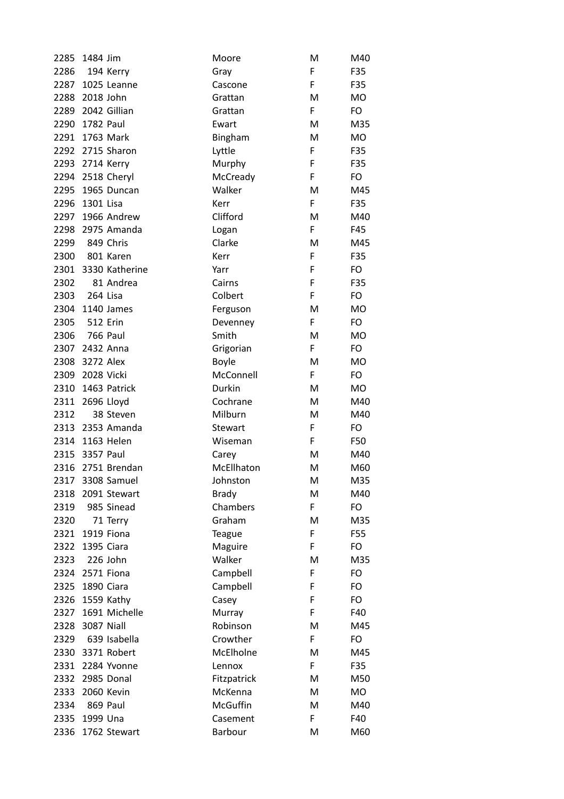| 2285 | 1484 Jim   |                             | Moore              | M | M40       |
|------|------------|-----------------------------|--------------------|---|-----------|
| 2286 |            | 194 Kerry                   | Gray               | F | F35       |
| 2287 |            | 1025 Leanne                 | Cascone            | F | F35       |
| 2288 | 2018 John  |                             | Grattan            | M | <b>MO</b> |
| 2289 |            | 2042 Gillian                | Grattan            | F | FO        |
| 2290 | 1782 Paul  |                             | Ewart              | M | M35       |
| 2291 |            | 1763 Mark                   | Bingham            | M | <b>MO</b> |
| 2292 |            | 2715 Sharon                 | Lyttle             | F | F35       |
| 2293 |            | 2714 Kerry                  | Murphy             | F | F35       |
|      |            | 2294 2518 Cheryl            | McCready           | F | FO        |
| 2295 |            | 1965 Duncan                 | Walker             | M | M45       |
| 2296 | 1301 Lisa  |                             | Kerr               | F | F35       |
| 2297 |            | 1966 Andrew                 | Clifford           | M | M40       |
| 2298 |            | 2975 Amanda                 | Logan              | F | F45       |
| 2299 |            | 849 Chris                   | Clarke             | M | M45       |
| 2300 |            | 801 Karen                   | Kerr               | F | F35       |
|      |            | 2301 3330 Katherine         | Yarr               | F | FO        |
| 2302 |            | 81 Andrea                   | Cairns             | F | F35       |
| 2303 |            | 264 Lisa                    | Colbert            | F | FO        |
| 2304 |            | 1140 James                  | Ferguson           | M | <b>MO</b> |
| 2305 |            | <b>512 Erin</b>             | Devenney           | F | FO        |
| 2306 |            | <b>766 Paul</b>             | Smith              | M | <b>MO</b> |
| 2307 | 2432 Anna  |                             | Grigorian          | F | FO        |
| 2308 | 3272 Alex  |                             | <b>Boyle</b>       | M | <b>MO</b> |
| 2309 | 2028 Vicki |                             | McConnell          | F | FO        |
| 2310 |            | 1463 Patrick                | Durkin             | M | <b>MO</b> |
| 2311 |            | 2696 Lloyd                  | Cochrane           | М | M40       |
| 2312 |            | 38 Steven                   | Milburn            | M | M40       |
| 2313 |            | 2353 Amanda                 | Stewart            | F | FO        |
|      |            | 2314 1163 Helen             | Wiseman            | F | F50       |
| 2315 | 3357 Paul  |                             | Carey              | M | M40       |
| 2316 |            | 2751 Brendan                | McEllhaton         | M | M60       |
|      |            | 2317 3308 Samuel            | Johnston           | M | M35       |
| 2318 |            | 2091 Stewart                | <b>Brady</b>       | M | M40       |
| 2319 |            | 985 Sinead                  | Chambers           | F | FO        |
| 2320 |            | 71 Terry                    | Graham             | M | M35       |
| 2321 |            | 1919 Fiona                  | <b>Teague</b>      | F | F55       |
| 2322 |            | 1395 Ciara                  | Maguire            | F | FO        |
| 2323 |            | 226 John                    | Walker             | м | M35       |
| 2324 |            | 2571 Fiona                  | Campbell           | F | FO        |
| 2325 |            | 1890 Ciara                  |                    | F | FO        |
| 2326 |            |                             | Campbell           | F | FO        |
| 2327 |            | 1559 Kathy<br>1691 Michelle | Casey              | F | F40       |
|      | 3087 Niall |                             | Murray<br>Robinson |   |           |
| 2328 |            |                             |                    | M | M45       |
| 2329 |            | 639 Isabella                | Crowther           | F | FO        |
| 2330 |            | 3371 Robert                 | McElholne          | M | M45       |
| 2331 |            | 2284 Yvonne                 | Lennox             | F | F35       |
| 2332 |            | 2985 Donal                  | Fitzpatrick        | M | M50       |
| 2333 |            | 2060 Kevin                  | McKenna            | м | <b>MO</b> |
| 2334 |            | 869 Paul                    | <b>McGuffin</b>    | M | M40       |
| 2335 | 1999 Una   |                             | Casement           | F | F40       |
| 2336 |            | 1762 Stewart                | Barbour            | M | M60       |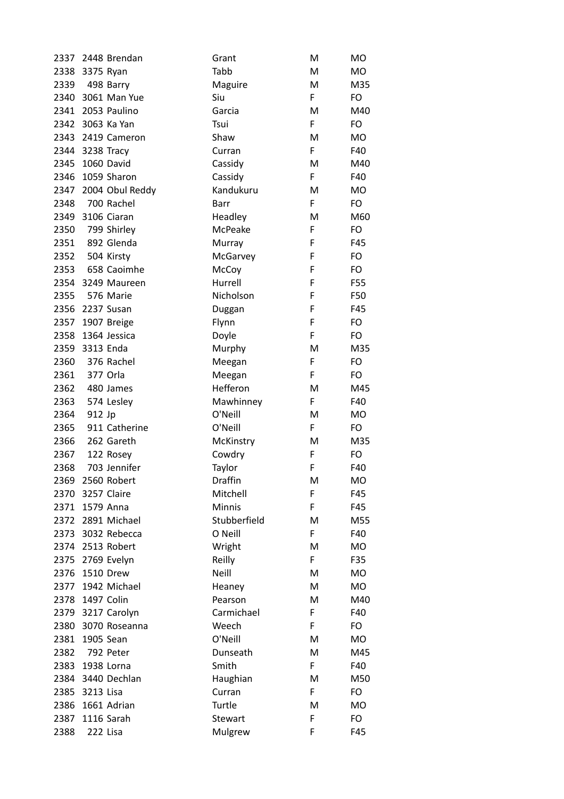| 2337 |                 | 2448 Brendan         | Grant        | M | <b>MO</b> |
|------|-----------------|----------------------|--------------|---|-----------|
|      | 2338 3375 Ryan  |                      | Tabb         | M | <b>MO</b> |
| 2339 |                 | 498 Barry            | Maguire      | M | M35       |
|      |                 | 2340 3061 Man Yue    | Siu          | F | <b>FO</b> |
|      |                 | 2341 2053 Paulino    | Garcia       | M | M40       |
| 2342 |                 | 3063 Ka Yan          | Tsui         | F | FO        |
| 2343 |                 | 2419 Cameron         | Shaw         | M | <b>MO</b> |
|      | 2344 3238 Tracy |                      | Curran       | F | F40       |
| 2345 |                 | 1060 David           | Cassidy      | M | M40       |
| 2346 |                 | 1059 Sharon          | Cassidy      | F | F40       |
|      |                 | 2347 2004 Obul Reddy | Kandukuru    | M | <b>MO</b> |
| 2348 |                 | 700 Rachel           | <b>Barr</b>  | F | FO        |
| 2349 |                 | 3106 Ciaran          | Headley      | M | M60       |
| 2350 |                 | 799 Shirley          | McPeake      | F | <b>FO</b> |
| 2351 |                 | 892 Glenda           | Murray       | F | F45       |
| 2352 |                 | 504 Kirsty           | McGarvey     | F | <b>FO</b> |
| 2353 |                 | 658 Caoimhe          | McCoy        | F | <b>FO</b> |
| 2354 |                 | 3249 Maureen         | Hurrell      | F | F55       |
| 2355 |                 | 576 Marie            | Nicholson    | F | F50       |
|      |                 | 2356 2237 Susan      | Duggan       | F | F45       |
|      |                 | 2357 1907 Breige     | Flynn        | F | FO        |
| 2358 |                 | 1364 Jessica         | Doyle        | F | FO        |
| 2359 | 3313 Enda       |                      | Murphy       | M | M35       |
| 2360 |                 | 376 Rachel           | Meegan       | F | FO        |
| 2361 |                 | 377 Orla             | Meegan       | F | <b>FO</b> |
| 2362 |                 | 480 James            | Hefferon     | M | M45       |
| 2363 |                 | 574 Lesley           | Mawhinney    | F | F40       |
| 2364 | 912 Jp          |                      | O'Neill      | M | <b>MO</b> |
| 2365 |                 | 911 Catherine        | O'Neill      | F | <b>FO</b> |
| 2366 |                 | 262 Gareth           | McKinstry    | M | M35       |
| 2367 |                 | 122 Rosey            | Cowdry       | F | FO        |
| 2368 |                 | 703 Jennifer         | Taylor       | F | F40       |
| 2369 |                 | 2560 Robert          | Draffin      | M | <b>MO</b> |
| 2370 |                 | 3257 Claire          | Mitchell     | F | F45       |
| 2371 |                 | 1579 Anna            | Minnis       | F | F45       |
| 2372 |                 | 2891 Michael         | Stubberfield | M | M55       |
| 2373 |                 | 3032 Rebecca         | O Neill      | F | F40       |
|      |                 | 2374 2513 Robert     | Wright       | M | MO        |
| 2375 |                 | 2769 Evelyn          | Reilly       | F | F35       |
| 2376 |                 | <b>1510 Drew</b>     | <b>Neill</b> | M | MO        |
| 2377 |                 | 1942 Michael         | Heaney       | M | <b>MO</b> |
| 2378 | 1497 Colin      |                      | Pearson      | M | M40       |
|      |                 | 2379 3217 Carolyn    | Carmichael   | F | F40       |
| 2380 |                 | 3070 Roseanna        | Weech        | F | FO        |
| 2381 |                 | 1905 Sean            | O'Neill      | M | <b>MO</b> |
| 2382 |                 | 792 Peter            | Dunseath     | M | M45       |
| 2383 |                 | 1938 Lorna           | Smith        | F | F40       |
| 2384 |                 | 3440 Dechlan         | Haughian     | M | M50       |
| 2385 | 3213 Lisa       |                      | Curran       | F | FO        |
| 2386 |                 | 1661 Adrian          | Turtle       | M | <b>MO</b> |
| 2387 |                 | 1116 Sarah           | Stewart      | F | FO        |
| 2388 |                 | 222 Lisa             | Mulgrew      | F | F45       |
|      |                 |                      |              |   |           |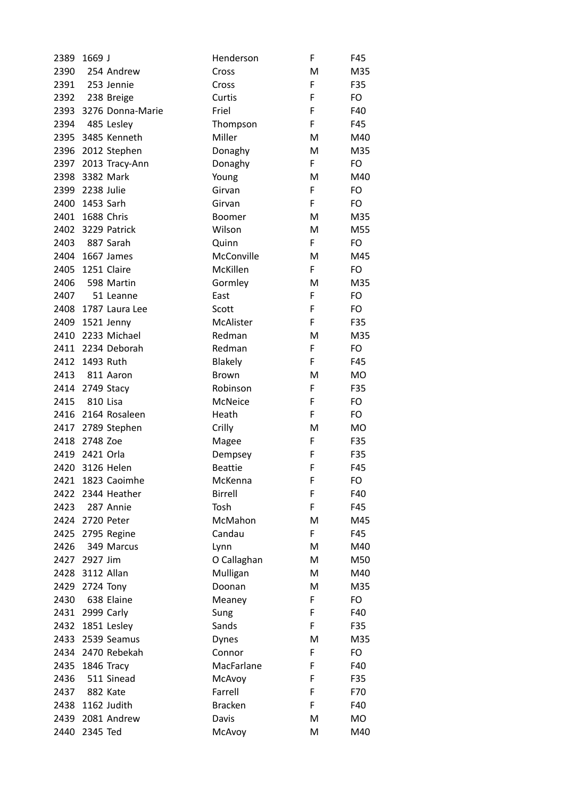| 2389 | 1669 J          |                    | Henderson      | F  | F45       |
|------|-----------------|--------------------|----------------|----|-----------|
| 2390 |                 | 254 Andrew         | Cross          | M  | M35       |
| 2391 |                 | 253 Jennie         | Cross          | F  | F35       |
| 2392 |                 | 238 Breige         | Curtis         | F  | FO        |
| 2393 |                 | 3276 Donna-Marie   | Friel          | F  | F40       |
| 2394 |                 | 485 Lesley         | Thompson       | F  | F45       |
| 2395 |                 | 3485 Kenneth       | Miller         | M  | M40       |
| 2396 |                 | 2012 Stephen       | Donaghy        | M  | M35       |
| 2397 |                 | 2013 Tracy-Ann     | Donaghy        | F  | FO        |
| 2398 |                 | 3382 Mark          | Young          | M  | M40       |
| 2399 | 2238 Julie      |                    | Girvan         | F  | FO        |
| 2400 | 1453 Sarh       |                    | Girvan         | F  | FO        |
| 2401 | 1688 Chris      |                    | Boomer         | M  | M35       |
| 2402 |                 | 3229 Patrick       | Wilson         | M  | M55       |
| 2403 |                 | 887 Sarah          | Quinn          | F  | FO        |
| 2404 |                 | 1667 James         | McConville     | M  | M45       |
| 2405 |                 | 1251 Claire        | McKillen       | F  | FO        |
| 2406 |                 | 598 Martin         | Gormley        | M  | M35       |
| 2407 |                 | 51 Leanne          | East           | F  | FO        |
| 2408 |                 | 1787 Laura Lee     | Scott          | F  | FO        |
|      |                 | 2409 1521 Jenny    | McAlister      | F  | F35       |
| 2410 |                 | 2233 Michael       | Redman         | M  | M35       |
|      |                 | 2411 2234 Deborah  | Redman         | F  | FO        |
| 2412 | 1493 Ruth       |                    | Blakely        | F  | F45       |
| 2413 |                 | 811 Aaron          | <b>Brown</b>   | M  | <b>MO</b> |
|      | 2414 2749 Stacy |                    | Robinson       | F  | F35       |
| 2415 | 810 Lisa        |                    | McNeice        | F  | FO        |
|      |                 | 2416 2164 Rosaleen | Heath          | F  | FO        |
|      |                 | 2417 2789 Stephen  | Crilly         | M  | <b>MO</b> |
| 2418 | 2748 Zoe        |                    | Magee          | F  | F35       |
| 2419 | 2421 Orla       |                    | Dempsey        | F  | F35       |
|      |                 | 2420 3126 Helen    | <b>Beattie</b> | F  | F45       |
|      |                 | 2421 1823 Caoimhe  | McKenna        | F  | FO        |
| 2422 |                 | 2344 Heather       | <b>Birrell</b> | F  | F40       |
| 2423 |                 | 287 Annie          | Tosh           | F  | F45       |
| 2424 | 2720 Peter      |                    | McMahon        | M  | M45       |
| 2425 |                 | 2795 Regine        | Candau         | F. | F45       |
| 2426 |                 | 349 Marcus         | Lynn           | M  | M40       |
|      | 2427 2927 Jim   |                    | O Callaghan    | M  | M50       |
| 2428 | 3112 Allan      |                    | Mulligan       | M  | M40       |
| 2429 | 2724 Tony       |                    | Doonan         | M  | M35       |
| 2430 |                 | 638 Elaine         | Meaney         | F  | FO        |
|      | 2431 2999 Carly |                    | Sung           | F  | F40       |
|      |                 | 2432 1851 Lesley   | Sands          | F  | F35       |
| 2433 |                 | 2539 Seamus        | <b>Dynes</b>   | M  | M35       |
| 2434 |                 | 2470 Rebekah       | Connor         | F  | FO        |
| 2435 |                 | 1846 Tracy         | MacFarlane     | F  | F40       |
| 2436 |                 | 511 Sinead         | McAvoy         | F  | F35       |
| 2437 |                 | 882 Kate           | Farrell        | F  | F70       |
| 2438 |                 | 1162 Judith        | <b>Bracken</b> | F  | F40       |
|      |                 | 2439 2081 Andrew   | Davis          | M  | MO        |
| 2440 | 2345 Ted        |                    | McAvoy         | M  | M40       |
|      |                 |                    |                |    |           |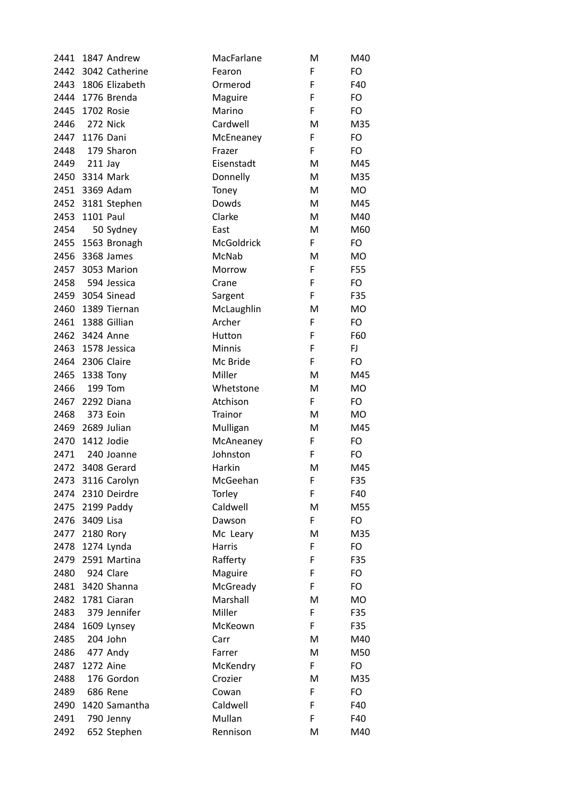| 2441 |                | 1847 Andrew       | MacFarlane | M  | M40       |
|------|----------------|-------------------|------------|----|-----------|
| 2442 |                | 3042 Catherine    | Fearon     | F  | FO        |
| 2443 |                | 1806 Elizabeth    | Ormerod    | F  | F40       |
| 2444 |                | 1776 Brenda       | Maguire    | F  | FO        |
| 2445 |                | 1702 Rosie        | Marino     | F  | FO        |
| 2446 |                | 272 Nick          | Cardwell   | M  | M35       |
| 2447 | 1176 Dani      |                   | McEneaney  | F  | FO        |
| 2448 |                | 179 Sharon        | Frazer     | F  | FO        |
| 2449 | 211 Jay        |                   | Eisenstadt | M  | M45       |
|      |                | 2450 3314 Mark    | Donnelly   | M  | M35       |
|      |                | 2451 3369 Adam    | Toney      | M  | <b>MO</b> |
|      |                | 2452 3181 Stephen | Dowds      | M  | M45       |
| 2453 | 1101 Paul      |                   | Clarke     | M  | M40       |
| 2454 |                | 50 Sydney         | East       | M  | M60       |
| 2455 |                | 1563 Bronagh      | McGoldrick | F  | FO        |
| 2456 |                | 3368 James        | McNab      | M  | <b>MO</b> |
| 2457 |                | 3053 Marion       | Morrow     | F  | F55       |
| 2458 |                | 594 Jessica       | Crane      | F  | FO        |
| 2459 |                | 3054 Sinead       | Sargent    | F  | F35       |
| 2460 |                | 1389 Tiernan      | McLaughlin | M  | <b>MO</b> |
| 2461 |                | 1388 Gillian      | Archer     | F  | FO        |
|      | 2462 3424 Anne |                   | Hutton     | F  | F60       |
| 2463 |                | 1578 Jessica      | Minnis     | F  | <b>FJ</b> |
| 2464 |                | 2306 Claire       | Mc Bride   | F  | FO        |
| 2465 |                | 1338 Tony         | Miller     | M  | M45       |
| 2466 |                | 199 Tom           | Whetstone  | M  | <b>MO</b> |
| 2467 |                | 2292 Diana        | Atchison   | F  | FO        |
| 2468 |                | 373 Eoin          | Trainor    | M  | MO        |
|      |                | 2469 2689 Julian  | Mulligan   | M  | M45       |
| 2470 |                | 1412 Jodie        | McAneaney  | F  | FO        |
| 2471 |                | 240 Joanne        | Johnston   | F  | FO        |
|      |                | 2472 3408 Gerard  | Harkin     | M  | M45       |
| 2473 |                | 3116 Carolyn      | McGeehan   | F. | F35       |
| 2474 |                | 2310 Deirdre      | Torley     | F  | F40       |
| 2475 |                | 2199 Paddy        | Caldwell   | M  | M55       |
| 2476 | 3409 Lisa      |                   | Dawson     | F. | FO        |
| 2477 | 2180 Rory      |                   | Mc Leary   | M  | M35       |
| 2478 |                | 1274 Lynda        | Harris     | F  | FO        |
| 2479 |                | 2591 Martina      | Rafferty   | F  | F35       |
| 2480 |                | 924 Clare         | Maguire    | F  | FO        |
| 2481 |                | 3420 Shanna       | McGready   | F  | FO        |
| 2482 |                | 1781 Ciaran       | Marshall   | M  | MO        |
| 2483 |                | 379 Jennifer      | Miller     | F  | F35       |
| 2484 |                | 1609 Lynsey       | McKeown    | F  | F35       |
| 2485 |                | 204 John          | Carr       | M  | M40       |
| 2486 |                | 477 Andy          | Farrer     | M  | M50       |
| 2487 | 1272 Aine      |                   | McKendry   | F  | FO        |
| 2488 |                | 176 Gordon        | Crozier    | M  | M35       |
| 2489 |                | 686 Rene          | Cowan      | F  | FO        |
| 2490 |                | 1420 Samantha     | Caldwell   | F  | F40       |
| 2491 |                | 790 Jenny         | Mullan     | F  | F40       |
| 2492 |                | 652 Stephen       | Rennison   | M  | M40       |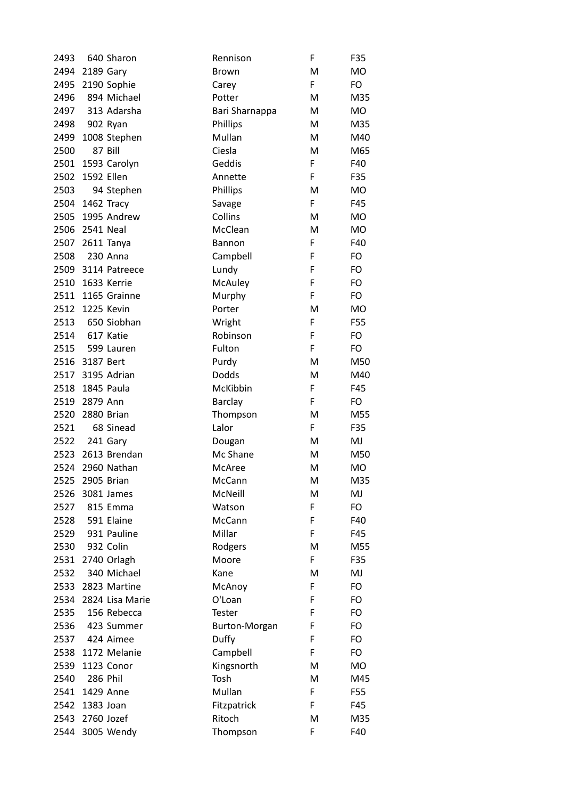| 2493 |            | 640 Sharon      | Rennison             | F | F35       |
|------|------------|-----------------|----------------------|---|-----------|
| 2494 | 2189 Gary  |                 | <b>Brown</b>         | M | MO        |
| 2495 |            | 2190 Sophie     | Carey                | F | FO        |
| 2496 |            | 894 Michael     | Potter               | M | M35       |
| 2497 |            | 313 Adarsha     | Bari Sharnappa       | м | MO        |
| 2498 |            | 902 Ryan        | Phillips             | M | M35       |
| 2499 |            | 1008 Stephen    | Mullan               | M | M40       |
| 2500 |            | 87 Bill         | Ciesla               | M | M65       |
| 2501 |            | 1593 Carolyn    | Geddis               | F | F40       |
| 2502 |            | 1592 Ellen      | Annette              | F | F35       |
| 2503 |            | 94 Stephen      | Phillips             | M | MO        |
| 2504 | 1462 Tracy |                 | Savage               | F | F45       |
| 2505 |            | 1995 Andrew     | Collins              | M | <b>MO</b> |
| 2506 | 2541 Neal  |                 | McClean              | M | <b>MO</b> |
| 2507 |            | 2611 Tanya      | <b>Bannon</b>        | F | F40       |
| 2508 |            | 230 Anna        | Campbell             | F | FO        |
| 2509 |            | 3114 Patreece   | Lundy                | F | FO        |
| 2510 |            | 1633 Kerrie     | McAuley              | F | FO        |
| 2511 |            | 1165 Grainne    | Murphy               | F | FO        |
| 2512 |            | 1225 Kevin      | Porter               | M | <b>MO</b> |
| 2513 |            | 650 Siobhan     | Wright               | F | F55       |
| 2514 |            | 617 Katie       | Robinson             | F | FO        |
| 2515 |            | 599 Lauren      | Fulton               | F | FO        |
| 2516 | 3187 Bert  |                 | Purdy                | M | M50       |
| 2517 |            | 3195 Adrian     | Dodds                | M | M40       |
| 2518 |            | 1845 Paula      | McKibbin             | F | F45       |
| 2519 | 2879 Ann   |                 | <b>Barclay</b>       | F | FO        |
| 2520 |            | 2880 Brian      | Thompson             | M | M55       |
| 2521 |            | 68 Sinead       | Lalor                | F | F35       |
| 2522 |            | 241 Gary        | Dougan               | М | MJ        |
| 2523 |            | 2613 Brendan    | Mc Shane             | M | M50       |
| 2524 |            | 2960 Nathan     | McAree               | M | <b>MO</b> |
| 2525 | 2905 Brian |                 | McCann               | M | M35       |
| 2526 |            | 3081 James      | McNeill              | M | MJ        |
| 2527 |            | 815 Emma        | Watson               | F | FO        |
| 2528 |            | 591 Elaine      | McCann               | F | F40       |
| 2529 |            | 931 Pauline     | Millar               | F | F45       |
| 2530 |            | 932 Colin       | Rodgers              | M | M55       |
| 2531 |            | 2740 Orlagh     | Moore                | F | F35       |
| 2532 |            | 340 Michael     | Kane                 | м | MJ        |
| 2533 |            | 2823 Martine    | McAnoy               | F | FO        |
| 2534 |            | 2824 Lisa Marie | O'Loan               | F | FO        |
| 2535 |            | 156 Rebecca     | Tester               | F | FO        |
| 2536 |            | 423 Summer      | <b>Burton-Morgan</b> | F | FO        |
| 2537 |            | 424 Aimee       | Duffy                | F | FO        |
| 2538 |            | 1172 Melanie    | Campbell             | F | FO        |
| 2539 |            | 1123 Conor      | Kingsnorth           | M | <b>MO</b> |
| 2540 |            | <b>286 Phil</b> | Tosh                 | M | M45       |
| 2541 |            | 1429 Anne       | Mullan               | F | F55       |
| 2542 | 1383 Joan  |                 | Fitzpatrick          | F | F45       |
| 2543 | 2760 Jozef |                 | Ritoch               | M | M35       |
|      |            | 2544 3005 Wendy | Thompson             | F | F40       |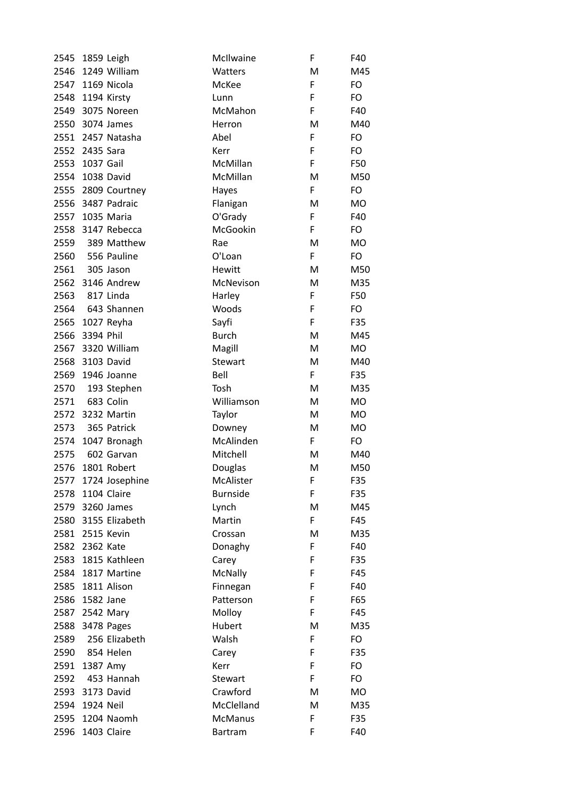| 2545 |                | 1859 Leigh          | McIlwaine       | F  | F40       |
|------|----------------|---------------------|-----------------|----|-----------|
| 2546 |                | 1249 William        | Watters         | M  | M45       |
| 2547 |                | 1169 Nicola         | McKee           | F  | FO        |
| 2548 |                | 1194 Kirsty         | Lunn            | F  | FO        |
| 2549 |                | 3075 Noreen         | McMahon         | F  | F40       |
| 2550 |                | 3074 James          | Herron          | M  | M40       |
|      |                | 2551 2457 Natasha   | Abel            | F  | FO        |
|      | 2552 2435 Sara |                     | Kerr            | F  | FO        |
| 2553 | 1037 Gail      |                     | McMillan        | F  | F50       |
|      |                | 2554 1038 David     | McMillan        | M  | M50       |
|      |                | 2555 2809 Courtney  | Hayes           | F  | FO        |
| 2556 |                | 3487 Padraic        | Flanigan        | M  | <b>MO</b> |
| 2557 |                | 1035 Maria          | O'Grady         | F  | F40       |
| 2558 |                | 3147 Rebecca        | McGookin        | F  | FO.       |
| 2559 |                | 389 Matthew         | Rae             | M  | <b>MO</b> |
| 2560 |                | 556 Pauline         | O'Loan          | F  | FO        |
| 2561 |                | 305 Jason           | Hewitt          | M  | M50       |
| 2562 |                | 3146 Andrew         | McNevison       | M  | M35       |
| 2563 |                | 817 Linda           | Harley          | F  | F50       |
| 2564 |                | 643 Shannen         | Woods           | F  | FO        |
| 2565 |                | 1027 Reyha          | Sayfi           | F  | F35       |
| 2566 | 3394 Phil      |                     | <b>Burch</b>    | M  | M45       |
|      |                | 2567 3320 William   | Magill          | M  | <b>MO</b> |
| 2568 |                | 3103 David          | Stewart         | M  | M40       |
| 2569 |                | 1946 Joanne         | Bell            | F  | F35       |
| 2570 |                | 193 Stephen         | Tosh            | M  | M35       |
| 2571 |                | 683 Colin           | Williamson      | M  | <b>MO</b> |
| 2572 |                | 3232 Martin         | Taylor          | М  | MO        |
| 2573 |                | 365 Patrick         | Downey          | M  | <b>MO</b> |
| 2574 |                | 1047 Bronagh        | McAlinden       | F  | FO        |
| 2575 |                | 602 Garvan          | Mitchell        | M  | M40       |
| 2576 |                | 1801 Robert         | Douglas         | M  | M50       |
|      |                | 2577 1724 Josephine | McAlister       | F. | F35       |
| 2578 |                | 1104 Claire         | <b>Burnside</b> | F  | F35       |
| 2579 |                | 3260 James          | Lynch           | M  | M45       |
| 2580 |                | 3155 Elizabeth      | Martin          | F. | F45       |
| 2581 |                | 2515 Kevin          | Crossan         | M  | M35       |
|      | 2582 2362 Kate |                     | Donaghy         | F  | F40       |
| 2583 |                | 1815 Kathleen       | Carey           | F  | F35       |
| 2584 |                | 1817 Martine        | McNally         | F  | F45       |
| 2585 |                | 1811 Alison         | Finnegan        | F  | F40       |
| 2586 | 1582 Jane      |                     | Patterson       | F  | F65       |
| 2587 |                | 2542 Mary           | Molloy          | F  | F45       |
| 2588 |                | 3478 Pages          | Hubert          | M  | M35       |
| 2589 |                | 256 Elizabeth       | Walsh           | F  | FO        |
| 2590 |                | 854 Helen           | Carey           | F  | F35       |
| 2591 | 1387 Amy       |                     | Kerr            | F  | FO        |
| 2592 |                | 453 Hannah          | Stewart         | F  | FO        |
| 2593 |                | 3173 David          | Crawford        | M  | MO        |
| 2594 | 1924 Neil      |                     | McClelland      | M  | M35       |
| 2595 |                | 1204 Naomh          | <b>McManus</b>  | F  | F35       |
| 2596 |                | 1403 Claire         | <b>Bartram</b>  | F  | F40       |
|      |                |                     |                 |    |           |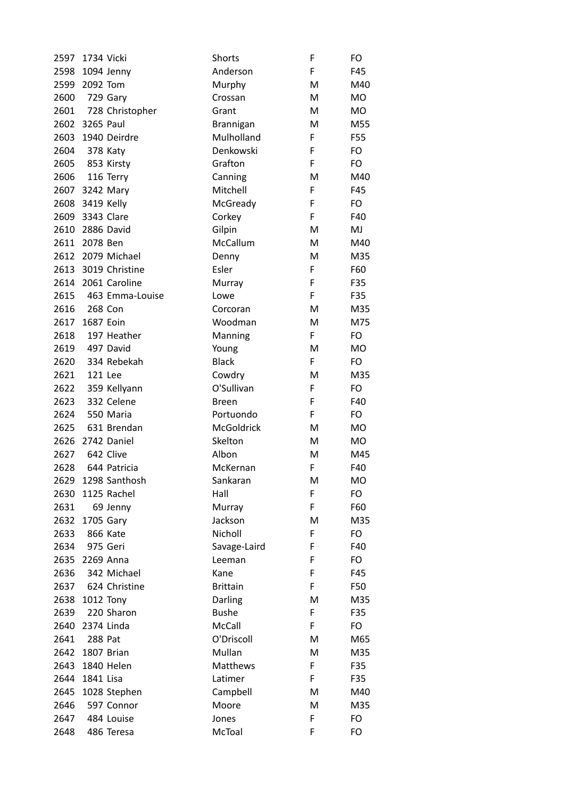| 2597 | 1734 Vicki     |                  | Shorts          | F | FO        |
|------|----------------|------------------|-----------------|---|-----------|
| 2598 |                | 1094 Jenny       | Anderson        | F | F45       |
| 2599 | 2092 Tom       |                  | Murphy          | М | M40       |
| 2600 | 729 Gary       |                  | Crossan         | M | <b>MO</b> |
| 2601 |                | 728 Christopher  | Grant           | М | MO        |
| 2602 | 3265 Paul      |                  | Brannigan       | M | M55       |
| 2603 |                | 1940 Deirdre     | Mulholland      | F | F55       |
| 2604 |                | 378 Katy         | Denkowski       | F | FO        |
| 2605 |                | 853 Kirsty       | Grafton         | F | FO        |
| 2606 |                | 116 Terry        | Canning         | M | M40       |
|      | 2607 3242 Mary |                  | Mitchell        | F | F45       |
| 2608 | 3419 Kelly     |                  | McGready        | F | FO        |
| 2609 | 3343 Clare     |                  | Corkey          | F | F40       |
| 2610 |                | 2886 David       | Gilpin          | M | MJ        |
| 2611 | 2078 Ben       |                  | McCallum        | M | M40       |
| 2612 |                | 2079 Michael     | Denny           | M | M35       |
| 2613 |                | 3019 Christine   | Esler           | F | F60       |
| 2614 |                | 2061 Caroline    | Murray          | F | F35       |
| 2615 |                | 463 Emma-Louise  | Lowe            | F | F35       |
| 2616 |                | 268 Con          | Corcoran        | M | M35       |
| 2617 | 1687 Eoin      |                  | Woodman         | M | M75       |
| 2618 |                | 197 Heather      | Manning         | F | FO        |
| 2619 |                | 497 David        | Young           | M | <b>MO</b> |
| 2620 |                | 334 Rebekah      | <b>Black</b>    | F | FO        |
| 2621 | 121 Lee        |                  | Cowdry          | M | M35       |
| 2622 |                | 359 Kellyann     | O'Sullivan      | F | FO        |
| 2623 |                | 332 Celene       | <b>Breen</b>    | F | F40       |
| 2624 |                | 550 Maria        | Portuondo       | F | FO        |
| 2625 |                | 631 Brendan      | McGoldrick      | М | <b>MO</b> |
| 2626 |                | 2742 Daniel      | Skelton         | M | MO        |
| 2627 |                | 642 Clive        | Albon           | M | M45       |
| 2628 |                | 644 Patricia     | McKernan        | F | F40       |
| 2629 |                | 1298 Santhosh    | Sankaran        | M | MO        |
| 2630 |                | 1125 Rachel      | Hall            | F | FO        |
| 2631 |                | 69 Jenny         | Murray          | F | F60       |
| 2632 | 1705 Gary      |                  | Jackson         | M | M35       |
| 2633 |                | 866 Kate         | Nicholl         | F | FO        |
| 2634 |                | 975 Geri         | Savage-Laird    | F | F40       |
| 2635 | 2269 Anna      |                  | Leeman          | F | FO        |
| 2636 |                | 342 Michael      | Kane            | F | F45       |
| 2637 |                | 624 Christine    | <b>Brittain</b> | F | F50       |
| 2638 |                | <b>1012 Tony</b> | Darling         | M | M35       |
| 2639 |                | 220 Sharon       | <b>Bushe</b>    | F | F35       |
| 2640 |                | 2374 Linda       | McCall          | F | FO        |
| 2641 | 288 Pat        |                  | O'Driscoll      | м | M65       |
| 2642 |                | 1807 Brian       | Mullan          | M | M35       |
| 2643 |                | 1840 Helen       | Matthews        | F | F35       |
| 2644 | 1841 Lisa      |                  | Latimer         | F | F35       |
| 2645 |                | 1028 Stephen     | Campbell        | M | M40       |
| 2646 |                | 597 Connor       | Moore           | м | M35       |
| 2647 |                | 484 Louise       | Jones           | F | FO        |
| 2648 |                | 486 Teresa       | McToal          | F | FO        |
|      |                |                  |                 |   |           |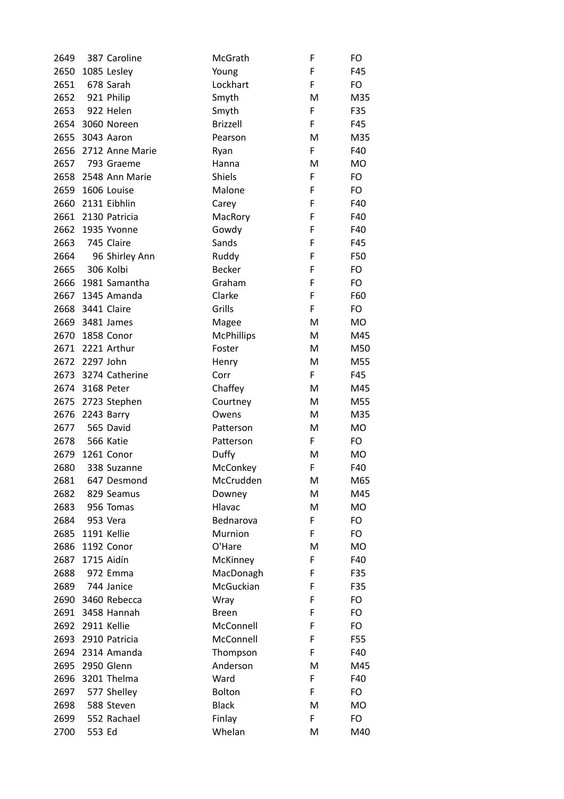| 2649 |             | 387 Caroline     | McGrath           | F | FO        |
|------|-------------|------------------|-------------------|---|-----------|
| 2650 |             | 1085 Lesley      | Young             | F | F45       |
| 2651 |             | 678 Sarah        | Lockhart          | F | FO        |
| 2652 |             | 921 Philip       | Smyth             | M | M35       |
| 2653 |             | 922 Helen        | Smyth             | F | F35       |
| 2654 |             | 3060 Noreen      | <b>Brizzell</b>   | F | F45       |
| 2655 |             | 3043 Aaron       | Pearson           | M | M35       |
| 2656 |             | 2712 Anne Marie  | Ryan              | F | F40       |
| 2657 |             | 793 Graeme       | Hanna             | M | MO        |
| 2658 |             | 2548 Ann Marie   | <b>Shiels</b>     | F | FO        |
| 2659 |             | 1606 Louise      | Malone            | F | FO        |
| 2660 |             | 2131 Eibhlin     | Carey             | F | F40       |
| 2661 |             | 2130 Patricia    | MacRory           | F | F40       |
| 2662 |             | 1935 Yvonne      | Gowdy             | F | F40       |
| 2663 |             | 745 Claire       | Sands             | F | F45       |
| 2664 |             | 96 Shirley Ann   | Ruddy             | F | F50       |
| 2665 |             | 306 Kolbi        | Becker            | F | FO        |
| 2666 |             | 1981 Samantha    | Graham            | F | FO        |
| 2667 |             | 1345 Amanda      | Clarke            | F | F60       |
| 2668 |             | 3441 Claire      | Grills            | F | FO        |
| 2669 |             | 3481 James       | Magee             | M | MO        |
| 2670 |             | 1858 Conor       | <b>McPhillips</b> | M | M45       |
|      |             | 2671 2221 Arthur | Foster            | M | M50       |
| 2672 | 2297 John   |                  | Henry             | M | M55       |
| 2673 |             | 3274 Catherine   | Corr              | F | F45       |
| 2674 | 3168 Peter  |                  | Chaffey           | M | M45       |
| 2675 |             | 2723 Stephen     | Courtney          | M | M55       |
| 2676 |             | 2243 Barry       | Owens             | M | M35       |
| 2677 |             | 565 David        | Patterson         | M | <b>MO</b> |
| 2678 |             | 566 Katie        | Patterson         | F | FO        |
| 2679 |             | 1261 Conor       | Duffy             | M | <b>MO</b> |
| 2680 |             | 338 Suzanne      | McConkey          | F | F40       |
| 2681 |             | 647 Desmond      | McCrudden         | M | M65       |
| 2682 |             | 829 Seamus       | Downey            | M | M45       |
| 2683 |             | 956 Tomas        | Hlavac            | M | <b>MO</b> |
| 2684 |             | 953 Vera         | Bednarova         | F | FO        |
| 2685 |             | 1191 Kellie      | <b>Murnion</b>    | F | FO        |
| 2686 |             | 1192 Conor       | O'Hare            | M | <b>MO</b> |
| 2687 |             | 1715 Aidín       | McKinney          | F | F40       |
| 2688 |             | 972 Emma         | MacDonagh         | F | F35       |
| 2689 |             | 744 Janice       | McGuckian         | F | F35       |
| 2690 |             | 3460 Rebecca     | Wray              | F | FO        |
| 2691 |             | 3458 Hannah      | <b>Breen</b>      | F | FO        |
| 2692 | 2911 Kellie |                  | McConnell         | F | FO        |
| 2693 |             | 2910 Patricia    | McConnell         | F | F55       |
| 2694 |             | 2314 Amanda      | Thompson          | F | F40       |
| 2695 |             | 2950 Glenn       | Anderson          | M | M45       |
| 2696 |             | 3201 Thelma      | Ward              | F | F40       |
| 2697 |             | 577 Shelley      | Bolton            | F | FO        |
| 2698 |             | 588 Steven       | <b>Black</b>      | M | MO        |
| 2699 |             | 552 Rachael      | Finlay            | F | FO        |
| 2700 | 553 Ed      |                  | Whelan            | M | M40       |
|      |             |                  |                   |   |           |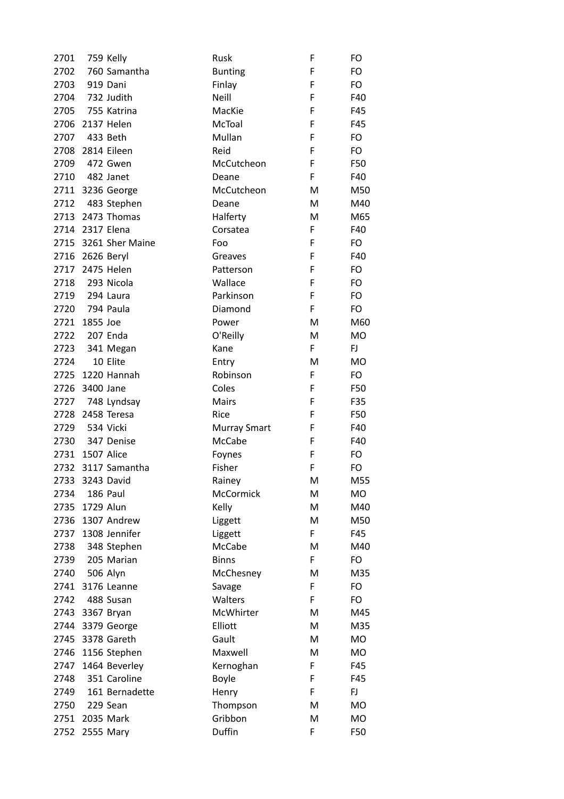| 2701 |                 | 759 Kelly        | Rusk                | F  | FO        |
|------|-----------------|------------------|---------------------|----|-----------|
| 2702 |                 | 760 Samantha     | <b>Bunting</b>      | F  | FO        |
| 2703 |                 | 919 Dani         | Finlay              | F  | FO        |
| 2704 |                 | 732 Judith       | <b>Neill</b>        | F  | F40       |
| 2705 |                 | 755 Katrina      | MacKie              | F  | F45       |
| 2706 |                 | 2137 Helen       | McToal              | F  | F45       |
| 2707 | 433 Beth        |                  | Mullan              | F  | FO        |
| 2708 |                 | 2814 Eileen      | Reid                | F  | FO        |
| 2709 |                 | 472 Gwen         | McCutcheon          | F  | F50       |
| 2710 |                 | 482 Janet        | Deane               | F  | F40       |
|      |                 | 2711 3236 George | McCutcheon          | м  | M50       |
| 2712 |                 | 483 Stephen      | Deane               | M  | M40       |
| 2713 |                 | 2473 Thomas      | Halferty            | M  | M65       |
|      |                 | 2714 2317 Elena  | Corsatea            | F  | F40       |
| 2715 |                 | 3261 Sher Maine  | Foo                 | F  | FO        |
|      | 2716 2626 Beryl |                  | Greaves             | F  | F40       |
| 2717 |                 | 2475 Helen       | Patterson           | F  | FO        |
| 2718 |                 | 293 Nicola       | Wallace             | F  | FO        |
| 2719 |                 | 294 Laura        | Parkinson           | F  | FO        |
| 2720 |                 | 794 Paula        | Diamond             | F  | FO        |
| 2721 | 1855 Joe        |                  | Power               | M  | M60       |
| 2722 |                 | 207 Enda         | O'Reilly            | M  | <b>MO</b> |
| 2723 |                 | 341 Megan        | Kane                | F. | <b>FJ</b> |
| 2724 |                 | 10 Elite         | Entry               | M  | <b>MO</b> |
| 2725 |                 | 1220 Hannah      | Robinson            | F  | FO        |
| 2726 | 3400 Jane       |                  | Coles               | F  | F50       |
| 2727 |                 | 748 Lyndsay      | Mairs               | F  | F35       |
| 2728 |                 | 2458 Teresa      | Rice                | F  | F50       |
| 2729 | 534 Vicki       |                  | <b>Murray Smart</b> | F  | F40       |
| 2730 |                 | 347 Denise       | McCabe              | F  | F40       |
| 2731 | 1507 Alice      |                  | Foynes              | F  | FO        |
| 2732 |                 | 3117 Samantha    | Fisher              | F  | FO        |
| 2733 |                 | 3243 David       | Rainey              | M  | M55       |
| 2734 |                 | 186 Paul         | <b>McCormick</b>    | M  | MO        |
| 2735 | 1729 Alun       |                  | Kelly               | M  | M40       |
| 2736 |                 | 1307 Andrew      | Liggett             | M  | M50       |
| 2737 |                 | 1308 Jennifer    | Liggett             | F. | F45       |
| 2738 |                 | 348 Stephen      | McCabe              | M  | M40       |
| 2739 |                 | 205 Marian       | <b>Binns</b>        | F. | FO        |
| 2740 |                 | 506 Alyn         | McChesney           | M  | M35       |
| 2741 |                 | 3176 Leanne      |                     | F  | FO        |
| 2742 |                 | 488 Susan        | Savage<br>Walters   | F. | FO        |
|      |                 |                  | McWhirter           |    |           |
| 2743 |                 | 3367 Bryan       | Elliott             | M  | M45       |
| 2744 |                 | 3379 George      |                     | M  | M35       |
| 2745 |                 | 3378 Gareth      | Gault               | M  | MO        |
| 2746 |                 | 1156 Stephen     | Maxwell             | M  | <b>MO</b> |
| 2747 |                 | 1464 Beverley    | Kernoghan           | F  | F45       |
| 2748 |                 | 351 Caroline     | Boyle               | F  | F45       |
| 2749 |                 | 161 Bernadette   | Henry               | F  | FJ.       |
| 2750 |                 | 229 Sean         | Thompson            | M  | <b>MO</b> |
| 2751 | 2035 Mark       |                  | Gribbon             | M  | <b>MO</b> |
| 2752 |                 | 2555 Mary        | Duffin              | F  | F50       |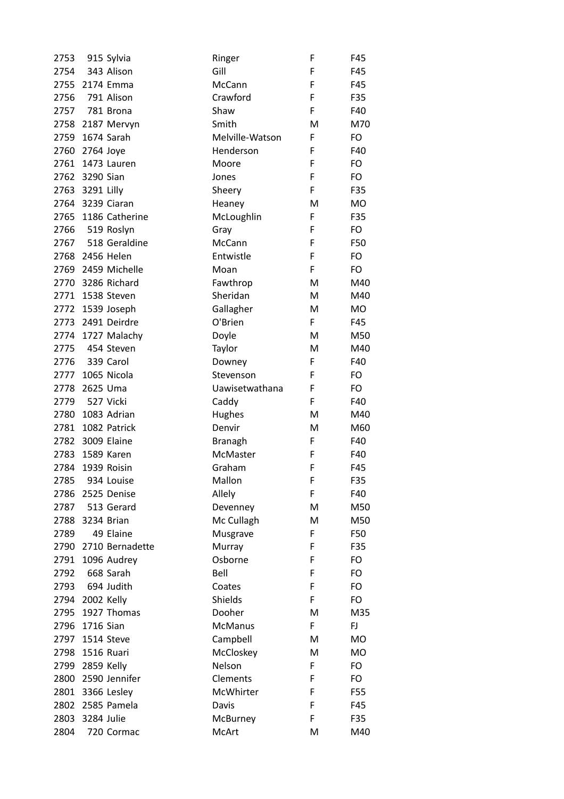| 2753 |                 | 915 Sylvia           | Ringer          | F  | F45       |
|------|-----------------|----------------------|-----------------|----|-----------|
| 2754 |                 | 343 Alison           | Gill            | F  | F45       |
| 2755 |                 | 2174 Emma            | McCann          | F  | F45       |
| 2756 |                 | 791 Alison           | Crawford        | F  | F35       |
| 2757 |                 | 781 Brona            | Shaw            | F. | F40       |
|      |                 | 2758 2187 Mervyn     | Smith           | M  | M70       |
| 2759 |                 | 1674 Sarah           | Melville-Watson | F  | FO        |
|      | 2760 2764 Joye  |                      | Henderson       | F  | F40       |
| 2761 |                 | 1473 Lauren          | Moore           | F  | FO        |
|      | 2762 3290 Sian  |                      | Jones           | F  | FO        |
|      | 2763 3291 Lilly |                      | Sheery          | F. | F35       |
| 2764 |                 | 3239 Ciaran          | Heaney          | M  | <b>MO</b> |
| 2765 |                 | 1186 Catherine       | McLoughlin      | F  | F35       |
| 2766 |                 | 519 Roslyn           | Gray            | F  | FO.       |
| 2767 |                 | 518 Geraldine        | McCann          | F  | F50       |
|      |                 | 2768 2456 Helen      | Entwistle       | F  | <b>FO</b> |
|      |                 | 2769 2459 Michelle   | Moan            | F  | <b>FO</b> |
|      |                 | 2770 3286 Richard    | Fawthrop        | M  | M40       |
| 2771 |                 | 1538 Steven          | Sheridan        | M  | M40       |
|      |                 | 2772 1539 Joseph     | Gallagher       | M  | <b>MO</b> |
|      |                 | 2773 2491 Deirdre    | O'Brien         | F  | F45       |
|      |                 | 2774 1727 Malachy    | Doyle           | M  | M50       |
| 2775 |                 | 454 Steven           | Taylor          | M  | M40       |
| 2776 |                 | 339 Carol            | Downey          | F  | F40       |
| 2777 |                 | 1065 Nicola          | Stevenson       | F  | FO        |
| 2778 | 2625 Uma        |                      | Uawisetwathana  | F  | FO        |
| 2779 |                 | 527 Vicki            | Caddy           | F  | F40       |
| 2780 |                 | 1083 Adrian          | Hughes          | M  | M40       |
| 2781 |                 | 1082 Patrick         | Denvir          | M  | M60       |
|      |                 | 2782 3009 Elaine     | <b>Branagh</b>  | F  | F40       |
| 2783 |                 | 1589 Karen           | McMaster        | F  | F40       |
| 2784 |                 | 1939 Roisin          | Graham          | F  | F45       |
| 2785 |                 | 934 Louise           | Mallon          | F  | F35       |
| 2786 |                 | 2525 Denise          | Allely          | F  | F40       |
| 2787 |                 | 513 Gerard           | Devenney        | M  | M50       |
| 2788 |                 | 3234 Brian           | Mc Cullagh      | М  | M50       |
| 2789 |                 | 49 Elaine            | Musgrave        | F  | F50       |
|      |                 | 2790 2710 Bernadette | Murray          | F  | F35       |
| 2791 |                 | 1096 Audrey          | Osborne         | F  | FO        |
| 2792 |                 | 668 Sarah            | Bell            | F  | FO        |
| 2793 |                 | 694 Judith           | Coates          | F  | FO        |
| 2794 | 2002 Kelly      |                      | <b>Shields</b>  | F  | FO        |
| 2795 |                 | 1927 Thomas          | Dooher          | M  | M35       |
| 2796 | 1716 Sian       |                      | <b>McManus</b>  | F. | FJ        |
| 2797 | 1514 Steve      |                      | Campbell        | M  | <b>MO</b> |
| 2798 |                 | 1516 Ruari           | McCloskey       | M  | <b>MO</b> |
| 2799 | 2859 Kelly      |                      | Nelson          | F  | FO        |
| 2800 |                 | 2590 Jennifer        | Clements        | F  | FO        |
|      |                 | 2801 3366 Lesley     | McWhirter       | F  | F55       |
|      |                 | 2802 2585 Pamela     | Davis           | F  | F45       |
| 2803 | 3284 Julie      |                      | McBurney        | F  | F35       |
| 2804 |                 | 720 Cormac           | McArt           | M  | M40       |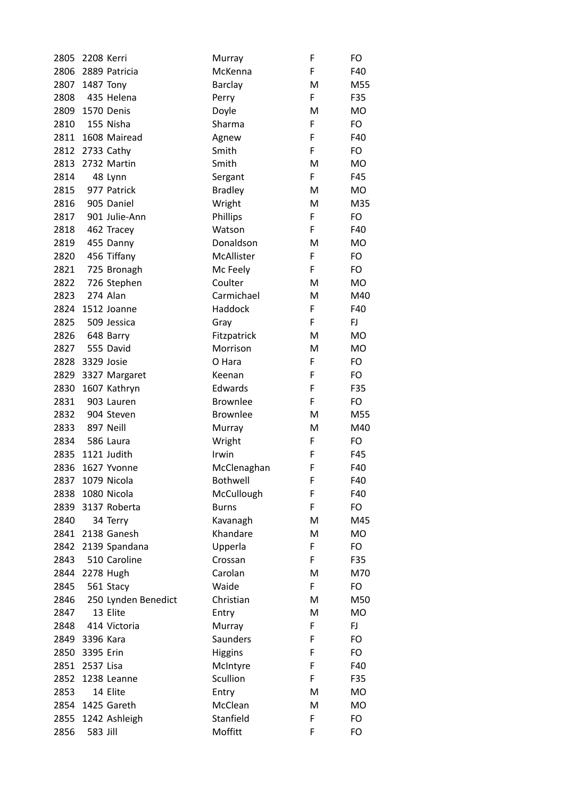| 2805 | 2208 Kerri |                         | Murray                     | F  | FO        |
|------|------------|-------------------------|----------------------------|----|-----------|
| 2806 |            | 2889 Patricia           | McKenna                    | F  | F40       |
| 2807 | 1487 Tony  |                         | <b>Barclay</b>             | M  | M55       |
| 2808 |            | 435 Helena              | Perry                      | F. | F35       |
| 2809 |            | 1570 Denis              | Doyle                      | M  | <b>MO</b> |
| 2810 |            | 155 Nisha               | Sharma                     | F  | FO        |
| 2811 |            | 1608 Mairead            | Agnew                      | F  | F40       |
| 2812 |            | 2733 Cathy              | Smith                      | F  | FO        |
| 2813 |            | 2732 Martin             | Smith                      | M  | <b>MO</b> |
| 2814 |            | 48 Lynn                 | Sergant                    | F  | F45       |
| 2815 |            | 977 Patrick             | <b>Bradley</b>             | M  | <b>MO</b> |
| 2816 |            | 905 Daniel              | Wright                     | M  | M35       |
| 2817 |            | 901 Julie-Ann           | Phillips                   | F  | FO        |
| 2818 |            | 462 Tracey              | Watson                     | F  | F40       |
| 2819 |            | 455 Danny               | Donaldson                  | M  | <b>MO</b> |
| 2820 |            | 456 Tiffany             | McAllister                 | F  | FO        |
| 2821 |            | 725 Bronagh             | Mc Feely                   | F  | <b>FO</b> |
| 2822 |            | 726 Stephen             | Coulter                    | M  | <b>MO</b> |
| 2823 |            | 274 Alan                | Carmichael                 | M  | M40       |
| 2824 |            | 1512 Joanne             | Haddock                    | F  | F40       |
| 2825 |            | 509 Jessica             | Gray                       | F  | FJ        |
| 2826 |            | 648 Barry               | Fitzpatrick                | M  | <b>MO</b> |
| 2827 |            | 555 David               | Morrison                   | M  | <b>MO</b> |
| 2828 | 3329 Josie |                         | O Hara                     | F  | FO        |
| 2829 |            | 3327 Margaret           | Keenan                     | F  | FO        |
| 2830 |            | 1607 Kathryn            | Edwards                    | F  | F35       |
| 2831 |            | 903 Lauren              | <b>Brownlee</b>            | F  | FO        |
| 2832 |            | 904 Steven              | <b>Brownlee</b>            | M  | M55       |
| 2833 |            | 897 Neill               | Murray                     | M  | M40       |
| 2834 |            | 586 Laura               | Wright                     | F  | FO        |
| 2835 |            | 1121 Judith             | Irwin                      | F  | F45       |
| 2836 |            | 1627 Yvonne             |                            | F  | F40       |
| 2837 |            | 1079 Nicola             | McClenaghan<br>Bothwell    | F  | F40       |
| 2838 |            | 1080 Nicola             |                            | F  | F40       |
|      |            | 3137 Roberta            | McCullough<br><b>Burns</b> | F  | FO        |
| 2839 |            |                         |                            |    |           |
| 2840 |            | 34 Terry<br>2138 Ganesh | Kavanagh                   | M  | M45       |
| 2841 |            |                         | Khandare                   | M  | <b>MO</b> |
| 2842 |            | 2139 Spandana           | Upperla                    | F  | FO        |
| 2843 |            | 510 Caroline            | Crossan                    | F  | F35       |
| 2844 |            | 2278 Hugh               | Carolan                    | M  | M70       |
| 2845 |            | 561 Stacy               | Waide                      | F  | FO        |
| 2846 |            | 250 Lynden Benedict     | Christian                  | M  | M50       |
| 2847 |            | 13 Elite                | Entry                      | M  | <b>MO</b> |
| 2848 |            | 414 Victoria            | Murray                     | F  | FJ        |
| 2849 | 3396 Kara  |                         | Saunders                   | F  | FO        |
| 2850 | 3395 Erin  |                         | <b>Higgins</b>             | F  | FO        |
| 2851 | 2537 Lisa  |                         | McIntyre                   | F  | F40       |
| 2852 |            | 1238 Leanne             | Scullion                   | F  | F35       |
| 2853 |            | 14 Elite                | Entry                      | M  | <b>MO</b> |
| 2854 |            | 1425 Gareth             | McClean                    | M  | <b>MO</b> |
| 2855 |            | 1242 Ashleigh           | Stanfield                  | F  | FO        |
| 2856 | 583 Jill   |                         | Moffitt                    | F  | FO        |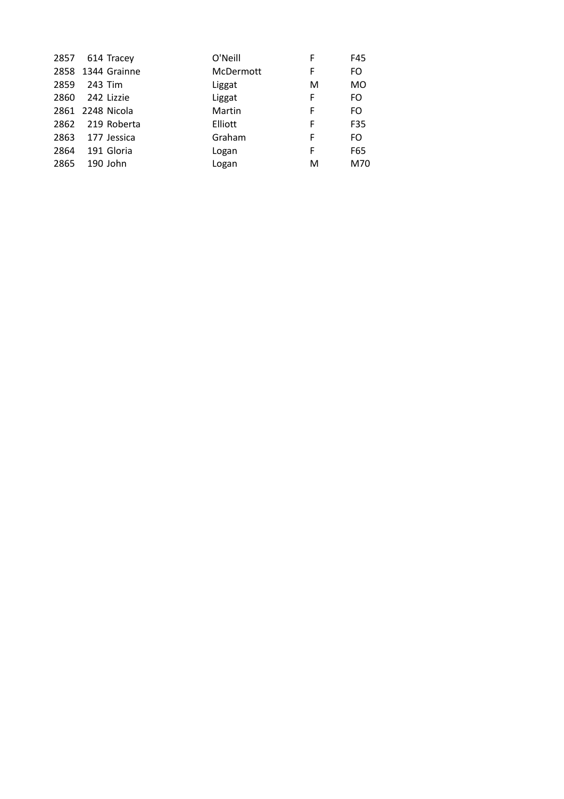| 614 Tracey  | O'Neill                               | F | F45       |
|-------------|---------------------------------------|---|-----------|
|             | McDermott                             | F | FO        |
| 243 Tim     | Liggat                                | м | <b>MO</b> |
| 242 Lizzie  | Liggat                                | F | FO        |
|             | Martin                                | F | FO        |
| 219 Roberta | Elliott                               | F | F35       |
| 177 Jessica | Graham                                | F | FO.       |
| 191 Gloria  | Logan                                 | F | F65       |
| 190 John    | Logan                                 | м | M70       |
|             | 2858 1344 Grainne<br>2861 2248 Nicola |   |           |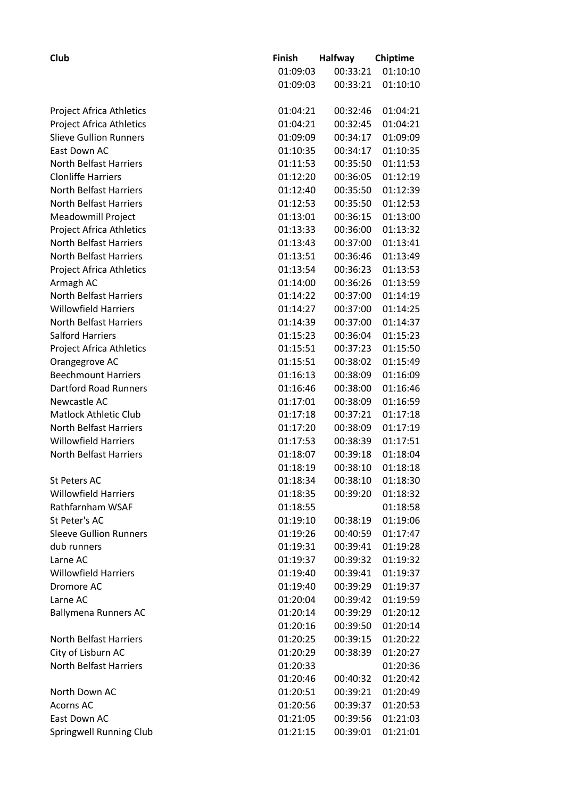| Club                          | Finish   | Halfway  | Chiptime |
|-------------------------------|----------|----------|----------|
|                               | 01:09:03 | 00:33:21 | 01:10:10 |
|                               | 01:09:03 | 00:33:21 | 01:10:10 |
| Project Africa Athletics      | 01:04:21 | 00:32:46 | 01:04:21 |
| Project Africa Athletics      | 01:04:21 | 00:32:45 | 01:04:21 |
| <b>Slieve Gullion Runners</b> | 01:09:09 | 00:34:17 | 01:09:09 |
| East Down AC                  | 01:10:35 | 00:34:17 | 01:10:35 |
| <b>North Belfast Harriers</b> | 01:11:53 | 00:35:50 | 01:11:53 |
| <b>Clonliffe Harriers</b>     | 01:12:20 | 00:36:05 | 01:12:19 |
| <b>North Belfast Harriers</b> | 01:12:40 | 00:35:50 | 01:12:39 |
| <b>North Belfast Harriers</b> | 01:12:53 | 00:35:50 | 01:12:53 |
| <b>Meadowmill Project</b>     | 01:13:01 | 00:36:15 | 01:13:00 |
| Project Africa Athletics      | 01:13:33 | 00:36:00 | 01:13:32 |
| <b>North Belfast Harriers</b> | 01:13:43 | 00:37:00 | 01:13:41 |
| North Belfast Harriers        | 01:13:51 | 00:36:46 | 01:13:49 |
| Project Africa Athletics      | 01:13:54 | 00:36:23 | 01:13:53 |
| Armagh AC                     | 01:14:00 | 00:36:26 | 01:13:59 |
| <b>North Belfast Harriers</b> | 01:14:22 | 00:37:00 | 01:14:19 |
| <b>Willowfield Harriers</b>   | 01:14:27 | 00:37:00 | 01:14:25 |
| <b>North Belfast Harriers</b> | 01:14:39 | 00:37:00 | 01:14:37 |
| <b>Salford Harriers</b>       | 01:15:23 | 00:36:04 | 01:15:23 |
| Project Africa Athletics      | 01:15:51 | 00:37:23 | 01:15:50 |
| Orangegrove AC                | 01:15:51 | 00:38:02 | 01:15:49 |
| <b>Beechmount Harriers</b>    | 01:16:13 | 00:38:09 | 01:16:09 |
| <b>Dartford Road Runners</b>  | 01:16:46 | 00:38:00 | 01:16:46 |
| Newcastle AC                  | 01:17:01 | 00:38:09 | 01:16:59 |
| <b>Matlock Athletic Club</b>  | 01:17:18 | 00:37:21 | 01:17:18 |
| <b>North Belfast Harriers</b> | 01:17:20 | 00:38:09 | 01:17:19 |
| <b>Willowfield Harriers</b>   | 01:17:53 | 00:38:39 | 01:17:51 |
| <b>North Belfast Harriers</b> | 01:18:07 | 00:39:18 | 01:18:04 |
|                               | 01:18:19 | 00:38:10 | 01:18:18 |
| St Peters AC                  | 01:18:34 | 00:38:10 | 01:18:30 |
| <b>Willowfield Harriers</b>   | 01:18:35 | 00:39:20 | 01:18:32 |
| Rathfarnham WSAF              | 01:18:55 |          | 01:18:58 |
| St Peter's AC                 | 01:19:10 | 00:38:19 | 01:19:06 |
| <b>Sleeve Gullion Runners</b> | 01:19:26 | 00:40:59 | 01:17:47 |
| dub runners                   | 01:19:31 | 00:39:41 | 01:19:28 |
| Larne AC                      | 01:19:37 | 00:39:32 | 01:19:32 |
| <b>Willowfield Harriers</b>   | 01:19:40 | 00:39:41 | 01:19:37 |
| Dromore AC                    | 01:19:40 | 00:39:29 | 01:19:37 |
| Larne AC                      | 01:20:04 | 00:39:42 | 01:19:59 |
| <b>Ballymena Runners AC</b>   | 01:20:14 | 00:39:29 | 01:20:12 |
|                               | 01:20:16 | 00:39:50 | 01:20:14 |
| <b>North Belfast Harriers</b> | 01:20:25 | 00:39:15 | 01:20:22 |
| City of Lisburn AC            | 01:20:29 | 00:38:39 | 01:20:27 |
| <b>North Belfast Harriers</b> | 01:20:33 |          | 01:20:36 |
|                               | 01:20:46 | 00:40:32 | 01:20:42 |
| North Down AC                 | 01:20:51 | 00:39:21 | 01:20:49 |
| <b>Acorns AC</b>              | 01:20:56 | 00:39:37 | 01:20:53 |
| East Down AC                  | 01:21:05 | 00:39:56 | 01:21:03 |
| Springwell Running Club       | 01:21:15 | 00:39:01 | 01:21:01 |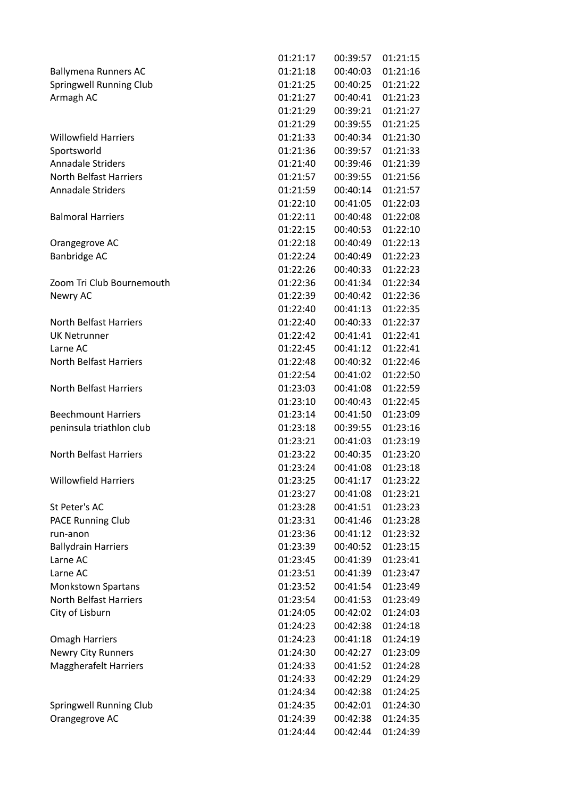|                               | 01:21:17 | 00:39:57 | 01:21:15 |
|-------------------------------|----------|----------|----------|
| <b>Ballymena Runners AC</b>   | 01:21:18 | 00:40:03 | 01:21:16 |
| Springwell Running Club       | 01:21:25 | 00:40:25 | 01:21:22 |
| Armagh AC                     | 01:21:27 | 00:40:41 | 01:21:23 |
|                               | 01:21:29 | 00:39:21 | 01:21:27 |
|                               | 01:21:29 | 00:39:55 | 01:21:25 |
| <b>Willowfield Harriers</b>   | 01:21:33 | 00:40:34 | 01:21:30 |
| Sportsworld                   | 01:21:36 | 00:39:57 | 01:21:33 |
| <b>Annadale Striders</b>      | 01:21:40 | 00:39:46 | 01:21:39 |
| <b>North Belfast Harriers</b> | 01:21:57 | 00:39:55 | 01:21:56 |
| <b>Annadale Striders</b>      | 01:21:59 | 00:40:14 | 01:21:57 |
|                               | 01:22:10 | 00:41:05 | 01:22:03 |
| <b>Balmoral Harriers</b>      | 01:22:11 | 00:40:48 | 01:22:08 |
|                               | 01:22:15 | 00:40:53 | 01:22:10 |
| Orangegrove AC                | 01:22:18 | 00:40:49 | 01:22:13 |
| Banbridge AC                  | 01:22:24 | 00:40:49 | 01:22:23 |
|                               | 01:22:26 | 00:40:33 | 01:22:23 |
| Zoom Tri Club Bournemouth     | 01:22:36 | 00:41:34 | 01:22:34 |
| Newry AC                      | 01:22:39 | 00:40:42 | 01:22:36 |
|                               | 01:22:40 | 00:41:13 | 01:22:35 |
| <b>North Belfast Harriers</b> | 01:22:40 | 00:40:33 | 01:22:37 |
| <b>UK Netrunner</b>           | 01:22:42 | 00:41:41 | 01:22:41 |
| Larne AC                      | 01:22:45 | 00:41:12 | 01:22:41 |
| <b>North Belfast Harriers</b> | 01:22:48 | 00:40:32 | 01:22:46 |
|                               | 01:22:54 | 00:41:02 | 01:22:50 |
| <b>North Belfast Harriers</b> | 01:23:03 | 00:41:08 | 01:22:59 |
|                               | 01:23:10 | 00:40:43 | 01:22:45 |
| <b>Beechmount Harriers</b>    | 01:23:14 | 00:41:50 | 01:23:09 |
| peninsula triathlon club      | 01:23:18 | 00:39:55 | 01:23:16 |
|                               | 01:23:21 | 00:41:03 | 01:23:19 |
| <b>North Belfast Harriers</b> | 01:23:22 | 00:40:35 | 01:23:20 |
|                               | 01:23:24 | 00:41:08 | 01:23:18 |
| <b>Willowfield Harriers</b>   | 01:23:25 | 00:41:17 | 01:23:22 |
|                               | 01:23:27 | 00:41:08 | 01:23:21 |
| St Peter's AC                 | 01:23:28 | 00:41:51 | 01:23:23 |
| <b>PACE Running Club</b>      | 01:23:31 | 00:41:46 | 01:23:28 |
| run-anon                      | 01:23:36 | 00:41:12 | 01:23:32 |
| <b>Ballydrain Harriers</b>    | 01:23:39 | 00:40:52 | 01:23:15 |
| Larne AC                      | 01:23:45 | 00:41:39 | 01:23:41 |
| Larne AC                      | 01:23:51 | 00:41:39 | 01:23:47 |
|                               |          |          |          |
| <b>Monkstown Spartans</b>     | 01:23:52 | 00:41:54 | 01:23:49 |
| North Belfast Harriers        | 01:23:54 | 00:41:53 | 01:23:49 |
| City of Lisburn               | 01:24:05 | 00:42:02 | 01:24:03 |
|                               | 01:24:23 | 00:42:38 | 01:24:18 |
| <b>Omagh Harriers</b>         | 01:24:23 | 00:41:18 | 01:24:19 |
| <b>Newry City Runners</b>     | 01:24:30 | 00:42:27 | 01:23:09 |
| <b>Maggherafelt Harriers</b>  | 01:24:33 | 00:41:52 | 01:24:28 |
|                               | 01:24:33 | 00:42:29 | 01:24:29 |
|                               | 01:24:34 | 00:42:38 | 01:24:25 |
| Springwell Running Club       | 01:24:35 | 00:42:01 | 01:24:30 |
| Orangegrove AC                | 01:24:39 | 00:42:38 | 01:24:35 |
|                               | 01:24:44 | 00:42:44 | 01:24:39 |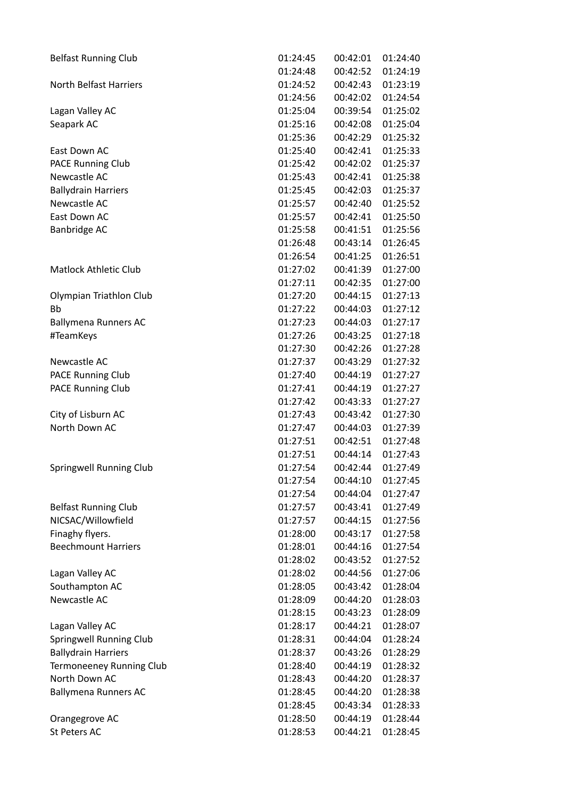| <b>Belfast Running Club</b>     | 01:24:45 | 00:42:01 | 01:24:40 |
|---------------------------------|----------|----------|----------|
|                                 | 01:24:48 | 00:42:52 | 01:24:19 |
| <b>North Belfast Harriers</b>   | 01:24:52 | 00:42:43 | 01:23:19 |
|                                 | 01:24:56 | 00:42:02 | 01:24:54 |
| Lagan Valley AC                 | 01:25:04 | 00:39:54 | 01:25:02 |
| Seapark AC                      | 01:25:16 | 00:42:08 | 01:25:04 |
|                                 | 01:25:36 | 00:42:29 | 01:25:32 |
| East Down AC                    | 01:25:40 | 00:42:41 | 01:25:33 |
| PACE Running Club               | 01:25:42 | 00:42:02 | 01:25:37 |
| Newcastle AC                    | 01:25:43 | 00:42:41 | 01:25:38 |
| <b>Ballydrain Harriers</b>      | 01:25:45 | 00:42:03 | 01:25:37 |
| Newcastle AC                    | 01:25:57 | 00:42:40 | 01:25:52 |
| East Down AC                    | 01:25:57 | 00:42:41 | 01:25:50 |
| Banbridge AC                    | 01:25:58 | 00:41:51 | 01:25:56 |
|                                 | 01:26:48 | 00:43:14 | 01:26:45 |
|                                 | 01:26:54 | 00:41:25 | 01:26:51 |
| <b>Matlock Athletic Club</b>    | 01:27:02 | 00:41:39 | 01:27:00 |
|                                 | 01:27:11 |          |          |
|                                 |          | 00:42:35 | 01:27:00 |
| Olympian Triathlon Club         | 01:27:20 | 00:44:15 | 01:27:13 |
| <b>Bb</b>                       | 01:27:22 | 00:44:03 | 01:27:12 |
| <b>Ballymena Runners AC</b>     | 01:27:23 | 00:44:03 | 01:27:17 |
| #TeamKeys                       | 01:27:26 | 00:43:25 | 01:27:18 |
|                                 | 01:27:30 | 00:42:26 | 01:27:28 |
| Newcastle AC                    | 01:27:37 | 00:43:29 | 01:27:32 |
| PACE Running Club               | 01:27:40 | 00:44:19 | 01:27:27 |
| PACE Running Club               | 01:27:41 | 00:44:19 | 01:27:27 |
|                                 | 01:27:42 | 00:43:33 | 01:27:27 |
| City of Lisburn AC              | 01:27:43 | 00:43:42 | 01:27:30 |
| North Down AC                   | 01:27:47 | 00:44:03 | 01:27:39 |
|                                 | 01:27:51 | 00:42:51 | 01:27:48 |
|                                 | 01:27:51 | 00:44:14 | 01:27:43 |
| Springwell Running Club         | 01:27:54 | 00:42:44 | 01:27:49 |
|                                 | 01:27:54 | 00:44:10 | 01:27:45 |
|                                 | 01:27:54 | 00:44:04 | 01:27:47 |
| <b>Belfast Running Club</b>     | 01:27:57 | 00:43:41 | 01:27:49 |
| NICSAC/Willowfield              | 01:27:57 | 00:44:15 | 01:27:56 |
| Finaghy flyers.                 | 01:28:00 | 00:43:17 | 01:27:58 |
| <b>Beechmount Harriers</b>      | 01:28:01 | 00:44:16 | 01:27:54 |
|                                 | 01:28:02 | 00:43:52 | 01:27:52 |
| Lagan Valley AC                 | 01:28:02 | 00:44:56 | 01:27:06 |
| Southampton AC                  | 01:28:05 | 00:43:42 | 01:28:04 |
| Newcastle AC                    | 01:28:09 | 00:44:20 | 01:28:03 |
|                                 | 01:28:15 | 00:43:23 | 01:28:09 |
| Lagan Valley AC                 | 01:28:17 | 00:44:21 | 01:28:07 |
| <b>Springwell Running Club</b>  | 01:28:31 | 00:44:04 | 01:28:24 |
| <b>Ballydrain Harriers</b>      | 01:28:37 | 00:43:26 | 01:28:29 |
| <b>Termoneeney Running Club</b> | 01:28:40 | 00:44:19 | 01:28:32 |
| North Down AC                   | 01:28:43 | 00:44:20 | 01:28:37 |
| Ballymena Runners AC            | 01:28:45 | 00:44:20 | 01:28:38 |
|                                 | 01:28:45 | 00:43:34 | 01:28:33 |
|                                 |          |          |          |
| Orangegrove AC                  | 01:28:50 | 00:44:19 | 01:28:44 |
| St Peters AC                    | 01:28:53 | 00:44:21 | 01:28:45 |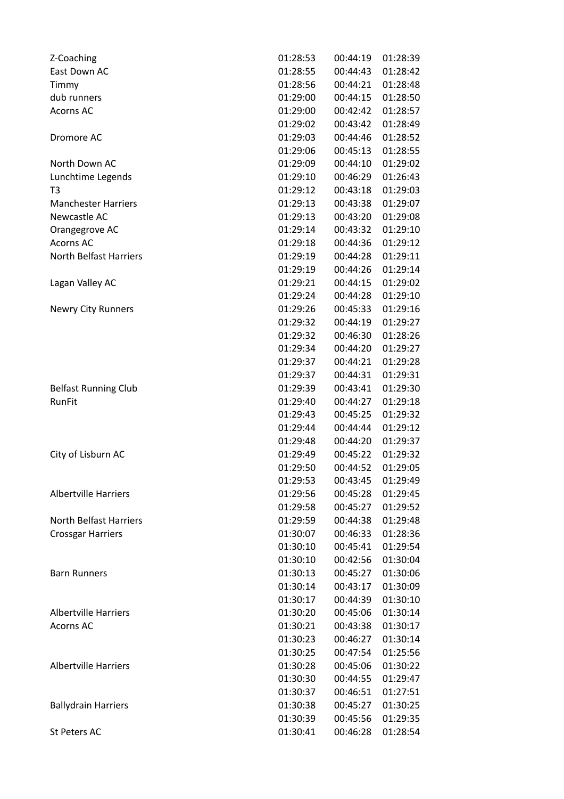| Z-Coaching                    | 01:28:53 | 00:44:19 | 01:28:39 |
|-------------------------------|----------|----------|----------|
| East Down AC                  | 01:28:55 | 00:44:43 | 01:28:42 |
| Timmy                         | 01:28:56 | 00:44:21 | 01:28:48 |
| dub runners                   | 01:29:00 | 00:44:15 | 01:28:50 |
| <b>Acorns AC</b>              | 01:29:00 | 00:42:42 | 01:28:57 |
|                               | 01:29:02 | 00:43:42 | 01:28:49 |
| Dromore AC                    | 01:29:03 | 00:44:46 | 01:28:52 |
|                               | 01:29:06 | 00:45:13 | 01:28:55 |
| North Down AC                 | 01:29:09 | 00:44:10 | 01:29:02 |
| Lunchtime Legends             | 01:29:10 | 00:46:29 | 01:26:43 |
| T3                            | 01:29:12 | 00:43:18 | 01:29:03 |
| <b>Manchester Harriers</b>    | 01:29:13 | 00:43:38 | 01:29:07 |
| Newcastle AC                  | 01:29:13 | 00:43:20 | 01:29:08 |
| Orangegrove AC                | 01:29:14 | 00:43:32 | 01:29:10 |
| <b>Acorns AC</b>              | 01:29:18 | 00:44:36 | 01:29:12 |
| <b>North Belfast Harriers</b> | 01:29:19 | 00:44:28 | 01:29:11 |
|                               | 01:29:19 | 00:44:26 | 01:29:14 |
| Lagan Valley AC               | 01:29:21 | 00:44:15 | 01:29:02 |
|                               | 01:29:24 | 00:44:28 | 01:29:10 |
| <b>Newry City Runners</b>     | 01:29:26 | 00:45:33 | 01:29:16 |
|                               | 01:29:32 | 00:44:19 | 01:29:27 |
|                               | 01:29:32 | 00:46:30 | 01:28:26 |
|                               | 01:29:34 | 00:44:20 | 01:29:27 |
|                               | 01:29:37 | 00:44:21 | 01:29:28 |
|                               | 01:29:37 | 00:44:31 | 01:29:31 |
| <b>Belfast Running Club</b>   | 01:29:39 | 00:43:41 | 01:29:30 |
| RunFit                        | 01:29:40 | 00:44:27 | 01:29:18 |
|                               | 01:29:43 | 00:45:25 | 01:29:32 |
|                               | 01:29:44 | 00:44:44 | 01:29:12 |
|                               | 01:29:48 | 00:44:20 | 01:29:37 |
| City of Lisburn AC            | 01:29:49 | 00:45:22 | 01:29:32 |
|                               | 01:29:50 | 00:44:52 | 01:29:05 |
|                               | 01:29:53 | 00:43:45 | 01:29:49 |
| <b>Albertville Harriers</b>   | 01:29:56 | 00:45:28 | 01:29:45 |
|                               | 01:29:58 | 00:45:27 | 01:29:52 |
| North Belfast Harriers        | 01:29:59 | 00:44:38 | 01:29:48 |
| <b>Crossgar Harriers</b>      | 01:30:07 | 00:46:33 | 01:28:36 |
|                               | 01:30:10 | 00:45:41 | 01:29:54 |
|                               | 01:30:10 | 00:42:56 | 01:30:04 |
| <b>Barn Runners</b>           | 01:30:13 | 00:45:27 | 01:30:06 |
|                               | 01:30:14 | 00:43:17 | 01:30:09 |
|                               | 01:30:17 | 00:44:39 | 01:30:10 |
| <b>Albertville Harriers</b>   | 01:30:20 | 00:45:06 | 01:30:14 |
| <b>Acorns AC</b>              | 01:30:21 | 00:43:38 | 01:30:17 |
|                               | 01:30:23 | 00:46:27 | 01:30:14 |
|                               | 01:30:25 | 00:47:54 | 01:25:56 |
| <b>Albertville Harriers</b>   | 01:30:28 | 00:45:06 | 01:30:22 |
|                               | 01:30:30 | 00:44:55 | 01:29:47 |
|                               | 01:30:37 | 00:46:51 | 01:27:51 |
| <b>Ballydrain Harriers</b>    | 01:30:38 | 00:45:27 | 01:30:25 |
|                               | 01:30:39 | 00:45:56 | 01:29:35 |
| St Peters AC                  | 01:30:41 | 00:46:28 | 01:28:54 |
|                               |          |          |          |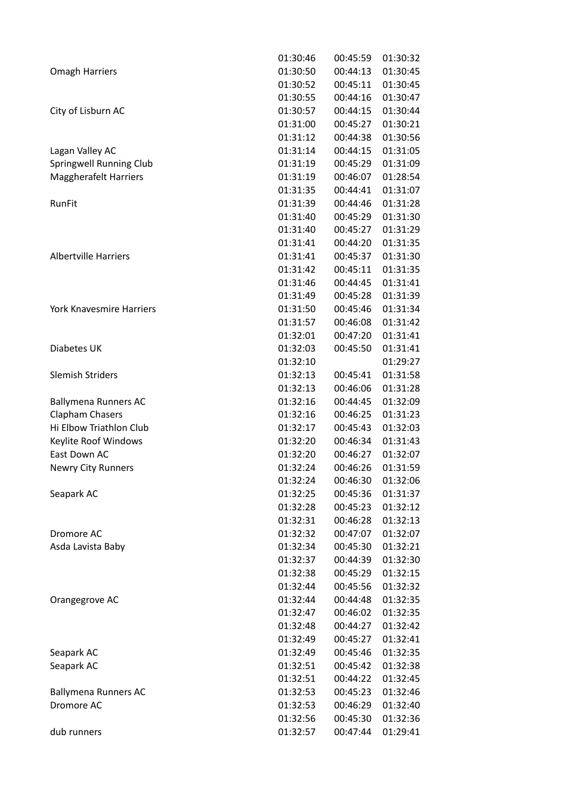|                                      | 01:30:46 | 00:45:59 | 01:30:32 |
|--------------------------------------|----------|----------|----------|
| <b>Omagh Harriers</b>                | 01:30:50 | 00:44:13 | 01:30:45 |
|                                      | 01:30:52 | 00:45:11 | 01:30:45 |
|                                      | 01:30:55 | 00:44:16 | 01:30:47 |
| City of Lisburn AC                   | 01:30:57 | 00:44:15 | 01:30:44 |
|                                      | 01:31:00 | 00:45:27 | 01:30:21 |
|                                      | 01:31:12 | 00:44:38 | 01:30:56 |
| Lagan Valley AC                      | 01:31:14 | 00:44:15 | 01:31:05 |
| <b>Springwell Running Club</b>       | 01:31:19 | 00:45:29 | 01:31:09 |
| <b>Maggherafelt Harriers</b>         | 01:31:19 | 00:46:07 | 01:28:54 |
|                                      | 01:31:35 | 00:44:41 | 01:31:07 |
| RunFit                               | 01:31:39 | 00:44:46 | 01:31:28 |
|                                      | 01:31:40 | 00:45:29 | 01:31:30 |
|                                      | 01:31:40 | 00:45:27 | 01:31:29 |
|                                      | 01:31:41 | 00:44:20 | 01:31:35 |
| <b>Albertville Harriers</b>          | 01:31:41 | 00:45:37 | 01:31:30 |
|                                      | 01:31:42 | 00:45:11 | 01:31:35 |
|                                      | 01:31:46 | 00:44:45 | 01:31:41 |
|                                      | 01:31:49 | 00:45:28 | 01:31:39 |
| <b>York Knavesmire Harriers</b>      | 01:31:50 | 00:45:46 | 01:31:34 |
|                                      | 01:31:57 | 00:46:08 | 01:31:42 |
|                                      | 01:32:01 | 00:47:20 | 01:31:41 |
| Diabetes UK                          | 01:32:03 | 00:45:50 | 01:31:41 |
|                                      | 01:32:10 |          | 01:29:27 |
| <b>Slemish Striders</b>              | 01:32:13 | 00:45:41 | 01:31:58 |
|                                      | 01:32:13 | 00:46:06 | 01:31:28 |
| <b>Ballymena Runners AC</b>          | 01:32:16 | 00:44:45 | 01:32:09 |
| <b>Clapham Chasers</b>               | 01:32:16 | 00:46:25 | 01:31:23 |
| Hi Elbow Triathlon Club              |          | 00:45:43 |          |
|                                      | 01:32:17 |          | 01:32:03 |
| Keylite Roof Windows<br>East Down AC | 01:32:20 | 00:46:34 | 01:31:43 |
|                                      | 01:32:20 | 00:46:27 | 01:32:07 |
| <b>Newry City Runners</b>            | 01:32:24 | 00:46:26 | 01:31:59 |
|                                      | 01:32:24 | 00:46:30 | 01:32:06 |
| Seapark AC                           | 01:32:25 | 00:45:36 | 01:31:37 |
|                                      | 01:32:28 | 00:45:23 | 01:32:12 |
|                                      | 01:32:31 | 00:46:28 | 01:32:13 |
| Dromore AC                           | 01:32:32 | 00:47:07 | 01:32:07 |
| Asda Lavista Baby                    | 01:32:34 | 00:45:30 | 01:32:21 |
|                                      | 01:32:37 | 00:44:39 | 01:32:30 |
|                                      | 01:32:38 | 00:45:29 | 01:32:15 |
|                                      | 01:32:44 | 00:45:56 | 01:32:32 |
| Orangegrove AC                       | 01:32:44 | 00:44:48 | 01:32:35 |
|                                      | 01:32:47 | 00:46:02 | 01:32:35 |
|                                      | 01:32:48 | 00:44:27 | 01:32:42 |
|                                      | 01:32:49 | 00:45:27 | 01:32:41 |
| Seapark AC                           | 01:32:49 | 00:45:46 | 01:32:35 |
| Seapark AC                           | 01:32:51 | 00:45:42 | 01:32:38 |
|                                      | 01:32:51 | 00:44:22 | 01:32:45 |
| <b>Ballymena Runners AC</b>          | 01:32:53 | 00:45:23 | 01:32:46 |
| Dromore AC                           | 01:32:53 | 00:46:29 | 01:32:40 |
|                                      | 01:32:56 | 00:45:30 | 01:32:36 |
| dub runners                          | 01:32:57 | 00:47:44 | 01:29:41 |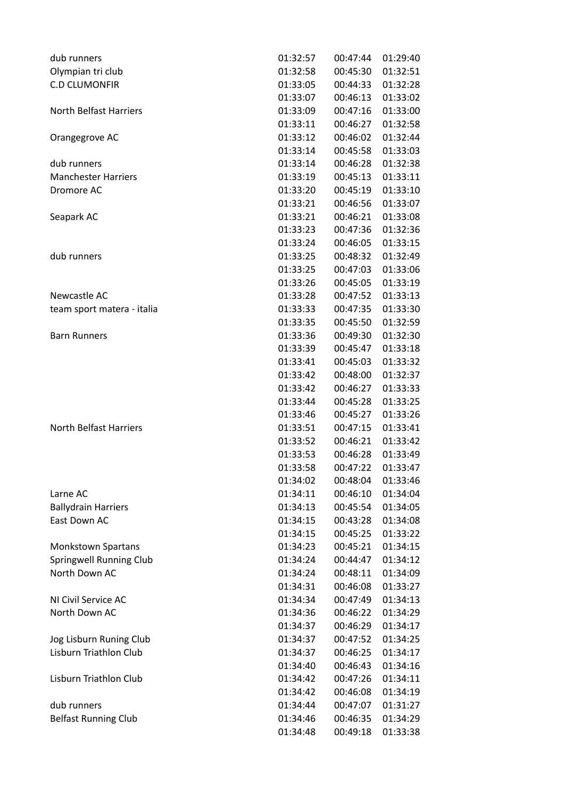| dub runners                    | 01:32:57 | 00:47:44 | 01:29:40 |
|--------------------------------|----------|----------|----------|
| Olympian tri club              | 01:32:58 | 00:45:30 | 01:32:51 |
| <b>C.D CLUMONFIR</b>           | 01:33:05 | 00:44:33 | 01:32:28 |
|                                | 01:33:07 | 00:46:13 | 01:33:02 |
| <b>North Belfast Harriers</b>  | 01:33:09 | 00:47:16 | 01:33:00 |
|                                | 01:33:11 | 00:46:27 | 01:32:58 |
| Orangegrove AC                 | 01:33:12 | 00:46:02 | 01:32:44 |
|                                | 01:33:14 | 00:45:58 | 01:33:03 |
| dub runners                    | 01:33:14 | 00:46:28 | 01:32:38 |
| <b>Manchester Harriers</b>     | 01:33:19 | 00:45:13 | 01:33:11 |
| Dromore AC                     | 01:33:20 | 00:45:19 | 01:33:10 |
|                                | 01:33:21 | 00:46:56 | 01:33:07 |
| Seapark AC                     | 01:33:21 | 00:46:21 | 01:33:08 |
|                                | 01:33:23 | 00:47:36 | 01:32:36 |
|                                | 01:33:24 | 00:46:05 | 01:33:15 |
| dub runners                    | 01:33:25 | 00:48:32 | 01:32:49 |
|                                | 01:33:25 | 00:47:03 | 01:33:06 |
|                                | 01:33:26 | 00:45:05 | 01:33:19 |
| Newcastle AC                   | 01:33:28 | 00:47:52 | 01:33:13 |
| team sport matera - italia     | 01:33:33 | 00:47:35 | 01:33:30 |
|                                | 01:33:35 | 00:45:50 | 01:32:59 |
| <b>Barn Runners</b>            | 01:33:36 | 00:49:30 | 01:32:30 |
|                                | 01:33:39 | 00:45:47 | 01:33:18 |
|                                | 01:33:41 | 00:45:03 | 01:33:32 |
|                                | 01:33:42 | 00:48:00 | 01:32:37 |
|                                | 01:33:42 | 00:46:27 | 01:33:33 |
|                                | 01:33:44 | 00:45:28 | 01:33:25 |
|                                | 01:33:46 | 00:45:27 | 01:33:26 |
| <b>North Belfast Harriers</b>  | 01:33:51 | 00:47:15 | 01:33:41 |
|                                | 01:33:52 | 00:46:21 | 01:33:42 |
|                                | 01:33:53 | 00:46:28 | 01:33:49 |
|                                | 01:33:58 | 00:47:22 | 01:33:47 |
|                                | 01:34:02 | 00:48:04 | 01:33:46 |
| Larne AC                       | 01:34:11 | 00:46:10 | 01:34:04 |
| <b>Ballydrain Harriers</b>     | 01:34:13 | 00:45:54 | 01:34:05 |
| East Down AC                   | 01:34:15 | 00:43:28 | 01:34:08 |
|                                | 01:34:15 | 00:45:25 | 01:33:22 |
| <b>Monkstown Spartans</b>      | 01:34:23 | 00:45:21 | 01:34:15 |
| <b>Springwell Running Club</b> | 01:34:24 | 00:44:47 | 01:34:12 |
| North Down AC                  | 01:34:24 | 00:48:11 | 01:34:09 |
|                                | 01:34:31 | 00:46:08 | 01:33:27 |
| NI Civil Service AC            | 01:34:34 | 00:47:49 | 01:34:13 |
| North Down AC                  | 01:34:36 | 00:46:22 | 01:34:29 |
|                                | 01:34:37 | 00:46:29 | 01:34:17 |
| Jog Lisburn Runing Club        | 01:34:37 | 00:47:52 | 01:34:25 |
| Lisburn Triathlon Club         | 01:34:37 | 00:46:25 | 01:34:17 |
|                                | 01:34:40 | 00:46:43 | 01:34:16 |
| Lisburn Triathlon Club         | 01:34:42 | 00:47:26 | 01:34:11 |
|                                | 01:34:42 | 00:46:08 | 01:34:19 |
| dub runners                    | 01:34:44 | 00:47:07 | 01:31:27 |
| <b>Belfast Running Club</b>    | 01:34:46 | 00:46:35 | 01:34:29 |
|                                | 01:34:48 | 00:49:18 | 01:33:38 |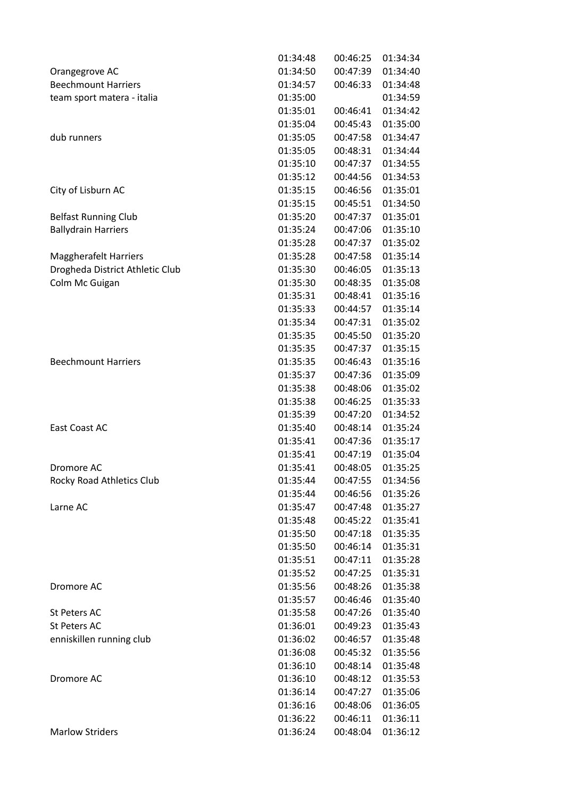|                                 | 01:34:48 | 00:46:25 | 01:34:34 |
|---------------------------------|----------|----------|----------|
| Orangegrove AC                  | 01:34:50 | 00:47:39 | 01:34:40 |
| <b>Beechmount Harriers</b>      | 01:34:57 | 00:46:33 | 01:34:48 |
| team sport matera - italia      | 01:35:00 |          | 01:34:59 |
|                                 | 01:35:01 | 00:46:41 | 01:34:42 |
|                                 | 01:35:04 | 00:45:43 | 01:35:00 |
| dub runners                     | 01:35:05 | 00:47:58 | 01:34:47 |
|                                 | 01:35:05 | 00:48:31 | 01:34:44 |
|                                 | 01:35:10 | 00:47:37 | 01:34:55 |
|                                 | 01:35:12 | 00:44:56 | 01:34:53 |
| City of Lisburn AC              | 01:35:15 | 00:46:56 | 01:35:01 |
|                                 | 01:35:15 | 00:45:51 | 01:34:50 |
| <b>Belfast Running Club</b>     | 01:35:20 | 00:47:37 | 01:35:01 |
| <b>Ballydrain Harriers</b>      | 01:35:24 | 00:47:06 | 01:35:10 |
|                                 | 01:35:28 | 00:47:37 | 01:35:02 |
| <b>Maggherafelt Harriers</b>    | 01:35:28 | 00:47:58 | 01:35:14 |
| Drogheda District Athletic Club | 01:35:30 | 00:46:05 | 01:35:13 |
| Colm Mc Guigan                  | 01:35:30 | 00:48:35 | 01:35:08 |
|                                 | 01:35:31 | 00:48:41 | 01:35:16 |
|                                 | 01:35:33 | 00:44:57 | 01:35:14 |
|                                 | 01:35:34 | 00:47:31 | 01:35:02 |
|                                 | 01:35:35 | 00:45:50 | 01:35:20 |
|                                 | 01:35:35 | 00:47:37 | 01:35:15 |
| <b>Beechmount Harriers</b>      | 01:35:35 | 00:46:43 | 01:35:16 |
|                                 | 01:35:37 | 00:47:36 | 01:35:09 |
|                                 | 01:35:38 | 00:48:06 | 01:35:02 |
|                                 | 01:35:38 | 00:46:25 | 01:35:33 |
|                                 | 01:35:39 | 00:47:20 | 01:34:52 |
| <b>East Coast AC</b>            | 01:35:40 | 00:48:14 | 01:35:24 |
|                                 | 01:35:41 | 00:47:36 | 01:35:17 |
|                                 | 01:35:41 | 00:47:19 | 01:35:04 |
| Dromore AC                      | 01:35:41 | 00:48:05 | 01:35:25 |
| Rocky Road Athletics Club       | 01:35:44 | 00:47:55 | 01:34:56 |
|                                 | 01:35:44 | 00:46:56 | 01:35:26 |
| Larne AC                        | 01:35:47 | 00:47:48 | 01:35:27 |
|                                 | 01:35:48 | 00:45:22 | 01:35:41 |
|                                 |          |          |          |
|                                 | 01:35:50 | 00:47:18 | 01:35:35 |
|                                 | 01:35:50 | 00:46:14 | 01:35:31 |
|                                 | 01:35:51 | 00:47:11 | 01:35:28 |
|                                 | 01:35:52 | 00:47:25 | 01:35:31 |
| Dromore AC                      | 01:35:56 | 00:48:26 | 01:35:38 |
|                                 | 01:35:57 | 00:46:46 | 01:35:40 |
| St Peters AC                    | 01:35:58 | 00:47:26 | 01:35:40 |
| St Peters AC                    | 01:36:01 | 00:49:23 | 01:35:43 |
| enniskillen running club        | 01:36:02 | 00:46:57 | 01:35:48 |
|                                 | 01:36:08 | 00:45:32 | 01:35:56 |
|                                 | 01:36:10 | 00:48:14 | 01:35:48 |
| Dromore AC                      | 01:36:10 | 00:48:12 | 01:35:53 |
|                                 | 01:36:14 | 00:47:27 | 01:35:06 |
|                                 | 01:36:16 | 00:48:06 | 01:36:05 |
|                                 | 01:36:22 | 00:46:11 | 01:36:11 |
| <b>Marlow Striders</b>          | 01:36:24 | 00:48:04 | 01:36:12 |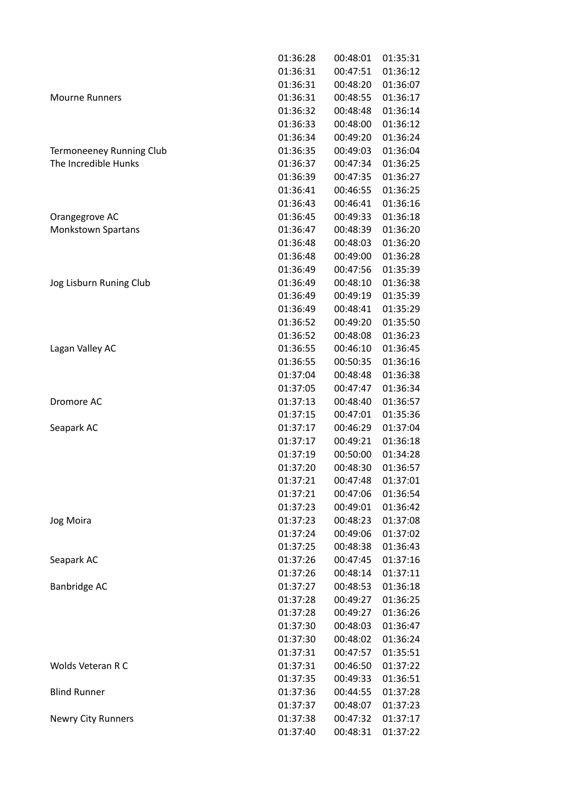| 01:36:12<br>01:36:07<br>01:36:17<br>01:36:14<br>01:36:12<br>01:36:24 |
|----------------------------------------------------------------------|
|                                                                      |
|                                                                      |
|                                                                      |
|                                                                      |
|                                                                      |
|                                                                      |
| 01:36:04                                                             |
| 01:36:25                                                             |
| 01:36:27                                                             |
| 01:36:25                                                             |
| 01:36:16                                                             |
| 01:36:18                                                             |
| 01:36:20                                                             |
| 01:36:20                                                             |
| 01:36:28                                                             |
| 01:35:39                                                             |
| 01:36:38                                                             |
| 01:35:39                                                             |
|                                                                      |
| 01:35:29                                                             |
|                                                                      |
| 01:35:50                                                             |
| 01:36:23                                                             |
| 01:36:45                                                             |
| 01:36:16                                                             |
| 01:36:38                                                             |
| 01:36:34                                                             |
| 01:36:57                                                             |
| 01:35:36                                                             |
| 01:37:04                                                             |
| 01:36:18                                                             |
| 01:34:28                                                             |
| 01:36:57                                                             |
| 01:37:01                                                             |
| 01:36:54                                                             |
| 01:36:42                                                             |
| 01:37:08                                                             |
| 01:37:02                                                             |
| 01:36:43                                                             |
| 01:37:16                                                             |
| 01:37:11                                                             |
| 01:36:18                                                             |
| 01:36:25                                                             |
| 01:36:26                                                             |
| 01:36:47                                                             |
| 01:36:24                                                             |
| 01:35:51                                                             |
| 01:37:22                                                             |
| 01:36:51                                                             |
| 01:37:28                                                             |
| 01:37:23<br>01:37:17                                                 |
|                                                                      |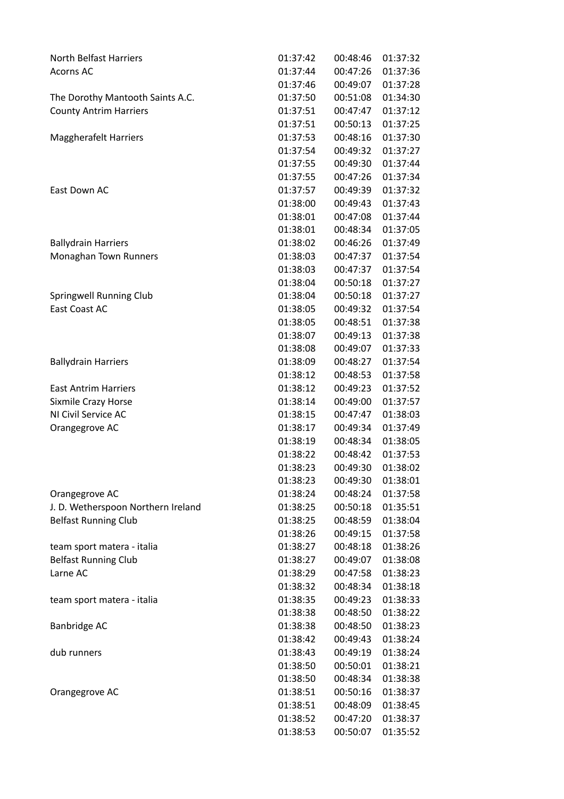| North Belfast Harriers             | 01:37:42 | 00:48:46 | 01:37:32 |
|------------------------------------|----------|----------|----------|
| <b>Acorns AC</b>                   | 01:37:44 | 00:47:26 | 01:37:36 |
|                                    | 01:37:46 | 00:49:07 | 01:37:28 |
| The Dorothy Mantooth Saints A.C.   | 01:37:50 | 00:51:08 | 01:34:30 |
| <b>County Antrim Harriers</b>      | 01:37:51 | 00:47:47 | 01:37:12 |
|                                    |          |          |          |
|                                    | 01:37:51 | 00:50:13 | 01:37:25 |
| <b>Maggherafelt Harriers</b>       | 01:37:53 | 00:48:16 | 01:37:30 |
|                                    | 01:37:54 | 00:49:32 | 01:37:27 |
|                                    | 01:37:55 | 00:49:30 | 01:37:44 |
|                                    | 01:37:55 | 00:47:26 | 01:37:34 |
| East Down AC                       | 01:37:57 | 00:49:39 | 01:37:32 |
|                                    | 01:38:00 | 00:49:43 | 01:37:43 |
|                                    | 01:38:01 | 00:47:08 | 01:37:44 |
|                                    | 01:38:01 | 00:48:34 | 01:37:05 |
| <b>Ballydrain Harriers</b>         | 01:38:02 | 00:46:26 | 01:37:49 |
| Monaghan Town Runners              | 01:38:03 | 00:47:37 | 01:37:54 |
|                                    | 01:38:03 | 00:47:37 | 01:37:54 |
|                                    | 01:38:04 | 00:50:18 | 01:37:27 |
| Springwell Running Club            | 01:38:04 | 00:50:18 | 01:37:27 |
| East Coast AC                      | 01:38:05 | 00:49:32 | 01:37:54 |
|                                    | 01:38:05 | 00:48:51 | 01:37:38 |
|                                    | 01:38:07 | 00:49:13 | 01:37:38 |
|                                    | 01:38:08 | 00:49:07 | 01:37:33 |
| <b>Ballydrain Harriers</b>         | 01:38:09 | 00:48:27 | 01:37:54 |
|                                    | 01:38:12 | 00:48:53 | 01:37:58 |
| <b>East Antrim Harriers</b>        | 01:38:12 | 00:49:23 | 01:37:52 |
| Sixmile Crazy Horse                | 01:38:14 | 00:49:00 | 01:37:57 |
| NI Civil Service AC                | 01:38:15 | 00:47:47 | 01:38:03 |
| Orangegrove AC                     | 01:38:17 | 00:49:34 | 01:37:49 |
|                                    | 01:38:19 | 00:48:34 | 01:38:05 |
|                                    | 01:38:22 | 00:48:42 | 01:37:53 |
|                                    | 01:38:23 | 00:49:30 | 01:38:02 |
|                                    | 01:38:23 | 00:49:30 | 01:38:01 |
| Orangegrove AC                     | 01:38:24 | 00:48:24 | 01:37:58 |
| J. D. Wetherspoon Northern Ireland | 01:38:25 | 00:50:18 | 01:35:51 |
| <b>Belfast Running Club</b>        | 01:38:25 | 00:48:59 | 01:38:04 |
|                                    | 01:38:26 | 00:49:15 | 01:37:58 |
| team sport matera - italia         | 01:38:27 | 00:48:18 | 01:38:26 |
| <b>Belfast Running Club</b>        | 01:38:27 | 00:49:07 | 01:38:08 |
| Larne AC                           | 01:38:29 | 00:47:58 | 01:38:23 |
|                                    | 01:38:32 |          |          |
|                                    |          | 00:48:34 | 01:38:18 |
| team sport matera - italia         | 01:38:35 | 00:49:23 | 01:38:33 |
|                                    | 01:38:38 | 00:48:50 | 01:38:22 |
| <b>Banbridge AC</b>                | 01:38:38 | 00:48:50 | 01:38:23 |
|                                    | 01:38:42 | 00:49:43 | 01:38:24 |
| dub runners                        | 01:38:43 | 00:49:19 | 01:38:24 |
|                                    | 01:38:50 | 00:50:01 | 01:38:21 |
|                                    | 01:38:50 | 00:48:34 | 01:38:38 |
| Orangegrove AC                     | 01:38:51 | 00:50:16 | 01:38:37 |
|                                    | 01:38:51 | 00:48:09 | 01:38:45 |
|                                    | 01:38:52 | 00:47:20 | 01:38:37 |
|                                    | 01:38:53 | 00:50:07 | 01:35:52 |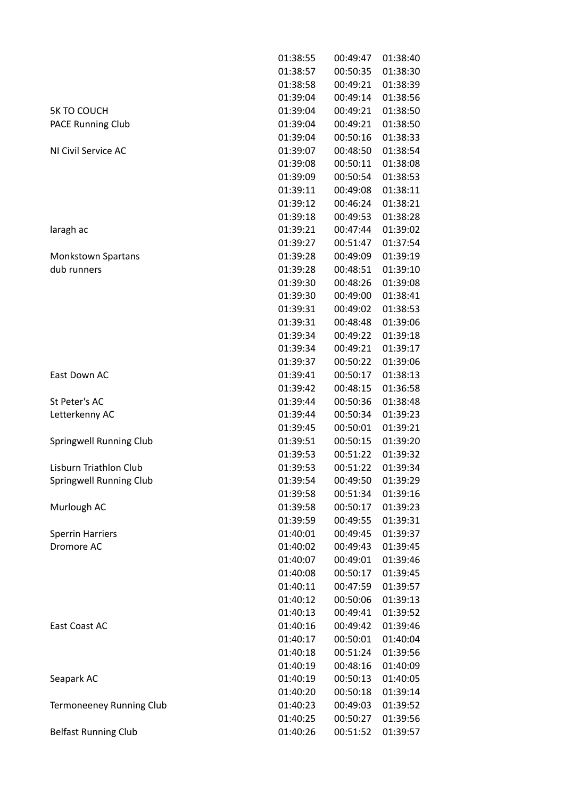|                                 | 01:38:55 | 00:49:47 | 01:38:40 |
|---------------------------------|----------|----------|----------|
|                                 | 01:38:57 | 00:50:35 | 01:38:30 |
|                                 | 01:38:58 | 00:49:21 | 01:38:39 |
|                                 | 01:39:04 | 00:49:14 | 01:38:56 |
| <b>5K TO COUCH</b>              | 01:39:04 | 00:49:21 | 01:38:50 |
|                                 |          |          |          |
| PACE Running Club               | 01:39:04 | 00:49:21 | 01:38:50 |
|                                 | 01:39:04 | 00:50:16 | 01:38:33 |
| NI Civil Service AC             | 01:39:07 | 00:48:50 | 01:38:54 |
|                                 | 01:39:08 | 00:50:11 | 01:38:08 |
|                                 | 01:39:09 | 00:50:54 | 01:38:53 |
|                                 | 01:39:11 | 00:49:08 | 01:38:11 |
|                                 | 01:39:12 | 00:46:24 | 01:38:21 |
|                                 | 01:39:18 | 00:49:53 | 01:38:28 |
| laragh ac                       | 01:39:21 | 00:47:44 | 01:39:02 |
|                                 | 01:39:27 | 00:51:47 | 01:37:54 |
| <b>Monkstown Spartans</b>       | 01:39:28 | 00:49:09 | 01:39:19 |
| dub runners                     | 01:39:28 | 00:48:51 | 01:39:10 |
|                                 | 01:39:30 | 00:48:26 | 01:39:08 |
|                                 | 01:39:30 | 00:49:00 | 01:38:41 |
|                                 | 01:39:31 | 00:49:02 | 01:38:53 |
|                                 | 01:39:31 | 00:48:48 | 01:39:06 |
|                                 | 01:39:34 | 00:49:22 | 01:39:18 |
|                                 | 01:39:34 | 00:49:21 | 01:39:17 |
|                                 | 01:39:37 | 00:50:22 | 01:39:06 |
| East Down AC                    | 01:39:41 | 00:50:17 | 01:38:13 |
|                                 | 01:39:42 | 00:48:15 | 01:36:58 |
| St Peter's AC                   | 01:39:44 | 00:50:36 | 01:38:48 |
| Letterkenny AC                  | 01:39:44 | 00:50:34 | 01:39:23 |
|                                 | 01:39:45 | 00:50:01 | 01:39:21 |
| Springwell Running Club         | 01:39:51 | 00:50:15 | 01:39:20 |
|                                 | 01:39:53 | 00:51:22 | 01:39:32 |
| Lisburn Triathlon Club          | 01:39:53 | 00:51:22 | 01:39:34 |
| Springwell Running Club         | 01:39:54 | 00:49:50 | 01:39:29 |
|                                 | 01:39:58 | 00:51:34 | 01:39:16 |
| Murlough AC                     | 01:39:58 | 00:50:17 | 01:39:23 |
|                                 | 01:39:59 | 00:49:55 | 01:39:31 |
| <b>Sperrin Harriers</b>         | 01:40:01 | 00:49:45 | 01:39:37 |
| Dromore AC                      | 01:40:02 | 00:49:43 | 01:39:45 |
|                                 | 01:40:07 | 00:49:01 | 01:39:46 |
|                                 | 01:40:08 | 00:50:17 | 01:39:45 |
|                                 | 01:40:11 | 00:47:59 | 01:39:57 |
|                                 | 01:40:12 | 00:50:06 | 01:39:13 |
|                                 | 01:40:13 | 00:49:41 | 01:39:52 |
| East Coast AC                   | 01:40:16 | 00:49:42 | 01:39:46 |
|                                 |          |          |          |
|                                 | 01:40:17 | 00:50:01 | 01:40:04 |
|                                 | 01:40:18 | 00:51:24 | 01:39:56 |
|                                 | 01:40:19 | 00:48:16 | 01:40:09 |
| Seapark AC                      | 01:40:19 | 00:50:13 | 01:40:05 |
|                                 | 01:40:20 | 00:50:18 | 01:39:14 |
| <b>Termoneeney Running Club</b> | 01:40:23 | 00:49:03 | 01:39:52 |
|                                 | 01:40:25 | 00:50:27 | 01:39:56 |
| <b>Belfast Running Club</b>     | 01:40:26 | 00:51:52 | 01:39:57 |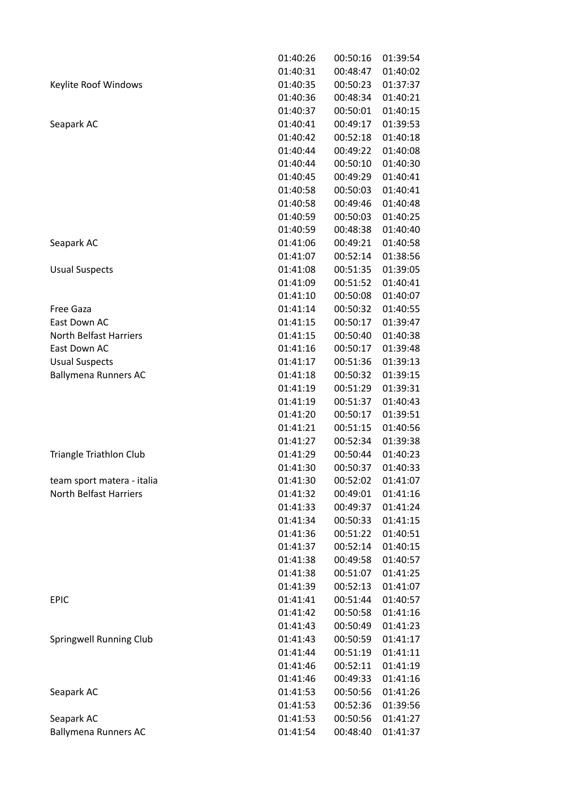|                                | 01:40:26 | 00:50:16 | 01:39:54 |
|--------------------------------|----------|----------|----------|
|                                | 01:40:31 | 00:48:47 | 01:40:02 |
| Keylite Roof Windows           | 01:40:35 | 00:50:23 | 01:37:37 |
|                                | 01:40:36 | 00:48:34 | 01:40:21 |
|                                | 01:40:37 | 00:50:01 | 01:40:15 |
| Seapark AC                     | 01:40:41 | 00:49:17 | 01:39:53 |
|                                | 01:40:42 | 00:52:18 | 01:40:18 |
|                                | 01:40:44 | 00:49:22 | 01:40:08 |
|                                | 01:40:44 | 00:50:10 | 01:40:30 |
|                                | 01:40:45 | 00:49:29 | 01:40:41 |
|                                | 01:40:58 | 00:50:03 | 01:40:41 |
|                                | 01:40:58 | 00:49:46 | 01:40:48 |
|                                | 01:40:59 | 00:50:03 | 01:40:25 |
|                                | 01:40:59 | 00:48:38 | 01:40:40 |
| Seapark AC                     | 01:41:06 | 00:49:21 | 01:40:58 |
|                                | 01:41:07 | 00:52:14 | 01:38:56 |
| <b>Usual Suspects</b>          | 01:41:08 | 00:51:35 | 01:39:05 |
|                                | 01:41:09 | 00:51:52 | 01:40:41 |
|                                | 01:41:10 | 00:50:08 | 01:40:07 |
| <b>Free Gaza</b>               | 01:41:14 | 00:50:32 | 01:40:55 |
| East Down AC                   | 01:41:15 | 00:50:17 | 01:39:47 |
| North Belfast Harriers         | 01:41:15 | 00:50:40 | 01:40:38 |
| East Down AC                   | 01:41:16 | 00:50:17 | 01:39:48 |
| <b>Usual Suspects</b>          | 01:41:17 | 00:51:36 | 01:39:13 |
| <b>Ballymena Runners AC</b>    | 01:41:18 | 00:50:32 | 01:39:15 |
|                                | 01:41:19 | 00:51:29 | 01:39:31 |
|                                | 01:41:19 | 00:51:37 | 01:40:43 |
|                                | 01:41:20 | 00:50:17 | 01:39:51 |
|                                | 01:41:21 | 00:51:15 | 01:40:56 |
|                                | 01:41:27 | 00:52:34 | 01:39:38 |
| <b>Triangle Triathlon Club</b> | 01:41:29 | 00:50:44 | 01:40:23 |
|                                | 01:41:30 | 00:50:37 | 01:40:33 |
| team sport matera - italia     | 01:41:30 | 00:52:02 | 01:41:07 |
| North Belfast Harriers         | 01:41:32 | 00:49:01 | 01:41:16 |
|                                | 01:41:33 | 00:49:37 | 01:41:24 |
|                                | 01:41:34 | 00:50:33 | 01:41:15 |
|                                | 01:41:36 | 00:51:22 | 01:40:51 |
|                                | 01:41:37 | 00:52:14 | 01:40:15 |
|                                | 01:41:38 | 00:49:58 | 01:40:57 |
|                                | 01:41:38 | 00:51:07 | 01:41:25 |
|                                | 01:41:39 | 00:52:13 | 01:41:07 |
| <b>EPIC</b>                    | 01:41:41 | 00:51:44 | 01:40:57 |
|                                | 01:41:42 | 00:50:58 | 01:41:16 |
|                                | 01:41:43 | 00:50:49 | 01:41:23 |
| Springwell Running Club        | 01:41:43 | 00:50:59 | 01:41:17 |
|                                | 01:41:44 | 00:51:19 | 01:41:11 |
|                                | 01:41:46 | 00:52:11 | 01:41:19 |
|                                | 01:41:46 | 00:49:33 | 01:41:16 |
| Seapark AC                     | 01:41:53 | 00:50:56 | 01:41:26 |
|                                | 01:41:53 | 00:52:36 | 01:39:56 |
| Seapark AC                     | 01:41:53 | 00:50:56 | 01:41:27 |
| <b>Ballymena Runners AC</b>    | 01:41:54 | 00:48:40 | 01:41:37 |
|                                |          |          |          |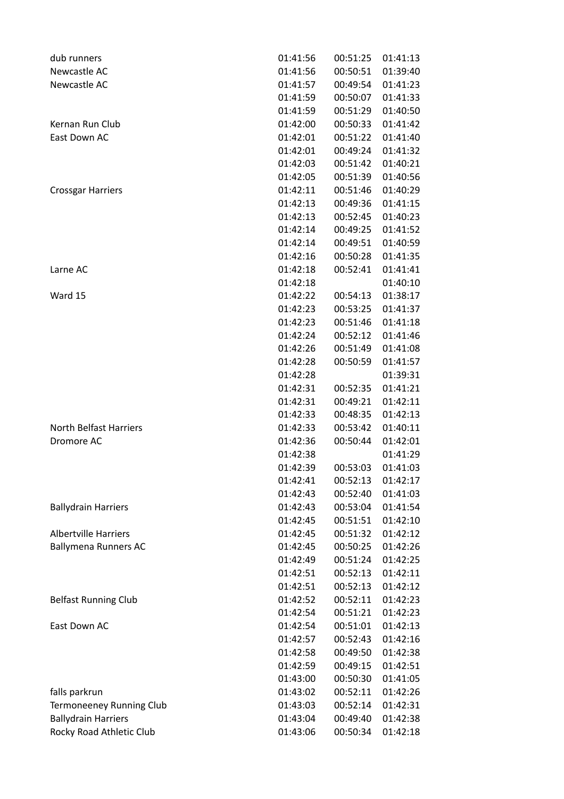| dub runners                     | 01:41:56 | 00:51:25 | 01:41:13 |
|---------------------------------|----------|----------|----------|
| Newcastle AC                    | 01:41:56 | 00:50:51 | 01:39:40 |
| Newcastle AC                    | 01:41:57 | 00:49:54 | 01:41:23 |
|                                 | 01:41:59 | 00:50:07 | 01:41:33 |
|                                 | 01:41:59 | 00:51:29 | 01:40:50 |
| Kernan Run Club                 | 01:42:00 | 00:50:33 | 01:41:42 |
| East Down AC                    | 01:42:01 | 00:51:22 | 01:41:40 |
|                                 | 01:42:01 | 00:49:24 | 01:41:32 |
|                                 | 01:42:03 | 00:51:42 | 01:40:21 |
|                                 | 01:42:05 | 00:51:39 | 01:40:56 |
| <b>Crossgar Harriers</b>        | 01:42:11 | 00:51:46 | 01:40:29 |
|                                 | 01:42:13 | 00:49:36 | 01:41:15 |
|                                 | 01:42:13 | 00:52:45 | 01:40:23 |
|                                 | 01:42:14 | 00:49:25 | 01:41:52 |
|                                 | 01:42:14 | 00:49:51 | 01:40:59 |
|                                 | 01:42:16 | 00:50:28 | 01:41:35 |
| Larne AC                        | 01:42:18 | 00:52:41 | 01:41:41 |
|                                 | 01:42:18 |          | 01:40:10 |
| Ward 15                         | 01:42:22 | 00:54:13 | 01:38:17 |
|                                 | 01:42:23 | 00:53:25 | 01:41:37 |
|                                 | 01:42:23 | 00:51:46 | 01:41:18 |
|                                 | 01:42:24 | 00:52:12 | 01:41:46 |
|                                 | 01:42:26 | 00:51:49 | 01:41:08 |
|                                 | 01:42:28 | 00:50:59 | 01:41:57 |
|                                 | 01:42:28 |          | 01:39:31 |
|                                 | 01:42:31 | 00:52:35 | 01:41:21 |
|                                 | 01:42:31 | 00:49:21 | 01:42:11 |
|                                 | 01:42:33 | 00:48:35 | 01:42:13 |
| <b>North Belfast Harriers</b>   | 01:42:33 | 00:53:42 | 01:40:11 |
| Dromore AC                      | 01:42:36 | 00:50:44 | 01:42:01 |
|                                 | 01:42:38 |          | 01:41:29 |
|                                 | 01:42:39 | 00:53:03 | 01:41:03 |
|                                 | 01:42:41 | 00:52:13 | 01:42:17 |
|                                 | 01:42:43 | 00:52:40 | 01:41:03 |
| <b>Ballydrain Harriers</b>      | 01:42:43 | 00:53:04 | 01:41:54 |
|                                 | 01:42:45 | 00:51:51 | 01:42:10 |
| <b>Albertville Harriers</b>     | 01:42:45 | 00:51:32 | 01:42:12 |
| <b>Ballymena Runners AC</b>     | 01:42:45 | 00:50:25 | 01:42:26 |
|                                 | 01:42:49 | 00:51:24 | 01:42:25 |
|                                 | 01:42:51 | 00:52:13 | 01:42:11 |
|                                 | 01:42:51 | 00:52:13 | 01:42:12 |
| <b>Belfast Running Club</b>     | 01:42:52 | 00:52:11 | 01:42:23 |
|                                 | 01:42:54 | 00:51:21 | 01:42:23 |
| East Down AC                    | 01:42:54 | 00:51:01 | 01:42:13 |
|                                 | 01:42:57 | 00:52:43 | 01:42:16 |
|                                 | 01:42:58 | 00:49:50 | 01:42:38 |
|                                 | 01:42:59 | 00:49:15 | 01:42:51 |
|                                 | 01:43:00 | 00:50:30 | 01:41:05 |
| falls parkrun                   | 01:43:02 | 00:52:11 | 01:42:26 |
| <b>Termoneeney Running Club</b> | 01:43:03 | 00:52:14 | 01:42:31 |
| <b>Ballydrain Harriers</b>      | 01:43:04 | 00:49:40 | 01:42:38 |
| Rocky Road Athletic Club        | 01:43:06 | 00:50:34 | 01:42:18 |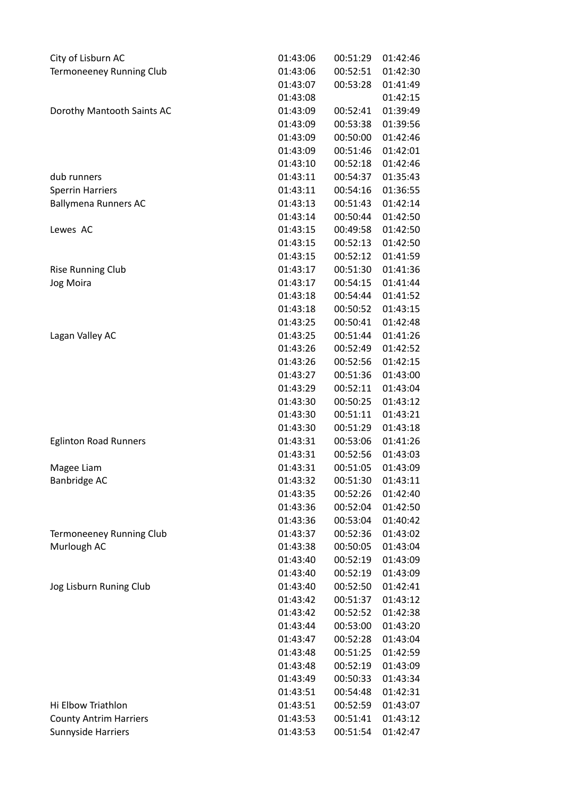| City of Lisburn AC              | 01:43:06 | 00:51:29 | 01:42:46 |
|---------------------------------|----------|----------|----------|
| <b>Termoneeney Running Club</b> | 01:43:06 | 00:52:51 | 01:42:30 |
|                                 | 01:43:07 | 00:53:28 | 01:41:49 |
|                                 | 01:43:08 |          | 01:42:15 |
| Dorothy Mantooth Saints AC      | 01:43:09 | 00:52:41 | 01:39:49 |
|                                 | 01:43:09 | 00:53:38 | 01:39:56 |
|                                 | 01:43:09 | 00:50:00 | 01:42:46 |
|                                 | 01:43:09 | 00:51:46 | 01:42:01 |
|                                 | 01:43:10 | 00:52:18 | 01:42:46 |
| dub runners                     | 01:43:11 | 00:54:37 | 01:35:43 |
| <b>Sperrin Harriers</b>         | 01:43:11 | 00:54:16 | 01:36:55 |
| <b>Ballymena Runners AC</b>     | 01:43:13 | 00:51:43 | 01:42:14 |
|                                 | 01:43:14 | 00:50:44 | 01:42:50 |
|                                 |          |          |          |
| Lewes AC                        | 01:43:15 | 00:49:58 | 01:42:50 |
|                                 | 01:43:15 | 00:52:13 | 01:42:50 |
|                                 | 01:43:15 | 00:52:12 | 01:41:59 |
| <b>Rise Running Club</b>        | 01:43:17 | 00:51:30 | 01:41:36 |
| Jog Moira                       | 01:43:17 | 00:54:15 | 01:41:44 |
|                                 | 01:43:18 | 00:54:44 | 01:41:52 |
|                                 | 01:43:18 | 00:50:52 | 01:43:15 |
|                                 | 01:43:25 | 00:50:41 | 01:42:48 |
| Lagan Valley AC                 | 01:43:25 | 00:51:44 | 01:41:26 |
|                                 | 01:43:26 | 00:52:49 | 01:42:52 |
|                                 | 01:43:26 | 00:52:56 | 01:42:15 |
|                                 | 01:43:27 | 00:51:36 | 01:43:00 |
|                                 | 01:43:29 | 00:52:11 | 01:43:04 |
|                                 | 01:43:30 | 00:50:25 | 01:43:12 |
|                                 | 01:43:30 | 00:51:11 | 01:43:21 |
|                                 | 01:43:30 | 00:51:29 | 01:43:18 |
| <b>Eglinton Road Runners</b>    | 01:43:31 | 00:53:06 | 01:41:26 |
|                                 | 01:43:31 | 00:52:56 | 01:43:03 |
| Magee Liam                      | 01:43:31 | 00:51:05 | 01:43:09 |
| Banbridge AC                    | 01:43:32 | 00:51:30 | 01:43:11 |
|                                 | 01:43:35 | 00:52:26 | 01:42:40 |
|                                 | 01:43:36 | 00:52:04 | 01:42:50 |
|                                 | 01:43:36 | 00:53:04 | 01:40:42 |
| <b>Termoneeney Running Club</b> | 01:43:37 | 00:52:36 | 01:43:02 |
| Murlough AC                     | 01:43:38 | 00:50:05 | 01:43:04 |
|                                 | 01:43:40 | 00:52:19 | 01:43:09 |
|                                 | 01:43:40 | 00:52:19 | 01:43:09 |
| Jog Lisburn Runing Club         | 01:43:40 | 00:52:50 | 01:42:41 |
|                                 | 01:43:42 | 00:51:37 | 01:43:12 |
|                                 | 01:43:42 | 00:52:52 | 01:42:38 |
|                                 |          |          |          |
|                                 | 01:43:44 | 00:53:00 | 01:43:20 |
|                                 | 01:43:47 | 00:52:28 | 01:43:04 |
|                                 | 01:43:48 | 00:51:25 | 01:42:59 |
|                                 | 01:43:48 | 00:52:19 | 01:43:09 |
|                                 | 01:43:49 | 00:50:33 | 01:43:34 |
|                                 | 01:43:51 | 00:54:48 | 01:42:31 |
| Hi Elbow Triathlon              | 01:43:51 | 00:52:59 | 01:43:07 |
| <b>County Antrim Harriers</b>   | 01:43:53 | 00:51:41 | 01:43:12 |
| Sunnyside Harriers              | 01:43:53 | 00:51:54 | 01:42:47 |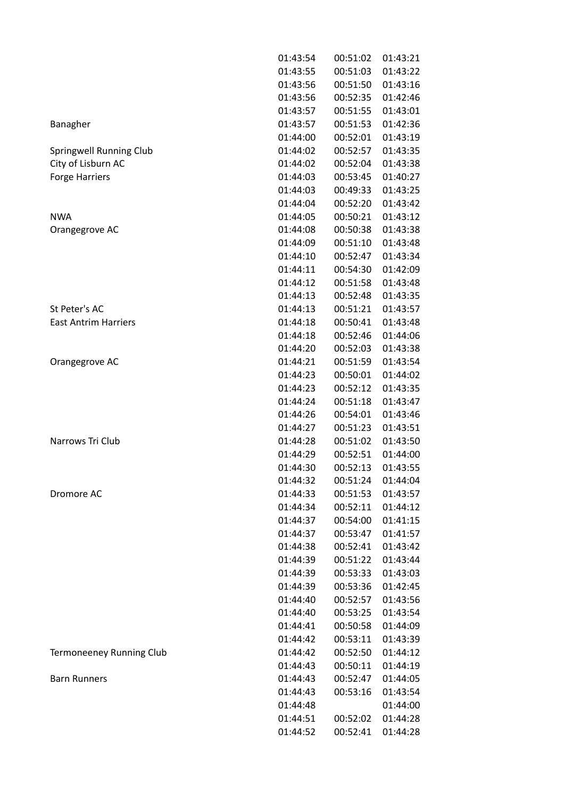|                                 | 01:43:54 | 00:51:02 | 01:43:21 |
|---------------------------------|----------|----------|----------|
|                                 | 01:43:55 | 00:51:03 | 01:43:22 |
|                                 | 01:43:56 | 00:51:50 | 01:43:16 |
|                                 | 01:43:56 | 00:52:35 | 01:42:46 |
|                                 | 01:43:57 | 00:51:55 | 01:43:01 |
| Banagher                        | 01:43:57 | 00:51:53 | 01:42:36 |
|                                 | 01:44:00 | 00:52:01 | 01:43:19 |
| <b>Springwell Running Club</b>  | 01:44:02 | 00:52:57 | 01:43:35 |
| City of Lisburn AC              | 01:44:02 | 00:52:04 | 01:43:38 |
| <b>Forge Harriers</b>           | 01:44:03 | 00:53:45 | 01:40:27 |
|                                 | 01:44:03 | 00:49:33 | 01:43:25 |
|                                 | 01:44:04 | 00:52:20 | 01:43:42 |
| <b>NWA</b>                      | 01:44:05 | 00:50:21 | 01:43:12 |
| Orangegrove AC                  | 01:44:08 | 00:50:38 | 01:43:38 |
|                                 | 01:44:09 | 00:51:10 | 01:43:48 |
|                                 | 01:44:10 | 00:52:47 | 01:43:34 |
|                                 | 01:44:11 | 00:54:30 | 01:42:09 |
|                                 | 01:44:12 | 00:51:58 | 01:43:48 |
|                                 | 01:44:13 | 00:52:48 | 01:43:35 |
| St Peter's AC                   | 01:44:13 | 00:51:21 | 01:43:57 |
| <b>East Antrim Harriers</b>     | 01:44:18 | 00:50:41 | 01:43:48 |
|                                 | 01:44:18 | 00:52:46 | 01:44:06 |
|                                 | 01:44:20 | 00:52:03 | 01:43:38 |
| Orangegrove AC                  | 01:44:21 | 00:51:59 | 01:43:54 |
|                                 | 01:44:23 | 00:50:01 | 01:44:02 |
|                                 | 01:44:23 | 00:52:12 | 01:43:35 |
|                                 | 01:44:24 | 00:51:18 | 01:43:47 |
|                                 | 01:44:26 | 00:54:01 | 01:43:46 |
|                                 | 01:44:27 | 00:51:23 | 01:43:51 |
| Narrows Tri Club                | 01:44:28 | 00:51:02 | 01:43:50 |
|                                 | 01:44:29 | 00:52:51 | 01:44:00 |
|                                 | 01:44:30 | 00:52:13 | 01:43:55 |
|                                 | 01:44:32 | 00:51:24 | 01:44:04 |
| Dromore AC                      | 01:44:33 | 00:51:53 | 01:43:57 |
|                                 | 01:44:34 | 00:52:11 | 01:44:12 |
|                                 | 01:44:37 | 00:54:00 | 01:41:15 |
|                                 | 01:44:37 | 00:53:47 | 01:41:57 |
|                                 | 01:44:38 | 00:52:41 | 01:43:42 |
|                                 | 01:44:39 | 00:51:22 | 01:43:44 |
|                                 | 01:44:39 | 00:53:33 | 01:43:03 |
|                                 | 01:44:39 | 00:53:36 | 01:42:45 |
|                                 | 01:44:40 | 00:52:57 | 01:43:56 |
|                                 | 01:44:40 | 00:53:25 | 01:43:54 |
|                                 | 01:44:41 | 00:50:58 | 01:44:09 |
|                                 | 01:44:42 | 00:53:11 | 01:43:39 |
| <b>Termoneeney Running Club</b> | 01:44:42 | 00:52:50 | 01:44:12 |
|                                 | 01:44:43 | 00:50:11 | 01:44:19 |
| <b>Barn Runners</b>             | 01:44:43 | 00:52:47 | 01:44:05 |
|                                 | 01:44:43 | 00:53:16 | 01:43:54 |
|                                 | 01:44:48 |          | 01:44:00 |
|                                 | 01:44:51 | 00:52:02 | 01:44:28 |
|                                 | 01:44:52 | 00:52:41 | 01:44:28 |
|                                 |          |          |          |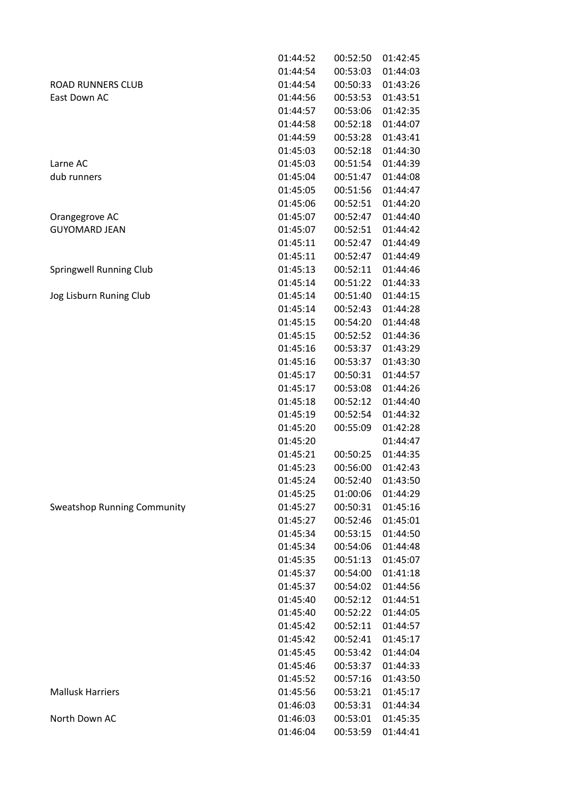|                                    | 01:44:52 | 00:52:50 | 01:42:45 |
|------------------------------------|----------|----------|----------|
|                                    | 01:44:54 | 00:53:03 | 01:44:03 |
| <b>ROAD RUNNERS CLUB</b>           | 01:44:54 | 00:50:33 | 01:43:26 |
| East Down AC                       | 01:44:56 | 00:53:53 | 01:43:51 |
|                                    | 01:44:57 | 00:53:06 | 01:42:35 |
|                                    | 01:44:58 | 00:52:18 | 01:44:07 |
|                                    | 01:44:59 | 00:53:28 | 01:43:41 |
|                                    | 01:45:03 | 00:52:18 | 01:44:30 |
| Larne AC                           | 01:45:03 | 00:51:54 | 01:44:39 |
| dub runners                        | 01:45:04 | 00:51:47 | 01:44:08 |
|                                    | 01:45:05 | 00:51:56 | 01:44:47 |
|                                    | 01:45:06 | 00:52:51 | 01:44:20 |
| Orangegrove AC                     | 01:45:07 | 00:52:47 | 01:44:40 |
| <b>GUYOMARD JEAN</b>               | 01:45:07 | 00:52:51 | 01:44:42 |
|                                    | 01:45:11 | 00:52:47 | 01:44:49 |
|                                    | 01:45:11 | 00:52:47 | 01:44:49 |
| <b>Springwell Running Club</b>     | 01:45:13 | 00:52:11 | 01:44:46 |
|                                    | 01:45:14 | 00:51:22 | 01:44:33 |
| Jog Lisburn Runing Club            | 01:45:14 | 00:51:40 | 01:44:15 |
|                                    | 01:45:14 | 00:52:43 | 01:44:28 |
|                                    | 01:45:15 | 00:54:20 | 01:44:48 |
|                                    | 01:45:15 | 00:52:52 | 01:44:36 |
|                                    | 01:45:16 | 00:53:37 | 01:43:29 |
|                                    | 01:45:16 | 00:53:37 | 01:43:30 |
|                                    | 01:45:17 | 00:50:31 | 01:44:57 |
|                                    | 01:45:17 | 00:53:08 |          |
|                                    |          |          | 01:44:26 |
|                                    | 01:45:18 | 00:52:12 | 01:44:40 |
|                                    | 01:45:19 | 00:52:54 | 01:44:32 |
|                                    | 01:45:20 | 00:55:09 | 01:42:28 |
|                                    | 01:45:20 |          | 01:44:47 |
|                                    | 01:45:21 | 00:50:25 | 01:44:35 |
|                                    | 01:45:23 | 00:56:00 | 01:42:43 |
|                                    | 01:45:24 | 00:52:40 | 01:43:50 |
|                                    | 01:45:25 | 01:00:06 | 01:44:29 |
| <b>Sweatshop Running Community</b> | 01:45:27 | 00:50:31 | 01:45:16 |
|                                    | 01:45:27 | 00:52:46 | 01:45:01 |
|                                    | 01:45:34 | 00:53:15 | 01:44:50 |
|                                    | 01:45:34 | 00:54:06 | 01:44:48 |
|                                    | 01:45:35 | 00:51:13 | 01:45:07 |
|                                    | 01:45:37 | 00:54:00 | 01:41:18 |
|                                    | 01:45:37 | 00:54:02 | 01:44:56 |
|                                    | 01:45:40 | 00:52:12 | 01:44:51 |
|                                    | 01:45:40 | 00:52:22 | 01:44:05 |
|                                    | 01:45:42 | 00:52:11 | 01:44:57 |
|                                    | 01:45:42 | 00:52:41 | 01:45:17 |
|                                    | 01:45:45 | 00:53:42 | 01:44:04 |
|                                    | 01:45:46 | 00:53:37 | 01:44:33 |
|                                    | 01:45:52 | 00:57:16 | 01:43:50 |
| <b>Mallusk Harriers</b>            | 01:45:56 | 00:53:21 | 01:45:17 |
|                                    | 01:46:03 | 00:53:31 | 01:44:34 |
| North Down AC                      | 01:46:03 | 00:53:01 | 01:45:35 |
|                                    | 01:46:04 | 00:53:59 | 01:44:41 |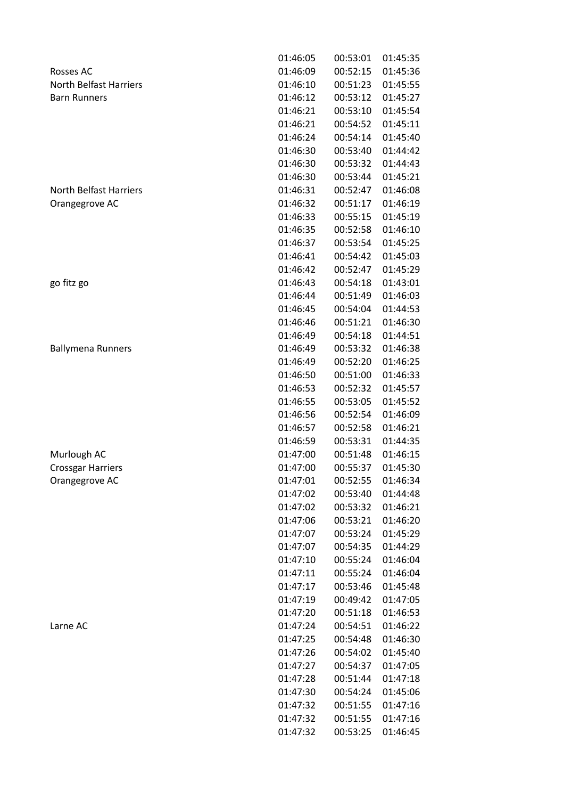|                               | 01:46:05 | 00:53:01 | 01:45:35 |
|-------------------------------|----------|----------|----------|
| <b>Rosses AC</b>              | 01:46:09 | 00:52:15 | 01:45:36 |
| <b>North Belfast Harriers</b> | 01:46:10 | 00:51:23 | 01:45:55 |
| <b>Barn Runners</b>           | 01:46:12 | 00:53:12 | 01:45:27 |
|                               | 01:46:21 | 00:53:10 | 01:45:54 |
|                               | 01:46:21 | 00:54:52 | 01:45:11 |
|                               | 01:46:24 | 00:54:14 | 01:45:40 |
|                               | 01:46:30 | 00:53:40 | 01:44:42 |
|                               | 01:46:30 | 00:53:32 | 01:44:43 |
|                               | 01:46:30 | 00:53:44 | 01:45:21 |
| North Belfast Harriers        | 01:46:31 | 00:52:47 | 01:46:08 |
| Orangegrove AC                | 01:46:32 | 00:51:17 | 01:46:19 |
|                               | 01:46:33 | 00:55:15 | 01:45:19 |
|                               | 01:46:35 | 00:52:58 | 01:46:10 |
|                               | 01:46:37 | 00:53:54 | 01:45:25 |
|                               | 01:46:41 | 00:54:42 | 01:45:03 |
|                               | 01:46:42 | 00:52:47 | 01:45:29 |
| go fitz go                    | 01:46:43 | 00:54:18 | 01:43:01 |
|                               | 01:46:44 | 00:51:49 | 01:46:03 |
|                               | 01:46:45 | 00:54:04 | 01:44:53 |
|                               | 01:46:46 | 00:51:21 | 01:46:30 |
|                               | 01:46:49 | 00:54:18 | 01:44:51 |
| <b>Ballymena Runners</b>      | 01:46:49 | 00:53:32 | 01:46:38 |
|                               | 01:46:49 | 00:52:20 | 01:46:25 |
|                               | 01:46:50 | 00:51:00 | 01:46:33 |
|                               | 01:46:53 | 00:52:32 | 01:45:57 |
|                               | 01:46:55 | 00:53:05 | 01:45:52 |
|                               | 01:46:56 | 00:52:54 | 01:46:09 |
|                               | 01:46:57 | 00:52:58 | 01:46:21 |
|                               | 01:46:59 | 00:53:31 | 01:44:35 |
| Murlough AC                   | 01:47:00 | 00:51:48 | 01:46:15 |
| <b>Crossgar Harriers</b>      | 01:47:00 | 00:55:37 | 01:45:30 |
| Orangegrove AC                | 01:47:01 | 00:52:55 | 01:46:34 |
|                               | 01:47:02 | 00:53:40 | 01:44:48 |
|                               | 01:47:02 | 00:53:32 | 01:46:21 |
|                               | 01:47:06 | 00:53:21 | 01:46:20 |
|                               | 01:47:07 | 00:53:24 | 01:45:29 |
|                               | 01:47:07 | 00:54:35 | 01:44:29 |
|                               | 01:47:10 | 00:55:24 | 01:46:04 |
|                               | 01:47:11 | 00:55:24 | 01:46:04 |
|                               | 01:47:17 | 00:53:46 | 01:45:48 |
|                               | 01:47:19 | 00:49:42 | 01:47:05 |
|                               | 01:47:20 | 00:51:18 | 01:46:53 |
| Larne AC                      | 01:47:24 | 00:54:51 | 01:46:22 |
|                               | 01:47:25 | 00:54:48 | 01:46:30 |
|                               | 01:47:26 | 00:54:02 | 01:45:40 |
|                               | 01:47:27 | 00:54:37 | 01:47:05 |
|                               | 01:47:28 | 00:51:44 | 01:47:18 |
|                               | 01:47:30 | 00:54:24 | 01:45:06 |
|                               | 01:47:32 | 00:51:55 | 01:47:16 |
|                               | 01:47:32 | 00:51:55 | 01:47:16 |

01:47:32 00:53:25 01:46:45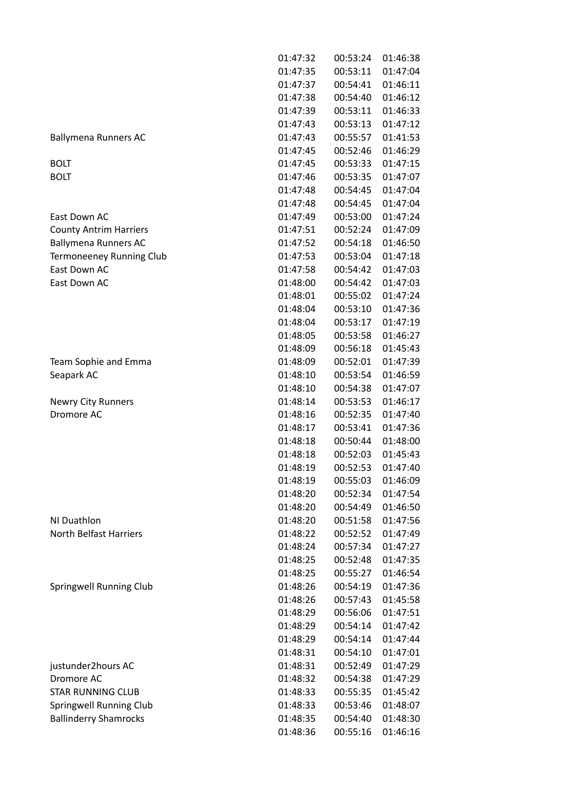|                                 | 01:47:32 | 00:53:24 | 01:46:38 |
|---------------------------------|----------|----------|----------|
|                                 | 01:47:35 | 00:53:11 | 01:47:04 |
|                                 | 01:47:37 | 00:54:41 | 01:46:11 |
|                                 | 01:47:38 | 00:54:40 | 01:46:12 |
|                                 | 01:47:39 | 00:53:11 | 01:46:33 |
|                                 | 01:47:43 | 00:53:13 | 01:47:12 |
| <b>Ballymena Runners AC</b>     | 01:47:43 | 00:55:57 | 01:41:53 |
|                                 | 01:47:45 | 00:52:46 | 01:46:29 |
| <b>BOLT</b>                     | 01:47:45 | 00:53:33 | 01:47:15 |
| <b>BOLT</b>                     | 01:47:46 | 00:53:35 | 01:47:07 |
|                                 | 01:47:48 | 00:54:45 | 01:47:04 |
|                                 | 01:47:48 | 00:54:45 | 01:47:04 |
| East Down AC                    | 01:47:49 | 00:53:00 | 01:47:24 |
| <b>County Antrim Harriers</b>   | 01:47:51 | 00:52:24 | 01:47:09 |
| <b>Ballymena Runners AC</b>     | 01:47:52 | 00:54:18 | 01:46:50 |
| <b>Termoneeney Running Club</b> | 01:47:53 | 00:53:04 | 01:47:18 |
| East Down AC                    | 01:47:58 | 00:54:42 | 01:47:03 |
| East Down AC                    | 01:48:00 | 00:54:42 | 01:47:03 |
|                                 | 01:48:01 | 00:55:02 | 01:47:24 |
|                                 | 01:48:04 | 00:53:10 | 01:47:36 |
|                                 | 01:48:04 | 00:53:17 | 01:47:19 |
|                                 | 01:48:05 | 00:53:58 | 01:46:27 |
|                                 | 01:48:09 | 00:56:18 | 01:45:43 |
| Team Sophie and Emma            | 01:48:09 | 00:52:01 | 01:47:39 |
| Seapark AC                      | 01:48:10 | 00:53:54 | 01:46:59 |
|                                 | 01:48:10 | 00:54:38 | 01:47:07 |
| <b>Newry City Runners</b>       | 01:48:14 | 00:53:53 | 01:46:17 |
| Dromore AC                      | 01:48:16 | 00:52:35 | 01:47:40 |
|                                 | 01:48:17 | 00:53:41 | 01:47:36 |
|                                 | 01:48:18 | 00:50:44 | 01:48:00 |
|                                 | 01:48:18 | 00:52:03 | 01:45:43 |
|                                 | 01:48:19 | 00:52:53 | 01:47:40 |
|                                 | 01:48:19 | 00:55:03 | 01:46:09 |
|                                 | 01:48:20 | 00:52:34 | 01:47:54 |
|                                 | 01:48:20 | 00:54:49 | 01:46:50 |
| NI Duathlon                     | 01:48:20 | 00:51:58 | 01:47:56 |
| <b>North Belfast Harriers</b>   | 01:48:22 | 00:52:52 | 01:47:49 |
|                                 | 01:48:24 | 00:57:34 | 01:47:27 |
|                                 | 01:48:25 | 00:52:48 | 01:47:35 |
|                                 | 01:48:25 | 00:55:27 | 01:46:54 |
| Springwell Running Club         | 01:48:26 | 00:54:19 | 01:47:36 |
|                                 | 01:48:26 | 00:57:43 | 01:45:58 |
|                                 | 01:48:29 | 00:56:06 | 01:47:51 |
|                                 | 01:48:29 | 00:54:14 | 01:47:42 |
|                                 | 01:48:29 | 00:54:14 | 01:47:44 |
|                                 | 01:48:31 | 00:54:10 | 01:47:01 |
| justunder2hours AC              | 01:48:31 | 00:52:49 | 01:47:29 |
| Dromore AC                      | 01:48:32 | 00:54:38 | 01:47:29 |
| <b>STAR RUNNING CLUB</b>        | 01:48:33 | 00:55:35 | 01:45:42 |
| <b>Springwell Running Club</b>  | 01:48:33 | 00:53:46 | 01:48:07 |
| <b>Ballinderry Shamrocks</b>    | 01:48:35 | 00:54:40 | 01:48:30 |
|                                 | 01:48:36 | 00:55:16 | 01:46:16 |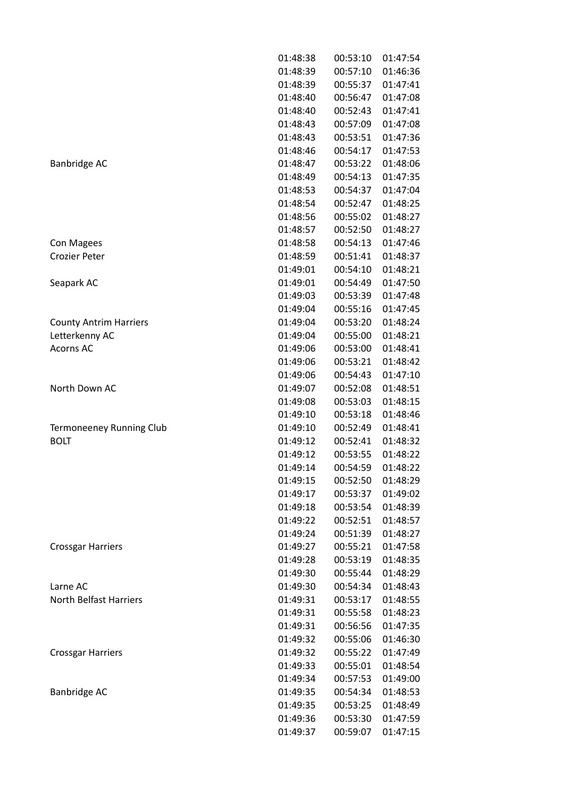| 00:57:10<br>01:48:39             | 01:46:36             |
|----------------------------------|----------------------|
| 01:48:39<br>00:55:37             | 01:47:41             |
| 01:48:40<br>00:56:47             | 01:47:08             |
| 00:52:43<br>01:48:40             | 01:47:41             |
| 00:57:09<br>01:48:43             | 01:47:08             |
| 01:48:43<br>00:53:51             | 01:47:36             |
| 01:48:46<br>00:54:17             | 01:47:53             |
| 01:48:47<br>00:53:22             | 01:48:06             |
| 01:48:49<br>00:54:13             | 01:47:35             |
| 00:54:37<br>01:48:53             | 01:47:04             |
| 01:48:54<br>00:52:47             | 01:48:25             |
| 01:48:56<br>00:55:02             | 01:48:27             |
| 00:52:50<br>01:48:57             | 01:48:27             |
| 00:54:13<br>01:48:58             | 01:47:46             |
| 01:48:59<br>00:51:41             | 01:48:37             |
| 01:49:01<br>00:54:10             | 01:48:21             |
| 01:49:01<br>00:54:49             | 01:47:50             |
| 01:49:03<br>00:53:39             | 01:47:48             |
| 01:49:04<br>00:55:16             | 01:47:45             |
| 00:53:20<br>01:49:04             | 01:48:24             |
| 01:49:04<br>00:55:00             | 01:48:21             |
| 01:49:06<br>00:53:00             | 01:48:41             |
| 00:53:21<br>01:49:06             | 01:48:42             |
| 00:54:43<br>01:49:06             | 01:47:10             |
| 01:49:07<br>00:52:08             | 01:48:51             |
|                                  |                      |
| 01:49:08<br>00:53:03             | 01:48:15             |
| 01:49:10<br>00:53:18             | 01:48:46             |
| 01:49:10<br>00:52:49             | 01:48:41             |
| 01:49:12<br>00:52:41             |                      |
| 01:49:12<br>00:53:55             | 01:48:32<br>01:48:22 |
| 01:49:14<br>00:54:59             | 01:48:22             |
| 00:52:50                         | 01:48:29             |
| 01:49:17<br>00:53:37             | 01:49:02             |
| 01:49:18<br>00:53:54             | 01:48:39             |
| 01:49:22<br>00:52:51             | 01:48:57             |
| 00:51:39<br>01:49:24             | 01:48:27             |
| 01:49:27<br>00:55:21             | 01:47:58             |
| 01:49:28<br>00:53:19             | 01:48:35             |
| 01:49:30<br>00:55:44             | 01:48:29             |
| 01:49:30<br>00:54:34             | 01:48:43             |
| 01:49:31<br>00:53:17             | 01:48:55             |
| 01:49:31<br>00:55:58             | 01:48:23             |
| 00:56:56                         |                      |
| 01:49:31<br>01:49:32<br>00:55:06 | 01:47:35<br>01:46:30 |
| 00:55:22<br>01:49:32             | 01:47:49             |
| 01:49:33<br>00:55:01             | 01:48:54             |
| 01:49:34<br>00:57:53             | 01:49:00             |
| 01:49:35<br>00:54:34             | 01:48:53             |
| 01:49:35<br>00:53:25             | 01:48:49             |
| 01:49:36<br>00:53:30             | 01:47:59             |
|                                  |                      |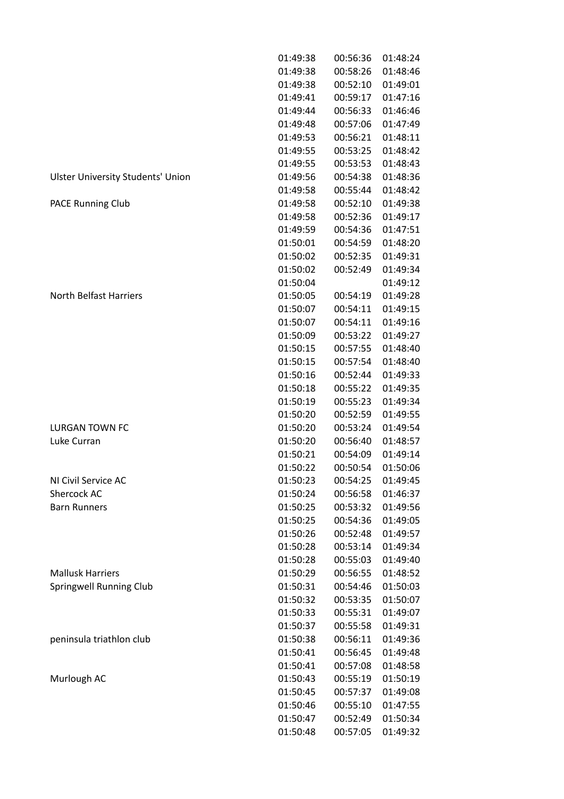|                                          | 01:49:38 | 00:56:36 | 01:48:24 |
|------------------------------------------|----------|----------|----------|
|                                          | 01:49:38 | 00:58:26 | 01:48:46 |
|                                          | 01:49:38 | 00:52:10 | 01:49:01 |
|                                          | 01:49:41 | 00:59:17 | 01:47:16 |
|                                          | 01:49:44 | 00:56:33 | 01:46:46 |
|                                          | 01:49:48 | 00:57:06 | 01:47:49 |
|                                          | 01:49:53 | 00:56:21 | 01:48:11 |
|                                          | 01:49:55 | 00:53:25 | 01:48:42 |
|                                          | 01:49:55 | 00:53:53 | 01:48:43 |
| <b>Ulster University Students' Union</b> | 01:49:56 | 00:54:38 | 01:48:36 |
|                                          | 01:49:58 | 00:55:44 | 01:48:42 |
| <b>PACE Running Club</b>                 | 01:49:58 | 00:52:10 | 01:49:38 |
|                                          | 01:49:58 | 00:52:36 | 01:49:17 |
|                                          | 01:49:59 | 00:54:36 | 01:47:51 |
|                                          | 01:50:01 | 00:54:59 | 01:48:20 |
|                                          | 01:50:02 | 00:52:35 | 01:49:31 |
|                                          | 01:50:02 | 00:52:49 | 01:49:34 |
|                                          | 01:50:04 |          | 01:49:12 |
| <b>North Belfast Harriers</b>            | 01:50:05 | 00:54:19 | 01:49:28 |
|                                          | 01:50:07 | 00:54:11 | 01:49:15 |
|                                          | 01:50:07 | 00:54:11 | 01:49:16 |
|                                          | 01:50:09 | 00:53:22 | 01:49:27 |
|                                          | 01:50:15 | 00:57:55 | 01:48:40 |
|                                          | 01:50:15 | 00:57:54 | 01:48:40 |
|                                          | 01:50:16 | 00:52:44 | 01:49:33 |
|                                          | 01:50:18 | 00:55:22 | 01:49:35 |
|                                          | 01:50:19 | 00:55:23 | 01:49:34 |
|                                          | 01:50:20 | 00:52:59 | 01:49:55 |
| <b>LURGAN TOWN FC</b>                    | 01:50:20 | 00:53:24 | 01:49:54 |
| Luke Curran                              | 01:50:20 | 00:56:40 | 01:48:57 |
|                                          | 01:50:21 | 00:54:09 | 01:49:14 |
|                                          | 01:50:22 | 00:50:54 | 01:50:06 |
| NI Civil Service AC                      | 01:50:23 | 00:54:25 | 01:49:45 |
| Shercock AC                              | 01:50:24 | 00:56:58 | 01:46:37 |
| <b>Barn Runners</b>                      | 01:50:25 | 00:53:32 | 01:49:56 |
|                                          | 01:50:25 | 00:54:36 | 01:49:05 |
|                                          | 01:50:26 | 00:52:48 | 01:49:57 |
|                                          | 01:50:28 | 00:53:14 | 01:49:34 |
|                                          | 01:50:28 | 00:55:03 | 01:49:40 |
| <b>Mallusk Harriers</b>                  | 01:50:29 | 00:56:55 | 01:48:52 |
| Springwell Running Club                  | 01:50:31 | 00:54:46 | 01:50:03 |
|                                          | 01:50:32 | 00:53:35 | 01:50:07 |
|                                          | 01:50:33 | 00:55:31 | 01:49:07 |
|                                          | 01:50:37 | 00:55:58 | 01:49:31 |
| peninsula triathlon club                 | 01:50:38 | 00:56:11 | 01:49:36 |
|                                          | 01:50:41 | 00:56:45 | 01:49:48 |
|                                          | 01:50:41 | 00:57:08 | 01:48:58 |
| Murlough AC                              | 01:50:43 | 00:55:19 | 01:50:19 |
|                                          | 01:50:45 | 00:57:37 | 01:49:08 |
|                                          | 01:50:46 | 00:55:10 | 01:47:55 |
|                                          | 01:50:47 | 00:52:49 | 01:50:34 |
|                                          | 01:50:48 | 00:57:05 | 01:49:32 |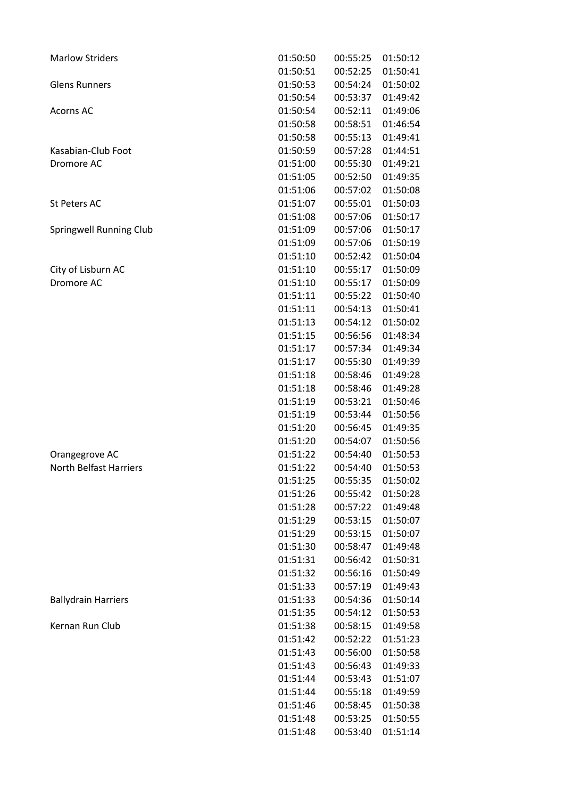|                      | <b>Marlow Striders</b>         | 01:50:50 | 00:55:25 | 01:50:12 |
|----------------------|--------------------------------|----------|----------|----------|
|                      |                                | 01:50:51 | 00:52:25 | 01:50:41 |
| <b>Glens Runners</b> |                                | 01:50:53 | 00:54:24 | 01:50:02 |
|                      |                                | 01:50:54 | 00:53:37 | 01:49:42 |
| Acorns AC            |                                | 01:50:54 | 00:52:11 | 01:49:06 |
|                      |                                | 01:50:58 | 00:58:51 | 01:46:54 |
|                      |                                | 01:50:58 | 00:55:13 | 01:49:41 |
|                      | Kasabian-Club Foot             | 01:50:59 | 00:57:28 | 01:44:51 |
| Dromore AC           |                                | 01:51:00 | 00:55:30 | 01:49:21 |
|                      |                                | 01:51:05 | 00:52:50 | 01:49:35 |
|                      |                                | 01:51:06 | 00:57:02 | 01:50:08 |
| <b>St Peters AC</b>  |                                | 01:51:07 | 00:55:01 | 01:50:03 |
|                      |                                | 01:51:08 | 00:57:06 | 01:50:17 |
|                      | <b>Springwell Running Club</b> | 01:51:09 | 00:57:06 | 01:50:17 |
|                      |                                | 01:51:09 | 00:57:06 | 01:50:19 |
|                      |                                | 01:51:10 | 00:52:42 | 01:50:04 |
|                      | City of Lisburn AC             | 01:51:10 | 00:55:17 | 01:50:09 |
| Dromore AC           |                                | 01:51:10 | 00:55:17 | 01:50:09 |
|                      |                                | 01:51:11 | 00:55:22 | 01:50:40 |
|                      |                                | 01:51:11 | 00:54:13 | 01:50:41 |
|                      |                                | 01:51:13 | 00:54:12 | 01:50:02 |
|                      |                                |          |          |          |
|                      |                                | 01:51:15 | 00:56:56 | 01:48:34 |
|                      |                                | 01:51:17 | 00:57:34 | 01:49:34 |
|                      |                                | 01:51:17 | 00:55:30 | 01:49:39 |
|                      |                                | 01:51:18 | 00:58:46 | 01:49:28 |
|                      |                                | 01:51:18 | 00:58:46 | 01:49:28 |
|                      |                                | 01:51:19 | 00:53:21 | 01:50:46 |
|                      |                                | 01:51:19 | 00:53:44 | 01:50:56 |
|                      |                                | 01:51:20 | 00:56:45 | 01:49:35 |
|                      |                                | 01:51:20 | 00:54:07 | 01:50:56 |
|                      | Orangegrove AC                 | 01:51:22 | 00:54:40 | 01:50:53 |
|                      | <b>North Belfast Harriers</b>  | 01:51:22 | 00:54:40 | 01:50:53 |
|                      |                                | 01:51:25 | 00:55:35 | 01:50:02 |
|                      |                                | 01:51:26 | 00:55:42 | 01:50:28 |
|                      |                                | 01:51:28 | 00:57:22 | 01:49:48 |
|                      |                                | 01:51:29 | 00:53:15 | 01:50:07 |
|                      |                                | 01:51:29 | 00:53:15 | 01:50:07 |
|                      |                                | 01:51:30 | 00:58:47 | 01:49:48 |
|                      |                                | 01:51:31 | 00:56:42 | 01:50:31 |
|                      |                                | 01:51:32 | 00:56:16 | 01:50:49 |
|                      |                                | 01:51:33 | 00:57:19 | 01:49:43 |
|                      | <b>Ballydrain Harriers</b>     | 01:51:33 | 00:54:36 | 01:50:14 |
|                      |                                | 01:51:35 | 00:54:12 | 01:50:53 |
|                      | Kernan Run Club                | 01:51:38 | 00:58:15 | 01:49:58 |
|                      |                                | 01:51:42 | 00:52:22 | 01:51:23 |
|                      |                                | 01:51:43 | 00:56:00 | 01:50:58 |
|                      |                                | 01:51:43 | 00:56:43 | 01:49:33 |
|                      |                                | 01:51:44 | 00:53:43 | 01:51:07 |
|                      |                                | 01:51:44 | 00:55:18 | 01:49:59 |
|                      |                                | 01:51:46 | 00:58:45 | 01:50:38 |
|                      |                                | 01:51:48 | 00:53:25 | 01:50:55 |
|                      |                                | 01:51:48 | 00:53:40 | 01:51:14 |
|                      |                                |          |          |          |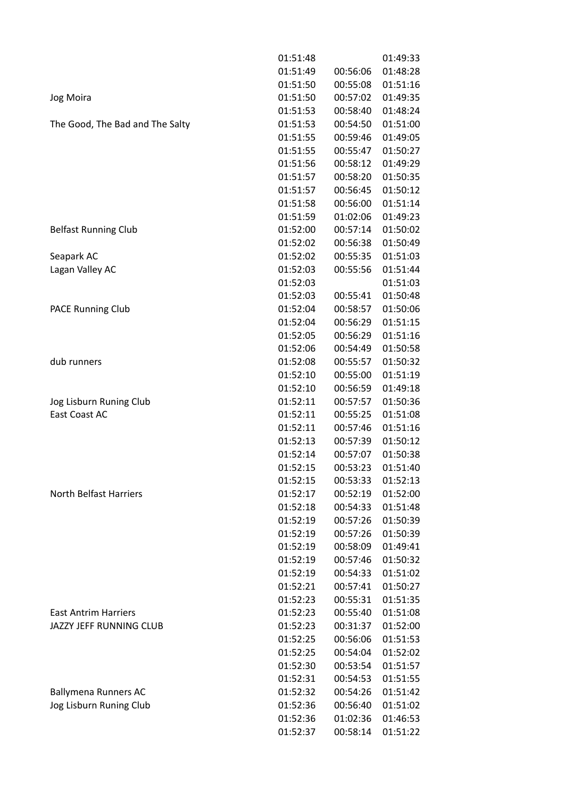|                                 | 01:51:48 |          | 01:49:33 |
|---------------------------------|----------|----------|----------|
|                                 | 01:51:49 | 00:56:06 | 01:48:28 |
|                                 | 01:51:50 | 00:55:08 | 01:51:16 |
| Jog Moira                       | 01:51:50 | 00:57:02 | 01:49:35 |
|                                 | 01:51:53 | 00:58:40 | 01:48:24 |
| The Good, The Bad and The Salty | 01:51:53 | 00:54:50 | 01:51:00 |
|                                 | 01:51:55 | 00:59:46 | 01:49:05 |
|                                 | 01:51:55 | 00:55:47 | 01:50:27 |
|                                 | 01:51:56 | 00:58:12 | 01:49:29 |
|                                 | 01:51:57 | 00:58:20 | 01:50:35 |
|                                 | 01:51:57 | 00:56:45 | 01:50:12 |
|                                 | 01:51:58 | 00:56:00 | 01:51:14 |
|                                 | 01:51:59 | 01:02:06 | 01:49:23 |
| <b>Belfast Running Club</b>     | 01:52:00 | 00:57:14 | 01:50:02 |
|                                 | 01:52:02 | 00:56:38 | 01:50:49 |
| Seapark AC                      | 01:52:02 | 00:55:35 | 01:51:03 |
| Lagan Valley AC                 | 01:52:03 | 00:55:56 | 01:51:44 |
|                                 | 01:52:03 |          | 01:51:03 |
|                                 | 01:52:03 | 00:55:41 | 01:50:48 |
| <b>PACE Running Club</b>        | 01:52:04 | 00:58:57 | 01:50:06 |
|                                 | 01:52:04 | 00:56:29 | 01:51:15 |
|                                 | 01:52:05 | 00:56:29 | 01:51:16 |
|                                 | 01:52:06 | 00:54:49 | 01:50:58 |
| dub runners                     | 01:52:08 | 00:55:57 | 01:50:32 |
|                                 | 01:52:10 | 00:55:00 | 01:51:19 |
|                                 | 01:52:10 | 00:56:59 | 01:49:18 |
| Jog Lisburn Runing Club         | 01:52:11 | 00:57:57 | 01:50:36 |
| <b>East Coast AC</b>            | 01:52:11 | 00:55:25 | 01:51:08 |
|                                 | 01:52:11 | 00:57:46 | 01:51:16 |
|                                 | 01:52:13 | 00:57:39 | 01:50:12 |
|                                 | 01:52:14 | 00:57:07 | 01:50:38 |
|                                 | 01:52:15 | 00:53:23 | 01:51:40 |
|                                 | 01:52:15 | 00:53:33 | 01:52:13 |
| <b>North Belfast Harriers</b>   | 01:52:17 | 00:52:19 | 01:52:00 |
|                                 | 01:52:18 | 00:54:33 | 01:51:48 |
|                                 | 01:52:19 | 00:57:26 | 01:50:39 |
|                                 | 01:52:19 | 00:57:26 | 01:50:39 |
|                                 | 01:52:19 | 00:58:09 | 01:49:41 |
|                                 | 01:52:19 | 00:57:46 | 01:50:32 |
|                                 | 01:52:19 | 00:54:33 | 01:51:02 |
|                                 | 01:52:21 | 00:57:41 | 01:50:27 |
|                                 | 01:52:23 | 00:55:31 | 01:51:35 |
| <b>East Antrim Harriers</b>     | 01:52:23 | 00:55:40 | 01:51:08 |
| JAZZY JEFF RUNNING CLUB         | 01:52:23 | 00:31:37 | 01:52:00 |
|                                 | 01:52:25 | 00:56:06 | 01:51:53 |
|                                 | 01:52:25 | 00:54:04 | 01:52:02 |
|                                 | 01:52:30 | 00:53:54 | 01:51:57 |
|                                 | 01:52:31 | 00:54:53 | 01:51:55 |
| <b>Ballymena Runners AC</b>     | 01:52:32 | 00:54:26 | 01:51:42 |
| Jog Lisburn Runing Club         | 01:52:36 | 00:56:40 | 01:51:02 |
|                                 | 01:52:36 | 01:02:36 | 01:46:53 |
|                                 | 01:52:37 | 00:58:14 | 01:51:22 |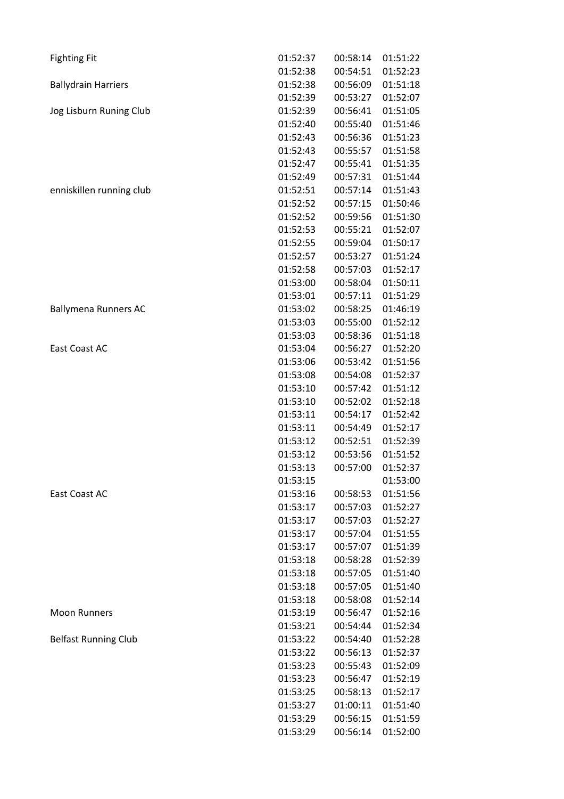| <b>Fighting Fit</b>         | 01:52:37             | 00:58:14 | 01:51:22             |
|-----------------------------|----------------------|----------|----------------------|
|                             | 01:52:38             | 00:54:51 | 01:52:23             |
| <b>Ballydrain Harriers</b>  | 01:52:38             | 00:56:09 | 01:51:18             |
|                             | 01:52:39             | 00:53:27 | 01:52:07             |
| Jog Lisburn Runing Club     | 01:52:39             | 00:56:41 | 01:51:05             |
|                             | 01:52:40             | 00:55:40 | 01:51:46             |
|                             | 01:52:43             | 00:56:36 | 01:51:23             |
|                             | 01:52:43             | 00:55:57 | 01:51:58             |
|                             | 01:52:47             | 00:55:41 | 01:51:35             |
|                             | 01:52:49             | 00:57:31 | 01:51:44             |
| enniskillen running club    | 01:52:51             | 00:57:14 | 01:51:43             |
|                             | 01:52:52             | 00:57:15 | 01:50:46             |
|                             | 01:52:52             | 00:59:56 | 01:51:30             |
|                             | 01:52:53             | 00:55:21 | 01:52:07             |
|                             | 01:52:55             | 00:59:04 | 01:50:17             |
|                             | 01:52:57             | 00:53:27 | 01:51:24             |
|                             | 01:52:58             | 00:57:03 | 01:52:17             |
|                             | 01:53:00             | 00:58:04 | 01:50:11             |
|                             | 01:53:01             | 00:57:11 | 01:51:29             |
| <b>Ballymena Runners AC</b> | 01:53:02             | 00:58:25 | 01:46:19             |
|                             | 01:53:03             | 00:55:00 | 01:52:12             |
|                             | 01:53:03             | 00:58:36 | 01:51:18             |
| East Coast AC               | 01:53:04             | 00:56:27 | 01:52:20             |
|                             | 01:53:06             | 00:53:42 | 01:51:56             |
|                             | 01:53:08             | 00:54:08 | 01:52:37             |
|                             | 01:53:10             | 00:57:42 | 01:51:12             |
|                             | 01:53:10             | 00:52:02 | 01:52:18             |
|                             | 01:53:11             | 00:54:17 | 01:52:42             |
|                             | 01:53:11             | 00:54:49 | 01:52:17             |
|                             |                      |          | 01:52:39             |
|                             | 01:53:12             | 00:52:51 |                      |
|                             | 01:53:12             | 00:53:56 | 01:51:52             |
|                             | 01:53:13<br>01:53:15 | 00:57:00 | 01:52:37<br>01:53:00 |
|                             |                      |          |                      |
| East Coast AC               | 01:53:16             | 00:58:53 | 01:51:56             |
|                             | 01:53:17             | 00:57:03 | 01:52:27             |
|                             | 01:53:17             | 00:57:03 | 01:52:27             |
|                             | 01:53:17             | 00:57:04 | 01:51:55             |
|                             | 01:53:17             | 00:57:07 | 01:51:39             |
|                             | 01:53:18             | 00:58:28 | 01:52:39             |
|                             | 01:53:18             | 00:57:05 | 01:51:40             |
|                             | 01:53:18             | 00:57:05 | 01:51:40             |
|                             | 01:53:18             | 00:58:08 | 01:52:14             |
| <b>Moon Runners</b>         | 01:53:19             | 00:56:47 | 01:52:16             |
|                             | 01:53:21             | 00:54:44 | 01:52:34             |
| <b>Belfast Running Club</b> | 01:53:22             | 00:54:40 | 01:52:28             |
|                             | 01:53:22             | 00:56:13 | 01:52:37             |
|                             | 01:53:23             | 00:55:43 | 01:52:09             |
|                             | 01:53:23             | 00:56:47 | 01:52:19             |
|                             | 01:53:25             | 00:58:13 | 01:52:17             |
|                             | 01:53:27             | 01:00:11 | 01:51:40             |
|                             | 01:53:29             | 00:56:15 | 01:51:59             |
|                             | 01:53:29             | 00:56:14 | 01:52:00             |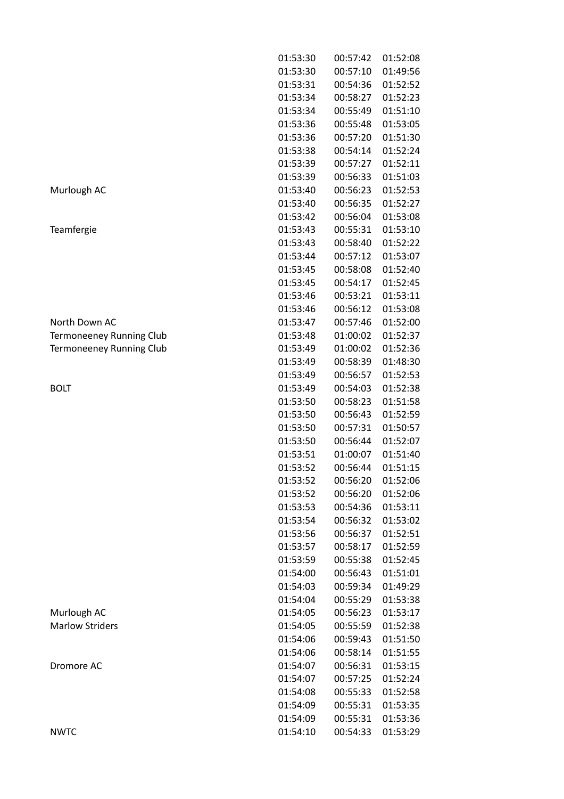| Murlough AC |
|-------------|
|-------------|

Teamfergie

|                          | 01:53:30 | 00:57:42 | 01:52:08 |
|--------------------------|----------|----------|----------|
|                          | 01:53:30 | 00:57:10 | 01:49:56 |
|                          | 01:53:31 | 00:54:36 | 01:52:52 |
|                          | 01:53:34 | 00:58:27 | 01:52:23 |
|                          | 01:53:34 | 00:55:49 | 01:51:10 |
|                          | 01:53:36 | 00:55:48 | 01:53:05 |
|                          | 01:53:36 | 00:57:20 | 01:51:30 |
|                          | 01:53:38 | 00:54:14 | 01:52:24 |
|                          | 01:53:39 | 00:57:27 | 01:52:11 |
|                          | 01:53:39 | 00:56:33 | 01:51:03 |
| Murlough AC              | 01:53:40 | 00:56:23 | 01:52:53 |
|                          | 01:53:40 | 00:56:35 | 01:52:27 |
|                          | 01:53:42 | 00:56:04 | 01:53:08 |
| Teamfergie               | 01:53:43 | 00:55:31 | 01:53:10 |
|                          | 01:53:43 | 00:58:40 | 01:52:22 |
|                          | 01:53:44 | 00:57:12 | 01:53:07 |
|                          | 01:53:45 | 00:58:08 | 01:52:40 |
|                          | 01:53:45 | 00:54:17 | 01:52:45 |
|                          | 01:53:46 | 00:53:21 | 01:53:11 |
|                          | 01:53:46 | 00:56:12 | 01:53:08 |
| North Down AC            | 01:53:47 | 00:57:46 | 01:52:00 |
| Termoneeney Running Club | 01:53:48 | 01:00:02 | 01:52:37 |
| Termoneeney Running Club | 01:53:49 | 01:00:02 | 01:52:36 |
|                          | 01:53:49 | 00:58:39 | 01:48:30 |
|                          | 01:53:49 | 00:56:57 | 01:52:53 |
| BOLT                     | 01:53:49 | 00:54:03 | 01:52:38 |
|                          | 01:53:50 | 00:58:23 | 01:51:58 |
|                          | 01:53:50 | 00:56:43 | 01:52:59 |
|                          | 01:53:50 | 00:57:31 | 01:50:57 |
|                          | 01:53:50 | 00:56:44 | 01:52:07 |
|                          | 01:53:51 | 01:00:07 | 01:51:40 |
|                          | 01:53:52 | 00:56:44 | 01:51:15 |
|                          | 01:53:52 | 00:56:20 | 01:52:06 |
|                          | 01:53:52 | 00:56:20 | 01:52:06 |
|                          | 01:53:53 | 00:54:36 | 01:53:11 |
|                          | 01:53:54 | 00:56:32 | 01:53:02 |
|                          | 01:53:56 | 00:56:37 | 01:52:51 |
|                          | 01:53:57 | 00:58:17 | 01:52:59 |
|                          |          |          |          |
|                          | 01:53:59 | 00:55:38 | 01:52:45 |
|                          | 01:54:00 | 00:56:43 | 01:51:01 |
|                          | 01:54:03 | 00:59:34 | 01:49:29 |
|                          | 01:54:04 | 00:55:29 | 01:53:38 |
| Murlough AC              | 01:54:05 | 00:56:23 | 01:53:17 |
| <b>Marlow Striders</b>   | 01:54:05 | 00:55:59 | 01:52:38 |
|                          | 01:54:06 | 00:59:43 | 01:51:50 |
|                          | 01:54:06 | 00:58:14 | 01:51:55 |
| Dromore AC               | 01:54:07 | 00:56:31 | 01:53:15 |
|                          | 01:54:07 | 00:57:25 | 01:52:24 |
|                          | 01:54:08 | 00:55:33 | 01:52:58 |
|                          | 01:54:09 | 00:55:31 | 01:53:35 |
|                          | 01:54:09 | 00:55:31 | 01:53:36 |
| NWTC                     | 01:54:10 | 00:54:33 | 01:53:29 |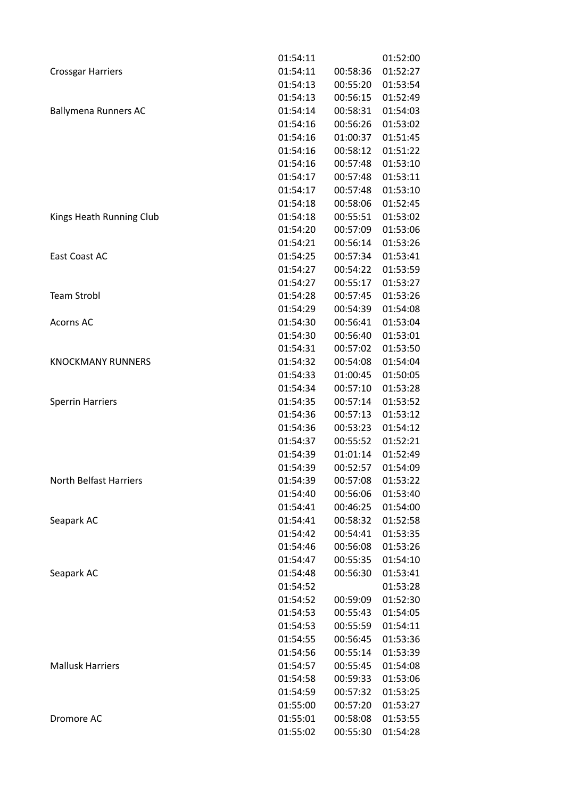|                             | 01:54:11 |          | 01:52:00 |
|-----------------------------|----------|----------|----------|
| <b>Crossgar Harriers</b>    | 01:54:11 | 00:58:36 | 01:52:27 |
|                             | 01:54:13 | 00:55:20 | 01:53:54 |
|                             | 01:54:13 | 00:56:15 | 01:52:49 |
| <b>Ballymena Runners AC</b> | 01:54:14 | 00:58:31 | 01:54:03 |
|                             | 01:54:16 | 00:56:26 | 01:53:02 |
|                             | 01:54:16 | 01:00:37 | 01:51:45 |
|                             | 01:54:16 | 00:58:12 | 01:51:22 |
|                             | 01:54:16 | 00:57:48 | 01:53:10 |
|                             | 01:54:17 | 00:57:48 | 01:53:11 |
|                             | 01:54:17 | 00:57:48 | 01:53:10 |
|                             | 01:54:18 | 00:58:06 | 01:52:45 |
| Kings Heath Running Club    | 01:54:18 | 00:55:51 | 01:53:02 |
|                             | 01:54:20 | 00:57:09 | 01:53:06 |
|                             | 01:54:21 | 00:56:14 | 01:53:26 |
| East Coast AC               | 01:54:25 | 00:57:34 | 01:53:41 |
|                             | 01:54:27 | 00:54:22 | 01:53:59 |
|                             | 01:54:27 | 00:55:17 | 01:53:27 |
| <b>Team Strobl</b>          | 01:54:28 | 00:57:45 | 01:53:26 |
|                             | 01:54:29 | 00:54:39 | 01:54:08 |
| Acorns AC                   | 01:54:30 | 00:56:41 | 01:53:04 |
|                             | 01:54:30 | 00:56:40 | 01:53:01 |
|                             | 01:54:31 | 00:57:02 | 01:53:50 |
| <b>KNOCKMANY RUNNERS</b>    | 01:54:32 | 00:54:08 | 01:54:04 |
|                             | 01:54:33 | 01:00:45 | 01:50:05 |
|                             | 01:54:34 | 00:57:10 | 01:53:28 |
| <b>Sperrin Harriers</b>     | 01:54:35 | 00:57:14 | 01:53:52 |
|                             | 01:54:36 | 00:57:13 | 01:53:12 |
|                             | 01:54:36 | 00:53:23 | 01:54:12 |
|                             | 01:54:37 | 00:55:52 | 01:52:21 |
|                             | 01:54:39 | 01:01:14 | 01:52:49 |
|                             | 01:54:39 | 00:52:57 | 01:54:09 |
| North Belfast Harriers      | 01:54:39 | 00:57:08 | 01:53:22 |
|                             | 01:54:40 | 00:56:06 | 01:53:40 |
|                             | 01:54:41 | 00:46:25 | 01:54:00 |
| Seapark AC                  | 01:54:41 | 00:58:32 | 01:52:58 |
|                             | 01:54:42 | 00:54:41 | 01:53:35 |
|                             | 01:54:46 | 00:56:08 | 01:53:26 |
|                             | 01:54:47 | 00:55:35 | 01:54:10 |
| Seapark AC                  | 01:54:48 | 00:56:30 | 01:53:41 |
|                             | 01:54:52 |          | 01:53:28 |
|                             | 01:54:52 | 00:59:09 | 01:52:30 |
|                             | 01:54:53 | 00:55:43 | 01:54:05 |
|                             | 01:54:53 | 00:55:59 | 01:54:11 |
|                             | 01:54:55 | 00:56:45 | 01:53:36 |
|                             | 01:54:56 | 00:55:14 | 01:53:39 |
| <b>Mallusk Harriers</b>     | 01:54:57 | 00:55:45 | 01:54:08 |
|                             | 01:54:58 | 00:59:33 | 01:53:06 |
|                             | 01:54:59 | 00:57:32 | 01:53:25 |
|                             | 01:55:00 | 00:57:20 | 01:53:27 |
| Dromore AC                  | 01:55:01 | 00:58:08 | 01:53:55 |
|                             | 01:55:02 | 00:55:30 | 01:54:28 |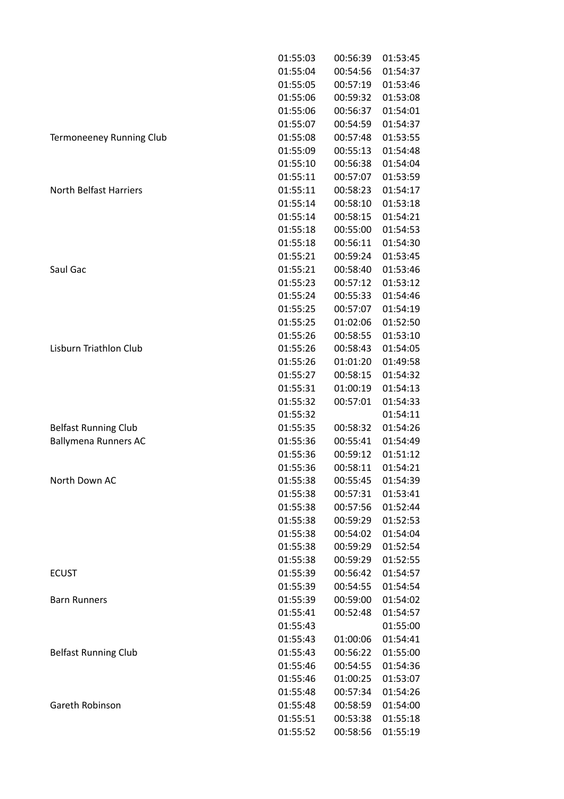|                                 | 01:55:03 | 00:56:39 | 01:53:45 |
|---------------------------------|----------|----------|----------|
|                                 | 01:55:04 | 00:54:56 | 01:54:37 |
|                                 | 01:55:05 | 00:57:19 | 01:53:46 |
|                                 | 01:55:06 | 00:59:32 | 01:53:08 |
|                                 | 01:55:06 | 00:56:37 | 01:54:01 |
|                                 | 01:55:07 | 00:54:59 | 01:54:37 |
| <b>Termoneeney Running Club</b> | 01:55:08 | 00:57:48 | 01:53:55 |
|                                 | 01:55:09 | 00:55:13 | 01:54:48 |
|                                 | 01:55:10 | 00:56:38 | 01:54:04 |
|                                 | 01:55:11 | 00:57:07 | 01:53:59 |
| <b>North Belfast Harriers</b>   | 01:55:11 | 00:58:23 | 01:54:17 |
|                                 | 01:55:14 | 00:58:10 | 01:53:18 |
|                                 | 01:55:14 | 00:58:15 | 01:54:21 |
|                                 | 01:55:18 | 00:55:00 | 01:54:53 |
|                                 | 01:55:18 | 00:56:11 | 01:54:30 |
|                                 | 01:55:21 | 00:59:24 | 01:53:45 |
| Saul Gac                        | 01:55:21 | 00:58:40 | 01:53:46 |
|                                 | 01:55:23 | 00:57:12 | 01:53:12 |
|                                 | 01:55:24 | 00:55:33 | 01:54:46 |
|                                 | 01:55:25 | 00:57:07 | 01:54:19 |
|                                 | 01:55:25 | 01:02:06 | 01:52:50 |
|                                 | 01:55:26 | 00:58:55 | 01:53:10 |
| Lisburn Triathlon Club          | 01:55:26 | 00:58:43 | 01:54:05 |
|                                 | 01:55:26 | 01:01:20 | 01:49:58 |
|                                 | 01:55:27 | 00:58:15 | 01:54:32 |
|                                 | 01:55:31 | 01:00:19 | 01:54:13 |
|                                 | 01:55:32 | 00:57:01 | 01:54:33 |
|                                 | 01:55:32 |          | 01:54:11 |
| <b>Belfast Running Club</b>     | 01:55:35 | 00:58:32 | 01:54:26 |
| <b>Ballymena Runners AC</b>     | 01:55:36 | 00:55:41 | 01:54:49 |
|                                 | 01:55:36 | 00:59:12 | 01:51:12 |
|                                 | 01:55:36 | 00:58:11 | 01:54:21 |
| North Down AC                   | 01:55:38 | 00:55:45 | 01:54:39 |
|                                 | 01:55:38 | 00:57:31 | 01:53:41 |
|                                 | 01:55:38 | 00:57:56 | 01:52:44 |
|                                 | 01:55:38 | 00:59:29 | 01:52:53 |
|                                 | 01:55:38 | 00:54:02 | 01:54:04 |
|                                 | 01:55:38 | 00:59:29 | 01:52:54 |
|                                 | 01:55:38 | 00:59:29 | 01:52:55 |
| <b>ECUST</b>                    | 01:55:39 | 00:56:42 | 01:54:57 |
|                                 | 01:55:39 | 00:54:55 | 01:54:54 |
| <b>Barn Runners</b>             | 01:55:39 | 00:59:00 | 01:54:02 |
|                                 | 01:55:41 | 00:52:48 | 01:54:57 |
|                                 | 01:55:43 |          | 01:55:00 |
|                                 | 01:55:43 | 01:00:06 | 01:54:41 |
| <b>Belfast Running Club</b>     | 01:55:43 | 00:56:22 | 01:55:00 |
|                                 | 01:55:46 | 00:54:55 | 01:54:36 |
|                                 | 01:55:46 | 01:00:25 | 01:53:07 |
|                                 | 01:55:48 | 00:57:34 | 01:54:26 |
| Gareth Robinson                 | 01:55:48 | 00:58:59 | 01:54:00 |
|                                 | 01:55:51 | 00:53:38 | 01:55:18 |
|                                 | 01:55:52 | 00:58:56 | 01:55:19 |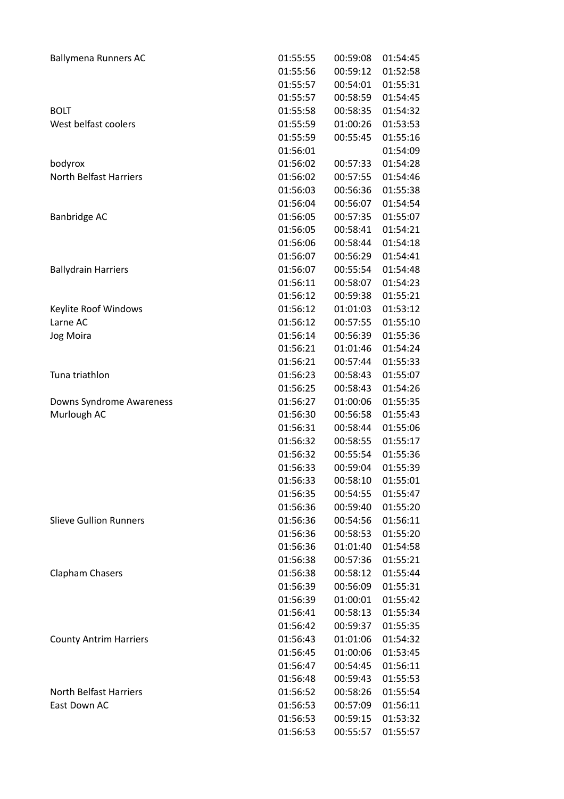| <b>Ballymena Runners AC</b>   | 01:55:55 | 00:59:08 | 01:54:45 |
|-------------------------------|----------|----------|----------|
|                               | 01:55:56 | 00:59:12 | 01:52:58 |
|                               | 01:55:57 | 00:54:01 | 01:55:31 |
|                               | 01:55:57 | 00:58:59 | 01:54:45 |
| <b>BOLT</b>                   | 01:55:58 | 00:58:35 | 01:54:32 |
| West belfast coolers          | 01:55:59 | 01:00:26 | 01:53:53 |
|                               | 01:55:59 | 00:55:45 | 01:55:16 |
|                               | 01:56:01 |          | 01:54:09 |
| bodyrox                       | 01:56:02 | 00:57:33 | 01:54:28 |
| <b>North Belfast Harriers</b> | 01:56:02 | 00:57:55 | 01:54:46 |
|                               | 01:56:03 | 00:56:36 | 01:55:38 |
|                               | 01:56:04 | 00:56:07 | 01:54:54 |
| Banbridge AC                  | 01:56:05 | 00:57:35 | 01:55:07 |
|                               | 01:56:05 | 00:58:41 | 01:54:21 |
|                               | 01:56:06 | 00:58:44 | 01:54:18 |
|                               | 01:56:07 | 00:56:29 | 01:54:41 |
| <b>Ballydrain Harriers</b>    | 01:56:07 | 00:55:54 | 01:54:48 |
|                               | 01:56:11 | 00:58:07 | 01:54:23 |
|                               | 01:56:12 | 00:59:38 | 01:55:21 |
| Keylite Roof Windows          | 01:56:12 | 01:01:03 | 01:53:12 |
| Larne AC                      | 01:56:12 | 00:57:55 | 01:55:10 |
| Jog Moira                     | 01:56:14 | 00:56:39 | 01:55:36 |
|                               | 01:56:21 | 01:01:46 | 01:54:24 |
|                               | 01:56:21 | 00:57:44 | 01:55:33 |
| Tuna triathlon                | 01:56:23 | 00:58:43 | 01:55:07 |
|                               | 01:56:25 | 00:58:43 | 01:54:26 |
| Downs Syndrome Awareness      | 01:56:27 | 01:00:06 | 01:55:35 |
| Murlough AC                   | 01:56:30 | 00:56:58 | 01:55:43 |
|                               | 01:56:31 | 00:58:44 | 01:55:06 |
|                               | 01:56:32 | 00:58:55 | 01:55:17 |
|                               | 01:56:32 | 00:55:54 | 01:55:36 |
|                               | 01:56:33 | 00:59:04 | 01:55:39 |
|                               | 01:56:33 | 00:58:10 | 01:55:01 |
|                               | 01:56:35 | 00:54:55 | 01:55:47 |
|                               | 01:56:36 | 00:59:40 | 01:55:20 |
| <b>Slieve Gullion Runners</b> | 01:56:36 | 00:54:56 | 01:56:11 |
|                               | 01:56:36 | 00:58:53 | 01:55:20 |
|                               | 01:56:36 | 01:01:40 | 01:54:58 |
|                               | 01:56:38 | 00:57:36 | 01:55:21 |
| Clapham Chasers               | 01:56:38 | 00:58:12 | 01:55:44 |
|                               | 01:56:39 | 00:56:09 | 01:55:31 |
|                               | 01:56:39 | 01:00:01 | 01:55:42 |
|                               | 01:56:41 | 00:58:13 | 01:55:34 |
|                               | 01:56:42 | 00:59:37 | 01:55:35 |
| <b>County Antrim Harriers</b> | 01:56:43 | 01:01:06 | 01:54:32 |
|                               | 01:56:45 | 01:00:06 | 01:53:45 |
|                               | 01:56:47 | 00:54:45 | 01:56:11 |
|                               | 01:56:48 | 00:59:43 | 01:55:53 |
| North Belfast Harriers        | 01:56:52 | 00:58:26 | 01:55:54 |
| East Down AC                  | 01:56:53 | 00:57:09 | 01:56:11 |
|                               | 01:56:53 | 00:59:15 | 01:53:32 |
|                               | 01:56:53 | 00:55:57 | 01:55:57 |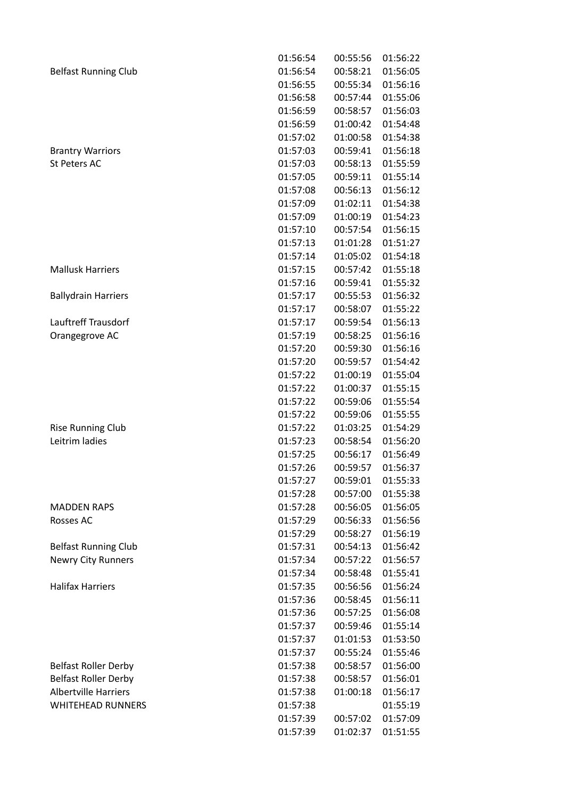|                             | 01:56:54 | 00:55:56 | 01:56:22 |
|-----------------------------|----------|----------|----------|
| <b>Belfast Running Club</b> | 01:56:54 | 00:58:21 | 01:56:05 |
|                             | 01:56:55 | 00:55:34 | 01:56:16 |
|                             | 01:56:58 | 00:57:44 | 01:55:06 |
|                             | 01:56:59 | 00:58:57 | 01:56:03 |
|                             | 01:56:59 | 01:00:42 | 01:54:48 |
|                             | 01:57:02 | 01:00:58 | 01:54:38 |
| <b>Brantry Warriors</b>     | 01:57:03 | 00:59:41 | 01:56:18 |
| <b>St Peters AC</b>         | 01:57:03 | 00:58:13 | 01:55:59 |
|                             | 01:57:05 | 00:59:11 | 01:55:14 |
|                             | 01:57:08 | 00:56:13 | 01:56:12 |
|                             | 01:57:09 | 01:02:11 | 01:54:38 |
|                             | 01:57:09 | 01:00:19 | 01:54:23 |
|                             | 01:57:10 | 00:57:54 | 01:56:15 |
|                             | 01:57:13 | 01:01:28 | 01:51:27 |
|                             | 01:57:14 | 01:05:02 | 01:54:18 |
| <b>Mallusk Harriers</b>     | 01:57:15 | 00:57:42 | 01:55:18 |
|                             | 01:57:16 | 00:59:41 | 01:55:32 |
| <b>Ballydrain Harriers</b>  | 01:57:17 | 00:55:53 | 01:56:32 |
|                             | 01:57:17 | 00:58:07 | 01:55:22 |
| Lauftreff Trausdorf         | 01:57:17 | 00:59:54 | 01:56:13 |
| Orangegrove AC              | 01:57:19 | 00:58:25 | 01:56:16 |
|                             | 01:57:20 | 00:59:30 | 01:56:16 |
|                             | 01:57:20 | 00:59:57 | 01:54:42 |
|                             | 01:57:22 | 01:00:19 | 01:55:04 |
|                             | 01:57:22 | 01:00:37 | 01:55:15 |
|                             | 01:57:22 | 00:59:06 | 01:55:54 |
|                             | 01:57:22 | 00:59:06 | 01:55:55 |
| <b>Rise Running Club</b>    | 01:57:22 | 01:03:25 | 01:54:29 |
| Leitrim ladies              | 01:57:23 | 00:58:54 | 01:56:20 |
|                             | 01:57:25 | 00:56:17 | 01:56:49 |
|                             | 01:57:26 | 00:59:57 | 01:56:37 |
|                             | 01:57:27 | 00:59:01 | 01:55:33 |
|                             | 01:57:28 | 00:57:00 | 01:55:38 |
| <b>MADDEN RAPS</b>          | 01:57:28 | 00:56:05 | 01:56:05 |
| <b>Rosses AC</b>            | 01:57:29 | 00:56:33 | 01:56:56 |
|                             | 01:57:29 | 00:58:27 | 01:56:19 |
| <b>Belfast Running Club</b> | 01:57:31 | 00:54:13 | 01:56:42 |
| <b>Newry City Runners</b>   | 01:57:34 | 00:57:22 | 01:56:57 |
|                             | 01:57:34 | 00:58:48 | 01:55:41 |
| <b>Halifax Harriers</b>     | 01:57:35 | 00:56:56 | 01:56:24 |
|                             | 01:57:36 | 00:58:45 | 01:56:11 |
|                             | 01:57:36 | 00:57:25 | 01:56:08 |
|                             | 01:57:37 | 00:59:46 | 01:55:14 |
|                             | 01:57:37 | 01:01:53 | 01:53:50 |
|                             | 01:57:37 | 00:55:24 | 01:55:46 |
| <b>Belfast Roller Derby</b> | 01:57:38 | 00:58:57 | 01:56:00 |
| <b>Belfast Roller Derby</b> | 01:57:38 | 00:58:57 | 01:56:01 |
| <b>Albertville Harriers</b> | 01:57:38 | 01:00:18 | 01:56:17 |
| <b>WHITEHEAD RUNNERS</b>    | 01:57:38 |          | 01:55:19 |
|                             | 01:57:39 | 00:57:02 | 01:57:09 |
|                             | 01:57:39 | 01:02:37 | 01:51:55 |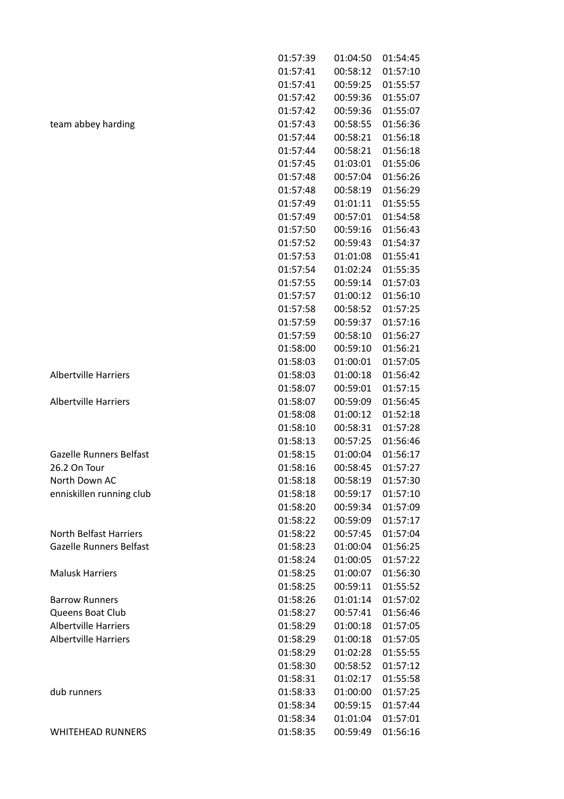|                                | 01:57:41 | 00:59:25 | 01:55:57 |
|--------------------------------|----------|----------|----------|
|                                | 01:57:42 | 00:59:36 | 01:55:07 |
|                                | 01:57:42 | 00:59:36 | 01:55:07 |
| team abbey harding             | 01:57:43 | 00:58:55 | 01:56:36 |
|                                | 01:57:44 | 00:58:21 | 01:56:18 |
|                                | 01:57:44 | 00:58:21 | 01:56:18 |
|                                | 01:57:45 | 01:03:01 | 01:55:06 |
|                                | 01:57:48 | 00:57:04 | 01:56:26 |
|                                | 01:57:48 | 00:58:19 | 01:56:29 |
|                                | 01:57:49 | 01:01:11 | 01:55:55 |
|                                | 01:57:49 | 00:57:01 | 01:54:58 |
|                                | 01:57:50 | 00:59:16 | 01:56:43 |
|                                | 01:57:52 | 00:59:43 | 01:54:37 |
|                                | 01:57:53 | 01:01:08 | 01:55:41 |
|                                | 01:57:54 | 01:02:24 | 01:55:35 |
|                                | 01:57:55 | 00:59:14 | 01:57:03 |
|                                | 01:57:57 | 01:00:12 | 01:56:10 |
|                                | 01:57:58 | 00:58:52 | 01:57:25 |
|                                | 01:57:59 | 00:59:37 | 01:57:16 |
|                                | 01:57:59 | 00:58:10 | 01:56:27 |
|                                | 01:58:00 | 00:59:10 | 01:56:21 |
|                                | 01:58:03 | 01:00:01 | 01:57:05 |
| <b>Albertville Harriers</b>    | 01:58:03 | 01:00:18 | 01:56:42 |
|                                | 01:58:07 | 00:59:01 | 01:57:15 |
| <b>Albertville Harriers</b>    | 01:58:07 | 00:59:09 | 01:56:45 |
|                                | 01:58:08 | 01:00:12 | 01:52:18 |
|                                | 01:58:10 | 00:58:31 | 01:57:28 |
|                                | 01:58:13 | 00:57:25 | 01:56:46 |
| <b>Gazelle Runners Belfast</b> | 01:58:15 | 01:00:04 | 01:56:17 |
| 26.2 On Tour                   | 01:58:16 | 00:58:45 | 01:57:27 |
| North Down AC                  | 01:58:18 | 00:58:19 | 01:57:30 |
| enniskillen running club       | 01:58:18 | 00:59:17 | 01:57:10 |
|                                | 01:58:20 | 00:59:34 | 01:57:09 |
|                                | 01:58:22 | 00:59:09 | 01:57:17 |
| North Belfast Harriers         | 01:58:22 | 00:57:45 | 01:57:04 |
| <b>Gazelle Runners Belfast</b> | 01:58:23 | 01:00:04 | 01:56:25 |
|                                | 01:58:24 | 01:00:05 | 01:57:22 |
| <b>Malusk Harriers</b>         | 01:58:25 | 01:00:07 | 01:56:30 |
|                                | 01:58:25 | 00:59:11 | 01:55:52 |
| <b>Barrow Runners</b>          | 01:58:26 | 01:01:14 | 01:57:02 |
| Queens Boat Club               | 01:58:27 | 00:57:41 | 01:56:46 |
| <b>Albertville Harriers</b>    | 01:58:29 | 01:00:18 | 01:57:05 |
| <b>Albertville Harriers</b>    | 01:58:29 | 01:00:18 | 01:57:05 |
|                                | 01:58:29 | 01:02:28 | 01:55:55 |
|                                | 01:58:30 | 00:58:52 | 01:57:12 |
|                                | 01:58:31 | 01:02:17 | 01:55:58 |
| dub runners                    | 01:58:33 | 01:00:00 | 01:57:25 |
|                                | 01:58:34 | 00:59:15 | 01:57:44 |
|                                | 01:58:34 | 01:01:04 | 01:57:01 |
| <b>WHITEHEAD RUNNERS</b>       | 01:58:35 | 00:59:49 | 01:56:16 |

01:57:39 01:04:50 01:54:45 01:57:41 00:58:12 01:57:10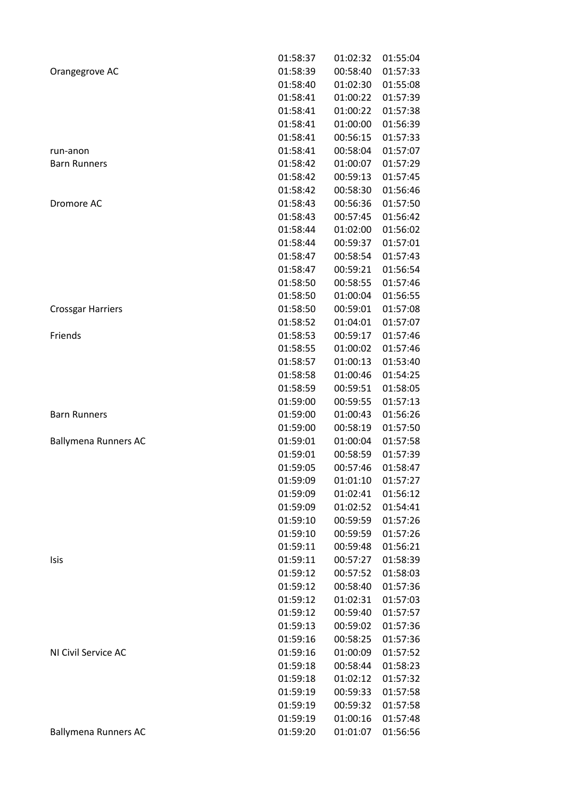|                             | 01:58:37 | 01:02:32 | 01:55:04 |
|-----------------------------|----------|----------|----------|
| Orangegrove AC              | 01:58:39 | 00:58:40 | 01:57:33 |
|                             | 01:58:40 | 01:02:30 | 01:55:08 |
|                             | 01:58:41 | 01:00:22 | 01:57:39 |
|                             | 01:58:41 | 01:00:22 | 01:57:38 |
|                             | 01:58:41 | 01:00:00 | 01:56:39 |
|                             | 01:58:41 | 00:56:15 | 01:57:33 |
| run-anon                    | 01:58:41 | 00:58:04 | 01:57:07 |
| <b>Barn Runners</b>         | 01:58:42 | 01:00:07 | 01:57:29 |
|                             | 01:58:42 | 00:59:13 | 01:57:45 |
|                             | 01:58:42 | 00:58:30 | 01:56:46 |
| Dromore AC                  | 01:58:43 | 00:56:36 | 01:57:50 |
|                             | 01:58:43 | 00:57:45 | 01:56:42 |
|                             | 01:58:44 | 01:02:00 | 01:56:02 |
|                             | 01:58:44 | 00:59:37 | 01:57:01 |
|                             | 01:58:47 | 00:58:54 | 01:57:43 |
|                             | 01:58:47 | 00:59:21 | 01:56:54 |
|                             | 01:58:50 | 00:58:55 | 01:57:46 |
|                             | 01:58:50 | 01:00:04 | 01:56:55 |
| <b>Crossgar Harriers</b>    | 01:58:50 | 00:59:01 | 01:57:08 |
|                             | 01:58:52 | 01:04:01 | 01:57:07 |
| Friends                     | 01:58:53 | 00:59:17 | 01:57:46 |
|                             | 01:58:55 | 01:00:02 | 01:57:46 |
|                             | 01:58:57 | 01:00:13 | 01:53:40 |
|                             | 01:58:58 | 01:00:46 | 01:54:25 |
|                             | 01:58:59 | 00:59:51 | 01:58:05 |
|                             | 01:59:00 | 00:59:55 | 01:57:13 |
| <b>Barn Runners</b>         | 01:59:00 | 01:00:43 | 01:56:26 |
|                             | 01:59:00 | 00:58:19 | 01:57:50 |
| <b>Ballymena Runners AC</b> | 01:59:01 | 01:00:04 | 01:57:58 |
|                             | 01:59:01 | 00:58:59 | 01:57:39 |
|                             | 01:59:05 | 00:57:46 | 01:58:47 |
|                             | 01:59:09 | 01:01:10 | 01:57:27 |
|                             | 01:59:09 | 01:02:41 | 01:56:12 |
|                             | 01:59:09 | 01:02:52 | 01:54:41 |
|                             | 01:59:10 | 00:59:59 | 01:57:26 |
|                             | 01:59:10 | 00:59:59 | 01:57:26 |
|                             | 01:59:11 | 00:59:48 | 01:56:21 |
| Isis                        | 01:59:11 | 00:57:27 | 01:58:39 |
|                             | 01:59:12 | 00:57:52 | 01:58:03 |
|                             | 01:59:12 | 00:58:40 | 01:57:36 |
|                             | 01:59:12 | 01:02:31 | 01:57:03 |
|                             | 01:59:12 | 00:59:40 | 01:57:57 |
|                             | 01:59:13 | 00:59:02 | 01:57:36 |
|                             | 01:59:16 | 00:58:25 | 01:57:36 |
| NI Civil Service AC         | 01:59:16 | 01:00:09 | 01:57:52 |
|                             | 01:59:18 | 00:58:44 | 01:58:23 |
|                             | 01:59:18 | 01:02:12 | 01:57:32 |
|                             | 01:59:19 | 00:59:33 | 01:57:58 |
|                             | 01:59:19 | 00:59:32 | 01:57:58 |
|                             | 01:59:19 | 01:00:16 | 01:57:48 |
| <b>Ballymena Runners AC</b> | 01:59:20 | 01:01:07 | 01:56:56 |
|                             |          |          |          |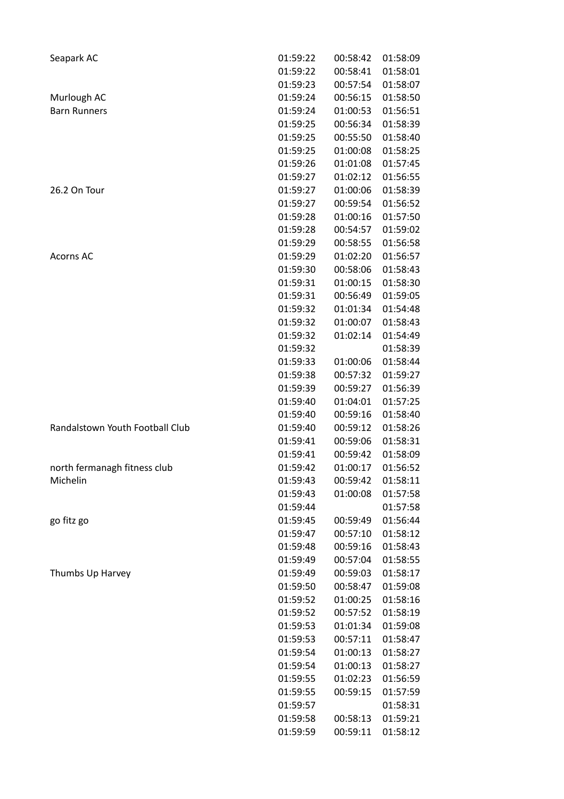| Seapark AC                      | 01:59:22 | 00:58:42 | 01:58:09 |
|---------------------------------|----------|----------|----------|
|                                 | 01:59:22 | 00:58:41 | 01:58:01 |
|                                 | 01:59:23 | 00:57:54 | 01:58:07 |
| Murlough AC                     | 01:59:24 | 00:56:15 | 01:58:50 |
| <b>Barn Runners</b>             | 01:59:24 | 01:00:53 | 01:56:51 |
|                                 | 01:59:25 | 00:56:34 | 01:58:39 |
|                                 | 01:59:25 | 00:55:50 | 01:58:40 |
|                                 | 01:59:25 | 01:00:08 | 01:58:25 |
|                                 | 01:59:26 | 01:01:08 | 01:57:45 |
|                                 | 01:59:27 | 01:02:12 | 01:56:55 |
| 26.2 On Tour                    | 01:59:27 | 01:00:06 | 01:58:39 |
|                                 | 01:59:27 | 00:59:54 | 01:56:52 |
|                                 | 01:59:28 | 01:00:16 | 01:57:50 |
|                                 | 01:59:28 | 00:54:57 | 01:59:02 |
|                                 | 01:59:29 | 00:58:55 | 01:56:58 |
| Acorns AC                       | 01:59:29 | 01:02:20 | 01:56:57 |
|                                 | 01:59:30 | 00:58:06 | 01:58:43 |
|                                 | 01:59:31 | 01:00:15 | 01:58:30 |
|                                 | 01:59:31 | 00:56:49 | 01:59:05 |
|                                 | 01:59:32 | 01:01:34 | 01:54:48 |
|                                 | 01:59:32 | 01:00:07 | 01:58:43 |
|                                 | 01:59:32 | 01:02:14 | 01:54:49 |
|                                 | 01:59:32 |          | 01:58:39 |
|                                 | 01:59:33 | 01:00:06 | 01:58:44 |
|                                 | 01:59:38 | 00:57:32 | 01:59:27 |
|                                 | 01:59:39 | 00:59:27 | 01:56:39 |
|                                 | 01:59:40 | 01:04:01 | 01:57:25 |
|                                 | 01:59:40 | 00:59:16 | 01:58:40 |
| Randalstown Youth Football Club | 01:59:40 | 00:59:12 | 01:58:26 |
|                                 | 01:59:41 | 00:59:06 | 01:58:31 |
|                                 | 01:59:41 | 00:59:42 | 01:58:09 |
| north fermanagh fitness club    | 01:59:42 | 01:00:17 | 01:56:52 |
| Michelin                        | 01:59:43 | 00:59:42 | 01:58:11 |
|                                 | 01:59:43 | 01:00:08 | 01:57:58 |
|                                 | 01:59:44 |          | 01:57:58 |
| go fitz go                      | 01:59:45 | 00:59:49 | 01:56:44 |
|                                 | 01:59:47 | 00:57:10 | 01:58:12 |
|                                 | 01:59:48 | 00:59:16 | 01:58:43 |
|                                 | 01:59:49 | 00:57:04 | 01:58:55 |
| Thumbs Up Harvey                | 01:59:49 | 00:59:03 | 01:58:17 |
|                                 | 01:59:50 | 00:58:47 | 01:59:08 |
|                                 | 01:59:52 | 01:00:25 | 01:58:16 |
|                                 | 01:59:52 | 00:57:52 | 01:58:19 |
|                                 | 01:59:53 | 01:01:34 | 01:59:08 |
|                                 | 01:59:53 | 00:57:11 | 01:58:47 |
|                                 | 01:59:54 | 01:00:13 | 01:58:27 |
|                                 | 01:59:54 | 01:00:13 | 01:58:27 |
|                                 | 01:59:55 | 01:02:23 | 01:56:59 |
|                                 | 01:59:55 | 00:59:15 | 01:57:59 |
|                                 | 01:59:57 |          | 01:58:31 |
|                                 | 01:59:58 | 00:58:13 | 01:59:21 |
|                                 | 01:59:59 | 00:59:11 | 01:58:12 |
|                                 |          |          |          |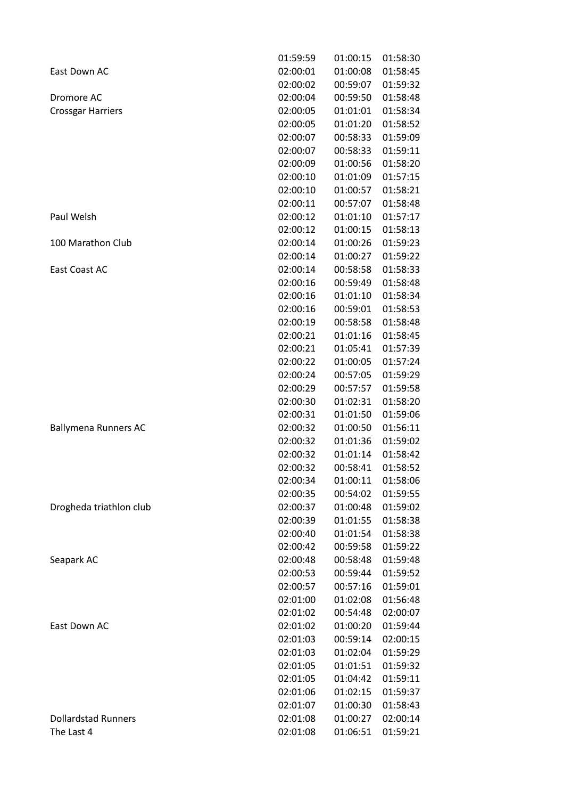|                             | 01:59:59 | 01:00:15 | 01:58:30 |
|-----------------------------|----------|----------|----------|
| East Down AC                | 02:00:01 | 01:00:08 | 01:58:45 |
|                             | 02:00:02 | 00:59:07 | 01:59:32 |
| Dromore AC                  | 02:00:04 | 00:59:50 | 01:58:48 |
| <b>Crossgar Harriers</b>    | 02:00:05 | 01:01:01 | 01:58:34 |
|                             | 02:00:05 | 01:01:20 | 01:58:52 |
|                             | 02:00:07 | 00:58:33 | 01:59:09 |
|                             | 02:00:07 | 00:58:33 | 01:59:11 |
|                             | 02:00:09 | 01:00:56 | 01:58:20 |
|                             | 02:00:10 | 01:01:09 | 01:57:15 |
|                             | 02:00:10 | 01:00:57 | 01:58:21 |
|                             | 02:00:11 | 00:57:07 | 01:58:48 |
| Paul Welsh                  | 02:00:12 | 01:01:10 | 01:57:17 |
|                             | 02:00:12 | 01:00:15 | 01:58:13 |
| 100 Marathon Club           | 02:00:14 | 01:00:26 | 01:59:23 |
|                             | 02:00:14 | 01:00:27 | 01:59:22 |
| East Coast AC               | 02:00:14 | 00:58:58 | 01:58:33 |
|                             | 02:00:16 | 00:59:49 | 01:58:48 |
|                             | 02:00:16 | 01:01:10 | 01:58:34 |
|                             | 02:00:16 | 00:59:01 | 01:58:53 |
|                             | 02:00:19 | 00:58:58 | 01:58:48 |
|                             | 02:00:21 | 01:01:16 | 01:58:45 |
|                             | 02:00:21 | 01:05:41 | 01:57:39 |
|                             | 02:00:22 | 01:00:05 | 01:57:24 |
|                             | 02:00:24 | 00:57:05 | 01:59:29 |
|                             | 02:00:29 | 00:57:57 | 01:59:58 |
|                             | 02:00:30 | 01:02:31 | 01:58:20 |
|                             | 02:00:31 | 01:01:50 | 01:59:06 |
| <b>Ballymena Runners AC</b> | 02:00:32 | 01:00:50 | 01:56:11 |
|                             | 02:00:32 | 01:01:36 | 01:59:02 |
|                             | 02:00:32 | 01:01:14 | 01:58:42 |
|                             | 02:00:32 | 00:58:41 | 01:58:52 |
|                             | 02:00:34 | 01:00:11 | 01:58:06 |
|                             | 02:00:35 | 00:54:02 | 01:59:55 |
| Drogheda triathlon club     | 02:00:37 | 01:00:48 | 01:59:02 |
|                             | 02:00:39 | 01:01:55 | 01:58:38 |
|                             | 02:00:40 | 01:01:54 | 01:58:38 |
|                             | 02:00:42 | 00:59:58 | 01:59:22 |
| Seapark AC                  | 02:00:48 | 00:58:48 | 01:59:48 |
|                             | 02:00:53 | 00:59:44 | 01:59:52 |
|                             | 02:00:57 | 00:57:16 | 01:59:01 |
|                             | 02:01:00 | 01:02:08 | 01:56:48 |
|                             | 02:01:02 | 00:54:48 | 02:00:07 |
| East Down AC                | 02:01:02 | 01:00:20 | 01:59:44 |
|                             | 02:01:03 | 00:59:14 | 02:00:15 |
|                             | 02:01:03 | 01:02:04 | 01:59:29 |
|                             | 02:01:05 | 01:01:51 | 01:59:32 |
|                             | 02:01:05 | 01:04:42 | 01:59:11 |
|                             | 02:01:06 | 01:02:15 | 01:59:37 |
|                             | 02:01:07 | 01:00:30 | 01:58:43 |
| <b>Dollardstad Runners</b>  | 02:01:08 | 01:00:27 | 02:00:14 |
| The Last 4                  | 02:01:08 | 01:06:51 | 01:59:21 |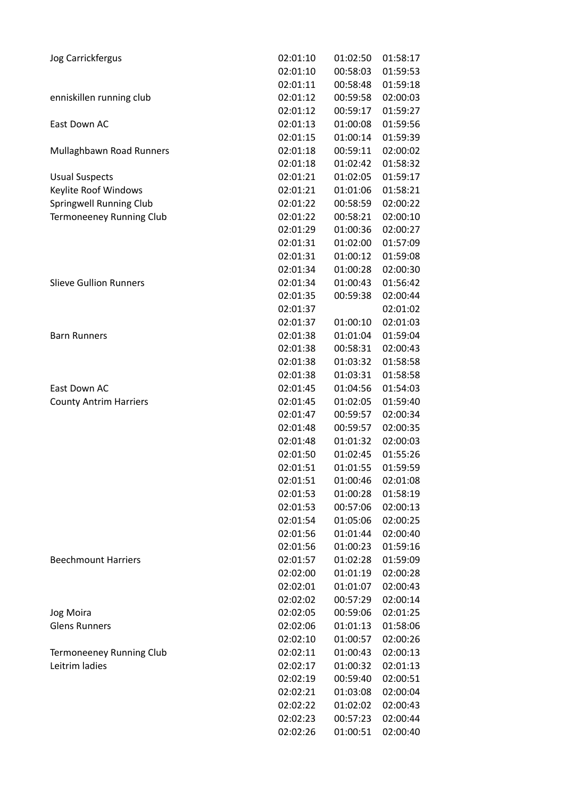| Jog Carrickfergus               | 02:01:10 | 01:02:50 | 01:58:17 |
|---------------------------------|----------|----------|----------|
|                                 | 02:01:10 | 00:58:03 | 01:59:53 |
|                                 | 02:01:11 | 00:58:48 | 01:59:18 |
| enniskillen running club        | 02:01:12 | 00:59:58 | 02:00:03 |
|                                 | 02:01:12 | 00:59:17 | 01:59:27 |
| East Down AC                    | 02:01:13 | 01:00:08 | 01:59:56 |
|                                 | 02:01:15 | 01:00:14 | 01:59:39 |
| Mullaghbawn Road Runners        | 02:01:18 | 00:59:11 | 02:00:02 |
|                                 | 02:01:18 | 01:02:42 | 01:58:32 |
| <b>Usual Suspects</b>           | 02:01:21 | 01:02:05 | 01:59:17 |
| Keylite Roof Windows            | 02:01:21 | 01:01:06 | 01:58:21 |
| <b>Springwell Running Club</b>  | 02:01:22 | 00:58:59 | 02:00:22 |
| <b>Termoneeney Running Club</b> | 02:01:22 | 00:58:21 | 02:00:10 |
|                                 | 02:01:29 | 01:00:36 | 02:00:27 |
|                                 | 02:01:31 | 01:02:00 | 01:57:09 |
|                                 | 02:01:31 | 01:00:12 | 01:59:08 |
|                                 | 02:01:34 | 01:00:28 | 02:00:30 |
| <b>Slieve Gullion Runners</b>   | 02:01:34 | 01:00:43 | 01:56:42 |
|                                 | 02:01:35 | 00:59:38 | 02:00:44 |
|                                 | 02:01:37 |          | 02:01:02 |
|                                 | 02:01:37 | 01:00:10 | 02:01:03 |
| <b>Barn Runners</b>             | 02:01:38 | 01:01:04 | 01:59:04 |
|                                 | 02:01:38 | 00:58:31 | 02:00:43 |
|                                 | 02:01:38 | 01:03:32 | 01:58:58 |
|                                 | 02:01:38 | 01:03:31 | 01:58:58 |
| East Down AC                    | 02:01:45 | 01:04:56 | 01:54:03 |
| <b>County Antrim Harriers</b>   | 02:01:45 | 01:02:05 | 01:59:40 |
|                                 | 02:01:47 | 00:59:57 | 02:00:34 |
|                                 | 02:01:48 | 00:59:57 | 02:00:35 |
|                                 | 02:01:48 | 01:01:32 | 02:00:03 |
|                                 | 02:01:50 | 01:02:45 | 01:55:26 |
|                                 | 02:01:51 | 01:01:55 | 01:59:59 |
|                                 | 02:01:51 | 01:00:46 | 02:01:08 |
|                                 | 02:01:53 | 01:00:28 | 01:58:19 |
|                                 | 02:01:53 | 00:57:06 | 02:00:13 |
|                                 | 02:01:54 | 01:05:06 | 02:00:25 |
|                                 | 02:01:56 | 01:01:44 | 02:00:40 |
|                                 | 02:01:56 | 01:00:23 | 01:59:16 |
| <b>Beechmount Harriers</b>      | 02:01:57 | 01:02:28 | 01:59:09 |
|                                 | 02:02:00 | 01:01:19 | 02:00:28 |
|                                 | 02:02:01 | 01:01:07 | 02:00:43 |
|                                 | 02:02:02 | 00:57:29 | 02:00:14 |
| Jog Moira                       | 02:02:05 | 00:59:06 | 02:01:25 |
| <b>Glens Runners</b>            | 02:02:06 | 01:01:13 | 01:58:06 |
|                                 | 02:02:10 | 01:00:57 | 02:00:26 |
| <b>Termoneeney Running Club</b> | 02:02:11 | 01:00:43 | 02:00:13 |
| Leitrim ladies                  | 02:02:17 | 01:00:32 | 02:01:13 |
|                                 | 02:02:19 | 00:59:40 | 02:00:51 |
|                                 | 02:02:21 | 01:03:08 | 02:00:04 |
|                                 | 02:02:22 | 01:02:02 | 02:00:43 |
|                                 | 02:02:23 | 00:57:23 | 02:00:44 |
|                                 | 02:02:26 | 01:00:51 | 02:00:40 |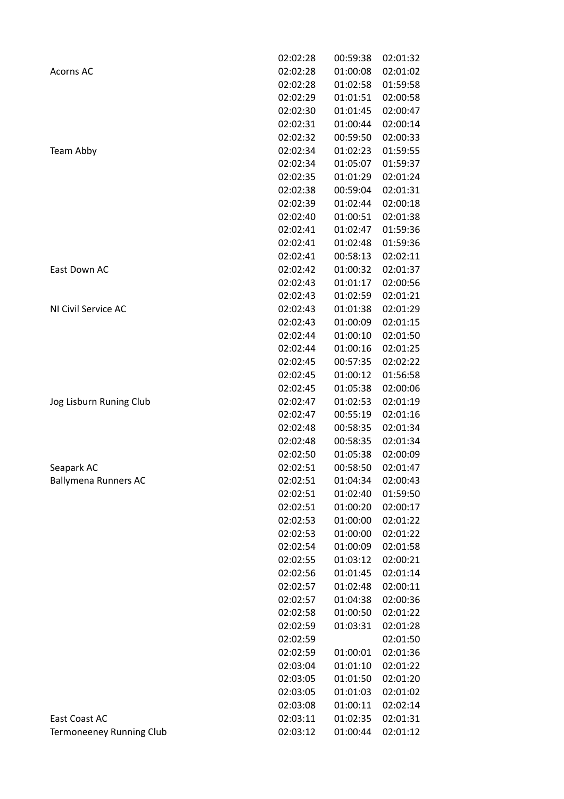|                                 | 02:02:28 | 00:59:38 | 02:01:32 |
|---------------------------------|----------|----------|----------|
| Acorns AC                       | 02:02:28 | 01:00:08 | 02:01:02 |
|                                 | 02:02:28 | 01:02:58 | 01:59:58 |
|                                 | 02:02:29 | 01:01:51 | 02:00:58 |
|                                 | 02:02:30 | 01:01:45 | 02:00:47 |
|                                 | 02:02:31 | 01:00:44 | 02:00:14 |
|                                 | 02:02:32 | 00:59:50 | 02:00:33 |
| Team Abby                       | 02:02:34 | 01:02:23 | 01:59:55 |
|                                 | 02:02:34 | 01:05:07 | 01:59:37 |
|                                 | 02:02:35 | 01:01:29 | 02:01:24 |
|                                 | 02:02:38 | 00:59:04 | 02:01:31 |
|                                 | 02:02:39 | 01:02:44 | 02:00:18 |
|                                 | 02:02:40 | 01:00:51 | 02:01:38 |
|                                 | 02:02:41 | 01:02:47 | 01:59:36 |
|                                 | 02:02:41 | 01:02:48 | 01:59:36 |
|                                 | 02:02:41 | 00:58:13 | 02:02:11 |
| East Down AC                    | 02:02:42 | 01:00:32 | 02:01:37 |
|                                 | 02:02:43 | 01:01:17 | 02:00:56 |
|                                 | 02:02:43 | 01:02:59 | 02:01:21 |
| NI Civil Service AC             | 02:02:43 | 01:01:38 | 02:01:29 |
|                                 | 02:02:43 | 01:00:09 | 02:01:15 |
|                                 | 02:02:44 | 01:00:10 | 02:01:50 |
|                                 | 02:02:44 | 01:00:16 | 02:01:25 |
|                                 | 02:02:45 | 00:57:35 | 02:02:22 |
|                                 | 02:02:45 | 01:00:12 | 01:56:58 |
|                                 | 02:02:45 | 01:05:38 | 02:00:06 |
| Jog Lisburn Runing Club         | 02:02:47 | 01:02:53 | 02:01:19 |
|                                 | 02:02:47 | 00:55:19 | 02:01:16 |
|                                 | 02:02:48 | 00:58:35 | 02:01:34 |
|                                 | 02:02:48 | 00:58:35 | 02:01:34 |
|                                 | 02:02:50 | 01:05:38 | 02:00:09 |
| Seapark AC                      | 02:02:51 | 00:58:50 | 02:01:47 |
| <b>Ballymena Runners AC</b>     | 02:02:51 | 01:04:34 | 02:00:43 |
|                                 | 02:02:51 | 01:02:40 | 01:59:50 |
|                                 | 02:02:51 | 01:00:20 | 02:00:17 |
|                                 | 02:02:53 | 01:00:00 | 02:01:22 |
|                                 | 02:02:53 | 01:00:00 | 02:01:22 |
|                                 | 02:02:54 | 01:00:09 | 02:01:58 |
|                                 | 02:02:55 | 01:03:12 | 02:00:21 |
|                                 | 02:02:56 | 01:01:45 | 02:01:14 |
|                                 | 02:02:57 | 01:02:48 | 02:00:11 |
|                                 | 02:02:57 | 01:04:38 | 02:00:36 |
|                                 | 02:02:58 | 01:00:50 | 02:01:22 |
|                                 | 02:02:59 | 01:03:31 | 02:01:28 |
|                                 | 02:02:59 |          | 02:01:50 |
|                                 | 02:02:59 | 01:00:01 | 02:01:36 |
|                                 | 02:03:04 | 01:01:10 | 02:01:22 |
|                                 | 02:03:05 | 01:01:50 | 02:01:20 |
|                                 | 02:03:05 | 01:01:03 | 02:01:02 |
|                                 | 02:03:08 | 01:00:11 | 02:02:14 |
| East Coast AC                   | 02:03:11 | 01:02:35 | 02:01:31 |
| <b>Termoneeney Running Club</b> | 02:03:12 | 01:00:44 | 02:01:12 |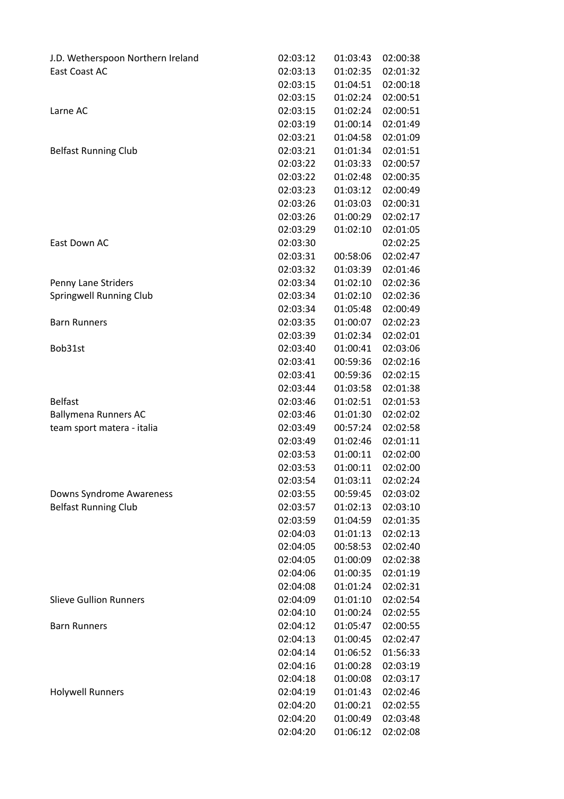| J.D. Wetherspoon Northern Ireland | 02:03:12 | 01:03:43 | 02:00:38 |
|-----------------------------------|----------|----------|----------|
| East Coast AC                     | 02:03:13 | 01:02:35 | 02:01:32 |
|                                   | 02:03:15 | 01:04:51 | 02:00:18 |
|                                   | 02:03:15 | 01:02:24 | 02:00:51 |
| Larne AC                          | 02:03:15 | 01:02:24 | 02:00:51 |
|                                   | 02:03:19 | 01:00:14 | 02:01:49 |
|                                   | 02:03:21 | 01:04:58 | 02:01:09 |
| <b>Belfast Running Club</b>       | 02:03:21 | 01:01:34 | 02:01:51 |
|                                   | 02:03:22 | 01:03:33 | 02:00:57 |
|                                   | 02:03:22 | 01:02:48 | 02:00:35 |
|                                   | 02:03:23 | 01:03:12 | 02:00:49 |
|                                   | 02:03:26 | 01:03:03 | 02:00:31 |
|                                   | 02:03:26 | 01:00:29 | 02:02:17 |
|                                   | 02:03:29 | 01:02:10 | 02:01:05 |
| East Down AC                      | 02:03:30 |          | 02:02:25 |
|                                   | 02:03:31 | 00:58:06 | 02:02:47 |
|                                   | 02:03:32 | 01:03:39 | 02:01:46 |
| Penny Lane Striders               | 02:03:34 | 01:02:10 | 02:02:36 |
| <b>Springwell Running Club</b>    | 02:03:34 | 01:02:10 | 02:02:36 |
|                                   | 02:03:34 | 01:05:48 | 02:00:49 |
| <b>Barn Runners</b>               | 02:03:35 | 01:00:07 | 02:02:23 |
|                                   | 02:03:39 | 01:02:34 | 02:02:01 |
| Bob31st                           | 02:03:40 | 01:00:41 | 02:03:06 |
|                                   | 02:03:41 | 00:59:36 | 02:02:16 |
|                                   | 02:03:41 | 00:59:36 | 02:02:15 |
|                                   | 02:03:44 | 01:03:58 | 02:01:38 |
| <b>Belfast</b>                    | 02:03:46 | 01:02:51 | 02:01:53 |
| <b>Ballymena Runners AC</b>       | 02:03:46 | 01:01:30 | 02:02:02 |
| team sport matera - italia        | 02:03:49 | 00:57:24 | 02:02:58 |
|                                   | 02:03:49 | 01:02:46 | 02:01:11 |
|                                   | 02:03:53 | 01:00:11 | 02:02:00 |
|                                   | 02:03:53 | 01:00:11 | 02:02:00 |
|                                   | 02:03:54 | 01:03:11 | 02:02:24 |
| Downs Syndrome Awareness          | 02:03:55 | 00:59:45 | 02:03:02 |
| <b>Belfast Running Club</b>       | 02:03:57 | 01:02:13 | 02:03:10 |
|                                   | 02:03:59 | 01:04:59 | 02:01:35 |
|                                   | 02:04:03 | 01:01:13 | 02:02:13 |
|                                   | 02:04:05 | 00:58:53 | 02:02:40 |
|                                   | 02:04:05 | 01:00:09 | 02:02:38 |
|                                   | 02:04:06 | 01:00:35 | 02:01:19 |
|                                   | 02:04:08 | 01:01:24 | 02:02:31 |
| <b>Slieve Gullion Runners</b>     | 02:04:09 | 01:01:10 | 02:02:54 |
|                                   | 02:04:10 | 01:00:24 | 02:02:55 |
| <b>Barn Runners</b>               | 02:04:12 | 01:05:47 | 02:00:55 |
|                                   | 02:04:13 | 01:00:45 | 02:02:47 |
|                                   | 02:04:14 | 01:06:52 | 01:56:33 |
|                                   | 02:04:16 | 01:00:28 | 02:03:19 |
|                                   | 02:04:18 | 01:00:08 | 02:03:17 |
| <b>Holywell Runners</b>           | 02:04:19 | 01:01:43 | 02:02:46 |
|                                   | 02:04:20 | 01:00:21 | 02:02:55 |
|                                   | 02:04:20 | 01:00:49 | 02:03:48 |
|                                   | 02:04:20 | 01:06:12 | 02:02:08 |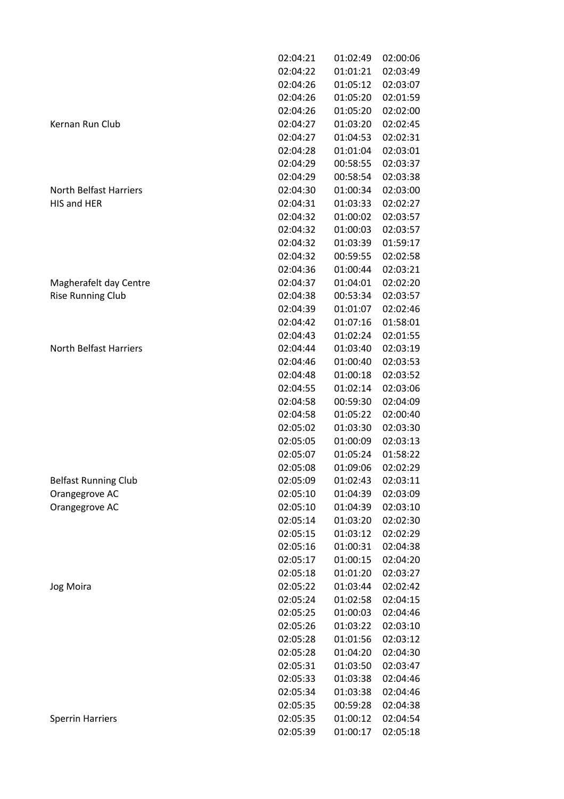|                               | 02:04:21 | 01:02:49 | 02:00:06 |
|-------------------------------|----------|----------|----------|
|                               | 02:04:22 | 01:01:21 | 02:03:49 |
|                               | 02:04:26 | 01:05:12 | 02:03:07 |
|                               | 02:04:26 | 01:05:20 | 02:01:59 |
|                               | 02:04:26 | 01:05:20 | 02:02:00 |
| Kernan Run Club               | 02:04:27 | 01:03:20 | 02:02:45 |
|                               | 02:04:27 | 01:04:53 | 02:02:31 |
|                               | 02:04:28 | 01:01:04 | 02:03:01 |
|                               | 02:04:29 | 00:58:55 | 02:03:37 |
|                               | 02:04:29 | 00:58:54 | 02:03:38 |
| <b>North Belfast Harriers</b> | 02:04:30 | 01:00:34 | 02:03:00 |
| <b>HIS and HER</b>            | 02:04:31 | 01:03:33 | 02:02:27 |
|                               | 02:04:32 | 01:00:02 | 02:03:57 |
|                               | 02:04:32 | 01:00:03 | 02:03:57 |
|                               | 02:04:32 | 01:03:39 | 01:59:17 |
|                               | 02:04:32 | 00:59:55 | 02:02:58 |
|                               | 02:04:36 | 01:00:44 | 02:03:21 |
| Magherafelt day Centre        | 02:04:37 | 01:04:01 | 02:02:20 |
| <b>Rise Running Club</b>      | 02:04:38 | 00:53:34 | 02:03:57 |
|                               | 02:04:39 | 01:01:07 | 02:02:46 |
|                               | 02:04:42 | 01:07:16 | 01:58:01 |
|                               | 02:04:43 | 01:02:24 | 02:01:55 |
| <b>North Belfast Harriers</b> | 02:04:44 | 01:03:40 | 02:03:19 |
|                               | 02:04:46 | 01:00:40 | 02:03:53 |
|                               | 02:04:48 | 01:00:18 | 02:03:52 |
|                               | 02:04:55 | 01:02:14 | 02:03:06 |
|                               | 02:04:58 | 00:59:30 | 02:04:09 |
|                               | 02:04:58 | 01:05:22 | 02:00:40 |
|                               | 02:05:02 | 01:03:30 | 02:03:30 |
|                               | 02:05:05 | 01:00:09 | 02:03:13 |
|                               | 02:05:07 | 01:05:24 | 01:58:22 |
|                               | 02:05:08 | 01:09:06 | 02:02:29 |
| <b>Belfast Running Club</b>   | 02:05:09 | 01:02:43 | 02:03:11 |
| Orangegrove AC                | 02:05:10 | 01:04:39 | 02:03:09 |
| Orangegrove AC                | 02:05:10 | 01:04:39 | 02:03:10 |
|                               | 02:05:14 | 01:03:20 | 02:02:30 |
|                               | 02:05:15 | 01:03:12 | 02:02:29 |
|                               | 02:05:16 | 01:00:31 | 02:04:38 |
|                               | 02:05:17 | 01:00:15 | 02:04:20 |
|                               | 02:05:18 | 01:01:20 | 02:03:27 |
| Jog Moira                     | 02:05:22 | 01:03:44 | 02:02:42 |
|                               | 02:05:24 | 01:02:58 | 02:04:15 |
|                               | 02:05:25 | 01:00:03 | 02:04:46 |
|                               | 02:05:26 | 01:03:22 | 02:03:10 |
|                               | 02:05:28 | 01:01:56 | 02:03:12 |
|                               | 02:05:28 | 01:04:20 | 02:04:30 |
|                               | 02:05:31 | 01:03:50 | 02:03:47 |
|                               | 02:05:33 | 01:03:38 | 02:04:46 |
|                               | 02:05:34 | 01:03:38 | 02:04:46 |
|                               | 02:05:35 | 00:59:28 | 02:04:38 |
| <b>Sperrin Harriers</b>       | 02:05:35 | 01:00:12 | 02:04:54 |
|                               | 02:05:39 | 01:00:17 | 02:05:18 |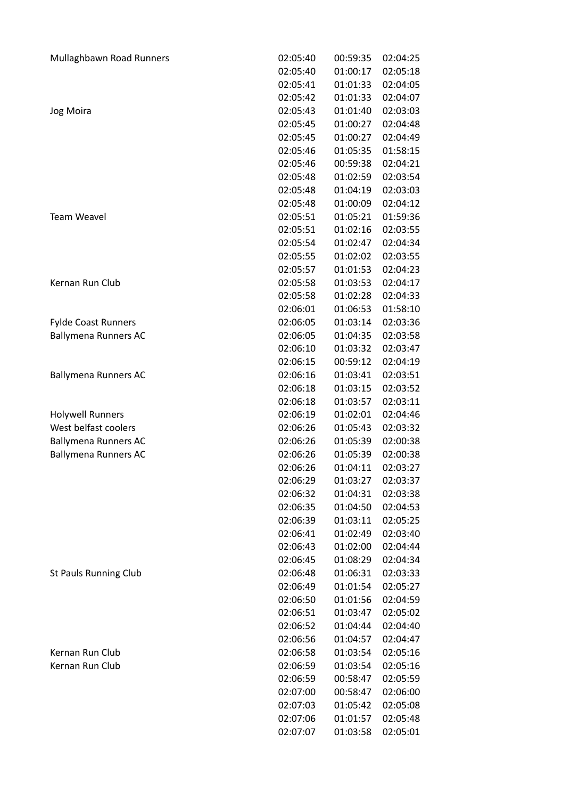| Mullaghbawn Road Runners     | 02:05:40 | 00:59:35 | 02:04:25 |
|------------------------------|----------|----------|----------|
|                              | 02:05:40 | 01:00:17 | 02:05:18 |
|                              | 02:05:41 | 01:01:33 | 02:04:05 |
|                              | 02:05:42 | 01:01:33 | 02:04:07 |
| Jog Moira                    | 02:05:43 | 01:01:40 | 02:03:03 |
|                              | 02:05:45 | 01:00:27 | 02:04:48 |
|                              | 02:05:45 | 01:00:27 | 02:04:49 |
|                              | 02:05:46 | 01:05:35 | 01:58:15 |
|                              | 02:05:46 | 00:59:38 | 02:04:21 |
|                              | 02:05:48 | 01:02:59 | 02:03:54 |
|                              | 02:05:48 | 01:04:19 | 02:03:03 |
|                              | 02:05:48 | 01:00:09 | 02:04:12 |
| <b>Team Weavel</b>           | 02:05:51 | 01:05:21 | 01:59:36 |
|                              | 02:05:51 | 01:02:16 | 02:03:55 |
|                              | 02:05:54 | 01:02:47 | 02:04:34 |
|                              | 02:05:55 | 01:02:02 | 02:03:55 |
|                              | 02:05:57 | 01:01:53 | 02:04:23 |
| Kernan Run Club              | 02:05:58 | 01:03:53 | 02:04:17 |
|                              | 02:05:58 | 01:02:28 | 02:04:33 |
|                              | 02:06:01 | 01:06:53 | 01:58:10 |
| <b>Fylde Coast Runners</b>   | 02:06:05 | 01:03:14 | 02:03:36 |
| <b>Ballymena Runners AC</b>  | 02:06:05 | 01:04:35 | 02:03:58 |
|                              | 02:06:10 | 01:03:32 | 02:03:47 |
|                              | 02:06:15 | 00:59:12 | 02:04:19 |
| <b>Ballymena Runners AC</b>  | 02:06:16 | 01:03:41 | 02:03:51 |
|                              | 02:06:18 | 01:03:15 | 02:03:52 |
|                              | 02:06:18 | 01:03:57 | 02:03:11 |
| <b>Holywell Runners</b>      | 02:06:19 | 01:02:01 | 02:04:46 |
| West belfast coolers         | 02:06:26 | 01:05:43 | 02:03:32 |
| <b>Ballymena Runners AC</b>  | 02:06:26 | 01:05:39 | 02:00:38 |
| <b>Ballymena Runners AC</b>  | 02:06:26 | 01:05:39 | 02:00:38 |
|                              | 02:06:26 | 01:04:11 | 02:03:27 |
|                              | 02:06:29 | 01:03:27 | 02:03:37 |
|                              | 02:06:32 | 01:04:31 | 02:03:38 |
|                              | 02:06:35 | 01:04:50 | 02:04:53 |
|                              | 02:06:39 | 01:03:11 | 02:05:25 |
|                              | 02:06:41 | 01:02:49 | 02:03:40 |
|                              | 02:06:43 | 01:02:00 | 02:04:44 |
|                              | 02:06:45 | 01:08:29 | 02:04:34 |
| <b>St Pauls Running Club</b> | 02:06:48 | 01:06:31 | 02:03:33 |
|                              | 02:06:49 | 01:01:54 | 02:05:27 |
|                              | 02:06:50 | 01:01:56 | 02:04:59 |
|                              | 02:06:51 | 01:03:47 | 02:05:02 |
|                              | 02:06:52 | 01:04:44 | 02:04:40 |
|                              | 02:06:56 | 01:04:57 | 02:04:47 |
| Kernan Run Club              | 02:06:58 | 01:03:54 | 02:05:16 |
| Kernan Run Club              | 02:06:59 | 01:03:54 | 02:05:16 |
|                              | 02:06:59 | 00:58:47 | 02:05:59 |
|                              | 02:07:00 | 00:58:47 | 02:06:00 |
|                              | 02:07:03 | 01:05:42 | 02:05:08 |
|                              | 02:07:06 | 01:01:57 | 02:05:48 |
|                              | 02:07:07 | 01:03:58 | 02:05:01 |
|                              |          |          |          |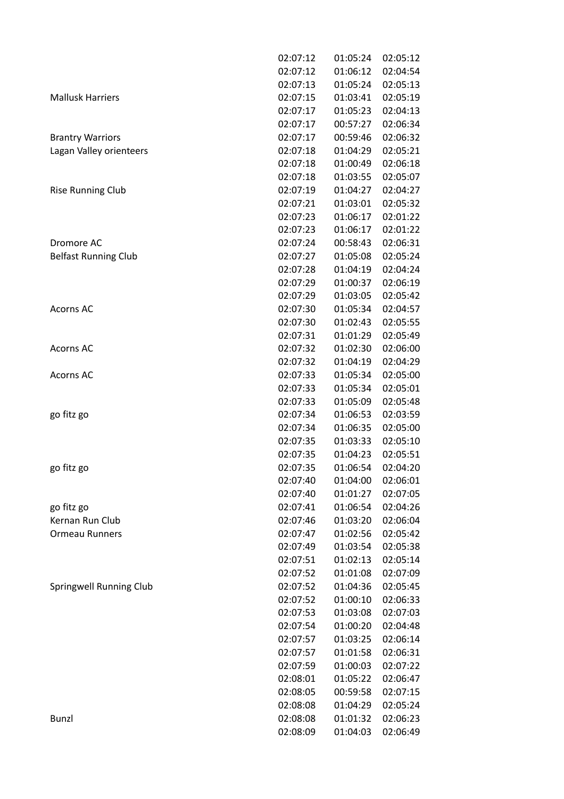|                             | 02:07:12 | 01:05:24 | 02:05:12 |
|-----------------------------|----------|----------|----------|
|                             | 02:07:12 | 01:06:12 | 02:04:54 |
|                             | 02:07:13 | 01:05:24 | 02:05:13 |
| <b>Mallusk Harriers</b>     | 02:07:15 | 01:03:41 | 02:05:19 |
|                             | 02:07:17 | 01:05:23 | 02:04:13 |
|                             | 02:07:17 | 00:57:27 | 02:06:34 |
| <b>Brantry Warriors</b>     | 02:07:17 | 00:59:46 | 02:06:32 |
| Lagan Valley orienteers     | 02:07:18 | 01:04:29 | 02:05:21 |
|                             | 02:07:18 | 01:00:49 | 02:06:18 |
|                             | 02:07:18 | 01:03:55 | 02:05:07 |
| <b>Rise Running Club</b>    | 02:07:19 | 01:04:27 | 02:04:27 |
|                             | 02:07:21 | 01:03:01 | 02:05:32 |
|                             | 02:07:23 | 01:06:17 | 02:01:22 |
|                             | 02:07:23 | 01:06:17 | 02:01:22 |
| Dromore AC                  | 02:07:24 | 00:58:43 | 02:06:31 |
| <b>Belfast Running Club</b> | 02:07:27 | 01:05:08 | 02:05:24 |
|                             | 02:07:28 | 01:04:19 | 02:04:24 |
|                             | 02:07:29 | 01:00:37 | 02:06:19 |
|                             | 02:07:29 | 01:03:05 | 02:05:42 |
| <b>Acorns AC</b>            | 02:07:30 | 01:05:34 | 02:04:57 |
|                             | 02:07:30 | 01:02:43 | 02:05:55 |
|                             | 02:07:31 | 01:01:29 | 02:05:49 |
| <b>Acorns AC</b>            | 02:07:32 | 01:02:30 | 02:06:00 |
|                             | 02:07:32 | 01:04:19 | 02:04:29 |
| <b>Acorns AC</b>            | 02:07:33 | 01:05:34 | 02:05:00 |
|                             | 02:07:33 | 01:05:34 | 02:05:01 |
|                             | 02:07:33 | 01:05:09 | 02:05:48 |
| go fitz go                  | 02:07:34 | 01:06:53 | 02:03:59 |
|                             | 02:07:34 | 01:06:35 | 02:05:00 |
|                             | 02:07:35 | 01:03:33 | 02:05:10 |
|                             | 02:07:35 | 01:04:23 | 02:05:51 |
| go fitz go                  | 02:07:35 | 01:06:54 | 02:04:20 |
|                             | 02:07:40 | 01:04:00 | 02:06:01 |
|                             | 02:07:40 | 01:01:27 | 02:07:05 |
| go fitz go                  | 02:07:41 | 01:06:54 | 02:04:26 |
| Kernan Run Club             | 02:07:46 | 01:03:20 | 02:06:04 |
| <b>Ormeau Runners</b>       | 02:07:47 | 01:02:56 | 02:05:42 |
|                             | 02:07:49 | 01:03:54 | 02:05:38 |
|                             | 02:07:51 | 01:02:13 | 02:05:14 |
|                             | 02:07:52 | 01:01:08 | 02:07:09 |
| Springwell Running Club     | 02:07:52 | 01:04:36 | 02:05:45 |
|                             | 02:07:52 | 01:00:10 | 02:06:33 |
|                             | 02:07:53 | 01:03:08 | 02:07:03 |
|                             | 02:07:54 | 01:00:20 | 02:04:48 |
|                             | 02:07:57 | 01:03:25 | 02:06:14 |
|                             | 02:07:57 | 01:01:58 | 02:06:31 |
|                             | 02:07:59 | 01:00:03 | 02:07:22 |
|                             | 02:08:01 | 01:05:22 | 02:06:47 |
|                             | 02:08:05 | 00:59:58 | 02:07:15 |
|                             | 02:08:08 | 01:04:29 | 02:05:24 |
| Bunzl                       | 02:08:08 | 01:01:32 | 02:06:23 |
|                             | 02:08:09 | 01:04:03 | 02:06:49 |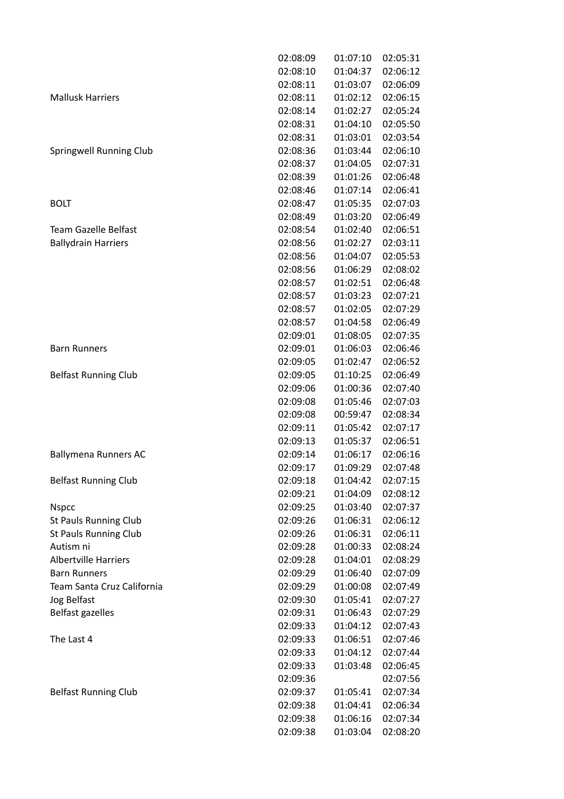|                                | 02:08:09 | 01:07:10 | 02:05:31 |
|--------------------------------|----------|----------|----------|
|                                | 02:08:10 | 01:04:37 | 02:06:12 |
|                                | 02:08:11 | 01:03:07 | 02:06:09 |
| <b>Mallusk Harriers</b>        | 02:08:11 | 01:02:12 | 02:06:15 |
|                                | 02:08:14 | 01:02:27 | 02:05:24 |
|                                | 02:08:31 | 01:04:10 | 02:05:50 |
|                                | 02:08:31 | 01:03:01 | 02:03:54 |
| <b>Springwell Running Club</b> | 02:08:36 | 01:03:44 | 02:06:10 |
|                                | 02:08:37 | 01:04:05 | 02:07:31 |
|                                | 02:08:39 | 01:01:26 | 02:06:48 |
|                                | 02:08:46 | 01:07:14 | 02:06:41 |
| <b>BOLT</b>                    | 02:08:47 | 01:05:35 | 02:07:03 |
|                                | 02:08:49 | 01:03:20 | 02:06:49 |
| <b>Team Gazelle Belfast</b>    | 02:08:54 | 01:02:40 | 02:06:51 |
| <b>Ballydrain Harriers</b>     | 02:08:56 | 01:02:27 | 02:03:11 |
|                                | 02:08:56 | 01:04:07 | 02:05:53 |
|                                | 02:08:56 | 01:06:29 | 02:08:02 |
|                                | 02:08:57 | 01:02:51 | 02:06:48 |
|                                | 02:08:57 | 01:03:23 | 02:07:21 |
|                                | 02:08:57 | 01:02:05 | 02:07:29 |
|                                | 02:08:57 | 01:04:58 | 02:06:49 |
|                                | 02:09:01 | 01:08:05 | 02:07:35 |
| <b>Barn Runners</b>            | 02:09:01 | 01:06:03 | 02:06:46 |
|                                | 02:09:05 | 01:02:47 | 02:06:52 |
| <b>Belfast Running Club</b>    | 02:09:05 | 01:10:25 | 02:06:49 |
|                                | 02:09:06 | 01:00:36 | 02:07:40 |
|                                | 02:09:08 | 01:05:46 | 02:07:03 |
|                                | 02:09:08 | 00:59:47 | 02:08:34 |
|                                | 02:09:11 | 01:05:42 | 02:07:17 |
|                                | 02:09:13 | 01:05:37 | 02:06:51 |
| <b>Ballymena Runners AC</b>    | 02:09:14 | 01:06:17 | 02:06:16 |
|                                | 02:09:17 | 01:09:29 | 02:07:48 |
| <b>Belfast Running Club</b>    | 02:09:18 | 01:04:42 | 02:07:15 |
|                                | 02:09:21 | 01:04:09 | 02:08:12 |
| <b>Nspcc</b>                   | 02:09:25 | 01:03:40 | 02:07:37 |
| <b>St Pauls Running Club</b>   | 02:09:26 | 01:06:31 | 02:06:12 |
| <b>St Pauls Running Club</b>   | 02:09:26 | 01:06:31 | 02:06:11 |
| Autism ni                      | 02:09:28 | 01:00:33 | 02:08:24 |
| <b>Albertville Harriers</b>    | 02:09:28 | 01:04:01 | 02:08:29 |
| <b>Barn Runners</b>            | 02:09:29 | 01:06:40 | 02:07:09 |
| Team Santa Cruz California     | 02:09:29 | 01:00:08 | 02:07:49 |
| <b>Jog Belfast</b>             | 02:09:30 | 01:05:41 | 02:07:27 |
| Belfast gazelles               | 02:09:31 | 01:06:43 | 02:07:29 |
|                                | 02:09:33 | 01:04:12 | 02:07:43 |
| The Last 4                     | 02:09:33 | 01:06:51 | 02:07:46 |
|                                | 02:09:33 | 01:04:12 | 02:07:44 |
|                                | 02:09:33 | 01:03:48 | 02:06:45 |
|                                | 02:09:36 |          | 02:07:56 |
| <b>Belfast Running Club</b>    | 02:09:37 | 01:05:41 | 02:07:34 |
|                                | 02:09:38 | 01:04:41 | 02:06:34 |
|                                | 02:09:38 | 01:06:16 | 02:07:34 |
|                                | 02:09:38 | 01:03:04 | 02:08:20 |
|                                |          |          |          |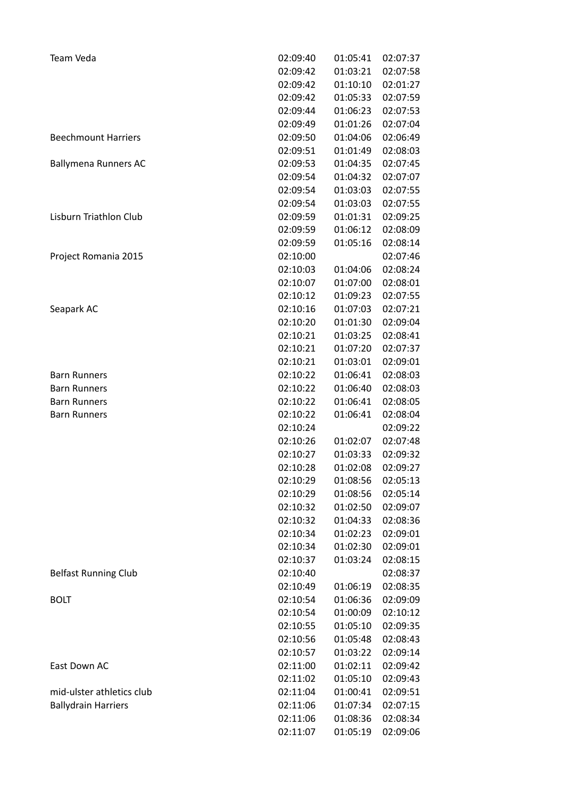| <b>Team Veda</b>            | 02:09:40 | 01:05:41 | 02:07:37 |
|-----------------------------|----------|----------|----------|
|                             | 02:09:42 | 01:03:21 | 02:07:58 |
|                             | 02:09:42 | 01:10:10 | 02:01:27 |
|                             | 02:09:42 | 01:05:33 | 02:07:59 |
|                             | 02:09:44 | 01:06:23 | 02:07:53 |
|                             | 02:09:49 | 01:01:26 | 02:07:04 |
| <b>Beechmount Harriers</b>  | 02:09:50 | 01:04:06 | 02:06:49 |
|                             | 02:09:51 | 01:01:49 | 02:08:03 |
| <b>Ballymena Runners AC</b> | 02:09:53 | 01:04:35 | 02:07:45 |
|                             | 02:09:54 | 01:04:32 | 02:07:07 |
|                             | 02:09:54 | 01:03:03 | 02:07:55 |
|                             | 02:09:54 | 01:03:03 | 02:07:55 |
| Lisburn Triathlon Club      | 02:09:59 | 01:01:31 | 02:09:25 |
|                             | 02:09:59 | 01:06:12 | 02:08:09 |
|                             | 02:09:59 | 01:05:16 | 02:08:14 |
| Project Romania 2015        | 02:10:00 |          | 02:07:46 |
|                             | 02:10:03 | 01:04:06 | 02:08:24 |
|                             | 02:10:07 | 01:07:00 | 02:08:01 |
|                             | 02:10:12 | 01:09:23 | 02:07:55 |
| Seapark AC                  | 02:10:16 | 01:07:03 | 02:07:21 |
|                             | 02:10:20 | 01:01:30 | 02:09:04 |
|                             | 02:10:21 | 01:03:25 | 02:08:41 |
|                             | 02:10:21 | 01:07:20 | 02:07:37 |
|                             | 02:10:21 | 01:03:01 | 02:09:01 |
| <b>Barn Runners</b>         | 02:10:22 | 01:06:41 | 02:08:03 |
| <b>Barn Runners</b>         | 02:10:22 | 01:06:40 | 02:08:03 |
| <b>Barn Runners</b>         | 02:10:22 | 01:06:41 | 02:08:05 |
| <b>Barn Runners</b>         | 02:10:22 | 01:06:41 | 02:08:04 |
|                             | 02:10:24 |          | 02:09:22 |
|                             | 02:10:26 | 01:02:07 | 02:07:48 |
|                             | 02:10:27 | 01:03:33 | 02:09:32 |
|                             | 02:10:28 | 01:02:08 | 02:09:27 |
|                             | 02:10:29 | 01:08:56 | 02:05:13 |
|                             | 02:10:29 | 01:08:56 | 02:05:14 |
|                             | 02:10:32 | 01:02:50 | 02:09:07 |
|                             | 02:10:32 | 01:04:33 | 02:08:36 |
|                             | 02:10:34 | 01:02:23 | 02:09:01 |
|                             | 02:10:34 | 01:02:30 | 02:09:01 |
|                             | 02:10:37 | 01:03:24 | 02:08:15 |
| <b>Belfast Running Club</b> | 02:10:40 |          | 02:08:37 |
|                             | 02:10:49 | 01:06:19 | 02:08:35 |
| <b>BOLT</b>                 | 02:10:54 | 01:06:36 | 02:09:09 |
|                             | 02:10:54 | 01:00:09 | 02:10:12 |
|                             | 02:10:55 | 01:05:10 | 02:09:35 |
|                             | 02:10:56 | 01:05:48 | 02:08:43 |
|                             | 02:10:57 | 01:03:22 | 02:09:14 |
| East Down AC                | 02:11:00 | 01:02:11 | 02:09:42 |
|                             | 02:11:02 | 01:05:10 | 02:09:43 |
| mid-ulster athletics club   | 02:11:04 | 01:00:41 | 02:09:51 |
| <b>Ballydrain Harriers</b>  | 02:11:06 | 01:07:34 | 02:07:15 |
|                             | 02:11:06 | 01:08:36 | 02:08:34 |
|                             | 02:11:07 | 01:05:19 | 02:09:06 |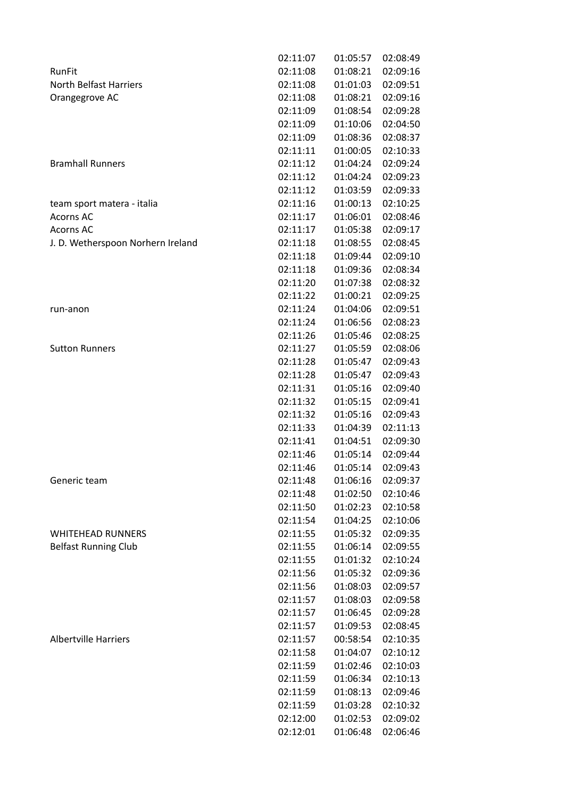|                                   | 02:11:07 | 01:05:57 | 02:08:49          |
|-----------------------------------|----------|----------|-------------------|
| RunFit                            | 02:11:08 | 01:08:21 | 02:09:16          |
| North Belfast Harriers            | 02:11:08 | 01:01:03 | 02:09:51          |
| Orangegrove AC                    | 02:11:08 | 01:08:21 | 02:09:16          |
|                                   | 02:11:09 | 01:08:54 | 02:09:28          |
|                                   | 02:11:09 | 01:10:06 | 02:04:50          |
|                                   | 02:11:09 | 01:08:36 | 02:08:37          |
|                                   | 02:11:11 | 01:00:05 | 02:10:33          |
| <b>Bramhall Runners</b>           | 02:11:12 | 01:04:24 | 02:09:24          |
|                                   | 02:11:12 | 01:04:24 | 02:09:23          |
|                                   | 02:11:12 | 01:03:59 | 02:09:33          |
| team sport matera - italia        | 02:11:16 | 01:00:13 | 02:10:25          |
| <b>Acorns AC</b>                  | 02:11:17 | 01:06:01 | 02:08:46          |
| Acorns AC                         | 02:11:17 | 01:05:38 | 02:09:17          |
| J. D. Wetherspoon Norhern Ireland | 02:11:18 | 01:08:55 | 02:08:45          |
|                                   | 02:11:18 | 01:09:44 | 02:09:10          |
|                                   | 02:11:18 | 01:09:36 | 02:08:34          |
|                                   | 02:11:20 | 01:07:38 | 02:08:32          |
|                                   | 02:11:22 | 01:00:21 | 02:09:25          |
| run-anon                          | 02:11:24 | 01:04:06 | 02:09:51          |
|                                   | 02:11:24 | 01:06:56 | 02:08:23          |
|                                   | 02:11:26 | 01:05:46 | 02:08:25          |
| <b>Sutton Runners</b>             | 02:11:27 | 01:05:59 | 02:08:06          |
|                                   | 02:11:28 | 01:05:47 | 02:09:43          |
|                                   | 02:11:28 | 01:05:47 | 02:09:43          |
|                                   | 02:11:31 | 01:05:16 | 02:09:40          |
|                                   | 02:11:32 | 01:05:15 | 02:09:41          |
|                                   | 02:11:32 | 01:05:16 | 02:09:43          |
|                                   | 02:11:33 | 01:04:39 | 02:11:13          |
|                                   | 02:11:41 | 01:04:51 | 02:09:30          |
|                                   | 02:11:46 | 01:05:14 | 02:09:44          |
|                                   | 02:11:46 | 01:05:14 | 02:09:43          |
| Generic team                      | 02:11:48 |          | 01:06:16 02:09:37 |
|                                   | 02:11:48 | 01:02:50 | 02:10:46          |
|                                   | 02:11:50 | 01:02:23 | 02:10:58          |
|                                   | 02:11:54 | 01:04:25 | 02:10:06          |
| <b>WHITEHEAD RUNNERS</b>          | 02:11:55 | 01:05:32 | 02:09:35          |
| <b>Belfast Running Club</b>       | 02:11:55 | 01:06:14 | 02:09:55          |
|                                   | 02:11:55 | 01:01:32 | 02:10:24          |
|                                   | 02:11:56 | 01:05:32 | 02:09:36          |
|                                   | 02:11:56 | 01:08:03 | 02:09:57          |
|                                   | 02:11:57 | 01:08:03 | 02:09:58          |
|                                   | 02:11:57 | 01:06:45 | 02:09:28          |
|                                   | 02:11:57 | 01:09:53 | 02:08:45          |
| <b>Albertville Harriers</b>       | 02:11:57 | 00:58:54 | 02:10:35          |
|                                   | 02:11:58 | 01:04:07 | 02:10:12          |
|                                   | 02:11:59 | 01:02:46 | 02:10:03          |
|                                   | 02:11:59 | 01:06:34 | 02:10:13          |
|                                   | 02:11:59 | 01:08:13 | 02:09:46          |
|                                   | 02:11:59 | 01:03:28 | 02:10:32          |
|                                   | 02:12:00 | 01:02:53 | 02:09:02          |
|                                   | 02:12:01 | 01:06:48 | 02:06:46          |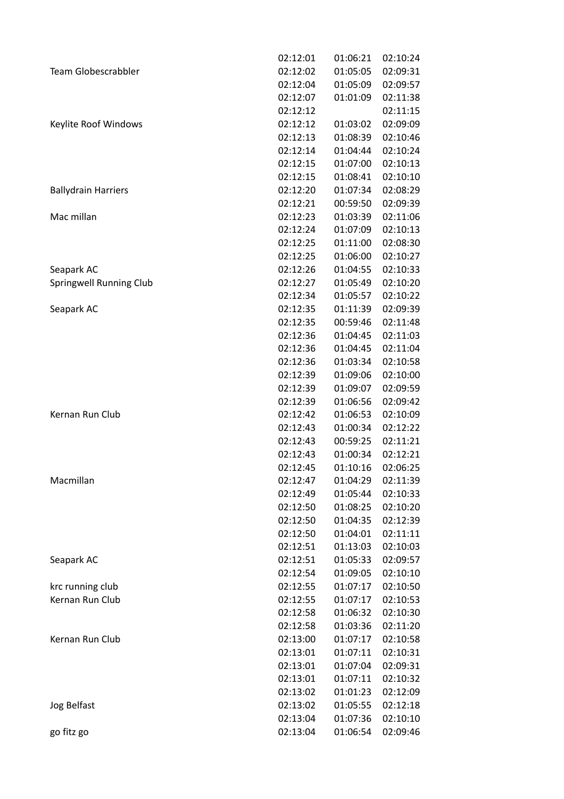|                            | 02:12:01 | 01:06:21 | 02:10:24 |
|----------------------------|----------|----------|----------|
| <b>Team Globescrabbler</b> | 02:12:02 | 01:05:05 | 02:09:31 |
|                            | 02:12:04 | 01:05:09 | 02:09:57 |
|                            | 02:12:07 | 01:01:09 | 02:11:38 |
|                            | 02:12:12 |          | 02:11:15 |
| Keylite Roof Windows       | 02:12:12 | 01:03:02 | 02:09:09 |
|                            | 02:12:13 | 01:08:39 | 02:10:46 |
|                            | 02:12:14 | 01:04:44 | 02:10:24 |
|                            | 02:12:15 | 01:07:00 | 02:10:13 |
|                            | 02:12:15 | 01:08:41 | 02:10:10 |
| <b>Ballydrain Harriers</b> | 02:12:20 | 01:07:34 | 02:08:29 |
|                            | 02:12:21 | 00:59:50 | 02:09:39 |
| Mac millan                 | 02:12:23 | 01:03:39 | 02:11:06 |
|                            | 02:12:24 | 01:07:09 | 02:10:13 |
|                            | 02:12:25 | 01:11:00 | 02:08:30 |
|                            | 02:12:25 | 01:06:00 | 02:10:27 |
| Seapark AC                 | 02:12:26 | 01:04:55 | 02:10:33 |
| Springwell Running Club    | 02:12:27 | 01:05:49 | 02:10:20 |
|                            | 02:12:34 | 01:05:57 | 02:10:22 |
| Seapark AC                 | 02:12:35 | 01:11:39 | 02:09:39 |
|                            | 02:12:35 | 00:59:46 | 02:11:48 |
|                            | 02:12:36 | 01:04:45 | 02:11:03 |
|                            | 02:12:36 | 01:04:45 | 02:11:04 |
|                            | 02:12:36 | 01:03:34 | 02:10:58 |
|                            | 02:12:39 | 01:09:06 | 02:10:00 |
|                            | 02:12:39 | 01:09:07 | 02:09:59 |
|                            | 02:12:39 | 01:06:56 | 02:09:42 |
| Kernan Run Club            | 02:12:42 | 01:06:53 | 02:10:09 |
|                            | 02:12:43 | 01:00:34 | 02:12:22 |
|                            | 02:12:43 | 00:59:25 | 02:11:21 |
|                            | 02:12:43 | 01:00:34 | 02:12:21 |
|                            | 02:12:45 | 01:10:16 | 02:06:25 |
| Macmillan                  | 02:12:47 | 01:04:29 | 02:11:39 |
|                            | 02:12:49 | 01:05:44 | 02:10:33 |
|                            | 02:12:50 | 01:08:25 | 02:10:20 |
|                            | 02:12:50 | 01:04:35 | 02:12:39 |
|                            | 02:12:50 | 01:04:01 | 02:11:11 |
|                            | 02:12:51 | 01:13:03 | 02:10:03 |
| Seapark AC                 | 02:12:51 | 01:05:33 | 02:09:57 |
|                            | 02:12:54 | 01:09:05 | 02:10:10 |
| krc running club           | 02:12:55 | 01:07:17 | 02:10:50 |
| Kernan Run Club            | 02:12:55 | 01:07:17 | 02:10:53 |
|                            | 02:12:58 | 01:06:32 | 02:10:30 |
|                            | 02:12:58 | 01:03:36 | 02:11:20 |
| Kernan Run Club            | 02:13:00 | 01:07:17 | 02:10:58 |
|                            | 02:13:01 | 01:07:11 | 02:10:31 |
|                            | 02:13:01 | 01:07:04 | 02:09:31 |
|                            | 02:13:01 | 01:07:11 | 02:10:32 |
|                            | 02:13:02 | 01:01:23 | 02:12:09 |
| Jog Belfast                | 02:13:02 | 01:05:55 | 02:12:18 |
|                            | 02:13:04 | 01:07:36 | 02:10:10 |
| go fitz go                 | 02:13:04 | 01:06:54 | 02:09:46 |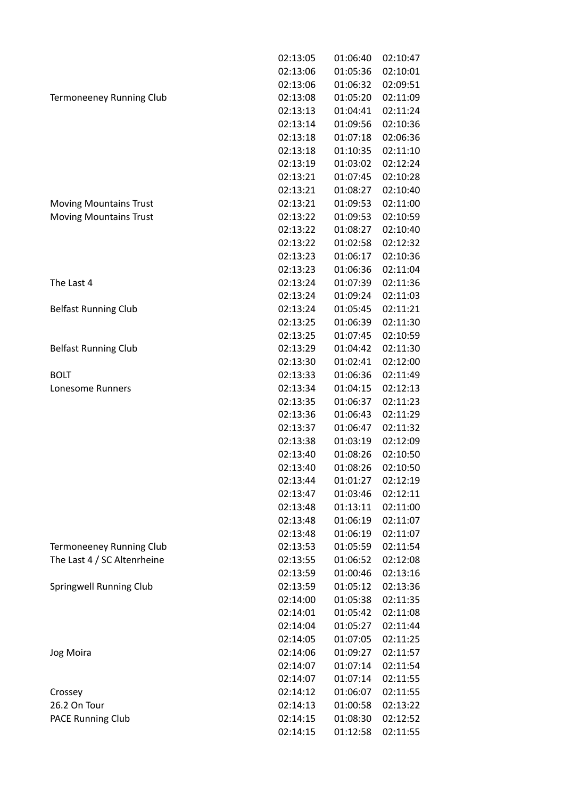|                                 | 02:13:05 | 01:06:40 | 02:10:47 |
|---------------------------------|----------|----------|----------|
|                                 | 02:13:06 | 01:05:36 | 02:10:01 |
|                                 | 02:13:06 | 01:06:32 | 02:09:51 |
| <b>Termoneeney Running Club</b> | 02:13:08 | 01:05:20 | 02:11:09 |
|                                 | 02:13:13 | 01:04:41 | 02:11:24 |
|                                 | 02:13:14 | 01:09:56 | 02:10:36 |
|                                 | 02:13:18 | 01:07:18 | 02:06:36 |
|                                 | 02:13:18 | 01:10:35 | 02:11:10 |
|                                 | 02:13:19 | 01:03:02 | 02:12:24 |
|                                 | 02:13:21 | 01:07:45 | 02:10:28 |
|                                 | 02:13:21 | 01:08:27 | 02:10:40 |
| <b>Moving Mountains Trust</b>   | 02:13:21 | 01:09:53 | 02:11:00 |
| <b>Moving Mountains Trust</b>   | 02:13:22 | 01:09:53 | 02:10:59 |
|                                 | 02:13:22 | 01:08:27 | 02:10:40 |
|                                 | 02:13:22 | 01:02:58 | 02:12:32 |
|                                 | 02:13:23 | 01:06:17 | 02:10:36 |
|                                 | 02:13:23 | 01:06:36 | 02:11:04 |
| The Last 4                      | 02:13:24 | 01:07:39 | 02:11:36 |
|                                 | 02:13:24 | 01:09:24 | 02:11:03 |
| <b>Belfast Running Club</b>     | 02:13:24 | 01:05:45 | 02:11:21 |
|                                 | 02:13:25 | 01:06:39 | 02:11:30 |
|                                 | 02:13:25 | 01:07:45 | 02:10:59 |
| <b>Belfast Running Club</b>     | 02:13:29 | 01:04:42 | 02:11:30 |
|                                 | 02:13:30 | 01:02:41 | 02:12:00 |
| <b>BOLT</b>                     | 02:13:33 | 01:06:36 | 02:11:49 |
| <b>Lonesome Runners</b>         | 02:13:34 | 01:04:15 | 02:12:13 |
|                                 | 02:13:35 | 01:06:37 | 02:11:23 |
|                                 | 02:13:36 | 01:06:43 | 02:11:29 |
|                                 | 02:13:37 | 01:06:47 | 02:11:32 |
|                                 | 02:13:38 | 01:03:19 | 02:12:09 |
|                                 | 02:13:40 | 01:08:26 | 02:10:50 |
|                                 | 02:13:40 | 01:08:26 | 02:10:50 |
|                                 | 02:13:44 | 01:01:27 | 02:12:19 |
|                                 | 02:13:47 | 01:03:46 | 02:12:11 |
|                                 | 02:13:48 | 01:13:11 | 02:11:00 |
|                                 | 02:13:48 | 01:06:19 | 02:11:07 |
|                                 | 02:13:48 | 01:06:19 | 02:11:07 |
| <b>Termoneeney Running Club</b> | 02:13:53 | 01:05:59 | 02:11:54 |
| The Last 4 / SC Altenrheine     | 02:13:55 | 01:06:52 | 02:12:08 |
|                                 | 02:13:59 | 01:00:46 | 02:13:16 |
| Springwell Running Club         | 02:13:59 | 01:05:12 | 02:13:36 |
|                                 | 02:14:00 | 01:05:38 | 02:11:35 |
|                                 | 02:14:01 | 01:05:42 | 02:11:08 |
|                                 | 02:14:04 | 01:05:27 | 02:11:44 |
|                                 | 02:14:05 | 01:07:05 | 02:11:25 |
| Jog Moira                       | 02:14:06 | 01:09:27 | 02:11:57 |
|                                 | 02:14:07 | 01:07:14 | 02:11:54 |
|                                 | 02:14:07 | 01:07:14 | 02:11:55 |
| Crossey                         | 02:14:12 | 01:06:07 | 02:11:55 |
| 26.2 On Tour                    | 02:14:13 | 01:00:58 | 02:13:22 |
| PACE Running Club               | 02:14:15 | 01:08:30 | 02:12:52 |
|                                 | 02:14:15 | 01:12:58 | 02:11:55 |
|                                 |          |          |          |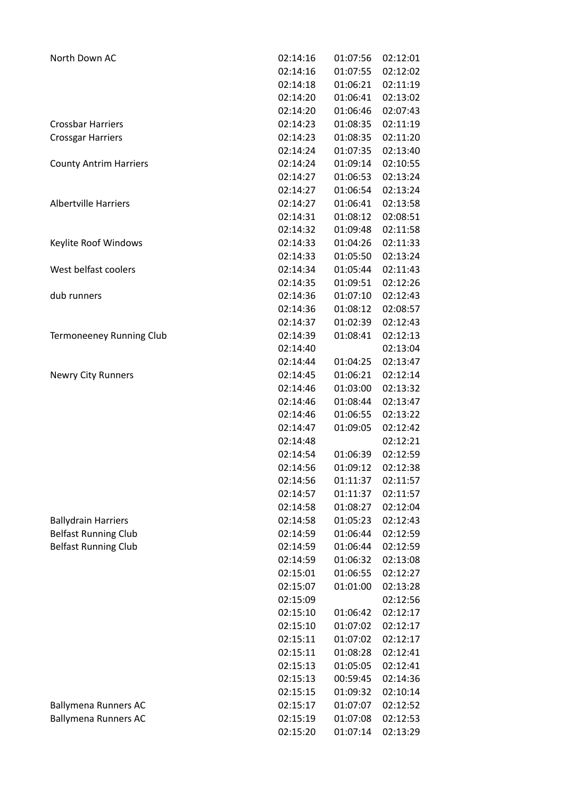| North Down AC                   | 02:14:16 | 01:07:56 | 02:12:01 |
|---------------------------------|----------|----------|----------|
|                                 | 02:14:16 | 01:07:55 | 02:12:02 |
|                                 | 02:14:18 | 01:06:21 | 02:11:19 |
|                                 | 02:14:20 | 01:06:41 | 02:13:02 |
|                                 | 02:14:20 | 01:06:46 | 02:07:43 |
| <b>Crossbar Harriers</b>        | 02:14:23 | 01:08:35 | 02:11:19 |
| <b>Crossgar Harriers</b>        | 02:14:23 | 01:08:35 | 02:11:20 |
|                                 | 02:14:24 | 01:07:35 | 02:13:40 |
| <b>County Antrim Harriers</b>   | 02:14:24 | 01:09:14 | 02:10:55 |
|                                 | 02:14:27 | 01:06:53 | 02:13:24 |
|                                 | 02:14:27 | 01:06:54 | 02:13:24 |
| <b>Albertville Harriers</b>     | 02:14:27 | 01:06:41 | 02:13:58 |
|                                 | 02:14:31 | 01:08:12 | 02:08:51 |
|                                 | 02:14:32 | 01:09:48 | 02:11:58 |
| Keylite Roof Windows            | 02:14:33 | 01:04:26 | 02:11:33 |
|                                 | 02:14:33 | 01:05:50 | 02:13:24 |
| West belfast coolers            | 02:14:34 | 01:05:44 | 02:11:43 |
|                                 | 02:14:35 | 01:09:51 | 02:12:26 |
| dub runners                     | 02:14:36 | 01:07:10 | 02:12:43 |
|                                 | 02:14:36 | 01:08:12 | 02:08:57 |
|                                 | 02:14:37 | 01:02:39 | 02:12:43 |
| <b>Termoneeney Running Club</b> | 02:14:39 | 01:08:41 | 02:12:13 |
|                                 | 02:14:40 |          | 02:13:04 |
|                                 | 02:14:44 | 01:04:25 | 02:13:47 |
| <b>Newry City Runners</b>       | 02:14:45 | 01:06:21 | 02:12:14 |
|                                 | 02:14:46 | 01:03:00 | 02:13:32 |
|                                 | 02:14:46 | 01:08:44 | 02:13:47 |
|                                 | 02:14:46 | 01:06:55 | 02:13:22 |
|                                 | 02:14:47 | 01:09:05 | 02:12:42 |
|                                 | 02:14:48 |          | 02:12:21 |
|                                 | 02:14:54 | 01:06:39 | 02:12:59 |
|                                 | 02:14:56 | 01:09:12 | 02:12:38 |
|                                 | 02:14:56 | 01:11:37 | 02:11:57 |
|                                 | 02:14:57 | 01:11:37 | 02:11:57 |
|                                 | 02:14:58 | 01:08:27 | 02:12:04 |
| <b>Ballydrain Harriers</b>      | 02:14:58 | 01:05:23 | 02:12:43 |
| <b>Belfast Running Club</b>     | 02:14:59 | 01:06:44 | 02:12:59 |
| <b>Belfast Running Club</b>     | 02:14:59 | 01:06:44 | 02:12:59 |
|                                 | 02:14:59 | 01:06:32 | 02:13:08 |
|                                 | 02:15:01 | 01:06:55 | 02:12:27 |
|                                 | 02:15:07 | 01:01:00 | 02:13:28 |
|                                 | 02:15:09 |          | 02:12:56 |
|                                 | 02:15:10 | 01:06:42 | 02:12:17 |
|                                 | 02:15:10 | 01:07:02 | 02:12:17 |
|                                 | 02:15:11 | 01:07:02 | 02:12:17 |
|                                 | 02:15:11 | 01:08:28 | 02:12:41 |
|                                 | 02:15:13 | 01:05:05 | 02:12:41 |
|                                 | 02:15:13 | 00:59:45 | 02:14:36 |
|                                 | 02:15:15 | 01:09:32 | 02:10:14 |
| <b>Ballymena Runners AC</b>     | 02:15:17 | 01:07:07 | 02:12:52 |
| <b>Ballymena Runners AC</b>     | 02:15:19 | 01:07:08 | 02:12:53 |
|                                 | 02:15:20 | 01:07:14 | 02:13:29 |
|                                 |          |          |          |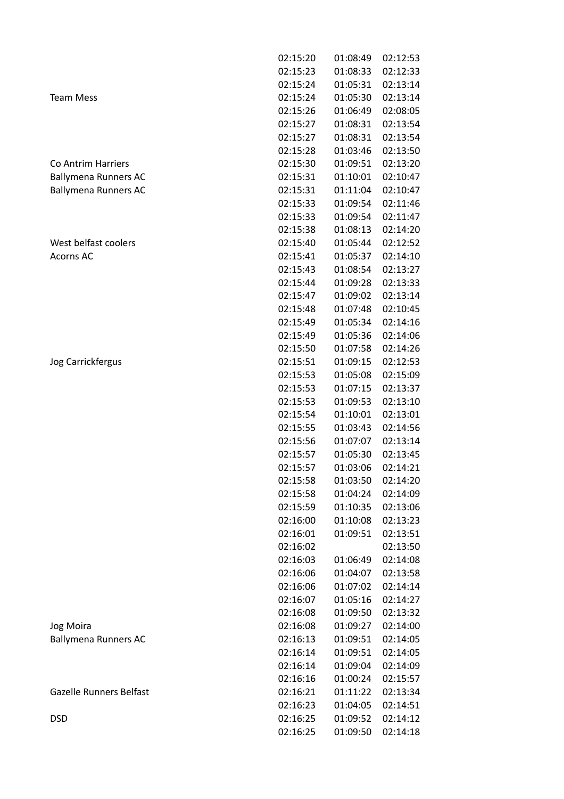|                                | 02:15:20 | 01:08:49 | 02:12:53 |
|--------------------------------|----------|----------|----------|
|                                | 02:15:23 | 01:08:33 | 02:12:33 |
|                                | 02:15:24 | 01:05:31 | 02:13:14 |
| <b>Team Mess</b>               | 02:15:24 | 01:05:30 | 02:13:14 |
|                                | 02:15:26 | 01:06:49 | 02:08:05 |
|                                | 02:15:27 | 01:08:31 | 02:13:54 |
|                                | 02:15:27 | 01:08:31 | 02:13:54 |
|                                | 02:15:28 | 01:03:46 | 02:13:50 |
| Co Antrim Harriers             | 02:15:30 | 01:09:51 | 02:13:20 |
| <b>Ballymena Runners AC</b>    | 02:15:31 | 01:10:01 | 02:10:47 |
| <b>Ballymena Runners AC</b>    | 02:15:31 | 01:11:04 | 02:10:47 |
|                                | 02:15:33 | 01:09:54 | 02:11:46 |
|                                | 02:15:33 | 01:09:54 | 02:11:47 |
|                                | 02:15:38 | 01:08:13 | 02:14:20 |
| West belfast coolers           | 02:15:40 | 01:05:44 | 02:12:52 |
| Acorns AC                      | 02:15:41 | 01:05:37 | 02:14:10 |
|                                | 02:15:43 | 01:08:54 | 02:13:27 |
|                                | 02:15:44 | 01:09:28 | 02:13:33 |
|                                | 02:15:47 | 01:09:02 | 02:13:14 |
|                                | 02:15:48 | 01:07:48 | 02:10:45 |
|                                | 02:15:49 | 01:05:34 | 02:14:16 |
|                                | 02:15:49 | 01:05:36 | 02:14:06 |
|                                | 02:15:50 | 01:07:58 | 02:14:26 |
| Jog Carrickfergus              | 02:15:51 | 01:09:15 | 02:12:53 |
|                                | 02:15:53 | 01:05:08 | 02:15:09 |
|                                | 02:15:53 | 01:07:15 | 02:13:37 |
|                                | 02:15:53 | 01:09:53 | 02:13:10 |
|                                | 02:15:54 | 01:10:01 | 02:13:01 |
|                                | 02:15:55 | 01:03:43 | 02:14:56 |
|                                | 02:15:56 | 01:07:07 | 02:13:14 |
|                                | 02:15:57 | 01:05:30 | 02:13:45 |
|                                | 02:15:57 | 01:03:06 | 02:14:21 |
|                                | 02:15:58 | 01:03:50 | 02:14:20 |
|                                | 02:15:58 | 01:04:24 | 02:14:09 |
|                                | 02:15:59 | 01:10:35 | 02:13:06 |
|                                | 02:16:00 | 01:10:08 | 02:13:23 |
|                                | 02:16:01 | 01:09:51 | 02:13:51 |
|                                | 02:16:02 |          | 02:13:50 |
|                                | 02:16:03 | 01:06:49 | 02:14:08 |
|                                | 02:16:06 | 01:04:07 | 02:13:58 |
|                                | 02:16:06 | 01:07:02 | 02:14:14 |
|                                | 02:16:07 | 01:05:16 | 02:14:27 |
|                                | 02:16:08 | 01:09:50 | 02:13:32 |
| Jog Moira                      | 02:16:08 | 01:09:27 | 02:14:00 |
| <b>Ballymena Runners AC</b>    | 02:16:13 | 01:09:51 | 02:14:05 |
|                                | 02:16:14 | 01:09:51 | 02:14:05 |
|                                | 02:16:14 | 01:09:04 | 02:14:09 |
|                                | 02:16:16 | 01:00:24 | 02:15:57 |
| <b>Gazelle Runners Belfast</b> | 02:16:21 | 01:11:22 | 02:13:34 |
|                                | 02:16:23 | 01:04:05 | 02:14:51 |
| <b>DSD</b>                     | 02:16:25 | 01:09:52 | 02:14:12 |
|                                | 02:16:25 | 01:09:50 | 02:14:18 |
|                                |          |          |          |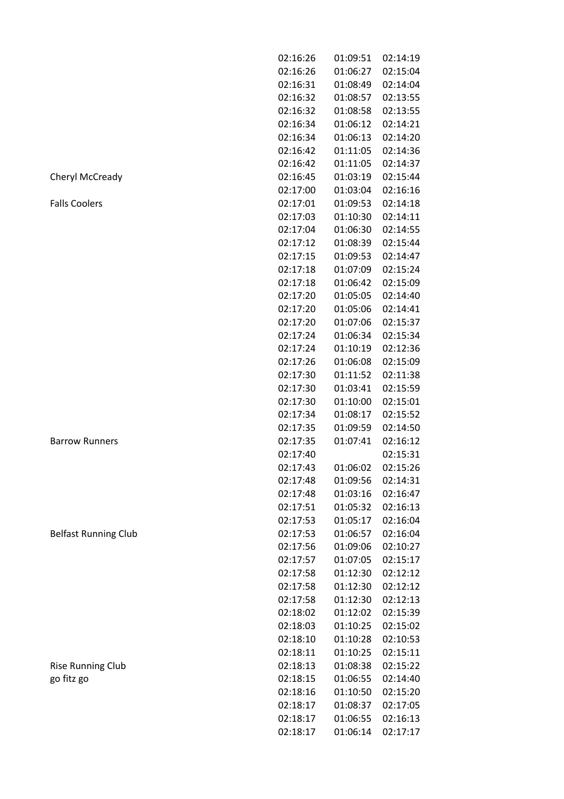|                             | 02:16:26 | 01:09:51 | 02:14:19 |
|-----------------------------|----------|----------|----------|
|                             | 02:16:26 | 01:06:27 | 02:15:04 |
|                             | 02:16:31 | 01:08:49 | 02:14:04 |
|                             | 02:16:32 | 01:08:57 | 02:13:55 |
|                             | 02:16:32 | 01:08:58 | 02:13:55 |
|                             | 02:16:34 | 01:06:12 | 02:14:21 |
|                             | 02:16:34 | 01:06:13 | 02:14:20 |
|                             | 02:16:42 | 01:11:05 | 02:14:36 |
|                             | 02:16:42 | 01:11:05 | 02:14:37 |
| Cheryl McCready             | 02:16:45 | 01:03:19 | 02:15:44 |
|                             | 02:17:00 | 01:03:04 | 02:16:16 |
| <b>Falls Coolers</b>        | 02:17:01 | 01:09:53 | 02:14:18 |
|                             | 02:17:03 | 01:10:30 | 02:14:11 |
|                             | 02:17:04 | 01:06:30 | 02:14:55 |
|                             | 02:17:12 | 01:08:39 | 02:15:44 |
|                             | 02:17:15 | 01:09:53 | 02:14:47 |
|                             | 02:17:18 | 01:07:09 | 02:15:24 |
|                             | 02:17:18 | 01:06:42 | 02:15:09 |
|                             | 02:17:20 | 01:05:05 | 02:14:40 |
|                             | 02:17:20 | 01:05:06 | 02:14:41 |
|                             | 02:17:20 | 01:07:06 | 02:15:37 |
|                             | 02:17:24 | 01:06:34 | 02:15:34 |
|                             | 02:17:24 | 01:10:19 | 02:12:36 |
|                             | 02:17:26 | 01:06:08 | 02:15:09 |
|                             | 02:17:30 | 01:11:52 | 02:11:38 |
|                             | 02:17:30 | 01:03:41 | 02:15:59 |
|                             | 02:17:30 | 01:10:00 | 02:15:01 |
|                             | 02:17:34 | 01:08:17 | 02:15:52 |
|                             | 02:17:35 | 01:09:59 | 02:14:50 |
| <b>Barrow Runners</b>       | 02:17:35 | 01:07:41 | 02:16:12 |
|                             | 02:17:40 |          | 02:15:31 |
|                             | 02:17:43 | 01:06:02 | 02:15:26 |
|                             | 02:17:48 | 01:09:56 | 02:14:31 |
|                             | 02:17:48 | 01:03:16 | 02:16:47 |
|                             | 02:17:51 | 01:05:32 | 02:16:13 |
|                             | 02:17:53 | 01:05:17 | 02:16:04 |
| <b>Belfast Running Club</b> | 02:17:53 | 01:06:57 | 02:16:04 |
|                             | 02:17:56 | 01:09:06 | 02:10:27 |
|                             | 02:17:57 | 01:07:05 | 02:15:17 |
|                             | 02:17:58 | 01:12:30 | 02:12:12 |
|                             | 02:17:58 | 01:12:30 | 02:12:12 |
|                             | 02:17:58 | 01:12:30 | 02:12:13 |
|                             | 02:18:02 | 01:12:02 | 02:15:39 |
|                             | 02:18:03 | 01:10:25 | 02:15:02 |
|                             | 02:18:10 | 01:10:28 | 02:10:53 |
|                             | 02:18:11 | 01:10:25 | 02:15:11 |
| <b>Rise Running Club</b>    | 02:18:13 | 01:08:38 | 02:15:22 |
| go fitz go                  | 02:18:15 | 01:06:55 | 02:14:40 |
|                             | 02:18:16 | 01:10:50 | 02:15:20 |
|                             | 02:18:17 | 01:08:37 | 02:17:05 |
|                             | 02:18:17 | 01:06:55 | 02:16:13 |
|                             | 02:18:17 | 01:06:14 | 02:17:17 |
|                             |          |          |          |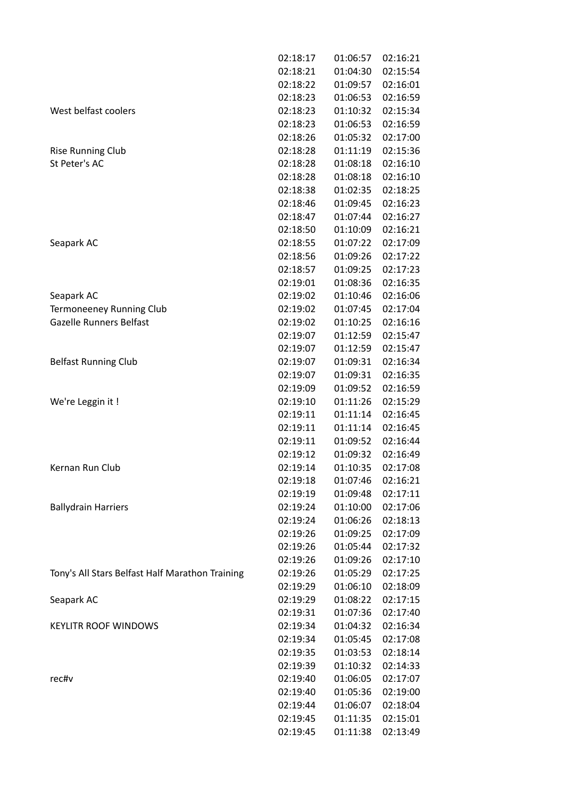|                                                 | 02:18:17 | 01:06:57 | 02:16:21 |
|-------------------------------------------------|----------|----------|----------|
|                                                 | 02:18:21 | 01:04:30 | 02:15:54 |
|                                                 | 02:18:22 | 01:09:57 | 02:16:01 |
|                                                 | 02:18:23 | 01:06:53 | 02:16:59 |
| West belfast coolers                            | 02:18:23 | 01:10:32 | 02:15:34 |
|                                                 | 02:18:23 | 01:06:53 | 02:16:59 |
|                                                 | 02:18:26 | 01:05:32 | 02:17:00 |
| <b>Rise Running Club</b>                        | 02:18:28 | 01:11:19 | 02:15:36 |
| St Peter's AC                                   | 02:18:28 | 01:08:18 | 02:16:10 |
|                                                 | 02:18:28 | 01:08:18 | 02:16:10 |
|                                                 | 02:18:38 | 01:02:35 | 02:18:25 |
|                                                 | 02:18:46 | 01:09:45 | 02:16:23 |
|                                                 | 02:18:47 | 01:07:44 | 02:16:27 |
|                                                 | 02:18:50 | 01:10:09 | 02:16:21 |
| Seapark AC                                      | 02:18:55 | 01:07:22 | 02:17:09 |
|                                                 | 02:18:56 | 01:09:26 | 02:17:22 |
|                                                 | 02:18:57 | 01:09:25 | 02:17:23 |
|                                                 | 02:19:01 | 01:08:36 | 02:16:35 |
| Seapark AC                                      | 02:19:02 | 01:10:46 | 02:16:06 |
| Termoneeney Running Club                        | 02:19:02 | 01:07:45 | 02:17:04 |
| <b>Gazelle Runners Belfast</b>                  | 02:19:02 | 01:10:25 | 02:16:16 |
|                                                 | 02:19:07 | 01:12:59 | 02:15:47 |
|                                                 | 02:19:07 | 01:12:59 | 02:15:47 |
| <b>Belfast Running Club</b>                     | 02:19:07 | 01:09:31 | 02:16:34 |
|                                                 | 02:19:07 | 01:09:31 | 02:16:35 |
|                                                 | 02:19:09 | 01:09:52 | 02:16:59 |
| We're Leggin it !                               | 02:19:10 | 01:11:26 | 02:15:29 |
|                                                 | 02:19:11 | 01:11:14 | 02:16:45 |
|                                                 |          |          |          |
|                                                 | 02:19:11 | 01:11:14 | 02:16:45 |
|                                                 | 02:19:11 | 01:09:52 | 02:16:44 |
|                                                 | 02:19:12 | 01:09:32 | 02:16:49 |
| Kernan Run Club                                 | 02:19:14 | 01:10:35 | 02:17:08 |
|                                                 | 02:19:18 | 01:07:46 | 02:16:21 |
|                                                 | 02:19:19 | 01:09:48 | 02:17:11 |
| <b>Ballydrain Harriers</b>                      | 02:19:24 | 01:10:00 | 02:17:06 |
|                                                 | 02:19:24 | 01:06:26 | 02:18:13 |
|                                                 | 02:19:26 | 01:09:25 | 02:17:09 |
|                                                 | 02:19:26 | 01:05:44 | 02:17:32 |
|                                                 | 02:19:26 | 01:09:26 | 02:17:10 |
| Tony's All Stars Belfast Half Marathon Training | 02:19:26 | 01:05:29 | 02:17:25 |
|                                                 | 02:19:29 | 01:06:10 | 02:18:09 |
| Seapark AC                                      | 02:19:29 | 01:08:22 | 02:17:15 |
|                                                 | 02:19:31 | 01:07:36 | 02:17:40 |
| <b>KEYLITR ROOF WINDOWS</b>                     | 02:19:34 | 01:04:32 | 02:16:34 |
|                                                 | 02:19:34 | 01:05:45 | 02:17:08 |
|                                                 | 02:19:35 | 01:03:53 | 02:18:14 |
|                                                 | 02:19:39 | 01:10:32 | 02:14:33 |
| rec#v                                           | 02:19:40 | 01:06:05 | 02:17:07 |
|                                                 | 02:19:40 | 01:05:36 | 02:19:00 |
|                                                 | 02:19:44 | 01:06:07 | 02:18:04 |
|                                                 | 02:19:45 | 01:11:35 | 02:15:01 |
|                                                 | 02:19:45 | 01:11:38 | 02:13:49 |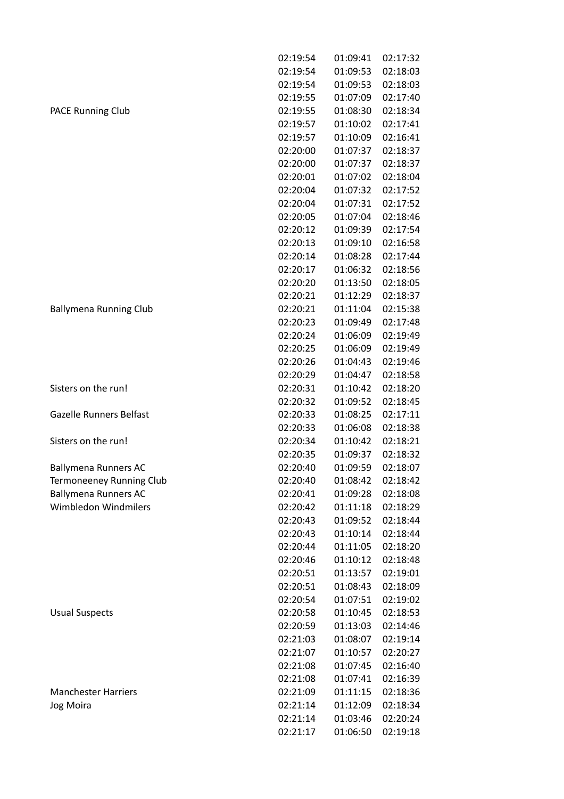|                                | 02:19:54 | 01:09:41 | 02:17:32 |
|--------------------------------|----------|----------|----------|
|                                | 02:19:54 | 01:09:53 | 02:18:03 |
|                                | 02:19:54 | 01:09:53 | 02:18:03 |
|                                | 02:19:55 | 01:07:09 | 02:17:40 |
| <b>PACE Running Club</b>       | 02:19:55 | 01:08:30 | 02:18:34 |
|                                | 02:19:57 | 01:10:02 | 02:17:41 |
|                                | 02:19:57 | 01:10:09 | 02:16:41 |
|                                | 02:20:00 | 01:07:37 | 02:18:37 |
|                                | 02:20:00 | 01:07:37 | 02:18:37 |
|                                | 02:20:01 | 01:07:02 | 02:18:04 |
|                                | 02:20:04 | 01:07:32 | 02:17:52 |
|                                | 02:20:04 | 01:07:31 | 02:17:52 |
|                                | 02:20:05 | 01:07:04 | 02:18:46 |
|                                | 02:20:12 | 01:09:39 | 02:17:54 |
|                                | 02:20:13 | 01:09:10 | 02:16:58 |
|                                | 02:20:14 | 01:08:28 | 02:17:44 |
|                                | 02:20:17 | 01:06:32 | 02:18:56 |
|                                | 02:20:20 | 01:13:50 | 02:18:05 |
|                                | 02:20:21 | 01:12:29 | 02:18:37 |
| <b>Ballymena Running Club</b>  | 02:20:21 | 01:11:04 | 02:15:38 |
|                                | 02:20:23 | 01:09:49 | 02:17:48 |
|                                | 02:20:24 | 01:06:09 | 02:19:49 |
|                                | 02:20:25 | 01:06:09 | 02:19:49 |
|                                | 02:20:26 | 01:04:43 | 02:19:46 |
|                                | 02:20:29 | 01:04:47 | 02:18:58 |
| Sisters on the run!            | 02:20:31 | 01:10:42 | 02:18:20 |
|                                | 02:20:32 | 01:09:52 | 02:18:45 |
| <b>Gazelle Runners Belfast</b> | 02:20:33 | 01:08:25 | 02:17:11 |
|                                | 02:20:33 | 01:06:08 | 02:18:38 |
| Sisters on the run!            | 02:20:34 | 01:10:42 | 02:18:21 |
|                                | 02:20:35 | 01:09:37 | 02:18:32 |
| <b>Ballymena Runners AC</b>    | 02:20:40 | 01:09:59 | 02:18:07 |
| Termoneeney Running Club       | 02:20:40 | 01:08:42 | 02:18:42 |
| <b>Ballymena Runners AC</b>    | 02:20:41 | 01:09:28 | 02:18:08 |
| Wimbledon Windmilers           | 02:20:42 | 01:11:18 | 02:18:29 |
|                                | 02:20:43 | 01:09:52 | 02:18:44 |
|                                | 02:20:43 | 01:10:14 | 02:18:44 |
|                                | 02:20:44 | 01:11:05 | 02:18:20 |
|                                | 02:20:46 | 01:10:12 | 02:18:48 |
|                                | 02:20:51 | 01:13:57 | 02:19:01 |
|                                | 02:20:51 | 01:08:43 | 02:18:09 |
|                                | 02:20:54 | 01:07:51 | 02:19:02 |
| <b>Usual Suspects</b>          | 02:20:58 | 01:10:45 | 02:18:53 |
|                                | 02:20:59 | 01:13:03 | 02:14:46 |
|                                | 02:21:03 | 01:08:07 | 02:19:14 |
|                                | 02:21:07 | 01:10:57 | 02:20:27 |
|                                | 02:21:08 | 01:07:45 | 02:16:40 |
|                                | 02:21:08 | 01:07:41 | 02:16:39 |
| <b>Manchester Harriers</b>     | 02:21:09 | 01:11:15 | 02:18:36 |
| Jog Moira                      | 02:21:14 | 01:12:09 | 02:18:34 |
|                                | 02:21:14 | 01:03:46 | 02:20:24 |
|                                | 02:21:17 | 01:06:50 | 02:19:18 |
|                                |          |          |          |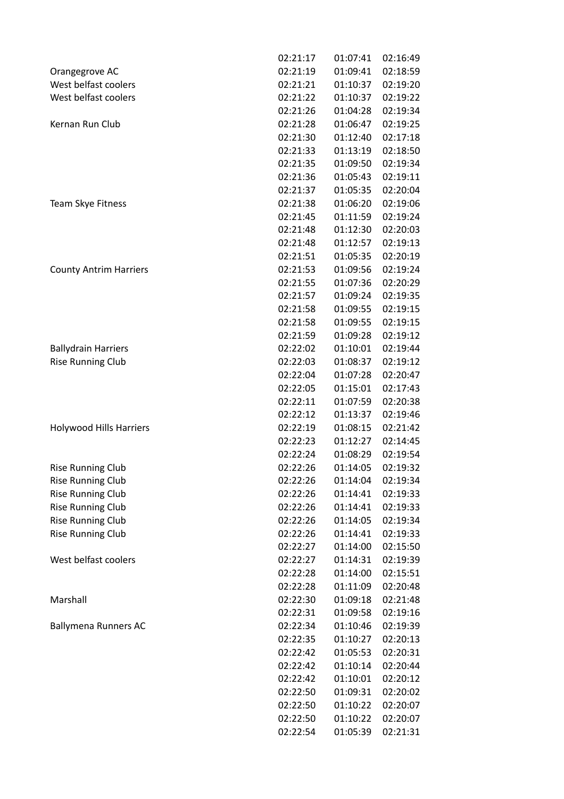|                                | 02:21:17 | 01:07:41             | 02:16:49 |
|--------------------------------|----------|----------------------|----------|
| Orangegrove AC                 | 02:21:19 | 01:09:41             | 02:18:59 |
| West belfast coolers           | 02:21:21 | 01:10:37             | 02:19:20 |
| West belfast coolers           | 02:21:22 | 01:10:37             | 02:19:22 |
|                                | 02:21:26 | 01:04:28             | 02:19:34 |
| Kernan Run Club                | 02:21:28 | 01:06:47             | 02:19:25 |
|                                | 02:21:30 | 01:12:40             | 02:17:18 |
|                                | 02:21:33 | 01:13:19             | 02:18:50 |
|                                | 02:21:35 | 01:09:50             | 02:19:34 |
|                                | 02:21:36 | 01:05:43             | 02:19:11 |
|                                | 02:21:37 | 01:05:35             | 02:20:04 |
| Team Skye Fitness              | 02:21:38 | 01:06:20             | 02:19:06 |
|                                | 02:21:45 | 01:11:59             | 02:19:24 |
|                                | 02:21:48 | 01:12:30             | 02:20:03 |
|                                | 02:21:48 | 01:12:57             | 02:19:13 |
|                                | 02:21:51 | 01:05:35             | 02:20:19 |
| <b>County Antrim Harriers</b>  | 02:21:53 | 01:09:56             | 02:19:24 |
|                                | 02:21:55 | 01:07:36             | 02:20:29 |
|                                | 02:21:57 | 01:09:24             | 02:19:35 |
|                                | 02:21:58 | 01:09:55             | 02:19:15 |
|                                | 02:21:58 | 01:09:55             | 02:19:15 |
|                                | 02:21:59 | 01:09:28             | 02:19:12 |
| <b>Ballydrain Harriers</b>     | 02:22:02 | 01:10:01             | 02:19:44 |
| <b>Rise Running Club</b>       | 02:22:03 | 01:08:37             | 02:19:12 |
|                                | 02:22:04 | 01:07:28             | 02:20:47 |
|                                | 02:22:05 | 01:15:01             | 02:17:43 |
|                                | 02:22:11 | 01:07:59             | 02:20:38 |
|                                | 02:22:12 | 01:13:37             | 02:19:46 |
| <b>Holywood Hills Harriers</b> | 02:22:19 | 01:08:15             | 02:21:42 |
|                                | 02:22:23 | 01:12:27             | 02:14:45 |
|                                | 02:22:24 | 01:08:29             | 02:19:54 |
| <b>Rise Running Club</b>       | 02:22:26 | 01:14:05             | 02:19:32 |
| <b>Rise Running Club</b>       | 02:22:26 | 01:14:04             | 02:19:34 |
| <b>Rise Running Club</b>       | 02:22:26 | 01:14:41             | 02:19:33 |
| <b>Rise Running Club</b>       | 02:22:26 | 01:14:41             | 02:19:33 |
| <b>Rise Running Club</b>       | 02:22:26 | 01:14:05             | 02:19:34 |
|                                | 02:22:26 |                      | 02:19:33 |
| <b>Rise Running Club</b>       |          | 01:14:41<br>01:14:00 |          |
| West belfast coolers           | 02:22:27 |                      | 02:15:50 |
|                                | 02:22:27 | 01:14:31             | 02:19:39 |
|                                | 02:22:28 | 01:14:00             | 02:15:51 |
|                                | 02:22:28 | 01:11:09             | 02:20:48 |
| Marshall                       | 02:22:30 | 01:09:18             | 02:21:48 |
|                                | 02:22:31 | 01:09:58             | 02:19:16 |
| <b>Ballymena Runners AC</b>    | 02:22:34 | 01:10:46             | 02:19:39 |
|                                | 02:22:35 | 01:10:27             | 02:20:13 |
|                                | 02:22:42 | 01:05:53             | 02:20:31 |
|                                | 02:22:42 | 01:10:14             | 02:20:44 |
|                                | 02:22:42 | 01:10:01             | 02:20:12 |
|                                | 02:22:50 | 01:09:31             | 02:20:02 |
|                                | 02:22:50 | 01:10:22             | 02:20:07 |
|                                | 02:22:50 | 01:10:22             | 02:20:07 |
|                                | 02:22:54 | 01:05:39             | 02:21:31 |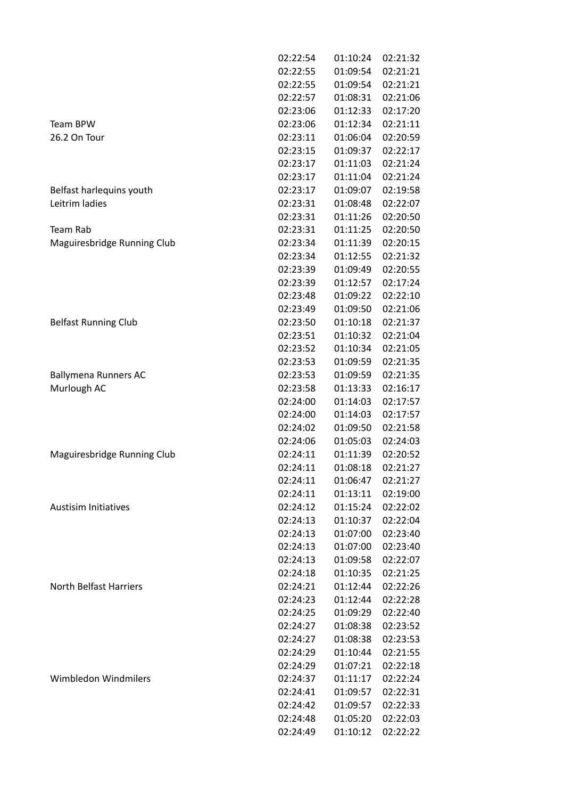|                               | 02:22:54 | 01:10:24 | 02:21:32 |
|-------------------------------|----------|----------|----------|
|                               | 02:22:55 | 01:09:54 | 02:21:21 |
|                               | 02:22:55 | 01:09:54 | 02:21:21 |
|                               | 02:22:57 | 01:08:31 | 02:21:06 |
|                               | 02:23:06 | 01:12:33 | 02:17:20 |
| <b>Team BPW</b>               | 02:23:06 | 01:12:34 | 02:21:11 |
| 26.2 On Tour                  | 02:23:11 | 01:06:04 | 02:20:59 |
|                               | 02:23:15 | 01:09:37 | 02:22:17 |
|                               | 02:23:17 | 01:11:03 | 02:21:24 |
|                               | 02:23:17 | 01:11:04 | 02:21:24 |
| Belfast harlequins youth      | 02:23:17 | 01:09:07 | 02:19:58 |
| Leitrim ladies                | 02:23:31 | 01:08:48 | 02:22:07 |
|                               | 02:23:31 | 01:11:26 | 02:20:50 |
| Team Rab                      | 02:23:31 | 01:11:25 | 02:20:50 |
| Maguiresbridge Running Club   | 02:23:34 | 01:11:39 | 02:20:15 |
|                               | 02:23:34 | 01:12:55 | 02:21:32 |
|                               | 02:23:39 | 01:09:49 | 02:20:55 |
|                               | 02:23:39 | 01:12:57 | 02:17:24 |
|                               | 02:23:48 | 01:09:22 | 02:22:10 |
|                               | 02:23:49 | 01:09:50 | 02:21:06 |
| <b>Belfast Running Club</b>   | 02:23:50 | 01:10:18 | 02:21:37 |
|                               | 02:23:51 | 01:10:32 | 02:21:04 |
|                               | 02:23:52 | 01:10:34 | 02:21:05 |
|                               | 02:23:53 | 01:09:59 | 02:21:35 |
| <b>Ballymena Runners AC</b>   | 02:23:53 | 01:09:59 | 02:21:35 |
| Murlough AC                   | 02:23:58 | 01:13:33 | 02:16:17 |
|                               | 02:24:00 | 01:14:03 | 02:17:57 |
|                               | 02:24:00 | 01:14:03 | 02:17:57 |
|                               | 02:24:02 | 01:09:50 | 02:21:58 |
|                               | 02:24:06 | 01:05:03 | 02:24:03 |
| Maguiresbridge Running Club   | 02:24:11 | 01:11:39 | 02:20:52 |
|                               | 02:24:11 | 01:08:18 | 02:21:27 |
|                               | 02:24:11 | 01:06:47 | 02:21:27 |
|                               | 02:24:11 | 01:13:11 | 02:19:00 |
| <b>Austisim Initiatives</b>   | 02:24:12 | 01:15:24 | 02:22:02 |
|                               | 02:24:13 | 01:10:37 | 02:22:04 |
|                               | 02:24:13 | 01:07:00 | 02:23:40 |
|                               | 02:24:13 | 01:07:00 | 02:23:40 |
|                               | 02:24:13 | 01:09:58 | 02:22:07 |
|                               | 02:24:18 | 01:10:35 | 02:21:25 |
| <b>North Belfast Harriers</b> | 02:24:21 | 01:12:44 | 02:22:26 |
|                               | 02:24:23 | 01:12:44 | 02:22:28 |
|                               | 02:24:25 | 01:09:29 | 02:22:40 |
|                               | 02:24:27 | 01:08:38 | 02:23:52 |
|                               | 02:24:27 | 01:08:38 | 02:23:53 |
|                               | 02:24:29 | 01:10:44 | 02:21:55 |
|                               | 02:24:29 | 01:07:21 | 02:22:18 |
| Wimbledon Windmilers          | 02:24:37 | 01:11:17 | 02:22:24 |
|                               | 02:24:41 | 01:09:57 | 02:22:31 |
|                               | 02:24:42 | 01:09:57 | 02:22:33 |
|                               | 02:24:48 | 01:05:20 | 02:22:03 |
|                               | 02:24:49 | 01:10:12 | 02:22:22 |
|                               |          |          |          |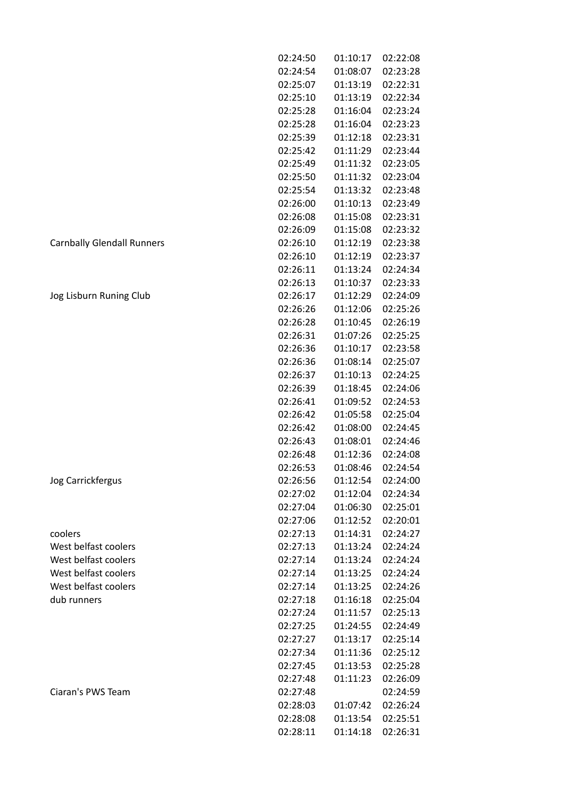|                                   | 02:24:50 | 01:10:17 | 02:22:08 |
|-----------------------------------|----------|----------|----------|
|                                   | 02:24:54 | 01:08:07 | 02:23:28 |
|                                   | 02:25:07 | 01:13:19 | 02:22:31 |
|                                   | 02:25:10 | 01:13:19 | 02:22:34 |
|                                   | 02:25:28 | 01:16:04 | 02:23:24 |
|                                   | 02:25:28 | 01:16:04 | 02:23:23 |
|                                   | 02:25:39 | 01:12:18 | 02:23:31 |
|                                   | 02:25:42 | 01:11:29 | 02:23:44 |
|                                   | 02:25:49 | 01:11:32 | 02:23:05 |
|                                   | 02:25:50 | 01:11:32 | 02:23:04 |
|                                   | 02:25:54 | 01:13:32 | 02:23:48 |
|                                   | 02:26:00 | 01:10:13 | 02:23:49 |
|                                   | 02:26:08 | 01:15:08 | 02:23:31 |
|                                   | 02:26:09 | 01:15:08 | 02:23:32 |
| <b>Carnbally Glendall Runners</b> | 02:26:10 | 01:12:19 | 02:23:38 |
|                                   | 02:26:10 | 01:12:19 | 02:23:37 |
|                                   | 02:26:11 | 01:13:24 | 02:24:34 |
|                                   | 02:26:13 | 01:10:37 | 02:23:33 |
| Jog Lisburn Runing Club           | 02:26:17 | 01:12:29 | 02:24:09 |
|                                   | 02:26:26 | 01:12:06 | 02:25:26 |
|                                   | 02:26:28 | 01:10:45 | 02:26:19 |
|                                   | 02:26:31 | 01:07:26 | 02:25:25 |
|                                   | 02:26:36 | 01:10:17 | 02:23:58 |
|                                   | 02:26:36 | 01:08:14 | 02:25:07 |
|                                   | 02:26:37 | 01:10:13 | 02:24:25 |
|                                   | 02:26:39 | 01:18:45 | 02:24:06 |
|                                   | 02:26:41 | 01:09:52 | 02:24:53 |
|                                   | 02:26:42 | 01:05:58 | 02:25:04 |
|                                   | 02:26:42 | 01:08:00 | 02:24:45 |
|                                   | 02:26:43 | 01:08:01 | 02:24:46 |
|                                   | 02:26:48 | 01:12:36 | 02:24:08 |
|                                   | 02:26:53 | 01:08:46 | 02:24:54 |
| Jog Carrickfergus                 | 02:26:56 | 01:12:54 | 02:24:00 |
|                                   | 02:27:02 | 01:12:04 | 02:24:34 |
|                                   | 02:27:04 | 01:06:30 | 02:25:01 |
|                                   | 02:27:06 | 01:12:52 | 02:20:01 |
| coolers                           | 02:27:13 | 01:14:31 | 02:24:27 |
| West belfast coolers              | 02:27:13 | 01:13:24 | 02:24:24 |
| West belfast coolers              | 02:27:14 | 01:13:24 | 02:24:24 |
| West belfast coolers              | 02:27:14 | 01:13:25 | 02:24:24 |
| West belfast coolers              | 02:27:14 | 01:13:25 | 02:24:26 |
| dub runners                       | 02:27:18 | 01:16:18 | 02:25:04 |
|                                   | 02:27:24 | 01:11:57 | 02:25:13 |
|                                   | 02:27:25 | 01:24:55 | 02:24:49 |
|                                   | 02:27:27 | 01:13:17 | 02:25:14 |
|                                   | 02:27:34 | 01:11:36 | 02:25:12 |
|                                   | 02:27:45 | 01:13:53 | 02:25:28 |
|                                   | 02:27:48 | 01:11:23 | 02:26:09 |
| Ciaran's PWS Team                 | 02:27:48 |          | 02:24:59 |
|                                   | 02:28:03 | 01:07:42 | 02:26:24 |
|                                   | 02:28:08 | 01:13:54 | 02:25:51 |

02:28:11 01:14:18 02:26:31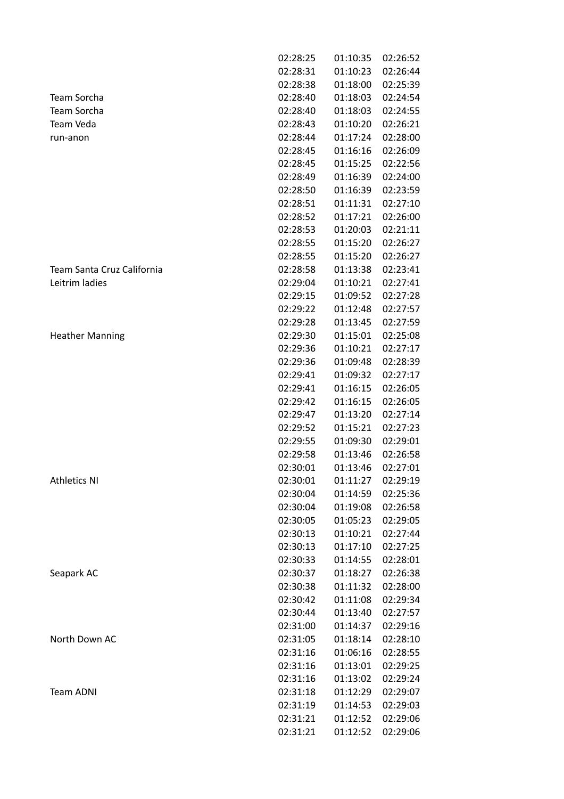|                            | 02:28:25 | 01:10:35 | 02:26:52 |
|----------------------------|----------|----------|----------|
|                            | 02:28:31 | 01:10:23 | 02:26:44 |
|                            | 02:28:38 | 01:18:00 | 02:25:39 |
| Team Sorcha                | 02:28:40 | 01:18:03 | 02:24:54 |
| Team Sorcha                | 02:28:40 | 01:18:03 | 02:24:55 |
| Team Veda                  | 02:28:43 | 01:10:20 | 02:26:21 |
| run-anon                   | 02:28:44 | 01:17:24 | 02:28:00 |
|                            | 02:28:45 | 01:16:16 | 02:26:09 |
|                            | 02:28:45 | 01:15:25 | 02:22:56 |
|                            | 02:28:49 | 01:16:39 | 02:24:00 |
|                            | 02:28:50 | 01:16:39 | 02:23:59 |
|                            | 02:28:51 | 01:11:31 | 02:27:10 |
|                            | 02:28:52 | 01:17:21 | 02:26:00 |
|                            | 02:28:53 | 01:20:03 | 02:21:11 |
|                            | 02:28:55 | 01:15:20 | 02:26:27 |
|                            | 02:28:55 | 01:15:20 | 02:26:27 |
| Team Santa Cruz California | 02:28:58 | 01:13:38 | 02:23:41 |
| Leitrim ladies             | 02:29:04 | 01:10:21 | 02:27:41 |
|                            | 02:29:15 | 01:09:52 | 02:27:28 |
|                            | 02:29:22 | 01:12:48 | 02:27:57 |
|                            | 02:29:28 | 01:13:45 | 02:27:59 |
| <b>Heather Manning</b>     | 02:29:30 | 01:15:01 | 02:25:08 |
|                            | 02:29:36 | 01:10:21 | 02:27:17 |
|                            | 02:29:36 | 01:09:48 | 02:28:39 |
|                            | 02:29:41 | 01:09:32 | 02:27:17 |
|                            | 02:29:41 | 01:16:15 | 02:26:05 |
|                            | 02:29:42 | 01:16:15 | 02:26:05 |
|                            | 02:29:47 | 01:13:20 | 02:27:14 |
|                            | 02:29:52 | 01:15:21 | 02:27:23 |
|                            | 02:29:55 | 01:09:30 | 02:29:01 |
|                            | 02:29:58 | 01:13:46 | 02:26:58 |
|                            | 02:30:01 | 01:13:46 | 02:27:01 |
| <b>Athletics NI</b>        | 02:30:01 | 01:11:27 | 02:29:19 |
|                            | 02:30:04 | 01:14:59 | 02:25:36 |
|                            | 02:30:04 | 01:19:08 | 02:26:58 |
|                            | 02:30:05 | 01:05:23 | 02:29:05 |
|                            | 02:30:13 | 01:10:21 | 02:27:44 |
|                            | 02:30:13 | 01:17:10 | 02:27:25 |
|                            | 02:30:33 | 01:14:55 | 02:28:01 |
| Seapark AC                 | 02:30:37 | 01:18:27 | 02:26:38 |
|                            | 02:30:38 | 01:11:32 | 02:28:00 |
|                            | 02:30:42 | 01:11:08 | 02:29:34 |
|                            | 02:30:44 | 01:13:40 | 02:27:57 |
|                            | 02:31:00 | 01:14:37 | 02:29:16 |
| North Down AC              | 02:31:05 | 01:18:14 | 02:28:10 |
|                            | 02:31:16 | 01:06:16 | 02:28:55 |
|                            | 02:31:16 | 01:13:01 | 02:29:25 |
|                            | 02:31:16 | 01:13:02 | 02:29:24 |
| <b>Team ADNI</b>           | 02:31:18 | 01:12:29 | 02:29:07 |
|                            | 02:31:19 | 01:14:53 | 02:29:03 |
|                            | 02:31:21 | 01:12:52 | 02:29:06 |
|                            | 02:31:21 | 01:12:52 | 02:29:06 |
|                            |          |          |          |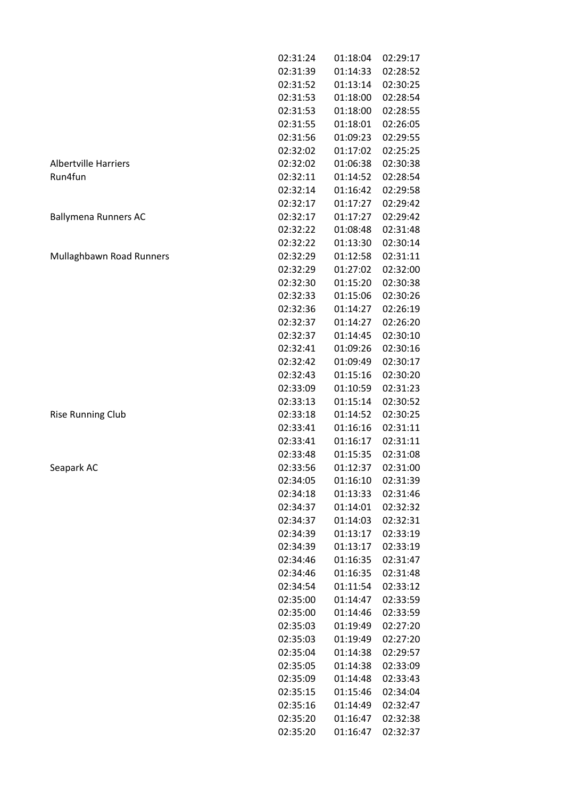|                             | 02:31:24 | 01:18:04 | 02:29:17 |
|-----------------------------|----------|----------|----------|
|                             | 02:31:39 | 01:14:33 | 02:28:52 |
|                             | 02:31:52 | 01:13:14 | 02:30:25 |
|                             | 02:31:53 | 01:18:00 | 02:28:54 |
|                             | 02:31:53 | 01:18:00 | 02:28:55 |
|                             | 02:31:55 | 01:18:01 | 02:26:05 |
|                             | 02:31:56 | 01:09:23 | 02:29:55 |
|                             | 02:32:02 | 01:17:02 | 02:25:25 |
| <b>Albertville Harriers</b> | 02:32:02 | 01:06:38 | 02:30:38 |
| Run4fun                     | 02:32:11 | 01:14:52 | 02:28:54 |
|                             | 02:32:14 | 01:16:42 | 02:29:58 |
|                             | 02:32:17 | 01:17:27 | 02:29:42 |
| <b>Ballymena Runners AC</b> | 02:32:17 | 01:17:27 | 02:29:42 |
|                             | 02:32:22 | 01:08:48 | 02:31:48 |
|                             | 02:32:22 | 01:13:30 | 02:30:14 |
| Mullaghbawn Road Runners    | 02:32:29 | 01:12:58 | 02:31:11 |
|                             | 02:32:29 | 01:27:02 | 02:32:00 |
|                             | 02:32:30 | 01:15:20 | 02:30:38 |
|                             | 02:32:33 | 01:15:06 | 02:30:26 |
|                             | 02:32:36 | 01:14:27 | 02:26:19 |
|                             | 02:32:37 | 01:14:27 | 02:26:20 |
|                             | 02:32:37 | 01:14:45 | 02:30:10 |
|                             | 02:32:41 | 01:09:26 | 02:30:16 |
|                             | 02:32:42 | 01:09:49 | 02:30:17 |
|                             | 02:32:43 | 01:15:16 | 02:30:20 |
|                             | 02:33:09 | 01:10:59 | 02:31:23 |
|                             | 02:33:13 | 01:15:14 | 02:30:52 |
| <b>Rise Running Club</b>    | 02:33:18 | 01:14:52 | 02:30:25 |
|                             | 02:33:41 | 01:16:16 | 02:31:11 |
|                             | 02:33:41 | 01:16:17 | 02:31:11 |
|                             | 02:33:48 | 01:15:35 | 02:31:08 |
| Seapark AC                  | 02:33:56 | 01:12:37 | 02:31:00 |
|                             | 02:34:05 | 01:16:10 | 02:31:39 |
|                             | 02:34:18 | 01:13:33 | 02:31:46 |
|                             | 02:34:37 | 01:14:01 | 02:32:32 |
|                             | 02:34:37 | 01:14:03 | 02:32:31 |
|                             | 02:34:39 | 01:13:17 | 02:33:19 |
|                             | 02:34:39 | 01:13:17 | 02:33:19 |
|                             | 02:34:46 | 01:16:35 | 02:31:47 |
|                             | 02:34:46 | 01:16:35 | 02:31:48 |
|                             | 02:34:54 | 01:11:54 | 02:33:12 |
|                             | 02:35:00 | 01:14:47 | 02:33:59 |
|                             | 02:35:00 | 01:14:46 | 02:33:59 |
|                             | 02:35:03 | 01:19:49 | 02:27:20 |
|                             | 02:35:03 | 01:19:49 | 02:27:20 |
|                             | 02:35:04 | 01:14:38 | 02:29:57 |
|                             | 02:35:05 | 01:14:38 | 02:33:09 |
|                             | 02:35:09 | 01:14:48 | 02:33:43 |
|                             | 02:35:15 | 01:15:46 | 02:34:04 |
|                             | 02:35:16 | 01:14:49 | 02:32:47 |
|                             | 02:35:20 | 01:16:47 | 02:32:38 |
|                             | 02:35:20 | 01:16:47 | 02:32:37 |
|                             |          |          |          |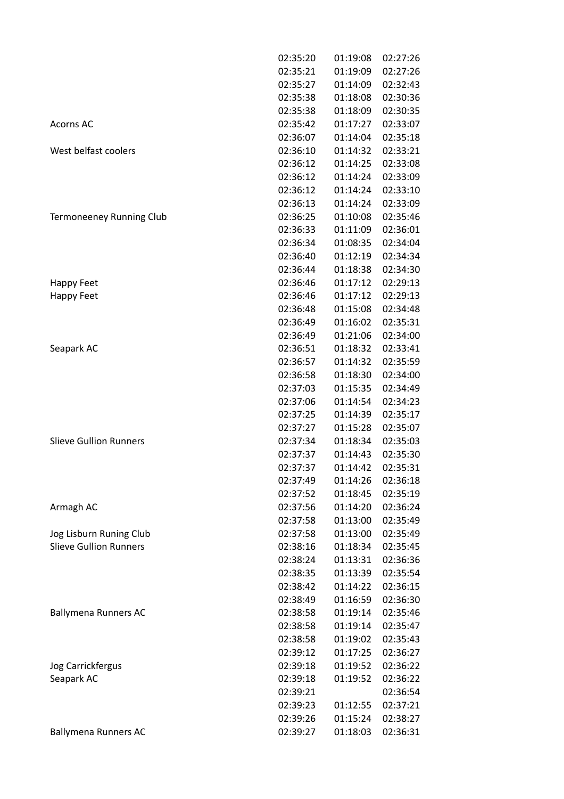|                                 | 02:35:20 | 01:19:08 | 02:27:26 |
|---------------------------------|----------|----------|----------|
|                                 | 02:35:21 | 01:19:09 | 02:27:26 |
|                                 | 02:35:27 | 01:14:09 | 02:32:43 |
|                                 | 02:35:38 | 01:18:08 | 02:30:36 |
|                                 | 02:35:38 | 01:18:09 | 02:30:35 |
| <b>Acorns AC</b>                | 02:35:42 | 01:17:27 | 02:33:07 |
|                                 | 02:36:07 | 01:14:04 | 02:35:18 |
| West belfast coolers            | 02:36:10 | 01:14:32 | 02:33:21 |
|                                 | 02:36:12 | 01:14:25 | 02:33:08 |
|                                 | 02:36:12 | 01:14:24 | 02:33:09 |
|                                 | 02:36:12 | 01:14:24 | 02:33:10 |
|                                 | 02:36:13 | 01:14:24 | 02:33:09 |
| <b>Termoneeney Running Club</b> | 02:36:25 | 01:10:08 | 02:35:46 |
|                                 | 02:36:33 | 01:11:09 | 02:36:01 |
|                                 | 02:36:34 | 01:08:35 | 02:34:04 |
|                                 | 02:36:40 | 01:12:19 | 02:34:34 |
|                                 | 02:36:44 | 01:18:38 | 02:34:30 |
| Happy Feet                      | 02:36:46 | 01:17:12 | 02:29:13 |
| <b>Happy Feet</b>               | 02:36:46 | 01:17:12 | 02:29:13 |
|                                 | 02:36:48 | 01:15:08 | 02:34:48 |
|                                 | 02:36:49 | 01:16:02 | 02:35:31 |
|                                 | 02:36:49 | 01:21:06 | 02:34:00 |
| Seapark AC                      | 02:36:51 | 01:18:32 | 02:33:41 |
|                                 | 02:36:57 | 01:14:32 | 02:35:59 |
|                                 | 02:36:58 | 01:18:30 | 02:34:00 |
|                                 | 02:37:03 | 01:15:35 | 02:34:49 |
|                                 | 02:37:06 | 01:14:54 | 02:34:23 |
|                                 | 02:37:25 | 01:14:39 | 02:35:17 |
|                                 | 02:37:27 | 01:15:28 | 02:35:07 |
| <b>Slieve Gullion Runners</b>   | 02:37:34 | 01:18:34 | 02:35:03 |
|                                 | 02:37:37 | 01:14:43 | 02:35:30 |
|                                 | 02:37:37 | 01:14:42 | 02:35:31 |
|                                 | 02:37:49 | 01:14:26 | 02:36:18 |
|                                 | 02:37:52 | 01:18:45 | 02:35:19 |
| Armagh AC                       | 02:37:56 | 01:14:20 | 02:36:24 |
|                                 | 02:37:58 | 01:13:00 | 02:35:49 |
| Jog Lisburn Runing Club         | 02:37:58 | 01:13:00 | 02:35:49 |
| <b>Slieve Gullion Runners</b>   | 02:38:16 | 01:18:34 | 02:35:45 |
|                                 | 02:38:24 | 01:13:31 | 02:36:36 |
|                                 | 02:38:35 | 01:13:39 | 02:35:54 |
|                                 | 02:38:42 | 01:14:22 | 02:36:15 |
|                                 | 02:38:49 | 01:16:59 | 02:36:30 |
| <b>Ballymena Runners AC</b>     | 02:38:58 | 01:19:14 | 02:35:46 |
|                                 | 02:38:58 | 01:19:14 | 02:35:47 |
|                                 | 02:38:58 | 01:19:02 | 02:35:43 |
|                                 | 02:39:12 | 01:17:25 | 02:36:27 |
| Jog Carrickfergus               | 02:39:18 | 01:19:52 | 02:36:22 |
| Seapark AC                      | 02:39:18 | 01:19:52 | 02:36:22 |
|                                 | 02:39:21 |          | 02:36:54 |
|                                 | 02:39:23 | 01:12:55 | 02:37:21 |
|                                 | 02:39:26 | 01:15:24 | 02:38:27 |
| <b>Ballymena Runners AC</b>     | 02:39:27 | 01:18:03 | 02:36:31 |
|                                 |          |          |          |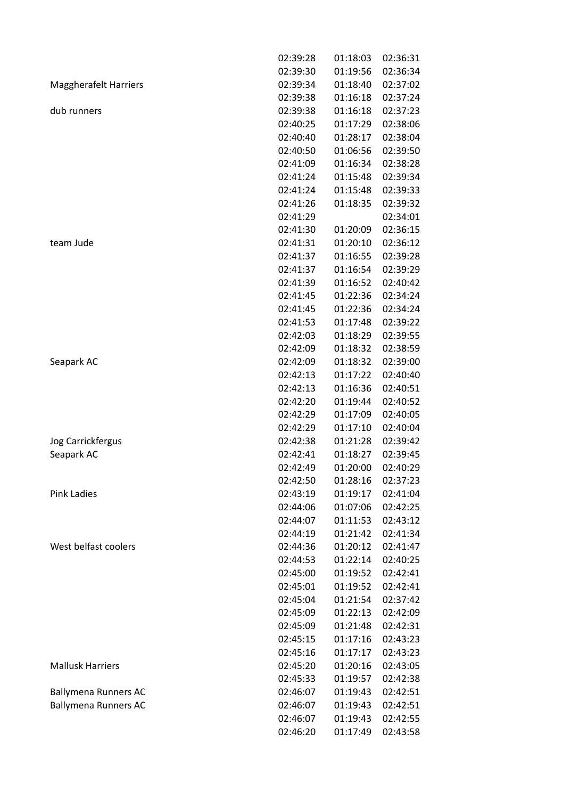|                              | 02:39:28 | 01:18:03 | 02:36:31 |
|------------------------------|----------|----------|----------|
|                              | 02:39:30 | 01:19:56 | 02:36:34 |
| <b>Maggherafelt Harriers</b> | 02:39:34 | 01:18:40 | 02:37:02 |
|                              | 02:39:38 | 01:16:18 | 02:37:24 |
| dub runners                  | 02:39:38 | 01:16:18 | 02:37:23 |
|                              | 02:40:25 | 01:17:29 | 02:38:06 |
|                              | 02:40:40 | 01:28:17 | 02:38:04 |
|                              | 02:40:50 | 01:06:56 | 02:39:50 |
|                              | 02:41:09 | 01:16:34 | 02:38:28 |
|                              | 02:41:24 | 01:15:48 | 02:39:34 |
|                              | 02:41:24 | 01:15:48 | 02:39:33 |
|                              | 02:41:26 | 01:18:35 | 02:39:32 |
|                              | 02:41:29 |          | 02:34:01 |
|                              | 02:41:30 | 01:20:09 | 02:36:15 |
| team Jude                    | 02:41:31 | 01:20:10 | 02:36:12 |
|                              | 02:41:37 | 01:16:55 | 02:39:28 |
|                              | 02:41:37 | 01:16:54 | 02:39:29 |
|                              | 02:41:39 | 01:16:52 | 02:40:42 |
|                              | 02:41:45 | 01:22:36 | 02:34:24 |
|                              | 02:41:45 | 01:22:36 | 02:34:24 |
|                              | 02:41:53 | 01:17:48 | 02:39:22 |
|                              | 02:42:03 | 01:18:29 | 02:39:55 |
|                              | 02:42:09 | 01:18:32 | 02:38:59 |
| Seapark AC                   | 02:42:09 | 01:18:32 | 02:39:00 |
|                              | 02:42:13 | 01:17:22 | 02:40:40 |
|                              | 02:42:13 | 01:16:36 | 02:40:51 |
|                              | 02:42:20 | 01:19:44 | 02:40:52 |
|                              | 02:42:29 | 01:17:09 | 02:40:05 |
|                              | 02:42:29 | 01:17:10 | 02:40:04 |
| Jog Carrickfergus            | 02:42:38 | 01:21:28 | 02:39:42 |
| Seapark AC                   | 02:42:41 | 01:18:27 | 02:39:45 |
|                              | 02:42:49 | 01:20:00 | 02:40:29 |
|                              | 02:42:50 | 01:28:16 | 02:37:23 |
| <b>Pink Ladies</b>           | 02:43:19 | 01:19:17 | 02:41:04 |
|                              | 02:44:06 | 01:07:06 | 02:42:25 |
|                              | 02:44:07 | 01:11:53 | 02:43:12 |
|                              | 02:44:19 | 01:21:42 | 02:41:34 |
| West belfast coolers         | 02:44:36 | 01:20:12 | 02:41:47 |
|                              | 02:44:53 | 01:22:14 | 02:40:25 |
|                              | 02:45:00 | 01:19:52 | 02:42:41 |
|                              | 02:45:01 | 01:19:52 | 02:42:41 |
|                              | 02:45:04 | 01:21:54 | 02:37:42 |
|                              | 02:45:09 | 01:22:13 | 02:42:09 |
|                              | 02:45:09 | 01:21:48 | 02:42:31 |
|                              | 02:45:15 | 01:17:16 | 02:43:23 |
|                              | 02:45:16 | 01:17:17 | 02:43:23 |
| <b>Mallusk Harriers</b>      | 02:45:20 | 01:20:16 | 02:43:05 |
|                              | 02:45:33 | 01:19:57 | 02:42:38 |
| <b>Ballymena Runners AC</b>  | 02:46:07 | 01:19:43 | 02:42:51 |
| <b>Ballymena Runners AC</b>  | 02:46:07 | 01:19:43 | 02:42:51 |
|                              | 02:46:07 | 01:19:43 | 02:42:55 |
|                              | 02:46:20 | 01:17:49 | 02:43:58 |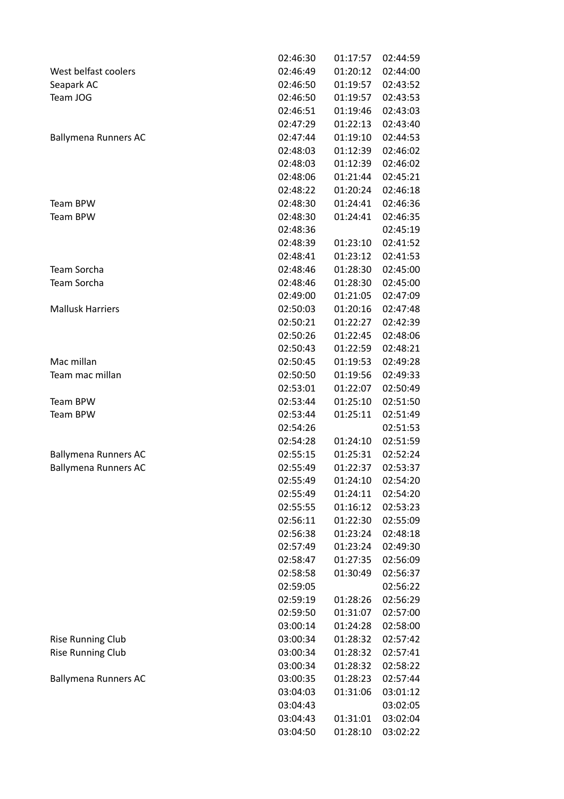|                             | 02:46:30 | 01:17:57 | 02:44:59 |
|-----------------------------|----------|----------|----------|
| West belfast coolers        | 02:46:49 | 01:20:12 | 02:44:00 |
| Seapark AC                  | 02:46:50 | 01:19:57 | 02:43:52 |
| Team JOG                    | 02:46:50 | 01:19:57 | 02:43:53 |
|                             | 02:46:51 | 01:19:46 | 02:43:03 |
|                             | 02:47:29 | 01:22:13 | 02:43:40 |
| <b>Ballymena Runners AC</b> | 02:47:44 | 01:19:10 | 02:44:53 |
|                             | 02:48:03 | 01:12:39 | 02:46:02 |
|                             | 02:48:03 | 01:12:39 | 02:46:02 |
|                             | 02:48:06 | 01:21:44 | 02:45:21 |
|                             | 02:48:22 | 01:20:24 | 02:46:18 |
| Team BPW                    | 02:48:30 | 01:24:41 | 02:46:36 |
| Team BPW                    | 02:48:30 | 01:24:41 | 02:46:35 |
|                             | 02:48:36 |          | 02:45:19 |
|                             | 02:48:39 | 01:23:10 | 02:41:52 |
|                             | 02:48:41 | 01:23:12 | 02:41:53 |
| <b>Team Sorcha</b>          | 02:48:46 | 01:28:30 | 02:45:00 |
| Team Sorcha                 | 02:48:46 | 01:28:30 | 02:45:00 |
|                             | 02:49:00 | 01:21:05 | 02:47:09 |
| <b>Mallusk Harriers</b>     | 02:50:03 | 01:20:16 | 02:47:48 |
|                             | 02:50:21 | 01:22:27 | 02:42:39 |
|                             | 02:50:26 | 01:22:45 | 02:48:06 |
|                             | 02:50:43 | 01:22:59 | 02:48:21 |
| Mac millan                  | 02:50:45 | 01:19:53 | 02:49:28 |
| Team mac millan             | 02:50:50 | 01:19:56 | 02:49:33 |
|                             | 02:53:01 | 01:22:07 | 02:50:49 |
| Team BPW                    | 02:53:44 | 01:25:10 | 02:51:50 |
| Team BPW                    | 02:53:44 | 01:25:11 | 02:51:49 |
|                             | 02:54:26 |          | 02:51:53 |
|                             | 02:54:28 | 01:24:10 | 02:51:59 |
| <b>Ballymena Runners AC</b> | 02:55:15 | 01:25:31 | 02:52:24 |
| <b>Ballymena Runners AC</b> | 02:55:49 | 01:22:37 | 02:53:37 |
|                             | 02:55:49 | 01:24:10 | 02:54:20 |
|                             | 02:55:49 | 01:24:11 | 02:54:20 |
|                             | 02:55:55 | 01:16:12 | 02:53:23 |
|                             | 02:56:11 | 01:22:30 | 02:55:09 |
|                             | 02:56:38 | 01:23:24 | 02:48:18 |
|                             | 02:57:49 | 01:23:24 | 02:49:30 |
|                             | 02:58:47 | 01:27:35 | 02:56:09 |
|                             | 02:58:58 | 01:30:49 | 02:56:37 |
|                             | 02:59:05 |          | 02:56:22 |
|                             | 02:59:19 | 01:28:26 | 02:56:29 |
|                             | 02:59:50 | 01:31:07 | 02:57:00 |
|                             | 03:00:14 | 01:24:28 | 02:58:00 |
| <b>Rise Running Club</b>    | 03:00:34 | 01:28:32 | 02:57:42 |
| <b>Rise Running Club</b>    | 03:00:34 | 01:28:32 | 02:57:41 |
|                             | 03:00:34 | 01:28:32 | 02:58:22 |
| <b>Ballymena Runners AC</b> | 03:00:35 | 01:28:23 | 02:57:44 |
|                             | 03:04:03 | 01:31:06 | 03:01:12 |
|                             | 03:04:43 |          | 03:02:05 |
|                             | 03:04:43 | 01:31:01 | 03:02:04 |
|                             | 03:04:50 | 01:28:10 | 03:02:22 |